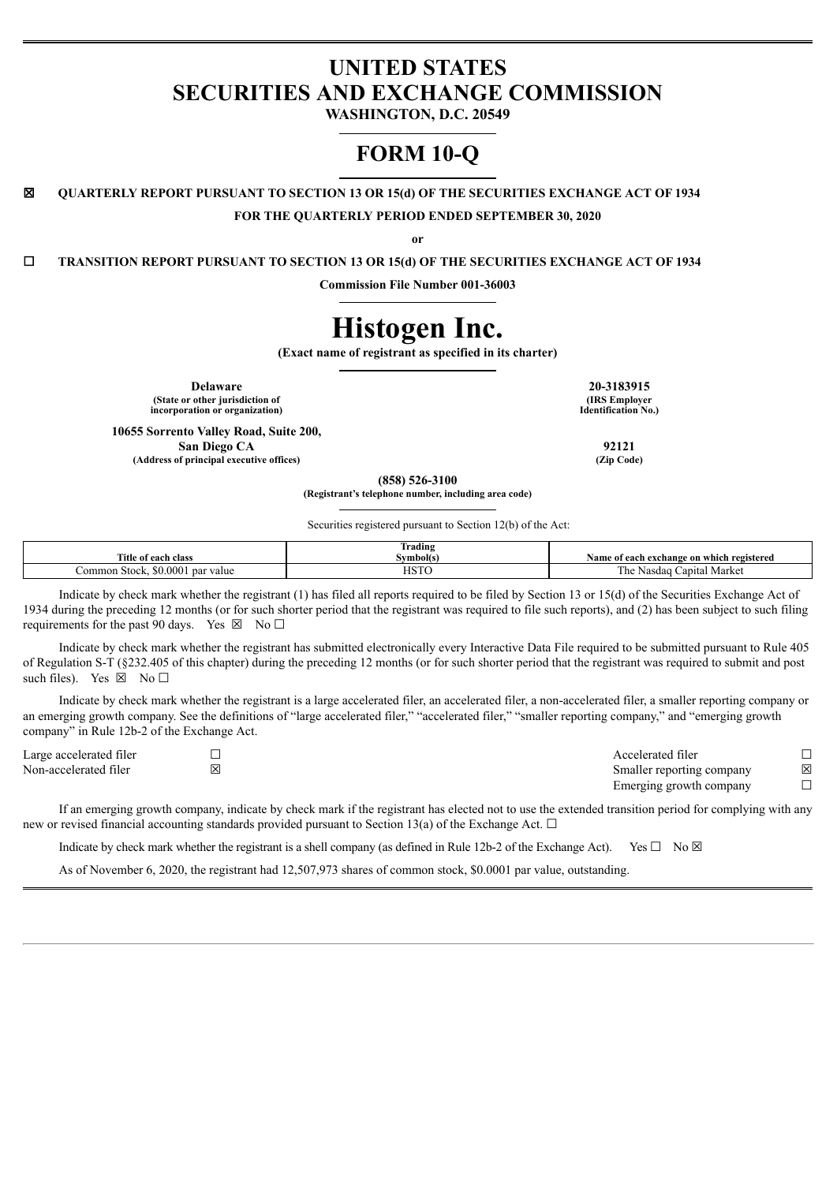## **UNITED STATES SECURITIES AND EXCHANGE COMMISSION**

**WASHINGTON, D.C. 20549**

# **FORM 10-Q**

☒ **QUARTERLY REPORT PURSUANT TO SECTION 13 OR 15(d) OF THE SECURITIES EXCHANGE ACT OF 1934 FOR THE QUARTERLY PERIOD ENDED SEPTEMBER 30, 2020**

**or**

☐ **TRANSITION REPORT PURSUANT TO SECTION 13 OR 15(d) OF THE SECURITIES EXCHANGE ACT OF 1934**

**Commission File Number 001-36003**

# **Histogen Inc.**

**(Exact name of registrant as specified in its charter)**

**Delaware 20-3183915 (State or other jurisdiction of incorporation or organization)**

**10655 Sorrento Valley Road, Suite 200, San Diego CA 92121 (Address of principal executive offices) (Zip Code)**

**(IRS Employer Identification No.)**

**(858) 526-3100**

**(Registrant's telephone number, including area code)**

Securities registered pursuant to Section 12(b) of the Act:

|                                                       | $\sim$<br>Irading        |                                            |
|-------------------------------------------------------|--------------------------|--------------------------------------------|
| <b>CONTRACTOR</b><br>l'itle of each class             | $\mathbf{r}$<br>Symbol(s | Name of each exchange on which registered  |
| .000 <sup>°</sup><br>. par value<br>ommon<br>Sto<br>M | TTQTO<br>L L L           | m<br>. Market<br>∠apıtal<br>. he<br>Nasdaq |

Indicate by check mark whether the registrant (1) has filed all reports required to be filed by Section 13 or 15(d) of the Securities Exchange Act of 1934 during the preceding 12 months (or for such shorter period that the registrant was required to file such reports), and (2) has been subject to such filing requirements for the past 90 days. Yes  $\boxtimes$  No  $\Box$ 

Indicate by check mark whether the registrant has submitted electronically every Interactive Data File required to be submitted pursuant to Rule 405 of Regulation S-T (§232.405 of this chapter) during the preceding 12 months (or for such shorter period that the registrant was required to submit and post such files). Yes  $\boxtimes$  No  $\square$ 

Indicate by check mark whether the registrant is a large accelerated filer, an accelerated filer, a non-accelerated filer, a smaller reporting company or an emerging growth company. See the definitions of "large accelerated filer," "accelerated filer," "smaller reporting company," and "emerging growth company" in Rule 12b-2 of the Exchange Act.

Large accelerated filer ☐ Accelerated filer ☐ Non-accelerated filer ☒ Smaller reporting company ☒ Emerging growth company  $\Box$ 

If an emerging growth company, indicate by check mark if the registrant has elected not to use the extended transition period for complying with any new or revised financial accounting standards provided pursuant to Section 13(a) of the Exchange Act.  $\Box$ 

Indicate by check mark whether the registrant is a shell company (as defined in Rule 12b-2 of the Exchange Act). Yes  $\Box$  No  $\boxtimes$ 

As of November 6, 2020, the registrant had 12,507,973 shares of common stock, \$0.0001 par value, outstanding.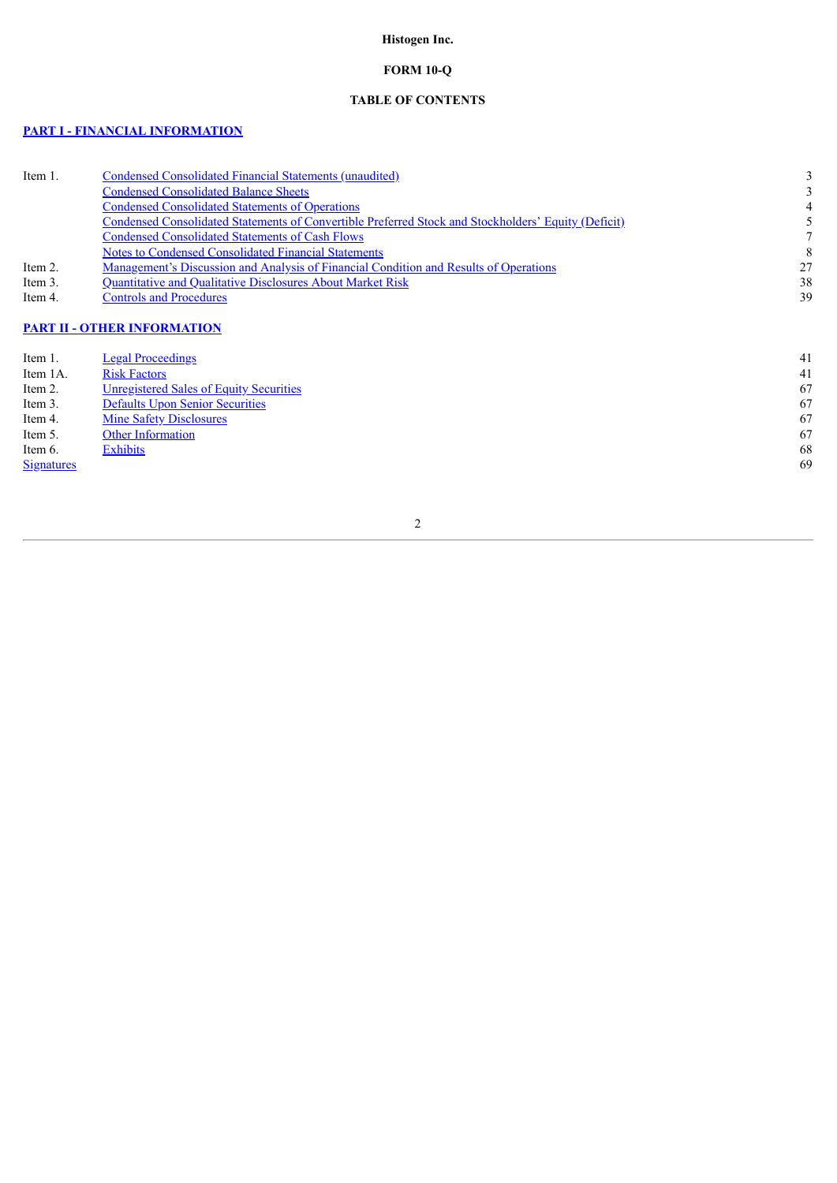## **Histogen Inc.**

## **FORM 10-Q**

## **TABLE OF CONTENTS**

## **PART I - FINANCIAL [INFORMATION](#page-2-0)**

| Item 1.           | <b>Condensed Consolidated Financial Statements (unaudited)</b>                                      |    |
|-------------------|-----------------------------------------------------------------------------------------------------|----|
|                   | <b>Condensed Consolidated Balance Sheets</b>                                                        |    |
|                   | <b>Condensed Consolidated Statements of Operations</b>                                              |    |
|                   | Condensed Consolidated Statements of Convertible Preferred Stock and Stockholders' Equity (Deficit) |    |
|                   | <b>Condensed Consolidated Statements of Cash Flows</b>                                              |    |
|                   | <b>Notes to Condensed Consolidated Financial Statements</b>                                         | 8  |
| Item 2.           | <u>Management's Discussion and Analysis of Financial Condition and Results of Operations</u>        | 27 |
| Item 3.           | Quantitative and Qualitative Disclosures About Market Risk                                          | 38 |
| Item 4.           | <b>Controls and Procedures</b>                                                                      | 39 |
|                   | <b>PART II - OTHER INFORMATION</b>                                                                  | 41 |
| Item 1.           | <b>Legal Proceedings</b>                                                                            | 41 |
| Item 1A.          | <b>Risk Factors</b>                                                                                 |    |
| Item 2.           | <b>Unregistered Sales of Equity Securities</b>                                                      | 67 |
| Item 3.           | <b>Defaults Upon Senior Securities</b>                                                              | 67 |
| Item 4.           | <b>Mine Safety Disclosures</b>                                                                      | 67 |
| Item 5.           | <b>Other Information</b>                                                                            | 67 |
| Item 6.           | <b>Exhibits</b>                                                                                     | 68 |
| <b>Signatures</b> |                                                                                                     | 69 |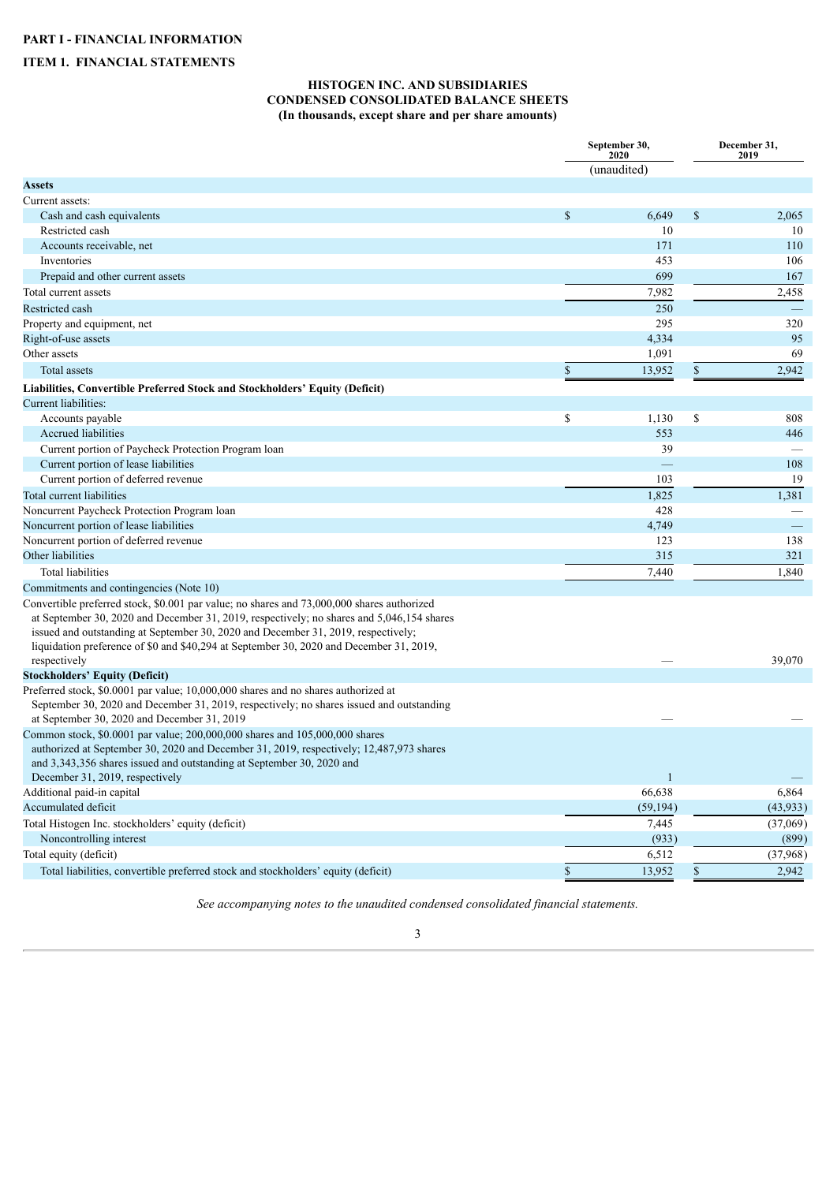## <span id="page-2-1"></span><span id="page-2-0"></span>**PART I - FINANCIAL INFORMATION ITEM 1. FINANCIAL STATEMENTS**

#### **HISTOGEN INC. AND SUBSIDIARIES CONDENSED CONSOLIDATED BALANCE SHEETS (In thousands, except share and per share amounts)**

<span id="page-2-2"></span>

|                                                                                                                                                                                                                                                                                                                                                                                         |              | September 30,<br>2020 | December 31,<br>2019 |           |
|-----------------------------------------------------------------------------------------------------------------------------------------------------------------------------------------------------------------------------------------------------------------------------------------------------------------------------------------------------------------------------------------|--------------|-----------------------|----------------------|-----------|
|                                                                                                                                                                                                                                                                                                                                                                                         |              | (unaudited)           |                      |           |
| <b>Assets</b>                                                                                                                                                                                                                                                                                                                                                                           |              |                       |                      |           |
| Current assets:                                                                                                                                                                                                                                                                                                                                                                         |              |                       |                      |           |
| Cash and cash equivalents                                                                                                                                                                                                                                                                                                                                                               | $\mathbb{S}$ | 6,649                 | $\$$                 | 2,065     |
| Restricted cash                                                                                                                                                                                                                                                                                                                                                                         |              | 10                    |                      | 10        |
| Accounts receivable, net                                                                                                                                                                                                                                                                                                                                                                |              | 171                   |                      | 110       |
| Inventories                                                                                                                                                                                                                                                                                                                                                                             |              | 453                   |                      | 106       |
| Prepaid and other current assets                                                                                                                                                                                                                                                                                                                                                        |              | 699                   |                      | 167       |
| Total current assets                                                                                                                                                                                                                                                                                                                                                                    |              | 7,982                 |                      | 2,458     |
| Restricted cash                                                                                                                                                                                                                                                                                                                                                                         |              | 250                   |                      |           |
| Property and equipment, net                                                                                                                                                                                                                                                                                                                                                             |              | 295                   |                      | 320       |
| Right-of-use assets                                                                                                                                                                                                                                                                                                                                                                     |              | 4,334                 |                      | 95        |
| Other assets                                                                                                                                                                                                                                                                                                                                                                            |              | 1,091                 |                      | 69        |
| Total assets                                                                                                                                                                                                                                                                                                                                                                            | \$           | 13,952                | $\mathbb S$          | 2,942     |
| Liabilities, Convertible Preferred Stock and Stockholders' Equity (Deficit)                                                                                                                                                                                                                                                                                                             |              |                       |                      |           |
| Current liabilities:                                                                                                                                                                                                                                                                                                                                                                    |              |                       |                      |           |
| Accounts payable                                                                                                                                                                                                                                                                                                                                                                        | \$           | 1,130                 | \$                   | 808       |
| Accrued liabilities                                                                                                                                                                                                                                                                                                                                                                     |              | 553                   |                      | 446       |
| Current portion of Paycheck Protection Program loan                                                                                                                                                                                                                                                                                                                                     |              | 39                    |                      |           |
| Current portion of lease liabilities                                                                                                                                                                                                                                                                                                                                                    |              |                       |                      | 108       |
| Current portion of deferred revenue                                                                                                                                                                                                                                                                                                                                                     |              | 103                   |                      | 19        |
| Total current liabilities                                                                                                                                                                                                                                                                                                                                                               |              | 1,825                 |                      | 1,381     |
| Noncurrent Paycheck Protection Program loan                                                                                                                                                                                                                                                                                                                                             |              | 428                   |                      |           |
| Noncurrent portion of lease liabilities                                                                                                                                                                                                                                                                                                                                                 |              | 4,749                 |                      |           |
| Noncurrent portion of deferred revenue                                                                                                                                                                                                                                                                                                                                                  |              | 123                   |                      | 138       |
| Other liabilities                                                                                                                                                                                                                                                                                                                                                                       |              | 315                   |                      | 321       |
| Total liabilities                                                                                                                                                                                                                                                                                                                                                                       |              | 7,440                 |                      | 1,840     |
| Commitments and contingencies (Note 10)                                                                                                                                                                                                                                                                                                                                                 |              |                       |                      |           |
| Convertible preferred stock, \$0.001 par value; no shares and 73,000,000 shares authorized<br>at September 30, 2020 and December 31, 2019, respectively; no shares and 5,046,154 shares<br>issued and outstanding at September 30, 2020 and December 31, 2019, respectively;<br>liquidation preference of \$0 and \$40,294 at September 30, 2020 and December 31, 2019,<br>respectively |              |                       |                      | 39,070    |
| <b>Stockholders' Equity (Deficit)</b>                                                                                                                                                                                                                                                                                                                                                   |              |                       |                      |           |
| Preferred stock, \$0.0001 par value; 10,000,000 shares and no shares authorized at<br>September 30, 2020 and December 31, 2019, respectively; no shares issued and outstanding<br>at September 30, 2020 and December 31, 2019                                                                                                                                                           |              |                       |                      |           |
| Common stock, \$0.0001 par value; 200,000,000 shares and 105,000,000 shares<br>authorized at September 30, 2020 and December 31, 2019, respectively; 12,487,973 shares<br>and 3,343,356 shares issued and outstanding at September 30, 2020 and                                                                                                                                         |              |                       |                      |           |
| December 31, 2019, respectively                                                                                                                                                                                                                                                                                                                                                         |              | $\mathbf{1}$          |                      |           |
| Additional paid-in capital                                                                                                                                                                                                                                                                                                                                                              |              | 66,638                |                      | 6,864     |
| Accumulated deficit                                                                                                                                                                                                                                                                                                                                                                     |              | (59, 194)             |                      | (43, 933) |
| Total Histogen Inc. stockholders' equity (deficit)                                                                                                                                                                                                                                                                                                                                      |              | 7,445                 |                      | (37,069)  |
| Noncontrolling interest                                                                                                                                                                                                                                                                                                                                                                 |              | (933)                 |                      | (899)     |
| Total equity (deficit)                                                                                                                                                                                                                                                                                                                                                                  |              | 6,512                 |                      | (37,968)  |
| Total liabilities, convertible preferred stock and stockholders' equity (deficit)                                                                                                                                                                                                                                                                                                       | $\$$         | 13,952                | \$                   | 2,942     |

*See accompanying notes to the unaudited condensed consolidated financial statements.*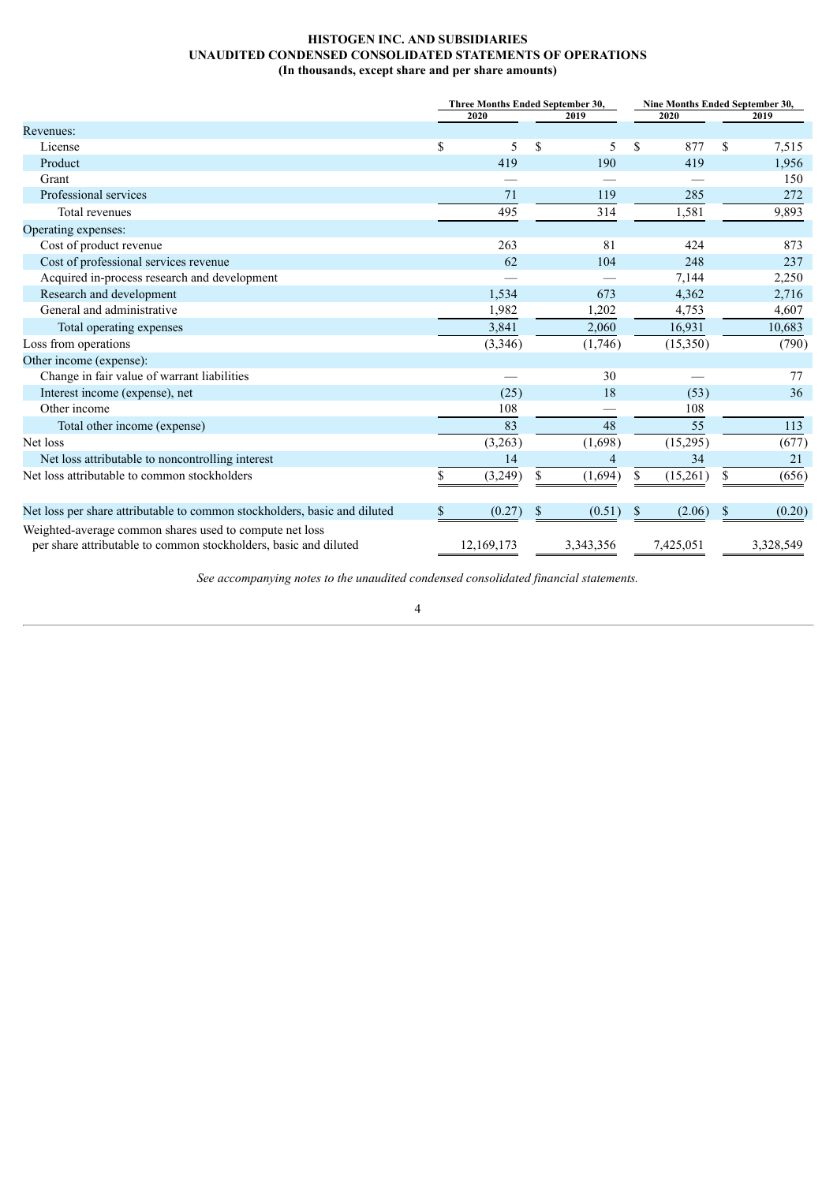#### **HISTOGEN INC. AND SUBSIDIARIES UNAUDITED CONDENSED CONSOLIDATED STATEMENTS OF OPERATIONS (In thousands, except share and per share amounts)**

<span id="page-3-0"></span>

|                                                                                                                             | Three Months Ended September 30, |            |    |           |              |           | Nine Months Ended September 30, |           |
|-----------------------------------------------------------------------------------------------------------------------------|----------------------------------|------------|----|-----------|--------------|-----------|---------------------------------|-----------|
|                                                                                                                             |                                  | 2020       |    | 2019      |              | 2020      |                                 | 2019      |
| Revenues:                                                                                                                   |                                  |            |    |           |              |           |                                 |           |
| License                                                                                                                     | \$                               | 5          | \$ | 5         | \$           | 877       | \$.                             | 7,515     |
| Product                                                                                                                     |                                  | 419        |    | 190       |              | 419       |                                 | 1,956     |
| Grant                                                                                                                       |                                  |            |    |           |              |           |                                 | 150       |
| Professional services                                                                                                       |                                  | 71         |    | 119       |              | 285       |                                 | 272       |
| Total revenues                                                                                                              |                                  | 495        |    | 314       |              | 1,581     |                                 | 9,893     |
| Operating expenses:                                                                                                         |                                  |            |    |           |              |           |                                 |           |
| Cost of product revenue                                                                                                     |                                  | 263        |    | 81        |              | 424       |                                 | 873       |
| Cost of professional services revenue                                                                                       |                                  | 62         |    | 104       |              | 248       |                                 | 237       |
| Acquired in-process research and development                                                                                |                                  |            |    |           |              | 7,144     |                                 | 2,250     |
| Research and development                                                                                                    |                                  | 1,534      |    | 673       |              | 4,362     |                                 | 2,716     |
| General and administrative                                                                                                  |                                  | 1,982      |    | 1,202     |              | 4,753     |                                 | 4,607     |
| Total operating expenses                                                                                                    |                                  | 3,841      |    | 2,060     |              | 16,931    |                                 | 10,683    |
| Loss from operations                                                                                                        |                                  | (3,346)    |    | (1,746)   |              | (15,350)  |                                 | (790)     |
| Other income (expense):                                                                                                     |                                  |            |    |           |              |           |                                 |           |
| Change in fair value of warrant liabilities                                                                                 |                                  |            |    | 30        |              |           |                                 | 77        |
| Interest income (expense), net                                                                                              |                                  | (25)       |    | 18        |              | (53)      |                                 | 36        |
| Other income                                                                                                                |                                  | 108        |    |           |              | 108       |                                 |           |
| Total other income (expense)                                                                                                |                                  | 83         |    | 48        |              | 55        |                                 | 113       |
| Net loss                                                                                                                    |                                  | (3,263)    |    | (1,698)   |              | (15,295)  |                                 | (677)     |
| Net loss attributable to noncontrolling interest                                                                            |                                  | 14         |    | 4         |              | 34        |                                 | 21        |
| Net loss attributable to common stockholders                                                                                |                                  | (3,249)    | \$ | (1,694)   | \$           | (15,261)  | \$                              | (656)     |
| Net loss per share attributable to common stockholders, basic and diluted                                                   | \$.                              | (0.27)     | \$ | (0.51)    | <sup>S</sup> | (2.06)    | S                               | (0.20)    |
| Weighted-average common shares used to compute net loss<br>per share attributable to common stockholders, basic and diluted |                                  | 12,169,173 |    | 3,343,356 |              | 7,425,051 |                                 | 3,328,549 |

*See accompanying notes to the unaudited condensed consolidated financial statements.*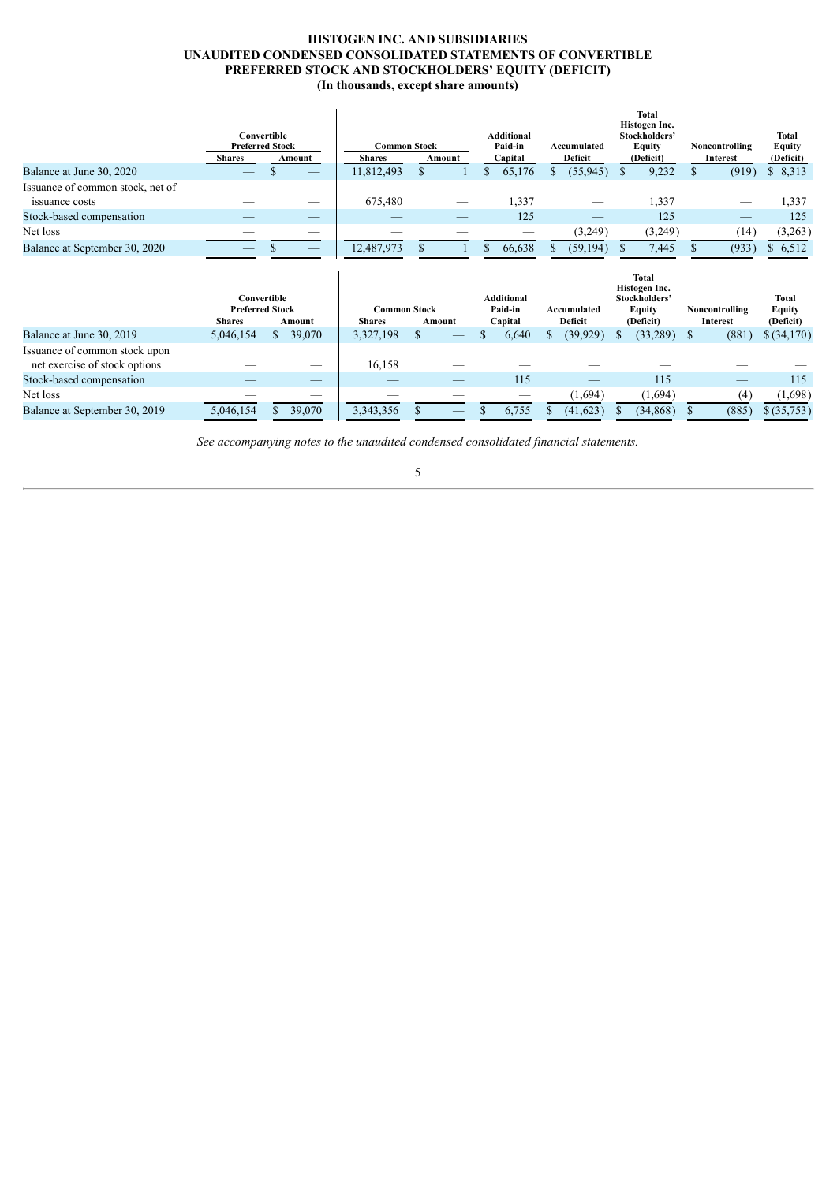#### **HISTOGEN INC. AND SUBSIDIARIES UNAUDITED CONDENSED CONSOLIDATED STATEMENTS OF CONVERTIBLE PREFERRED STOCK AND STOCKHOLDERS' EQUITY (DEFICIT) (In thousands, except share amounts)**

 $\overline{1}$ 

<span id="page-4-0"></span>

|                                  |                                         | Convertible |                          |                                      |        | <b>Additional</b>  |                        | <b>Total</b><br>Histogen Inc.<br>Stockholders' |                            |  |                            | <b>Total</b>        |
|----------------------------------|-----------------------------------------|-------------|--------------------------|--------------------------------------|--------|--------------------|------------------------|------------------------------------------------|----------------------------|--|----------------------------|---------------------|
|                                  | <b>Preferred Stock</b><br><b>Shares</b> |             | Amount                   | <b>Common Stock</b><br><b>Shares</b> | Amount | Paid-in<br>Capital | Accumulated<br>Deficit |                                                | <b>Equity</b><br>(Deficit) |  | Noncontrolling<br>Interest | Equity<br>(Deficit) |
| Balance at June 30, 2020         | —                                       |             |                          | 11,812,493                           |        | 65,176             | (55,945)               |                                                | 9,232                      |  | (919)                      | \$8,313             |
| Issuance of common stock, net of |                                         |             |                          |                                      |        |                    |                        |                                                |                            |  |                            |                     |
| issuance costs                   |                                         |             |                          | 675,480                              |        | 1,337              |                        |                                                | 1,337                      |  | __                         | .337                |
| Stock-based compensation         |                                         |             |                          |                                      |        | 125                |                        |                                                | 125                        |  |                            | 125                 |
| Net loss                         |                                         |             | $\overline{\phantom{a}}$ |                                      |        | __                 | (3,249)                |                                                | (3,249)                    |  | (14)                       | (3,263)             |
| Balance at September 30, 2020    |                                         |             |                          | 12,487,973                           |        | 66,638             | (59, 194)              |                                                | 7,445                      |  | (933)                      | \$6,512             |
|                                  |                                         |             |                          |                                      |        |                    |                        |                                                | Total                      |  |                            |                     |

|                                                                | Convertible<br><b>Preferred Stock</b><br><b>Shares</b><br>Amount |        | Common Stock<br><b>Shares</b><br>Amount |   | <b>Additional</b><br>Paid-in<br>Capital |  | Accumulated<br>Deficit |  | Histogen Inc.<br>Stockholders'<br>Equity<br>(Deficit) |  | Noncontrolling<br><b>Interest</b> | Total<br><b>Equity</b><br>(Deficit) |
|----------------------------------------------------------------|------------------------------------------------------------------|--------|-----------------------------------------|---|-----------------------------------------|--|------------------------|--|-------------------------------------------------------|--|-----------------------------------|-------------------------------------|
| Balance at June 30, 2019                                       | 5,046,154                                                        | 39,070 | 3,327,198                               |   | 6,640                                   |  | (39, 929)              |  | (33, 289)                                             |  | (881)                             | $$$ $(34,170)$                      |
| Issuance of common stock upon<br>net exercise of stock options |                                                                  |        | 16.158                                  |   |                                         |  |                        |  |                                                       |  |                                   |                                     |
| Stock-based compensation                                       |                                                                  |        |                                         |   | 115                                     |  |                        |  | 115                                                   |  |                                   | 115                                 |
| Net loss                                                       |                                                                  |        |                                         |   |                                         |  | (1,694)                |  | (1,694)                                               |  | (4)                               | 1,698)                              |
| Balance at September 30, 2019                                  | 5,046,154                                                        | 39.070 | 3,343,356                               | — | 6.755                                   |  | (41, 623)              |  | (34, 868)                                             |  | (885)                             | $$$ $(35,753)$                      |

*See accompanying notes to the unaudited condensed consolidated financial statements.*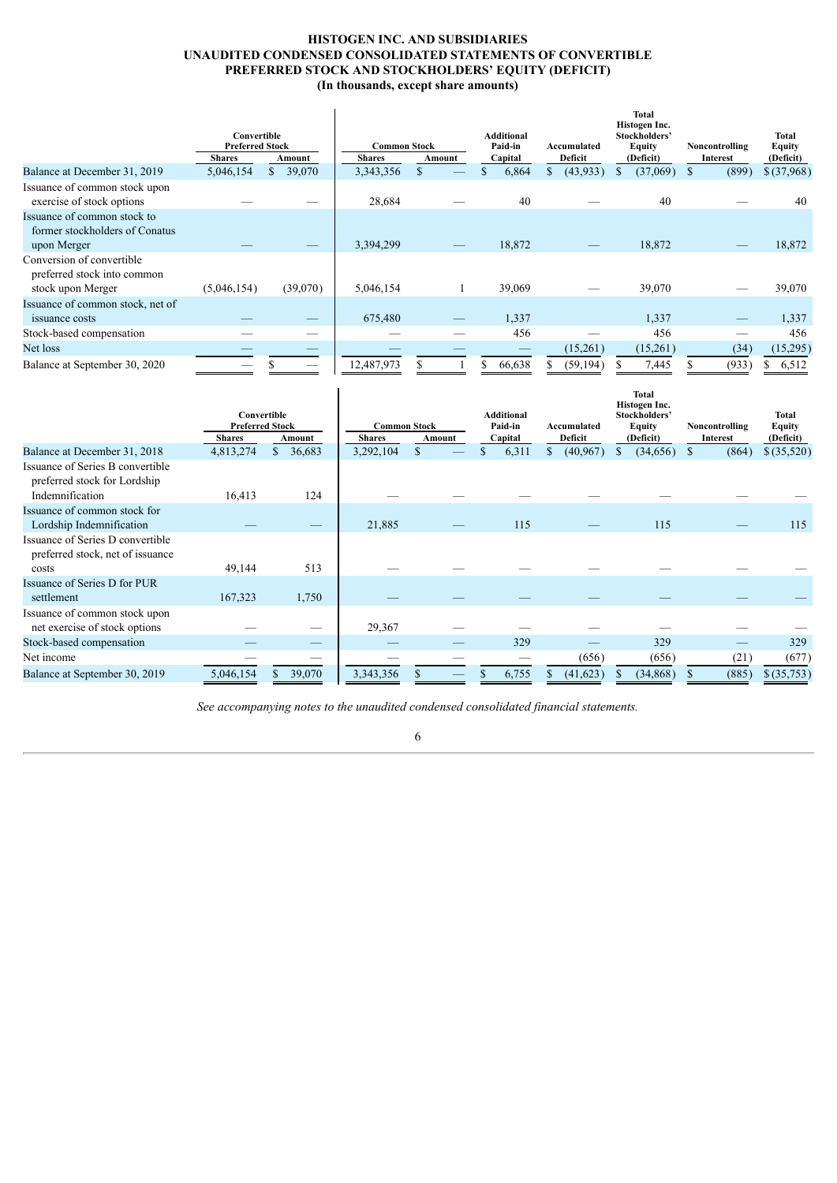#### **HISTOGEN INC. AND SUBSIDIARIES UNAUDITED CONDENSED CONSOLIDATED STATEMENTS OF CONVERTIBLE PREFERRED STOCK AND STOCKHOLDERS' EQUITY (DEFICIT) (In thousands, except share amounts)**

|                                                                               | Convertible<br><b>Preferred Stock</b> |             | <b>Common Stock</b> |        | <b>Additional</b><br>Paid-in | Accumulated | <b>Total</b><br>Histogen Inc.<br>Stockholders'<br>Equity | Noncontrolling | Total<br>Equity |
|-------------------------------------------------------------------------------|---------------------------------------|-------------|---------------------|--------|------------------------------|-------------|----------------------------------------------------------|----------------|-----------------|
|                                                                               | <b>Shares</b>                         | Amount      | <b>Shares</b>       | Amount | Capital                      | Deficit     | (Deficit)                                                | Interest       | (Deficit)       |
| Balance at December 31, 2019                                                  | 5,046,154                             | 39,070<br>S | 3,343,356           |        | 6,864                        | (43, 933)   | (37,069)<br>S                                            | (899)<br>S     | \$ (37,968)     |
| Issuance of common stock upon<br>exercise of stock options                    |                                       |             | 28,684              |        | 40                           |             | 40                                                       |                | 40              |
| Issuance of common stock to<br>former stockholders of Conatus<br>upon Merger  |                                       |             | 3,394,299           |        | 18,872                       |             | 18,872                                                   |                | 18,872          |
| Conversion of convertible<br>preferred stock into common<br>stock upon Merger | (5,046,154)                           | (39,070)    | 5,046,154           |        | 39,069                       |             | 39,070                                                   |                | 39,070          |
| Issuance of common stock, net of<br>issuance costs                            |                                       |             | 675,480             |        | 1,337                        |             | 1,337                                                    | —              | 1,337           |
| Stock-based compensation                                                      |                                       |             |                     |        | 456                          |             | 456                                                      |                | 456             |
| Net loss                                                                      |                                       |             |                     |        |                              | (15,261)    | (15,261)                                                 | (34)           | (15,295)        |
| Balance at September 30, 2020                                                 |                                       |             | 12,487,973          |        | 66,638                       | (59, 194)   | 7,445                                                    | (933)          | 6,512           |

|                                                                                     | Convertible<br><b>Preferred Stock</b><br><b>Shares</b> | Amount                 | <b>Common Stock</b><br><b>Shares</b> | Amount | <b>Additional</b><br>Paid-in<br>Capital | Accumulated<br><b>Deficit</b> | <b>Total</b><br>Histogen Inc.<br>Stockholders'<br><b>Equity</b><br>(Deficit) | Noncontrolling<br><b>Interest</b> | <b>Total</b><br><b>Equity</b><br>(Deficit) |
|-------------------------------------------------------------------------------------|--------------------------------------------------------|------------------------|--------------------------------------|--------|-----------------------------------------|-------------------------------|------------------------------------------------------------------------------|-----------------------------------|--------------------------------------------|
| Balance at December 31, 2018                                                        | 4,813,274                                              | $\mathbb{S}$<br>36,683 | 3,292,104                            | \$     | 6,311                                   | \$<br>(40, 967)               | (34, 656)<br>\$.                                                             | <sup>\$</sup><br>(864)            | \$ (35,520)                                |
| Issuance of Series B convertible<br>preferred stock for Lordship<br>Indemnification | 16,413                                                 | 124                    |                                      |        |                                         |                               |                                                                              |                                   |                                            |
| Issuance of common stock for<br>Lordship Indemnification                            |                                                        |                        | 21,885                               |        | 115                                     |                               | 115                                                                          |                                   | 115                                        |
| Issuance of Series D convertible<br>preferred stock, net of issuance<br>costs       | 49,144                                                 | 513                    |                                      |        |                                         |                               |                                                                              |                                   |                                            |
| Issuance of Series D for PUR<br>settlement                                          | 167,323                                                | 1,750                  |                                      |        |                                         |                               |                                                                              |                                   |                                            |
| Issuance of common stock upon<br>net exercise of stock options                      |                                                        |                        | 29,367                               |        |                                         |                               |                                                                              |                                   |                                            |
| Stock-based compensation                                                            |                                                        |                        |                                      |        | 329                                     |                               | 329                                                                          |                                   | 329                                        |
| Net income                                                                          |                                                        |                        |                                      |        |                                         | (656)                         | (656)                                                                        | (21)                              | (677)                                      |
| Balance at September 30, 2019                                                       | 5,046,154                                              | 39,070<br>S            | 3,343,356                            |        | 6,755                                   | (41, 623)                     | (34, 868)                                                                    | (885)                             | $$$ $(35,753)$                             |

*See accompanying notes to the unaudited condensed consolidated financial statements.*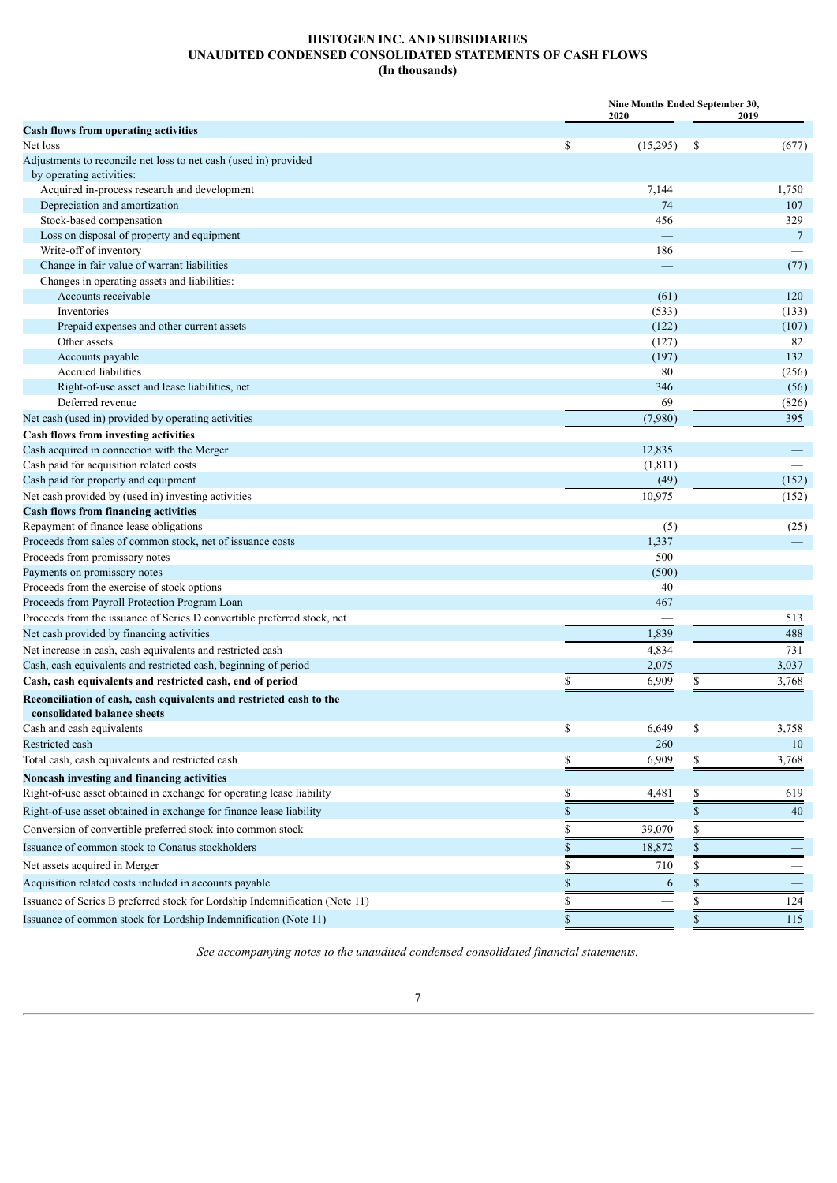## **HISTOGEN INC. AND SUBSIDIARIES UNAUDITED CONDENSED CONSOLIDATED STATEMENTS OF CASH FLOWS**

**(In thousands)**

<span id="page-6-0"></span>

|                                                                                                    |    | Nine Months Ended September 30, |      |                          |  |  |  |  |
|----------------------------------------------------------------------------------------------------|----|---------------------------------|------|--------------------------|--|--|--|--|
|                                                                                                    |    | 2020                            |      | 2019                     |  |  |  |  |
| <b>Cash flows from operating activities</b><br>Net loss                                            | \$ | (15,295)                        | -S   | (677)                    |  |  |  |  |
| Adjustments to reconcile net loss to net cash (used in) provided                                   |    |                                 |      |                          |  |  |  |  |
| by operating activities:                                                                           |    |                                 |      |                          |  |  |  |  |
| Acquired in-process research and development                                                       |    | 7,144                           |      | 1,750                    |  |  |  |  |
| Depreciation and amortization                                                                      |    | 74                              |      | 107                      |  |  |  |  |
| Stock-based compensation                                                                           |    | 456                             |      | 329                      |  |  |  |  |
| Loss on disposal of property and equipment                                                         |    | $\equiv$                        |      | $7\phantom{.0}$          |  |  |  |  |
| Write-off of inventory                                                                             |    | 186                             |      |                          |  |  |  |  |
| Change in fair value of warrant liabilities                                                        |    |                                 |      | (77)                     |  |  |  |  |
| Changes in operating assets and liabilities:                                                       |    |                                 |      |                          |  |  |  |  |
| Accounts receivable                                                                                |    | (61)                            |      | 120                      |  |  |  |  |
| Inventories                                                                                        |    | (533)                           |      | (133)                    |  |  |  |  |
| Prepaid expenses and other current assets                                                          |    | (122)                           |      | (107)                    |  |  |  |  |
| Other assets                                                                                       |    | (127)                           |      | 82                       |  |  |  |  |
| Accounts payable                                                                                   |    | (197)                           |      | 132                      |  |  |  |  |
| Accrued liabilities                                                                                |    | 80                              |      | (256)                    |  |  |  |  |
| Right-of-use asset and lease liabilities, net                                                      |    | 346                             |      | (56)                     |  |  |  |  |
| Deferred revenue                                                                                   |    | 69                              |      | (826)                    |  |  |  |  |
| Net cash (used in) provided by operating activities                                                |    | (7,980)                         |      | 395                      |  |  |  |  |
| Cash flows from investing activities                                                               |    |                                 |      |                          |  |  |  |  |
| Cash acquired in connection with the Merger                                                        |    | 12,835                          |      |                          |  |  |  |  |
| Cash paid for acquisition related costs                                                            |    | (1, 811)                        |      |                          |  |  |  |  |
| Cash paid for property and equipment                                                               |    | (49)                            |      | (152)                    |  |  |  |  |
| Net cash provided by (used in) investing activities                                                |    | 10,975                          |      | (152)                    |  |  |  |  |
| <b>Cash flows from financing activities</b>                                                        |    |                                 |      |                          |  |  |  |  |
| Repayment of finance lease obligations                                                             |    | (5)                             |      | (25)                     |  |  |  |  |
| Proceeds from sales of common stock, net of issuance costs                                         |    | 1,337                           |      |                          |  |  |  |  |
| Proceeds from promissory notes                                                                     |    | 500                             |      |                          |  |  |  |  |
| Payments on promissory notes                                                                       |    | (500)                           |      |                          |  |  |  |  |
| Proceeds from the exercise of stock options                                                        |    | 40                              |      |                          |  |  |  |  |
| Proceeds from Payroll Protection Program Loan                                                      |    | 467                             |      | $\overline{\phantom{0}}$ |  |  |  |  |
| Proceeds from the issuance of Series D convertible preferred stock, net                            |    |                                 |      | 513                      |  |  |  |  |
| Net cash provided by financing activities                                                          |    | 1,839                           |      | 488                      |  |  |  |  |
| Net increase in cash, cash equivalents and restricted cash                                         |    | 4,834                           |      | 731                      |  |  |  |  |
| Cash, cash equivalents and restricted cash, beginning of period                                    |    | 2,075                           |      | 3,037                    |  |  |  |  |
| Cash, cash equivalents and restricted cash, end of period                                          | \$ | 6,909                           | \$   | 3,768                    |  |  |  |  |
| Reconciliation of cash, cash equivalents and restricted cash to the<br>consolidated balance sheets |    |                                 |      |                          |  |  |  |  |
| Cash and cash equivalents                                                                          | \$ | 6,649                           | \$   | 3,758                    |  |  |  |  |
| Restricted cash                                                                                    |    | 260                             |      | 10                       |  |  |  |  |
| Total cash, cash equivalents and restricted cash                                                   | \$ | 6,909                           | \$   | 3,768                    |  |  |  |  |
| Noncash investing and financing activities                                                         |    |                                 |      |                          |  |  |  |  |
| Right-of-use asset obtained in exchange for operating lease liability                              | \$ | 4,481                           | \$   | 619                      |  |  |  |  |
| Right-of-use asset obtained in exchange for finance lease liability                                | \$ |                                 | \$   | 40                       |  |  |  |  |
| Conversion of convertible preferred stock into common stock                                        |    | 39,070                          | \$   |                          |  |  |  |  |
| Issuance of common stock to Conatus stockholders                                                   | \$ | 18,872                          | \$   |                          |  |  |  |  |
|                                                                                                    |    |                                 |      |                          |  |  |  |  |
| Net assets acquired in Merger                                                                      |    | 710                             | \$   |                          |  |  |  |  |
| Acquisition related costs included in accounts payable                                             | S  | 6                               | \$   |                          |  |  |  |  |
| Issuance of Series B preferred stock for Lordship Indemnification (Note 11)                        | S  |                                 | \$   | 124                      |  |  |  |  |
| Issuance of common stock for Lordship Indemnification (Note 11)                                    | \$ |                                 | $\$$ | 115                      |  |  |  |  |

*See accompanying notes to the unaudited condensed consolidated financial statements.*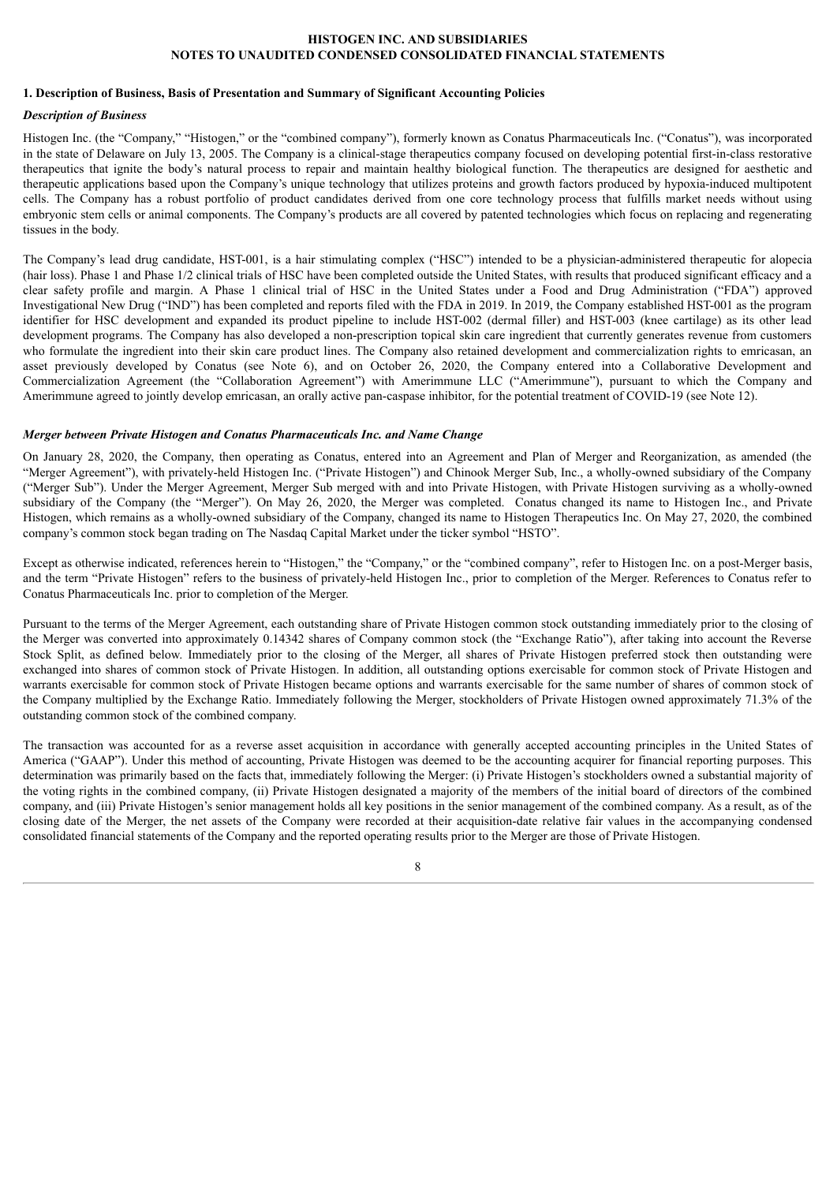#### **HISTOGEN INC. AND SUBSIDIARIES NOTES TO UNAUDITED CONDENSED CONSOLIDATED FINANCIAL STATEMENTS**

#### <span id="page-7-0"></span>**1. Description of Business, Basis of Presentation and Summary of Significant Accounting Policies**

#### *Description of Business*

Histogen Inc. (the "Company," "Histogen," or the "combined company"), formerly known as Conatus Pharmaceuticals Inc. ("Conatus"), was incorporated in the state of Delaware on July 13, 2005. The Company is a clinical-stage therapeutics company focused on developing potential first-in-class restorative therapeutics that ignite the body's natural process to repair and maintain healthy biological function. The therapeutics are designed for aesthetic and therapeutic applications based upon the Company's unique technology that utilizes proteins and growth factors produced by hypoxia-induced multipotent cells. The Company has a robust portfolio of product candidates derived from one core technology process that fulfills market needs without using embryonic stem cells or animal components. The Company's products are all covered by patented technologies which focus on replacing and regenerating tissues in the body.

The Company's lead drug candidate, HST-001, is a hair stimulating complex ("HSC") intended to be a physician-administered therapeutic for alopecia (hair loss). Phase 1 and Phase 1/2 clinical trials of HSC have been completed outside the United States, with results that produced significant efficacy and a clear safety profile and margin. A Phase 1 clinical trial of HSC in the United States under a Food and Drug Administration ("FDA") approved Investigational New Drug ("IND") has been completed and reports filed with the FDA in 2019. In 2019, the Company established HST-001 as the program identifier for HSC development and expanded its product pipeline to include HST-002 (dermal filler) and HST-003 (knee cartilage) as its other lead development programs. The Company has also developed a non-prescription topical skin care ingredient that currently generates revenue from customers who formulate the ingredient into their skin care product lines. The Company also retained development and commercialization rights to emricasan, an asset previously developed by Conatus (see Note 6), and on October 26, 2020, the Company entered into a Collaborative Development and Commercialization Agreement (the "Collaboration Agreement") with Amerimmune LLC ("Amerimmune"), pursuant to which the Company and Amerimmune agreed to jointly develop emricasan, an orally active pan-caspase inhibitor, for the potential treatment of COVID-19 (see Note 12).

#### *Merger between Private Histogen and Conatus Pharmaceuticals Inc. and Name Change*

On January 28, 2020, the Company, then operating as Conatus, entered into an Agreement and Plan of Merger and Reorganization, as amended (the "Merger Agreement"), with privately-held Histogen Inc. ("Private Histogen") and Chinook Merger Sub, Inc., a wholly-owned subsidiary of the Company ("Merger Sub"). Under the Merger Agreement, Merger Sub merged with and into Private Histogen, with Private Histogen surviving as a wholly-owned subsidiary of the Company (the "Merger"). On May 26, 2020, the Merger was completed. Conatus changed its name to Histogen Inc., and Private Histogen, which remains as a wholly-owned subsidiary of the Company, changed its name to Histogen Therapeutics Inc. On May 27, 2020, the combined company's common stock began trading on The Nasdaq Capital Market under the ticker symbol "HSTO".

Except as otherwise indicated, references herein to "Histogen," the "Company," or the "combined company", refer to Histogen Inc. on a post-Merger basis, and the term "Private Histogen" refers to the business of privately-held Histogen Inc., prior to completion of the Merger. References to Conatus refer to Conatus Pharmaceuticals Inc. prior to completion of the Merger.

Pursuant to the terms of the Merger Agreement, each outstanding share of Private Histogen common stock outstanding immediately prior to the closing of the Merger was converted into approximately 0.14342 shares of Company common stock (the "Exchange Ratio"), after taking into account the Reverse Stock Split, as defined below. Immediately prior to the closing of the Merger, all shares of Private Histogen preferred stock then outstanding were exchanged into shares of common stock of Private Histogen. In addition, all outstanding options exercisable for common stock of Private Histogen and warrants exercisable for common stock of Private Histogen became options and warrants exercisable for the same number of shares of common stock of the Company multiplied by the Exchange Ratio. Immediately following the Merger, stockholders of Private Histogen owned approximately 71.3% of the outstanding common stock of the combined company.

The transaction was accounted for as a reverse asset acquisition in accordance with generally accepted accounting principles in the United States of America ("GAAP"). Under this method of accounting, Private Histogen was deemed to be the accounting acquirer for financial reporting purposes. This determination was primarily based on the facts that, immediately following the Merger: (i) Private Histogen's stockholders owned a substantial majority of the voting rights in the combined company, (ii) Private Histogen designated a majority of the members of the initial board of directors of the combined company, and (iii) Private Histogen's senior management holds all key positions in the senior management of the combined company. As a result, as of the closing date of the Merger, the net assets of the Company were recorded at their acquisition-date relative fair values in the accompanying condensed consolidated financial statements of the Company and the reported operating results prior to the Merger are those of Private Histogen.

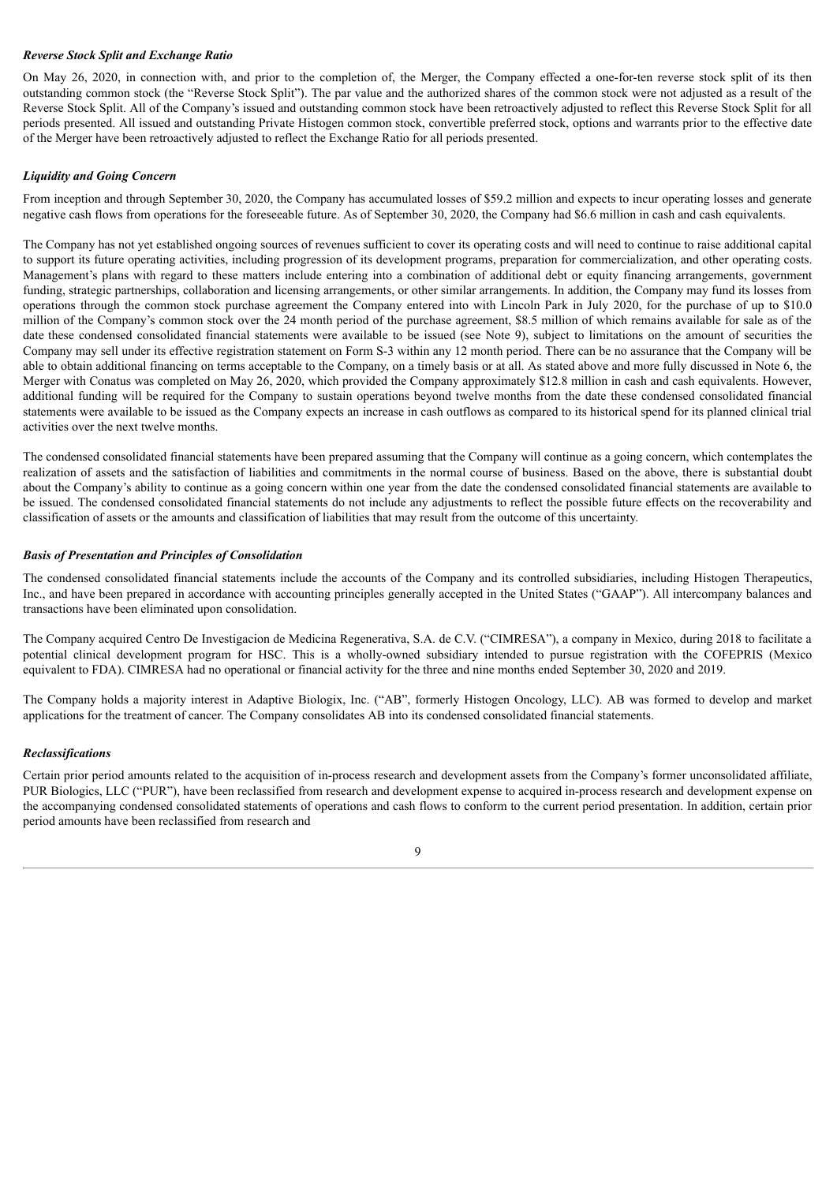#### *Reverse Stock Split and Exchange Ratio*

On May 26, 2020, in connection with, and prior to the completion of, the Merger, the Company effected a one-for-ten reverse stock split of its then outstanding common stock (the "Reverse Stock Split"). The par value and the authorized shares of the common stock were not adjusted as a result of the Reverse Stock Split. All of the Company's issued and outstanding common stock have been retroactively adjusted to reflect this Reverse Stock Split for all periods presented. All issued and outstanding Private Histogen common stock, convertible preferred stock, options and warrants prior to the effective date of the Merger have been retroactively adjusted to reflect the Exchange Ratio for all periods presented.

#### *Liquidity and Going Concern*

From inception and through September 30, 2020, the Company has accumulated losses of \$59.2 million and expects to incur operating losses and generate negative cash flows from operations for the foreseeable future. As of September 30, 2020, the Company had \$6.6 million in cash and cash equivalents.

The Company has not yet established ongoing sources of revenues sufficient to cover its operating costs and will need to continue to raise additional capital to support its future operating activities, including progression of its development programs, preparation for commercialization, and other operating costs. Management's plans with regard to these matters include entering into a combination of additional debt or equity financing arrangements, government funding, strategic partnerships, collaboration and licensing arrangements, or other similar arrangements. In addition, the Company may fund its losses from operations through the common stock purchase agreement the Company entered into with Lincoln Park in July 2020, for the purchase of up to \$10.0 million of the Company's common stock over the 24 month period of the purchase agreement, \$8.5 million of which remains available for sale as of the date these condensed consolidated financial statements were available to be issued (see Note 9), subject to limitations on the amount of securities the Company may sell under its effective registration statement on Form S-3 within any 12 month period. There can be no assurance that the Company will be able to obtain additional financing on terms acceptable to the Company, on a timely basis or at all. As stated above and more fully discussed in Note 6, the Merger with Conatus was completed on May 26, 2020, which provided the Company approximately \$12.8 million in cash and cash equivalents. However, additional funding will be required for the Company to sustain operations beyond twelve months from the date these condensed consolidated financial statements were available to be issued as the Company expects an increase in cash outflows as compared to its historical spend for its planned clinical trial activities over the next twelve months.

The condensed consolidated financial statements have been prepared assuming that the Company will continue as a going concern, which contemplates the realization of assets and the satisfaction of liabilities and commitments in the normal course of business. Based on the above, there is substantial doubt about the Company's ability to continue as a going concern within one year from the date the condensed consolidated financial statements are available to be issued. The condensed consolidated financial statements do not include any adjustments to reflect the possible future effects on the recoverability and classification of assets or the amounts and classification of liabilities that may result from the outcome of this uncertainty.

#### *Basis of Presentation and Principles of Consolidation*

The condensed consolidated financial statements include the accounts of the Company and its controlled subsidiaries, including Histogen Therapeutics, Inc., and have been prepared in accordance with accounting principles generally accepted in the United States ("GAAP"). All intercompany balances and transactions have been eliminated upon consolidation.

The Company acquired Centro De Investigacion de Medicina Regenerativa, S.A. de C.V. ("CIMRESA"), a company in Mexico, during 2018 to facilitate a potential clinical development program for HSC. This is a wholly-owned subsidiary intended to pursue registration with the COFEPRIS (Mexico equivalent to FDA). CIMRESA had no operational or financial activity for the three and nine months ended September 30, 2020 and 2019.

The Company holds a majority interest in Adaptive Biologix, Inc. ("AB", formerly Histogen Oncology, LLC). AB was formed to develop and market applications for the treatment of cancer. The Company consolidates AB into its condensed consolidated financial statements.

#### *Reclassifications*

Certain prior period amounts related to the acquisition of in-process research and development assets from the Company's former unconsolidated affiliate, PUR Biologics, LLC ("PUR"), have been reclassified from research and development expense to acquired in-process research and development expense on the accompanying condensed consolidated statements of operations and cash flows to conform to the current period presentation. In addition, certain prior period amounts have been reclassified from research and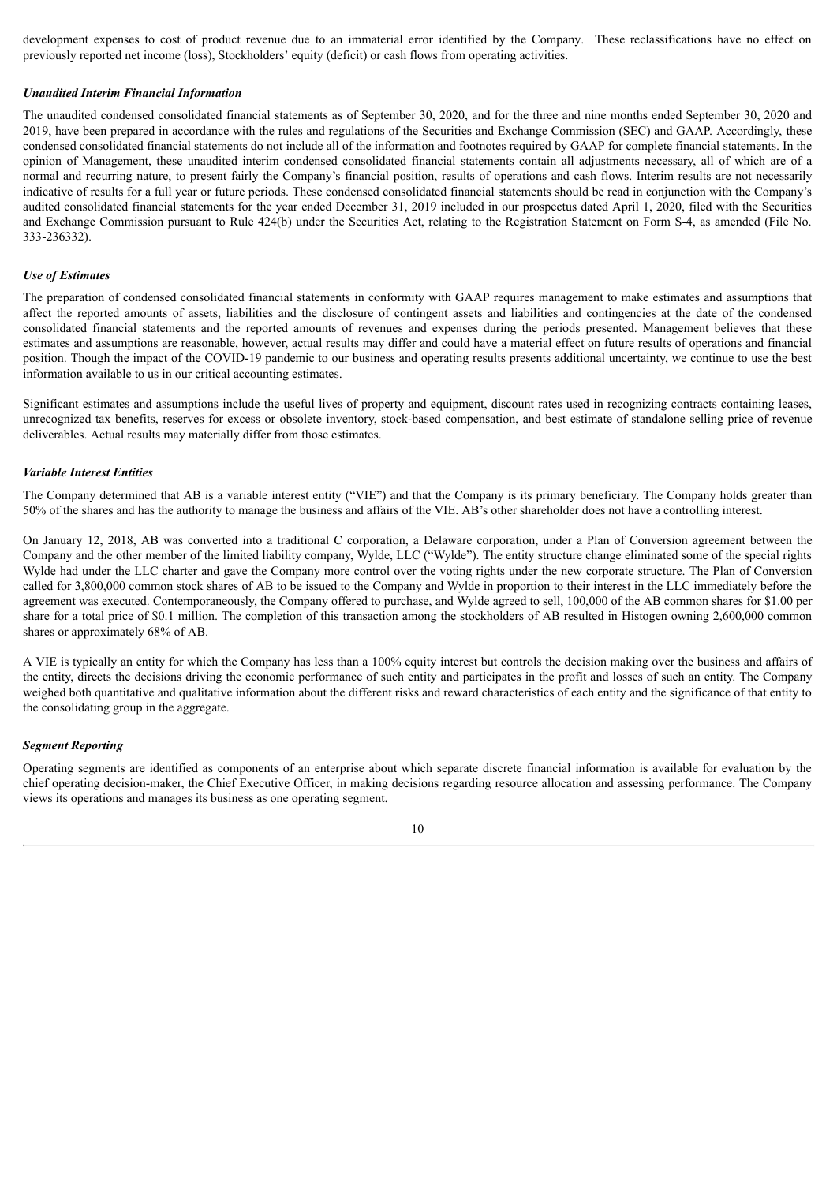development expenses to cost of product revenue due to an immaterial error identified by the Company. These reclassifications have no effect on previously reported net income (loss), Stockholders' equity (deficit) or cash flows from operating activities.

#### *Unaudited Interim Financial Information*

The unaudited condensed consolidated financial statements as of September 30, 2020, and for the three and nine months ended September 30, 2020 and 2019, have been prepared in accordance with the rules and regulations of the Securities and Exchange Commission (SEC) and GAAP. Accordingly, these condensed consolidated financial statements do not include all of the information and footnotes required by GAAP for complete financial statements. In the opinion of Management, these unaudited interim condensed consolidated financial statements contain all adjustments necessary, all of which are of a normal and recurring nature, to present fairly the Company's financial position, results of operations and cash flows. Interim results are not necessarily indicative of results for a full year or future periods. These condensed consolidated financial statements should be read in conjunction with the Company's audited consolidated financial statements for the year ended December 31, 2019 included in our prospectus dated April 1, 2020, filed with the Securities and Exchange Commission pursuant to Rule 424(b) under the Securities Act, relating to the Registration Statement on Form S-4, as amended (File No. 333-236332).

#### *Use of Estimates*

The preparation of condensed consolidated financial statements in conformity with GAAP requires management to make estimates and assumptions that affect the reported amounts of assets, liabilities and the disclosure of contingent assets and liabilities and contingencies at the date of the condensed consolidated financial statements and the reported amounts of revenues and expenses during the periods presented. Management believes that these estimates and assumptions are reasonable, however, actual results may differ and could have a material effect on future results of operations and financial position. Though the impact of the COVID-19 pandemic to our business and operating results presents additional uncertainty, we continue to use the best information available to us in our critical accounting estimates.

Significant estimates and assumptions include the useful lives of property and equipment, discount rates used in recognizing contracts containing leases, unrecognized tax benefits, reserves for excess or obsolete inventory, stock-based compensation, and best estimate of standalone selling price of revenue deliverables. Actual results may materially differ from those estimates.

#### *Variable Interest Entities*

The Company determined that AB is a variable interest entity ("VIE") and that the Company is its primary beneficiary. The Company holds greater than 50% of the shares and has the authority to manage the business and affairs of the VIE. AB's other shareholder does not have a controlling interest.

On January 12, 2018, AB was converted into a traditional C corporation, a Delaware corporation, under a Plan of Conversion agreement between the Company and the other member of the limited liability company, Wylde, LLC ("Wylde"). The entity structure change eliminated some of the special rights Wylde had under the LLC charter and gave the Company more control over the voting rights under the new corporate structure. The Plan of Conversion called for 3,800,000 common stock shares of AB to be issued to the Company and Wylde in proportion to their interest in the LLC immediately before the agreement was executed. Contemporaneously, the Company offered to purchase, and Wylde agreed to sell, 100,000 of the AB common shares for \$1.00 per share for a total price of \$0.1 million. The completion of this transaction among the stockholders of AB resulted in Histogen owning 2,600,000 common shares or approximately 68% of AB.

A VIE is typically an entity for which the Company has less than a 100% equity interest but controls the decision making over the business and affairs of the entity, directs the decisions driving the economic performance of such entity and participates in the profit and losses of such an entity. The Company weighed both quantitative and qualitative information about the different risks and reward characteristics of each entity and the significance of that entity to the consolidating group in the aggregate.

#### *Segment Reporting*

Operating segments are identified as components of an enterprise about which separate discrete financial information is available for evaluation by the chief operating decision-maker, the Chief Executive Officer, in making decisions regarding resource allocation and assessing performance. The Company views its operations and manages its business as one operating segment.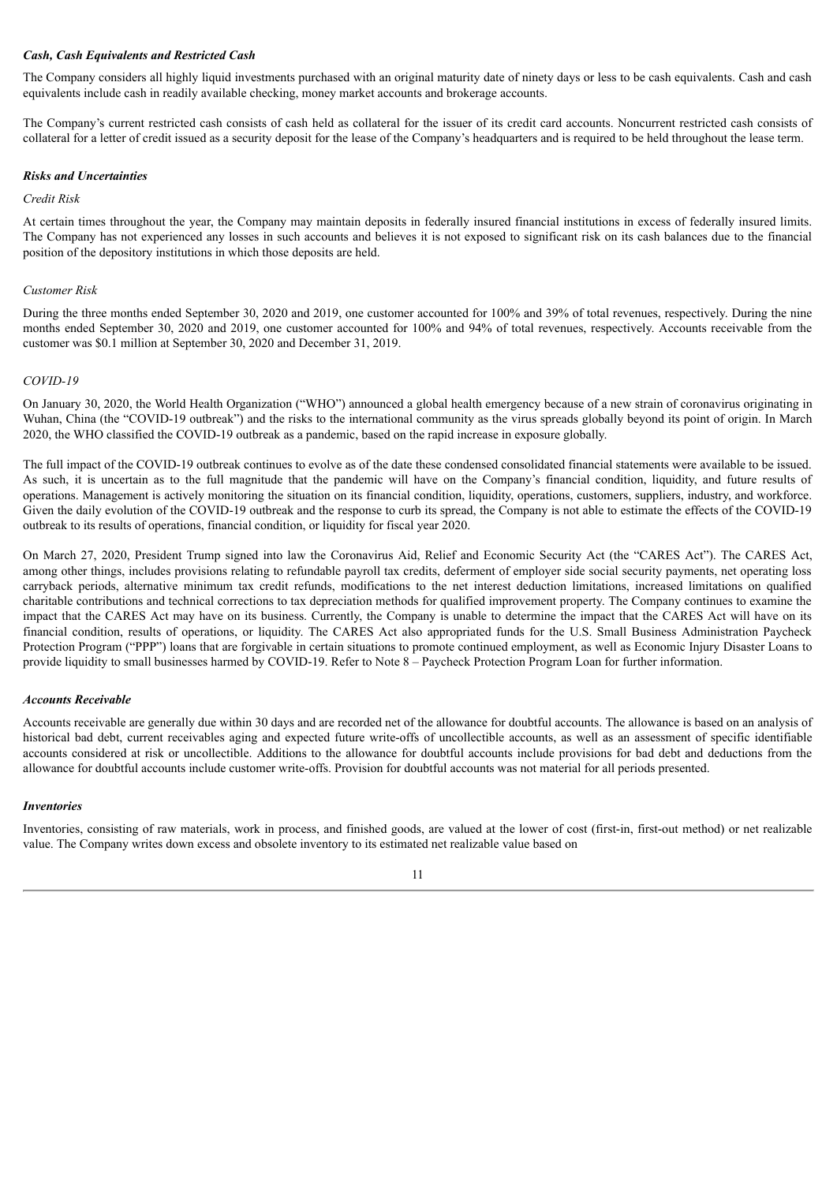#### *Cash, Cash Equivalents and Restricted Cash*

The Company considers all highly liquid investments purchased with an original maturity date of ninety days or less to be cash equivalents. Cash and cash equivalents include cash in readily available checking, money market accounts and brokerage accounts.

The Company's current restricted cash consists of cash held as collateral for the issuer of its credit card accounts. Noncurrent restricted cash consists of collateral for a letter of credit issued as a security deposit for the lease of the Company's headquarters and is required to be held throughout the lease term.

#### *Risks and Uncertainties*

#### *Credit Risk*

At certain times throughout the year, the Company may maintain deposits in federally insured financial institutions in excess of federally insured limits. The Company has not experienced any losses in such accounts and believes it is not exposed to significant risk on its cash balances due to the financial position of the depository institutions in which those deposits are held.

#### *Customer Risk*

During the three months ended September 30, 2020 and 2019, one customer accounted for 100% and 39% of total revenues, respectively. During the nine months ended September 30, 2020 and 2019, one customer accounted for 100% and 94% of total revenues, respectively. Accounts receivable from the customer was \$0.1 million at September 30, 2020 and December 31, 2019.

#### *COVID-19*

On January 30, 2020, the World Health Organization ("WHO") announced a global health emergency because of a new strain of coronavirus originating in Wuhan, China (the "COVID-19 outbreak") and the risks to the international community as the virus spreads globally beyond its point of origin. In March 2020, the WHO classified the COVID-19 outbreak as a pandemic, based on the rapid increase in exposure globally.

The full impact of the COVID-19 outbreak continues to evolve as of the date these condensed consolidated financial statements were available to be issued. As such, it is uncertain as to the full magnitude that the pandemic will have on the Company's financial condition, liquidity, and future results of operations. Management is actively monitoring the situation on its financial condition, liquidity, operations, customers, suppliers, industry, and workforce. Given the daily evolution of the COVID-19 outbreak and the response to curb its spread, the Company is not able to estimate the effects of the COVID-19 outbreak to its results of operations, financial condition, or liquidity for fiscal year 2020.

On March 27, 2020, President Trump signed into law the Coronavirus Aid, Relief and Economic Security Act (the "CARES Act"). The CARES Act, among other things, includes provisions relating to refundable payroll tax credits, deferment of employer side social security payments, net operating loss carryback periods, alternative minimum tax credit refunds, modifications to the net interest deduction limitations, increased limitations on qualified charitable contributions and technical corrections to tax depreciation methods for qualified improvement property. The Company continues to examine the impact that the CARES Act may have on its business. Currently, the Company is unable to determine the impact that the CARES Act will have on its financial condition, results of operations, or liquidity. The CARES Act also appropriated funds for the U.S. Small Business Administration Paycheck Protection Program ("PPP") loans that are forgivable in certain situations to promote continued employment, as well as Economic Injury Disaster Loans to provide liquidity to small businesses harmed by COVID-19. Refer to Note 8 – Paycheck Protection Program Loan for further information.

#### *Accounts Receivable*

Accounts receivable are generally due within 30 days and are recorded net of the allowance for doubtful accounts. The allowance is based on an analysis of historical bad debt, current receivables aging and expected future write-offs of uncollectible accounts, as well as an assessment of specific identifiable accounts considered at risk or uncollectible. Additions to the allowance for doubtful accounts include provisions for bad debt and deductions from the allowance for doubtful accounts include customer write-offs. Provision for doubtful accounts was not material for all periods presented.

#### *Inventories*

Inventories, consisting of raw materials, work in process, and finished goods, are valued at the lower of cost (first-in, first-out method) or net realizable value. The Company writes down excess and obsolete inventory to its estimated net realizable value based on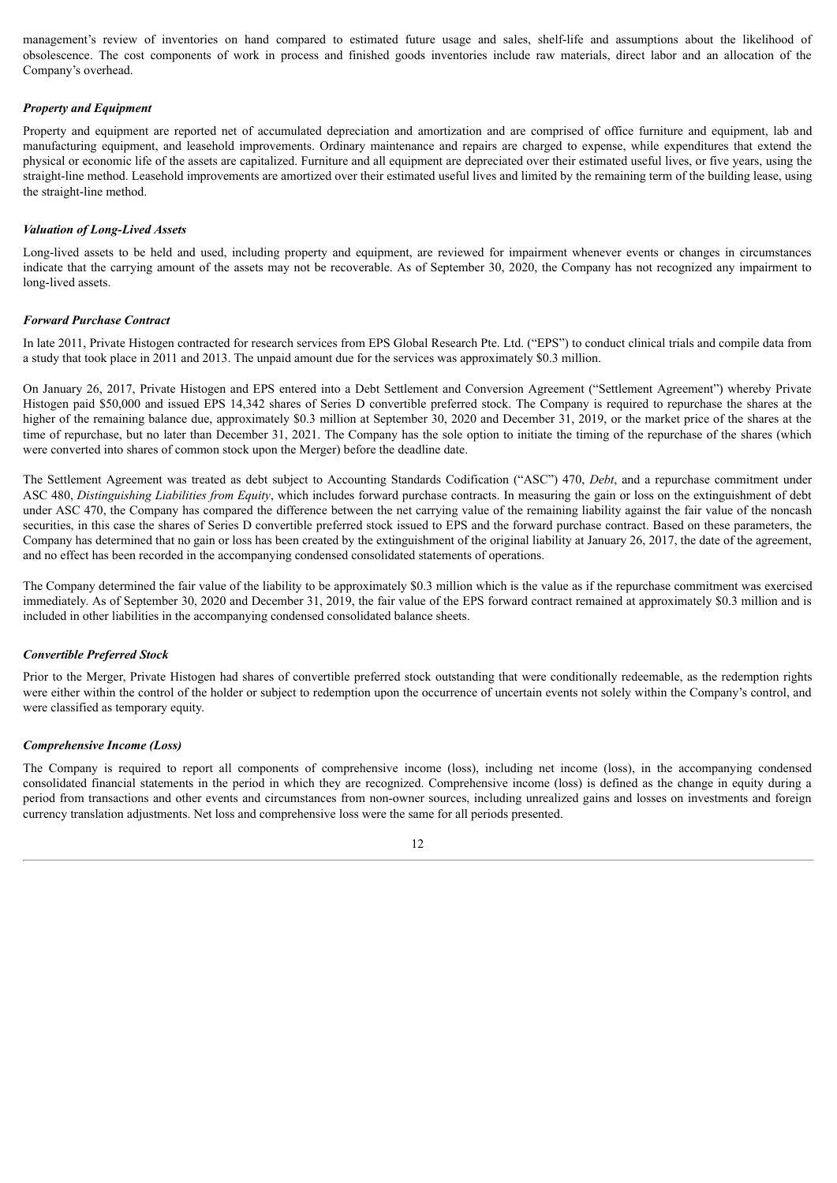management's review of inventories on hand compared to estimated future usage and sales, shelf-life and assumptions about the likelihood of obsolescence. The cost components of work in process and finished goods inventories include raw materials, direct labor and an allocation of the Company's overhead.

#### *Property and Equipment*

Property and equipment are reported net of accumulated depreciation and amortization and are comprised of office furniture and equipment, lab and manufacturing equipment, and leasehold improvements. Ordinary maintenance and repairs are charged to expense, while expenditures that extend the physical or economic life of the assets are capitalized. Furniture and all equipment are depreciated over their estimated useful lives, or five years, using the straight-line method. Leasehold improvements are amortized over their estimated useful lives and limited by the remaining term of the building lease, using the straight-line method.

#### *Valuation of Long-Lived Assets*

Long-lived assets to be held and used, including property and equipment, are reviewed for impairment whenever events or changes in circumstances indicate that the carrying amount of the assets may not be recoverable. As of September 30, 2020, the Company has not recognized any impairment to long-lived assets.

#### *Forward Purchase Contract*

In late 2011, Private Histogen contracted for research services from EPS Global Research Pte. Ltd. ("EPS") to conduct clinical trials and compile data from a study that took place in 2011 and 2013. The unpaid amount due for the services was approximately \$0.3 million.

On January 26, 2017, Private Histogen and EPS entered into a Debt Settlement and Conversion Agreement ("Settlement Agreement") whereby Private Histogen paid \$50,000 and issued EPS 14,342 shares of Series D convertible preferred stock. The Company is required to repurchase the shares at the higher of the remaining balance due, approximately \$0.3 million at September 30, 2020 and December 31, 2019, or the market price of the shares at the time of repurchase, but no later than December 31, 2021. The Company has the sole option to initiate the timing of the repurchase of the shares (which were converted into shares of common stock upon the Merger) before the deadline date.

The Settlement Agreement was treated as debt subject to Accounting Standards Codification ("ASC") 470, *Debt*, and a repurchase commitment under ASC 480, *Distinguishing Liabilities from Equity*, which includes forward purchase contracts. In measuring the gain or loss on the extinguishment of debt under ASC 470, the Company has compared the difference between the net carrying value of the remaining liability against the fair value of the noncash securities, in this case the shares of Series D convertible preferred stock issued to EPS and the forward purchase contract. Based on these parameters, the Company has determined that no gain or loss has been created by the extinguishment of the original liability at January 26, 2017, the date of the agreement, and no effect has been recorded in the accompanying condensed consolidated statements of operations.

The Company determined the fair value of the liability to be approximately \$0.3 million which is the value as if the repurchase commitment was exercised immediately. As of September 30, 2020 and December 31, 2019, the fair value of the EPS forward contract remained at approximately \$0.3 million and is included in other liabilities in the accompanying condensed consolidated balance sheets.

#### *Convertible Preferred Stock*

Prior to the Merger, Private Histogen had shares of convertible preferred stock outstanding that were conditionally redeemable, as the redemption rights were either within the control of the holder or subject to redemption upon the occurrence of uncertain events not solely within the Company's control, and were classified as temporary equity.

#### *Comprehensive Income (Loss)*

The Company is required to report all components of comprehensive income (loss), including net income (loss), in the accompanying condensed consolidated financial statements in the period in which they are recognized. Comprehensive income (loss) is defined as the change in equity during a period from transactions and other events and circumstances from non-owner sources, including unrealized gains and losses on investments and foreign currency translation adjustments. Net loss and comprehensive loss were the same for all periods presented.

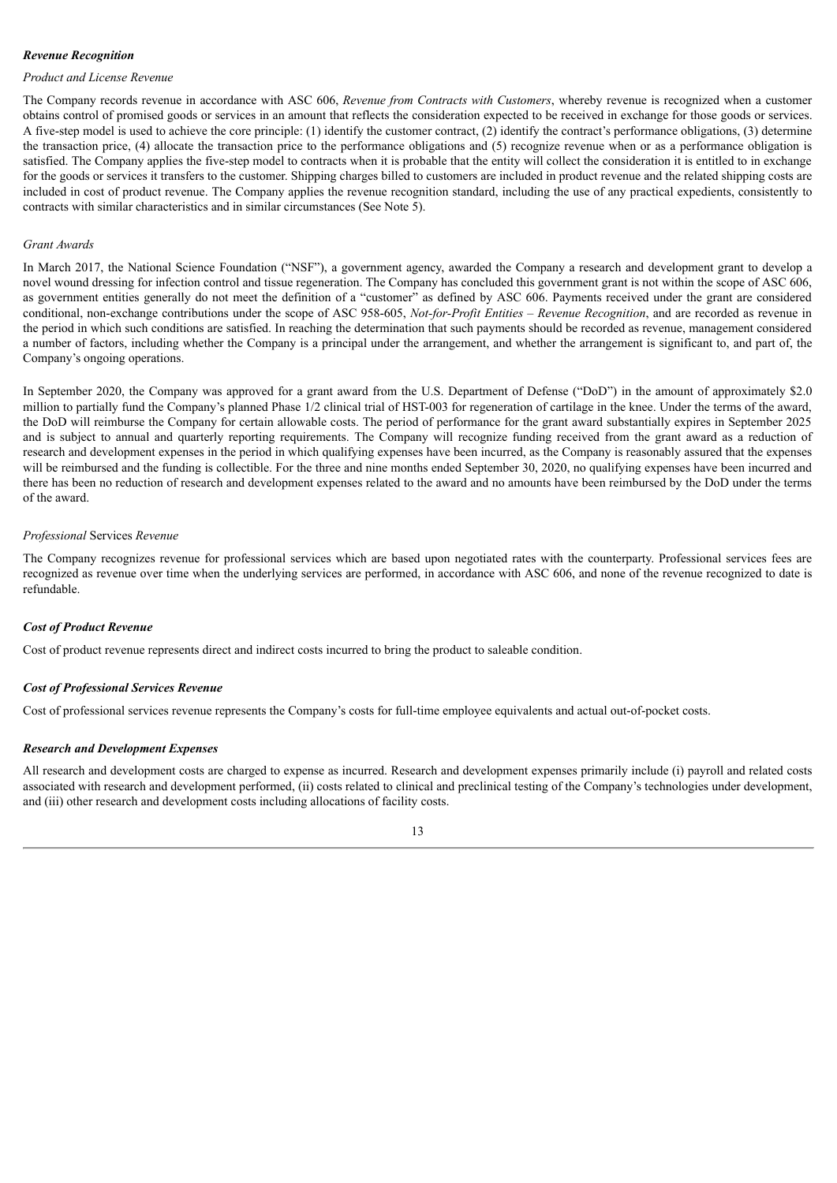#### *Revenue Recognition*

#### *Product and License Revenue*

The Company records revenue in accordance with ASC 606, *Revenue from Contracts with Customers*, whereby revenue is recognized when a customer obtains control of promised goods or services in an amount that reflects the consideration expected to be received in exchange for those goods or services. A five-step model is used to achieve the core principle: (1) identify the customer contract, (2) identify the contract's performance obligations, (3) determine the transaction price, (4) allocate the transaction price to the performance obligations and (5) recognize revenue when or as a performance obligation is satisfied. The Company applies the five-step model to contracts when it is probable that the entity will collect the consideration it is entitled to in exchange for the goods or services it transfers to the customer. Shipping charges billed to customers are included in product revenue and the related shipping costs are included in cost of product revenue. The Company applies the revenue recognition standard, including the use of any practical expedients, consistently to contracts with similar characteristics and in similar circumstances (See Note 5).

#### *Grant Awards*

In March 2017, the National Science Foundation ("NSF"), a government agency, awarded the Company a research and development grant to develop a novel wound dressing for infection control and tissue regeneration. The Company has concluded this government grant is not within the scope of ASC 606, as government entities generally do not meet the definition of a "customer" as defined by ASC 606. Payments received under the grant are considered conditional, non-exchange contributions under the scope of ASC 958-605, *Not-for-Profit Entities – Revenue Recognition*, and are recorded as revenue in the period in which such conditions are satisfied. In reaching the determination that such payments should be recorded as revenue, management considered a number of factors, including whether the Company is a principal under the arrangement, and whether the arrangement is significant to, and part of, the Company's ongoing operations.

In September 2020, the Company was approved for a grant award from the U.S. Department of Defense ("DoD") in the amount of approximately \$2.0 million to partially fund the Company's planned Phase 1/2 clinical trial of HST-003 for regeneration of cartilage in the knee. Under the terms of the award, the DoD will reimburse the Company for certain allowable costs. The period of performance for the grant award substantially expires in September 2025 and is subject to annual and quarterly reporting requirements. The Company will recognize funding received from the grant award as a reduction of research and development expenses in the period in which qualifying expenses have been incurred, as the Company is reasonably assured that the expenses will be reimbursed and the funding is collectible. For the three and nine months ended September 30, 2020, no qualifying expenses have been incurred and there has been no reduction of research and development expenses related to the award and no amounts have been reimbursed by the DoD under the terms of the award.

#### *Professional* Services *Revenue*

The Company recognizes revenue for professional services which are based upon negotiated rates with the counterparty. Professional services fees are recognized as revenue over time when the underlying services are performed, in accordance with ASC 606, and none of the revenue recognized to date is refundable.

#### *Cost of Product Revenue*

Cost of product revenue represents direct and indirect costs incurred to bring the product to saleable condition.

#### *Cost of Professional Services Revenue*

Cost of professional services revenue represents the Company's costs for full-time employee equivalents and actual out-of-pocket costs.

#### *Research and Development Expenses*

All research and development costs are charged to expense as incurred. Research and development expenses primarily include (i) payroll and related costs associated with research and development performed, (ii) costs related to clinical and preclinical testing of the Company's technologies under development, and (iii) other research and development costs including allocations of facility costs.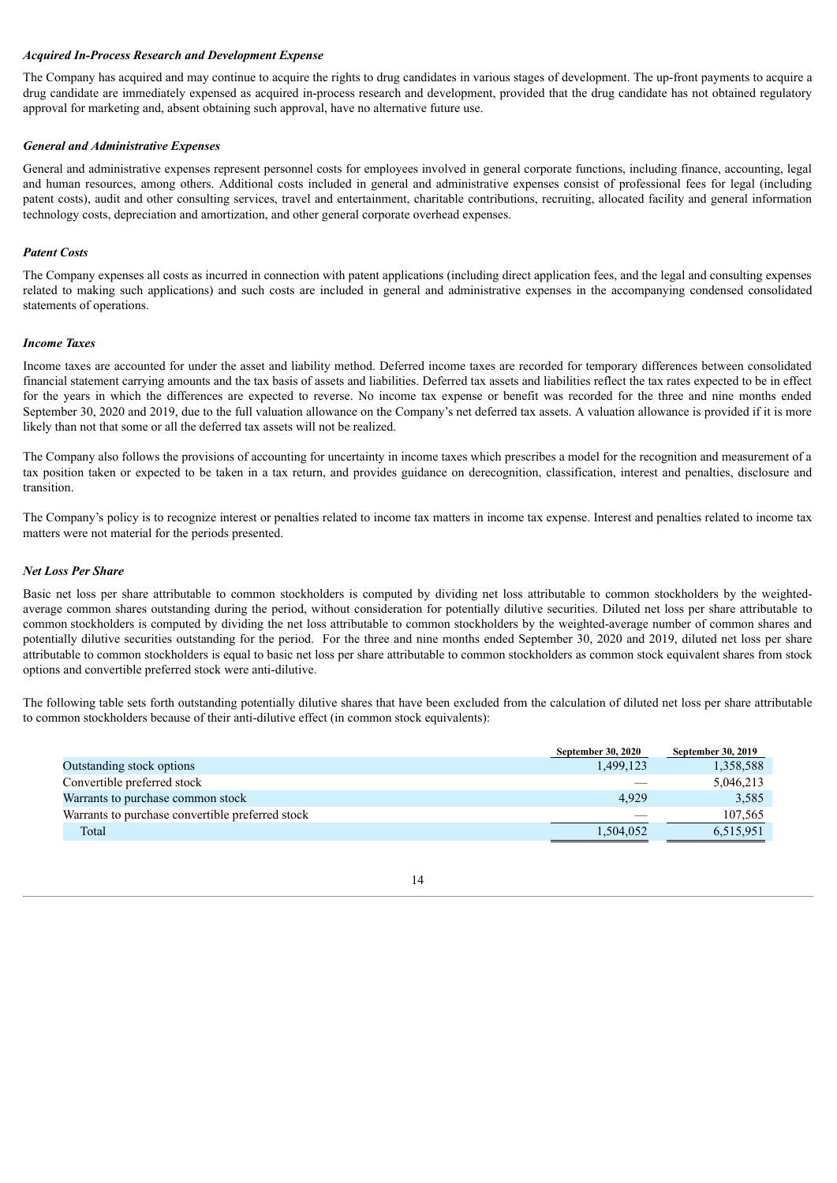#### *Acquired In-Process Research and Development Expense*

The Company has acquired and may continue to acquire the rights to drug candidates in various stages of development. The up-front payments to acquire a drug candidate are immediately expensed as acquired in-process research and development, provided that the drug candidate has not obtained regulatory approval for marketing and, absent obtaining such approval, have no alternative future use.

#### *General and Administrative Expenses*

General and administrative expenses represent personnel costs for employees involved in general corporate functions, including finance, accounting, legal and human resources, among others. Additional costs included in general and administrative expenses consist of professional fees for legal (including patent costs), audit and other consulting services, travel and entertainment, charitable contributions, recruiting, allocated facility and general information technology costs, depreciation and amortization, and other general corporate overhead expenses.

#### *Patent Costs*

The Company expenses all costs as incurred in connection with patent applications (including direct application fees, and the legal and consulting expenses related to making such applications) and such costs are included in general and administrative expenses in the accompanying condensed consolidated statements of operations.

#### *Income Taxes*

Income taxes are accounted for under the asset and liability method. Deferred income taxes are recorded for temporary differences between consolidated financial statement carrying amounts and the tax basis of assets and liabilities. Deferred tax assets and liabilities reflect the tax rates expected to be in effect for the years in which the differences are expected to reverse. No income tax expense or benefit was recorded for the three and nine months ended September 30, 2020 and 2019, due to the full valuation allowance on the Company's net deferred tax assets. A valuation allowance is provided if it is more likely than not that some or all the deferred tax assets will not be realized.

The Company also follows the provisions of accounting for uncertainty in income taxes which prescribes a model for the recognition and measurement of a tax position taken or expected to be taken in a tax return, and provides guidance on derecognition, classification, interest and penalties, disclosure and transition.

The Company's policy is to recognize interest or penalties related to income tax matters in income tax expense. Interest and penalties related to income tax matters were not material for the periods presented.

#### *Net Loss Per Share*

Basic net loss per share attributable to common stockholders is computed by dividing net loss attributable to common stockholders by the weightedaverage common shares outstanding during the period, without consideration for potentially dilutive securities. Diluted net loss per share attributable to common stockholders is computed by dividing the net loss attributable to common stockholders by the weighted-average number of common shares and potentially dilutive securities outstanding for the period. For the three and nine months ended September 30, 2020 and 2019, diluted net loss per share attributable to common stockholders is equal to basic net loss per share attributable to common stockholders as common stock equivalent shares from stock options and convertible preferred stock were anti-dilutive.

The following table sets forth outstanding potentially dilutive shares that have been excluded from the calculation of diluted net loss per share attributable to common stockholders because of their anti-dilutive effect (in common stock equivalents):

|                                                  | <b>September 30, 2020</b> | <b>September 30, 2019</b> |
|--------------------------------------------------|---------------------------|---------------------------|
| Outstanding stock options                        | 1,499,123                 | 1,358,588                 |
| Convertible preferred stock                      |                           | 5,046,213                 |
| Warrants to purchase common stock                | 4.929                     | 3.585                     |
| Warrants to purchase convertible preferred stock |                           | 107,565                   |
| Total                                            | 1,504,052                 | 6,515,951                 |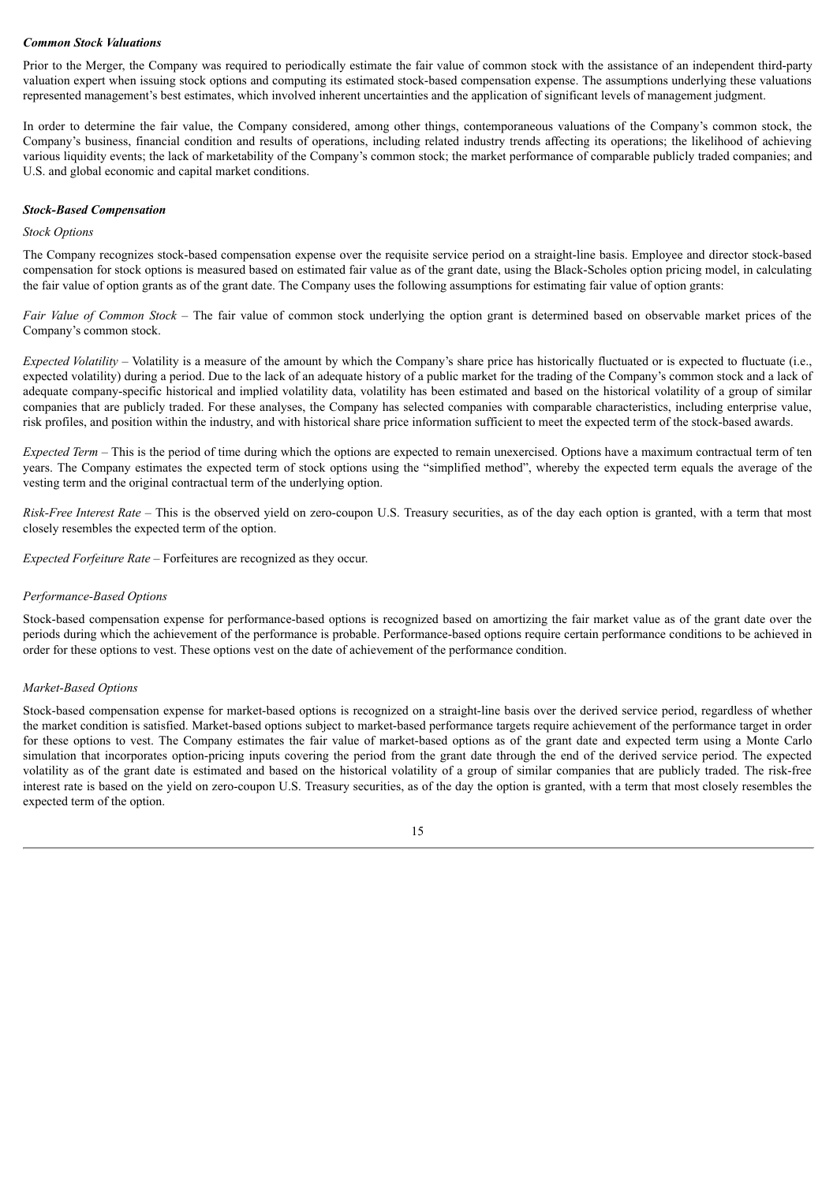#### *Common Stock Valuations*

Prior to the Merger, the Company was required to periodically estimate the fair value of common stock with the assistance of an independent third-party valuation expert when issuing stock options and computing its estimated stock-based compensation expense. The assumptions underlying these valuations represented management's best estimates, which involved inherent uncertainties and the application of significant levels of management judgment.

In order to determine the fair value, the Company considered, among other things, contemporaneous valuations of the Company's common stock, the Company's business, financial condition and results of operations, including related industry trends affecting its operations; the likelihood of achieving various liquidity events; the lack of marketability of the Company's common stock; the market performance of comparable publicly traded companies; and U.S. and global economic and capital market conditions.

#### *Stock-Based Compensation*

#### *Stock Options*

The Company recognizes stock-based compensation expense over the requisite service period on a straight-line basis. Employee and director stock-based compensation for stock options is measured based on estimated fair value as of the grant date, using the Black-Scholes option pricing model, in calculating the fair value of option grants as of the grant date. The Company uses the following assumptions for estimating fair value of option grants:

*Fair Value of Common Stock* – The fair value of common stock underlying the option grant is determined based on observable market prices of the Company's common stock.

*Expected Volatility* – Volatility is a measure of the amount by which the Company's share price has historically fluctuated or is expected to fluctuate (i.e., expected volatility) during a period. Due to the lack of an adequate history of a public market for the trading of the Company's common stock and a lack of adequate company-specific historical and implied volatility data, volatility has been estimated and based on the historical volatility of a group of similar companies that are publicly traded. For these analyses, the Company has selected companies with comparable characteristics, including enterprise value, risk profiles, and position within the industry, and with historical share price information sufficient to meet the expected term of the stock-based awards.

*Expected Term* – This is the period of time during which the options are expected to remain unexercised. Options have a maximum contractual term of ten years. The Company estimates the expected term of stock options using the "simplified method", whereby the expected term equals the average of the vesting term and the original contractual term of the underlying option.

*Risk-Free Interest Rate* – This is the observed yield on zero-coupon U.S. Treasury securities, as of the day each option is granted, with a term that most closely resembles the expected term of the option.

*Expected Forfeiture Rate* – Forfeitures are recognized as they occur.

#### *Performance-Based Options*

Stock-based compensation expense for performance-based options is recognized based on amortizing the fair market value as of the grant date over the periods during which the achievement of the performance is probable. Performance-based options require certain performance conditions to be achieved in order for these options to vest. These options vest on the date of achievement of the performance condition.

#### *Market-Based Options*

Stock-based compensation expense for market-based options is recognized on a straight-line basis over the derived service period, regardless of whether the market condition is satisfied. Market-based options subject to market-based performance targets require achievement of the performance target in order for these options to vest. The Company estimates the fair value of market-based options as of the grant date and expected term using a Monte Carlo simulation that incorporates option-pricing inputs covering the period from the grant date through the end of the derived service period. The expected volatility as of the grant date is estimated and based on the historical volatility of a group of similar companies that are publicly traded. The risk-free interest rate is based on the yield on zero-coupon U.S. Treasury securities, as of the day the option is granted, with a term that most closely resembles the expected term of the option.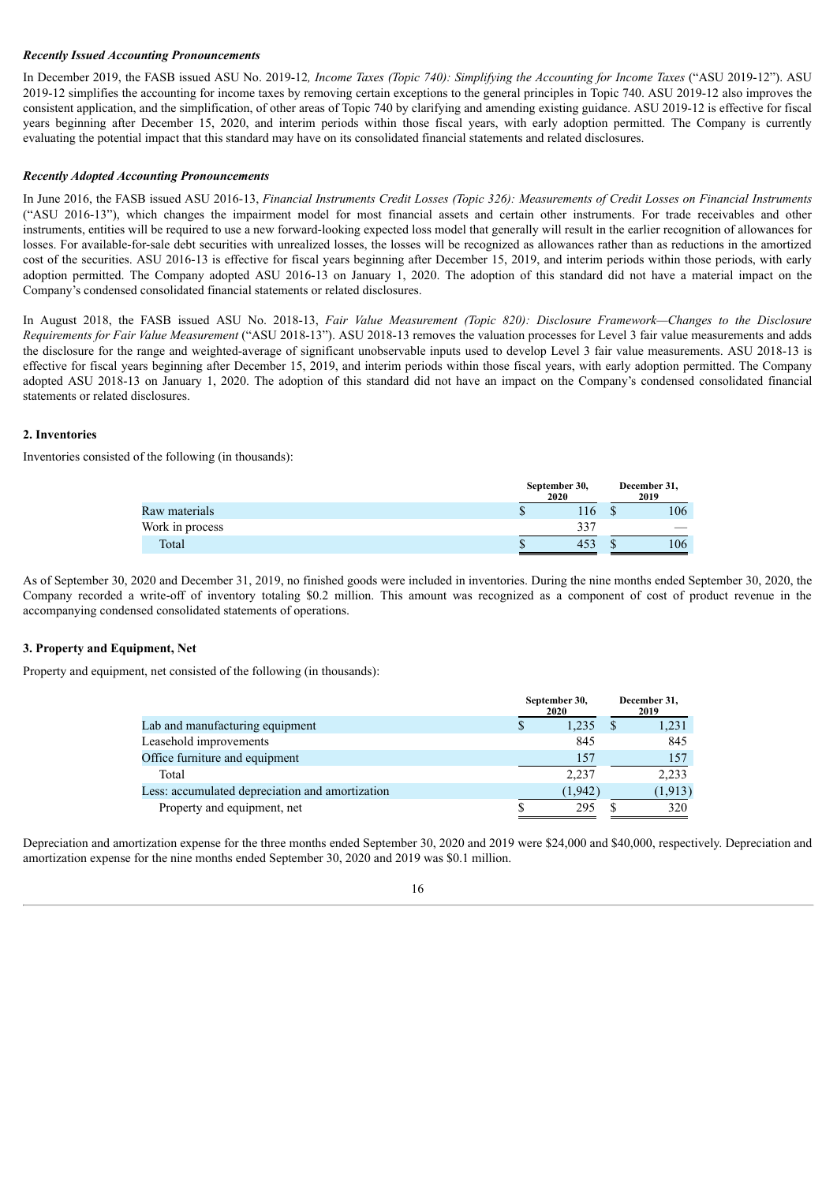#### *Recently Issued Accounting Pronouncements*

In December 2019, the FASB issued ASU No. 2019-12*, Income Taxes (Topic 740): Simplifying the Accounting for Income Taxes* ("ASU 2019-12"). ASU 2019-12 simplifies the accounting for income taxes by removing certain exceptions to the general principles in Topic 740. ASU 2019-12 also improves the consistent application, and the simplification, of other areas of Topic 740 by clarifying and amending existing guidance. ASU 2019-12 is effective for fiscal years beginning after December 15, 2020, and interim periods within those fiscal years, with early adoption permitted. The Company is currently evaluating the potential impact that this standard may have on its consolidated financial statements and related disclosures.

#### *Recently Adopted Accounting Pronouncements*

In June 2016, the FASB issued ASU 2016-13, Financial Instruments Credit Losses (Topic 326): Measurements of Credit Losses on Financial Instruments ("ASU 2016-13"), which changes the impairment model for most financial assets and certain other instruments. For trade receivables and other instruments, entities will be required to use a new forward-looking expected loss model that generally will result in the earlier recognition of allowances for losses. For available-for-sale debt securities with unrealized losses, the losses will be recognized as allowances rather than as reductions in the amortized cost of the securities. ASU 2016-13 is effective for fiscal years beginning after December 15, 2019, and interim periods within those periods, with early adoption permitted. The Company adopted ASU 2016-13 on January 1, 2020. The adoption of this standard did not have a material impact on the Company's condensed consolidated financial statements or related disclosures.

In August 2018, the FASB issued ASU No. 2018-13, *Fair Value Measurement (Topic 820): Disclosure Framework—Changes to the Disclosure Requirements for Fair Value Measurement* ("ASU 2018-13"). ASU 2018-13 removes the valuation processes for Level 3 fair value measurements and adds the disclosure for the range and weighted-average of significant unobservable inputs used to develop Level 3 fair value measurements. ASU 2018-13 is effective for fiscal years beginning after December 15, 2019, and interim periods within those fiscal years, with early adoption permitted. The Company adopted ASU 2018-13 on January 1, 2020. The adoption of this standard did not have an impact on the Company's condensed consolidated financial statements or related disclosures.

#### **2. Inventories**

Inventories consisted of the following (in thousands):

|                 | September 30,<br>2020 |  |     |  |  |
|-----------------|-----------------------|--|-----|--|--|
| Raw materials   | 116                   |  | 106 |  |  |
| Work in process | 337                   |  |     |  |  |
| Total           | 453                   |  | 106 |  |  |

As of September 30, 2020 and December 31, 2019, no finished goods were included in inventories. During the nine months ended September 30, 2020, the Company recorded a write-off of inventory totaling \$0.2 million. This amount was recognized as a component of cost of product revenue in the accompanying condensed consolidated statements of operations.

#### **3. Property and Equipment, Net**

Property and equipment, net consisted of the following (in thousands):

|                                                 | September 30,<br>2020 | December 31,<br>2019 |
|-------------------------------------------------|-----------------------|----------------------|
| Lab and manufacturing equipment                 | 1.235                 | 1,231                |
| Leasehold improvements                          | 845                   | 845                  |
| Office furniture and equipment                  | 157                   | 157                  |
| Total                                           | 2,237                 | 2,233                |
| Less: accumulated depreciation and amortization | (1,942)               | (1.913)              |
| Property and equipment, net                     | 295                   | 320                  |

Depreciation and amortization expense for the three months ended September 30, 2020 and 2019 were \$24,000 and \$40,000, respectively. Depreciation and amortization expense for the nine months ended September 30, 2020 and 2019 was \$0.1 million.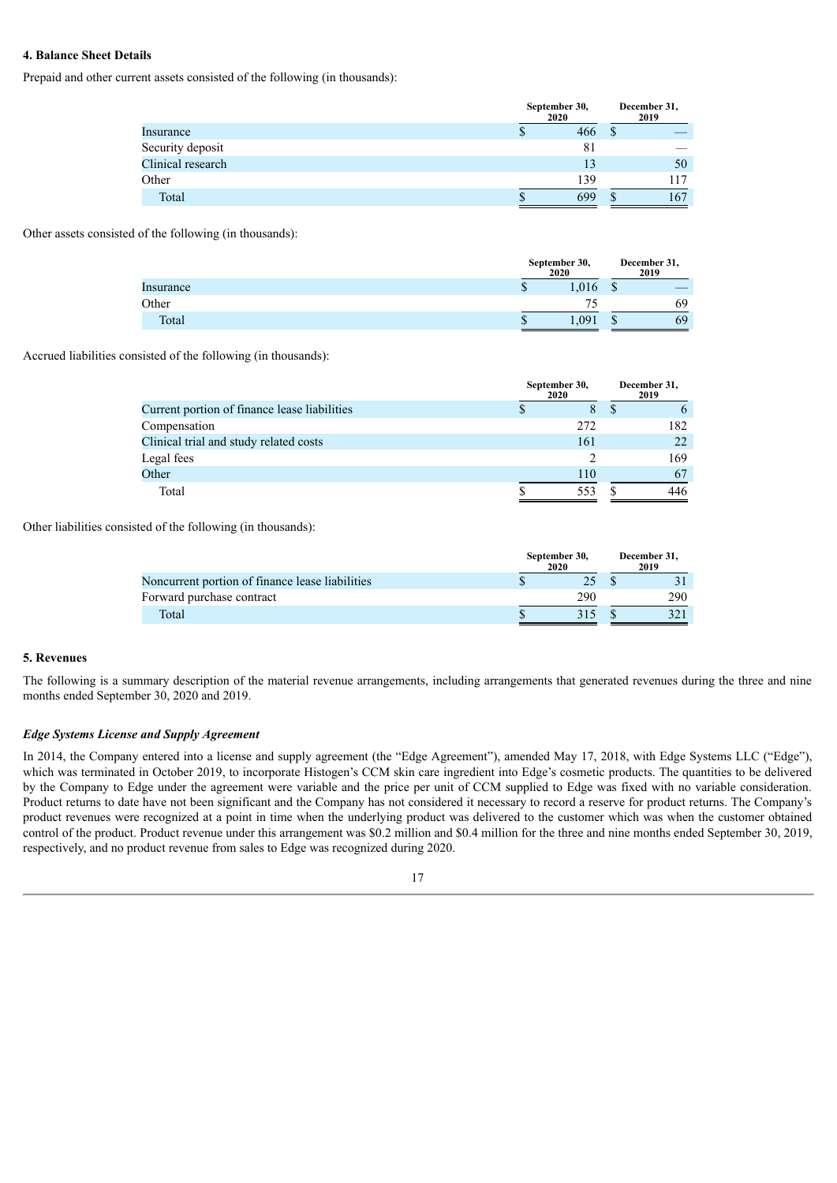#### **4. Balance Sheet Details**

Prepaid and other current assets consisted of the following (in thousands):

|                   | September 30,<br>2020 |     | December 31,<br>2019 |     |  |
|-------------------|-----------------------|-----|----------------------|-----|--|
| Insurance         | Φ                     | 466 | Φ                    |     |  |
| Security deposit  |                       | 81  |                      |     |  |
| Clinical research |                       | 13  |                      | 50  |  |
| Other             |                       | 139 |                      | 117 |  |
| Total             |                       | 699 |                      | 167 |  |

Other assets consisted of the following (in thousands):

|           | September 30,<br>2020 | December 31,<br>2019 |
|-----------|-----------------------|----------------------|
| Insurance | .016<br>Φ             | Φ                    |
| Other     |                       | 69                   |
| Total     | 1.091<br>۰D           | 69<br>۰D             |

Accrued liabilities consisted of the following (in thousands):

|                                              | September 30,<br>2020 |     | December 31,<br>2019 |
|----------------------------------------------|-----------------------|-----|----------------------|
| Current portion of finance lease liabilities | Φ                     | 8   | $\mathbf b$          |
| Compensation                                 |                       | 272 | 182                  |
| Clinical trial and study related costs       |                       | 161 | 22                   |
| Legal fees                                   |                       |     | 169                  |
| Other                                        |                       | 110 | 67                   |
| Total                                        |                       | 553 | 446                  |

Other liabilities consisted of the following (in thousands):

|                                                 | September 30,<br>2020 |  |     |  |  |
|-------------------------------------------------|-----------------------|--|-----|--|--|
| Noncurrent portion of finance lease liabilities |                       |  |     |  |  |
| Forward purchase contract                       | 290                   |  | 290 |  |  |
| Total                                           | 315                   |  |     |  |  |

#### **5. Revenues**

The following is a summary description of the material revenue arrangements, including arrangements that generated revenues during the three and nine months ended September 30, 2020 and 2019.

#### *Edge Systems License and Supply Agreement*

In 2014, the Company entered into a license and supply agreement (the "Edge Agreement"), amended May 17, 2018, with Edge Systems LLC ("Edge"), which was terminated in October 2019, to incorporate Histogen's CCM skin care ingredient into Edge's cosmetic products. The quantities to be delivered by the Company to Edge under the agreement were variable and the price per unit of CCM supplied to Edge was fixed with no variable consideration. Product returns to date have not been significant and the Company has not considered it necessary to record a reserve for product returns. The Company's product revenues were recognized at a point in time when the underlying product was delivered to the customer which was when the customer obtained control of the product. Product revenue under this arrangement was \$0.2 million and \$0.4 million for the three and nine months ended September 30, 2019, respectively, and no product revenue from sales to Edge was recognized during 2020.

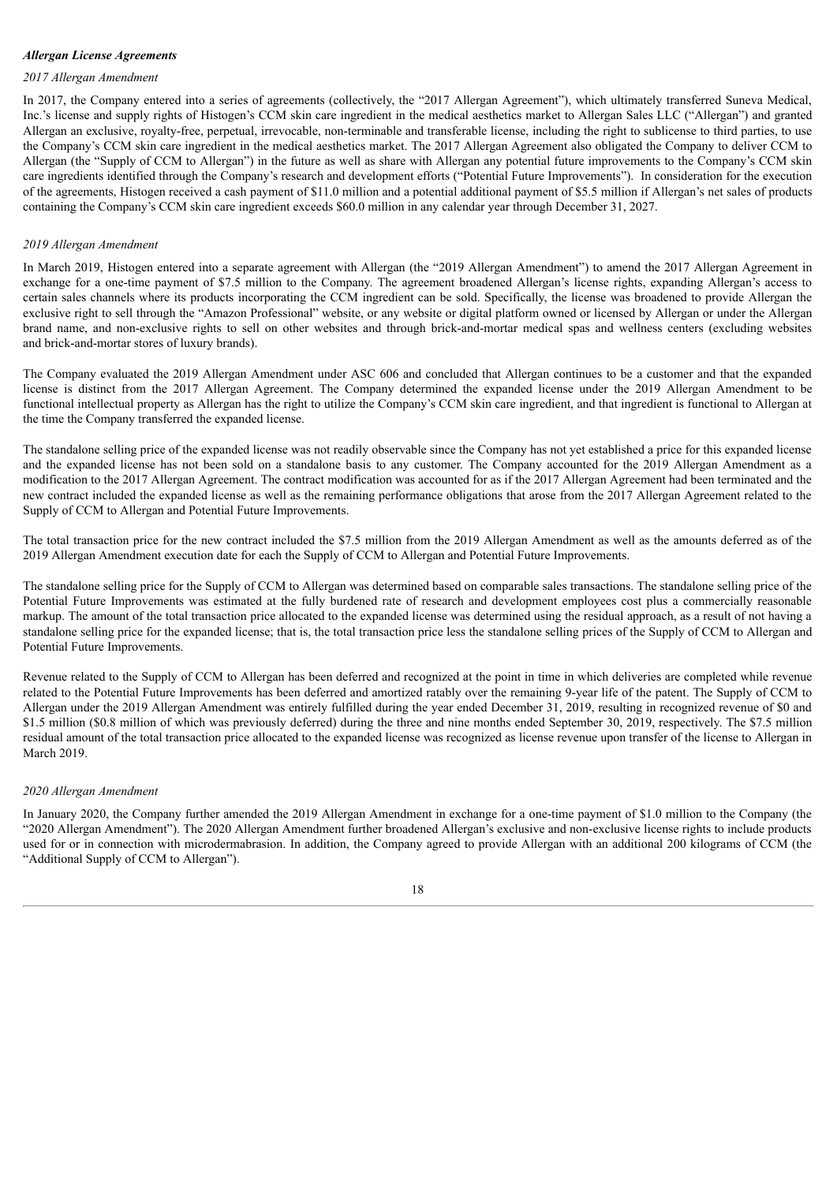#### *Allergan License Agreements*

#### *2017 Allergan Amendment*

In 2017, the Company entered into a series of agreements (collectively, the "2017 Allergan Agreement"), which ultimately transferred Suneva Medical, Inc.'s license and supply rights of Histogen's CCM skin care ingredient in the medical aesthetics market to Allergan Sales LLC ("Allergan") and granted Allergan an exclusive, royalty-free, perpetual, irrevocable, non-terminable and transferable license, including the right to sublicense to third parties, to use the Company's CCM skin care ingredient in the medical aesthetics market. The 2017 Allergan Agreement also obligated the Company to deliver CCM to Allergan (the "Supply of CCM to Allergan") in the future as well as share with Allergan any potential future improvements to the Company's CCM skin care ingredients identified through the Company's research and development efforts ("Potential Future Improvements"). In consideration for the execution of the agreements, Histogen received a cash payment of \$11.0 million and a potential additional payment of \$5.5 million if Allergan's net sales of products containing the Company's CCM skin care ingredient exceeds \$60.0 million in any calendar year through December 31, 2027.

#### *2019 Allergan Amendment*

In March 2019, Histogen entered into a separate agreement with Allergan (the "2019 Allergan Amendment") to amend the 2017 Allergan Agreement in exchange for a one-time payment of \$7.5 million to the Company. The agreement broadened Allergan's license rights, expanding Allergan's access to certain sales channels where its products incorporating the CCM ingredient can be sold. Specifically, the license was broadened to provide Allergan the exclusive right to sell through the "Amazon Professional" website, or any website or digital platform owned or licensed by Allergan or under the Allergan brand name, and non-exclusive rights to sell on other websites and through brick-and-mortar medical spas and wellness centers (excluding websites and brick-and-mortar stores of luxury brands).

The Company evaluated the 2019 Allergan Amendment under ASC 606 and concluded that Allergan continues to be a customer and that the expanded license is distinct from the 2017 Allergan Agreement. The Company determined the expanded license under the 2019 Allergan Amendment to be functional intellectual property as Allergan has the right to utilize the Company's CCM skin care ingredient, and that ingredient is functional to Allergan at the time the Company transferred the expanded license.

The standalone selling price of the expanded license was not readily observable since the Company has not yet established a price for this expanded license and the expanded license has not been sold on a standalone basis to any customer. The Company accounted for the 2019 Allergan Amendment as a modification to the 2017 Allergan Agreement. The contract modification was accounted for as if the 2017 Allergan Agreement had been terminated and the new contract included the expanded license as well as the remaining performance obligations that arose from the 2017 Allergan Agreement related to the Supply of CCM to Allergan and Potential Future Improvements.

The total transaction price for the new contract included the \$7.5 million from the 2019 Allergan Amendment as well as the amounts deferred as of the 2019 Allergan Amendment execution date for each the Supply of CCM to Allergan and Potential Future Improvements.

The standalone selling price for the Supply of CCM to Allergan was determined based on comparable sales transactions. The standalone selling price of the Potential Future Improvements was estimated at the fully burdened rate of research and development employees cost plus a commercially reasonable markup. The amount of the total transaction price allocated to the expanded license was determined using the residual approach, as a result of not having a standalone selling price for the expanded license; that is, the total transaction price less the standalone selling prices of the Supply of CCM to Allergan and Potential Future Improvements.

Revenue related to the Supply of CCM to Allergan has been deferred and recognized at the point in time in which deliveries are completed while revenue related to the Potential Future Improvements has been deferred and amortized ratably over the remaining 9-year life of the patent. The Supply of CCM to Allergan under the 2019 Allergan Amendment was entirely fulfilled during the year ended December 31, 2019, resulting in recognized revenue of \$0 and \$1.5 million (\$0.8 million of which was previously deferred) during the three and nine months ended September 30, 2019, respectively. The \$7.5 million residual amount of the total transaction price allocated to the expanded license was recognized as license revenue upon transfer of the license to Allergan in March 2019.

#### *2020 Allergan Amendment*

In January 2020, the Company further amended the 2019 Allergan Amendment in exchange for a one-time payment of \$1.0 million to the Company (the "2020 Allergan Amendment"). The 2020 Allergan Amendment further broadened Allergan's exclusive and non-exclusive license rights to include products used for or in connection with microdermabrasion. In addition, the Company agreed to provide Allergan with an additional 200 kilograms of CCM (the "Additional Supply of CCM to Allergan").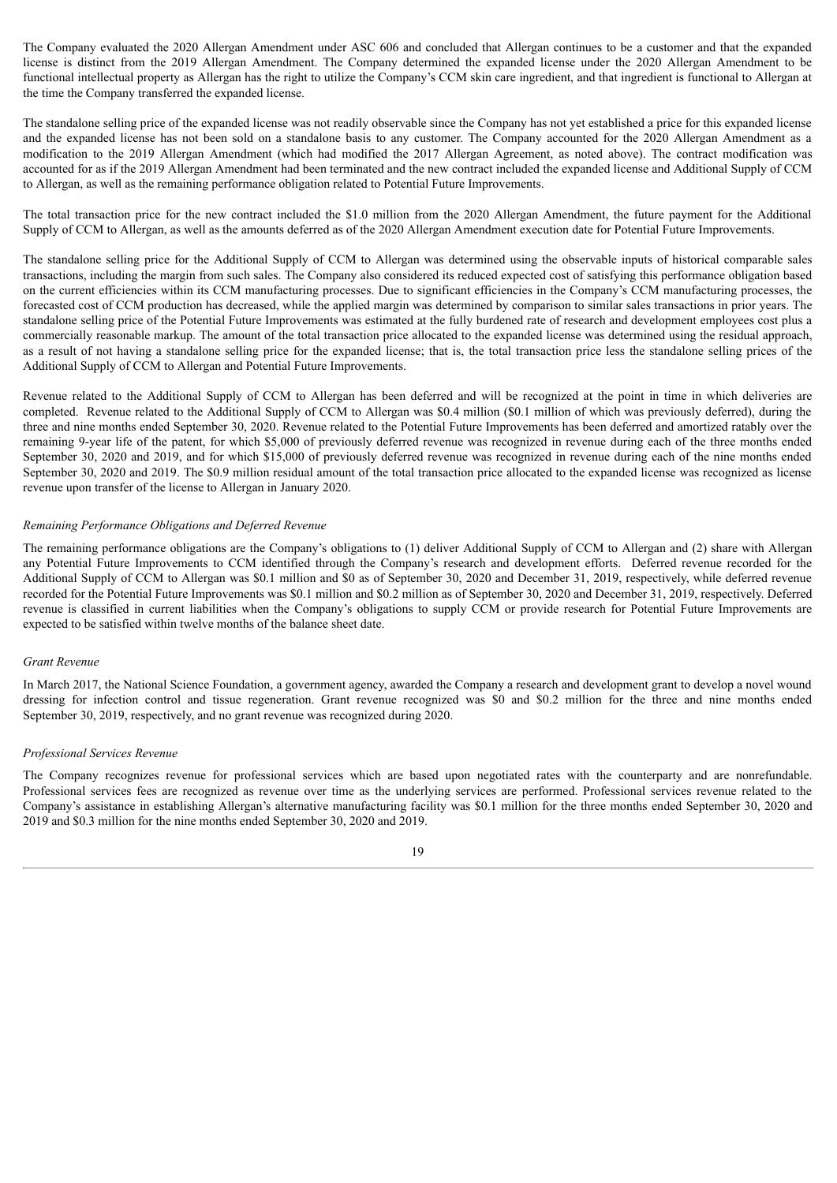The Company evaluated the 2020 Allergan Amendment under ASC 606 and concluded that Allergan continues to be a customer and that the expanded license is distinct from the 2019 Allergan Amendment. The Company determined the expanded license under the 2020 Allergan Amendment to be functional intellectual property as Allergan has the right to utilize the Company's CCM skin care ingredient, and that ingredient is functional to Allergan at the time the Company transferred the expanded license.

The standalone selling price of the expanded license was not readily observable since the Company has not yet established a price for this expanded license and the expanded license has not been sold on a standalone basis to any customer. The Company accounted for the 2020 Allergan Amendment as a modification to the 2019 Allergan Amendment (which had modified the 2017 Allergan Agreement, as noted above). The contract modification was accounted for as if the 2019 Allergan Amendment had been terminated and the new contract included the expanded license and Additional Supply of CCM to Allergan, as well as the remaining performance obligation related to Potential Future Improvements.

The total transaction price for the new contract included the \$1.0 million from the 2020 Allergan Amendment, the future payment for the Additional Supply of CCM to Allergan, as well as the amounts deferred as of the 2020 Allergan Amendment execution date for Potential Future Improvements.

The standalone selling price for the Additional Supply of CCM to Allergan was determined using the observable inputs of historical comparable sales transactions, including the margin from such sales. The Company also considered its reduced expected cost of satisfying this performance obligation based on the current efficiencies within its CCM manufacturing processes. Due to significant efficiencies in the Company's CCM manufacturing processes, the forecasted cost of CCM production has decreased, while the applied margin was determined by comparison to similar sales transactions in prior years. The standalone selling price of the Potential Future Improvements was estimated at the fully burdened rate of research and development employees cost plus a commercially reasonable markup. The amount of the total transaction price allocated to the expanded license was determined using the residual approach, as a result of not having a standalone selling price for the expanded license; that is, the total transaction price less the standalone selling prices of the Additional Supply of CCM to Allergan and Potential Future Improvements.

Revenue related to the Additional Supply of CCM to Allergan has been deferred and will be recognized at the point in time in which deliveries are completed. Revenue related to the Additional Supply of CCM to Allergan was \$0.4 million (\$0.1 million of which was previously deferred), during the three and nine months ended September 30, 2020. Revenue related to the Potential Future Improvements has been deferred and amortized ratably over the remaining 9-year life of the patent, for which \$5,000 of previously deferred revenue was recognized in revenue during each of the three months ended September 30, 2020 and 2019, and for which \$15,000 of previously deferred revenue was recognized in revenue during each of the nine months ended September 30, 2020 and 2019. The \$0.9 million residual amount of the total transaction price allocated to the expanded license was recognized as license revenue upon transfer of the license to Allergan in January 2020.

#### *Remaining Performance Obligations and Deferred Revenue*

The remaining performance obligations are the Company's obligations to (1) deliver Additional Supply of CCM to Allergan and (2) share with Allergan any Potential Future Improvements to CCM identified through the Company's research and development efforts. Deferred revenue recorded for the Additional Supply of CCM to Allergan was \$0.1 million and \$0 as of September 30, 2020 and December 31, 2019, respectively, while deferred revenue recorded for the Potential Future Improvements was \$0.1 million and \$0.2 million as of September 30, 2020 and December 31, 2019, respectively. Deferred revenue is classified in current liabilities when the Company's obligations to supply CCM or provide research for Potential Future Improvements are expected to be satisfied within twelve months of the balance sheet date.

#### *Grant Revenue*

In March 2017, the National Science Foundation, a government agency, awarded the Company a research and development grant to develop a novel wound dressing for infection control and tissue regeneration. Grant revenue recognized was \$0 and \$0.2 million for the three and nine months ended September 30, 2019, respectively, and no grant revenue was recognized during 2020.

#### *Professional Services Revenue*

The Company recognizes revenue for professional services which are based upon negotiated rates with the counterparty and are nonrefundable. Professional services fees are recognized as revenue over time as the underlying services are performed. Professional services revenue related to the Company's assistance in establishing Allergan's alternative manufacturing facility was \$0.1 million for the three months ended September 30, 2020 and 2019 and \$0.3 million for the nine months ended September 30, 2020 and 2019.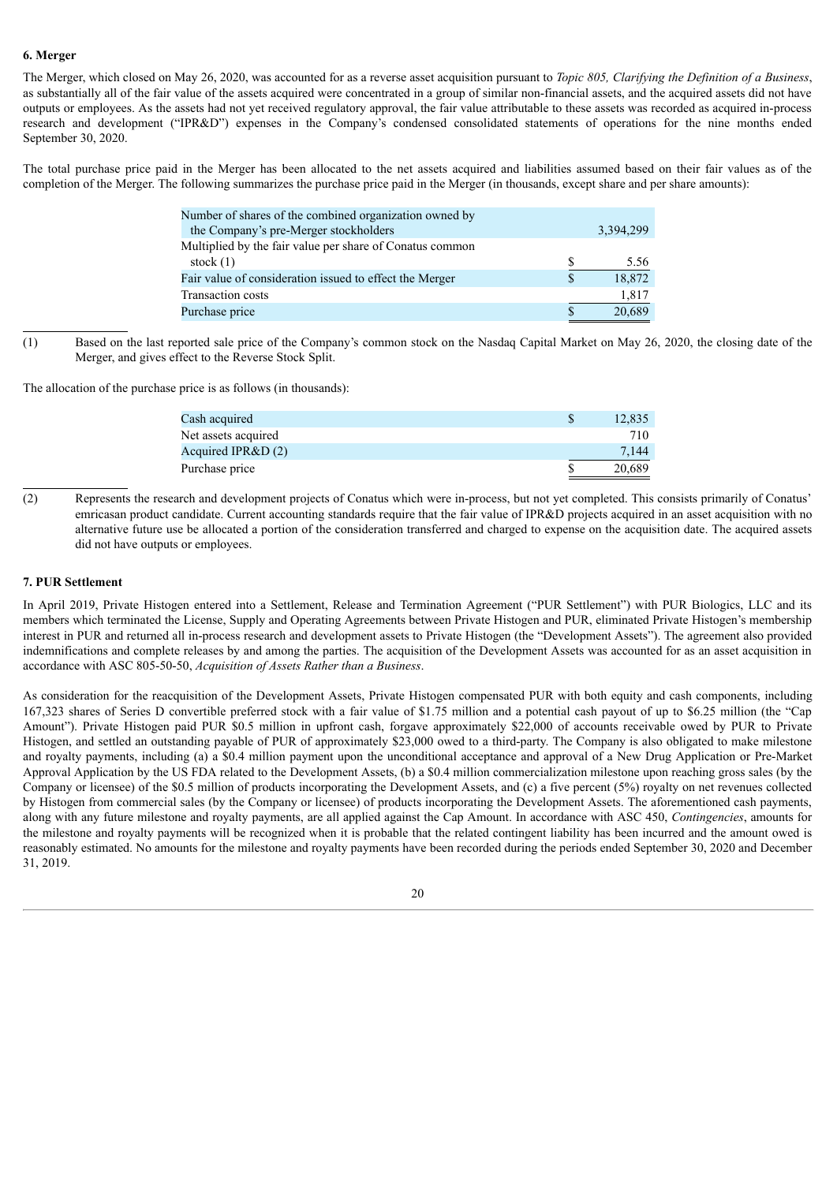#### **6. Merger**

The Merger, which closed on May 26, 2020, was accounted for as a reverse asset acquisition pursuant to *Topic 805, Clarifying the Definition of a Business*, as substantially all of the fair value of the assets acquired were concentrated in a group of similar non-financial assets, and the acquired assets did not have outputs or employees. As the assets had not yet received regulatory approval, the fair value attributable to these assets was recorded as acquired in-process research and development ("IPR&D") expenses in the Company's condensed consolidated statements of operations for the nine months ended September 30, 2020.

The total purchase price paid in the Merger has been allocated to the net assets acquired and liabilities assumed based on their fair values as of the completion of the Merger. The following summarizes the purchase price paid in the Merger (in thousands, except share and per share amounts):

| Number of shares of the combined organization owned by<br>the Company's pre-Merger stockholders | 3,394,299 |
|-------------------------------------------------------------------------------------------------|-----------|
| Multiplied by the fair value per share of Conatus common                                        |           |
| stock $(1)$                                                                                     | 5.56      |
| Fair value of consideration issued to effect the Merger                                         | 18,872    |
| Transaction costs                                                                               | 1,817     |
| Purchase price                                                                                  | 20,689    |

(1) Based on the last reported sale price of the Company's common stock on the Nasdaq Capital Market on May 26, 2020, the closing date of the Merger, and gives effect to the Reverse Stock Split.

The allocation of the purchase price is as follows (in thousands):

| Cash acquired        | 12,835 |
|----------------------|--------|
| Net assets acquired  | 710    |
| Acquired IPR&D $(2)$ | 7.144  |
| Purchase price       | 20,689 |

(2) Represents the research and development projects of Conatus which were in-process, but not yet completed. This consists primarily of Conatus' emricasan product candidate. Current accounting standards require that the fair value of IPR&D projects acquired in an asset acquisition with no alternative future use be allocated a portion of the consideration transferred and charged to expense on the acquisition date. The acquired assets did not have outputs or employees.

#### **7. PUR Settlement**

In April 2019, Private Histogen entered into a Settlement, Release and Termination Agreement ("PUR Settlement") with PUR Biologics, LLC and its members which terminated the License, Supply and Operating Agreements between Private Histogen and PUR, eliminated Private Histogen's membership interest in PUR and returned all in-process research and development assets to Private Histogen (the "Development Assets"). The agreement also provided indemnifications and complete releases by and among the parties. The acquisition of the Development Assets was accounted for as an asset acquisition in accordance with ASC 805-50-50, *Acquisition of Assets Rather than a Business*.

As consideration for the reacquisition of the Development Assets, Private Histogen compensated PUR with both equity and cash components, including 167,323 shares of Series D convertible preferred stock with a fair value of \$1.75 million and a potential cash payout of up to \$6.25 million (the "Cap Amount"). Private Histogen paid PUR \$0.5 million in upfront cash, forgave approximately \$22,000 of accounts receivable owed by PUR to Private Histogen, and settled an outstanding payable of PUR of approximately \$23,000 owed to a third-party. The Company is also obligated to make milestone and royalty payments, including (a) a \$0.4 million payment upon the unconditional acceptance and approval of a New Drug Application or Pre-Market Approval Application by the US FDA related to the Development Assets, (b) a \$0.4 million commercialization milestone upon reaching gross sales (by the Company or licensee) of the \$0.5 million of products incorporating the Development Assets, and (c) a five percent (5%) royalty on net revenues collected by Histogen from commercial sales (by the Company or licensee) of products incorporating the Development Assets. The aforementioned cash payments, along with any future milestone and royalty payments, are all applied against the Cap Amount. In accordance with ASC 450, *Contingencies*, amounts for the milestone and royalty payments will be recognized when it is probable that the related contingent liability has been incurred and the amount owed is reasonably estimated. No amounts for the milestone and royalty payments have been recorded during the periods ended September 30, 2020 and December 31, 2019.

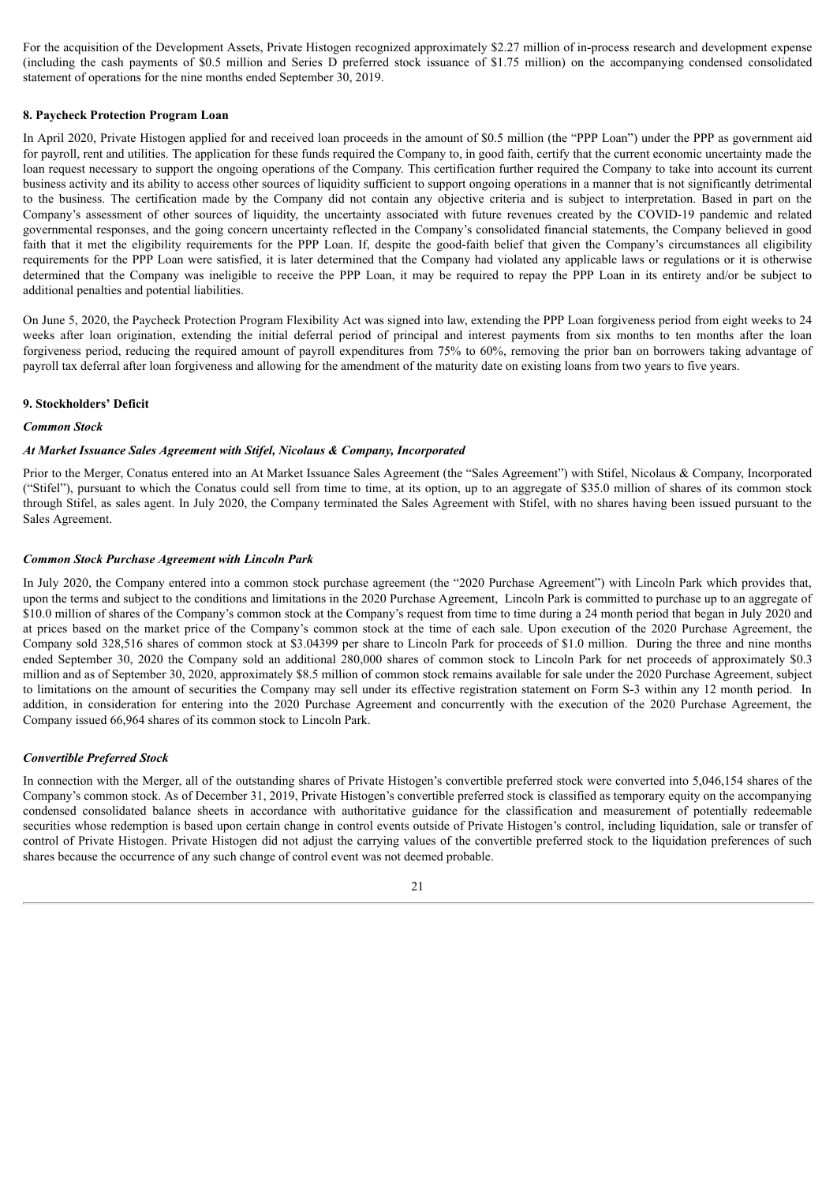For the acquisition of the Development Assets, Private Histogen recognized approximately \$2.27 million of in-process research and development expense (including the cash payments of \$0.5 million and Series D preferred stock issuance of \$1.75 million) on the accompanying condensed consolidated statement of operations for the nine months ended September 30, 2019.

#### **8. Paycheck Protection Program Loan**

In April 2020, Private Histogen applied for and received loan proceeds in the amount of \$0.5 million (the "PPP Loan") under the PPP as government aid for payroll, rent and utilities. The application for these funds required the Company to, in good faith, certify that the current economic uncertainty made the loan request necessary to support the ongoing operations of the Company. This certification further required the Company to take into account its current business activity and its ability to access other sources of liquidity sufficient to support ongoing operations in a manner that is not significantly detrimental to the business. The certification made by the Company did not contain any objective criteria and is subject to interpretation. Based in part on the Company's assessment of other sources of liquidity, the uncertainty associated with future revenues created by the COVID-19 pandemic and related governmental responses, and the going concern uncertainty reflected in the Company's consolidated financial statements, the Company believed in good faith that it met the eligibility requirements for the PPP Loan. If, despite the good-faith belief that given the Company's circumstances all eligibility requirements for the PPP Loan were satisfied, it is later determined that the Company had violated any applicable laws or regulations or it is otherwise determined that the Company was ineligible to receive the PPP Loan, it may be required to repay the PPP Loan in its entirety and/or be subject to additional penalties and potential liabilities.

On June 5, 2020, the Paycheck Protection Program Flexibility Act was signed into law, extending the PPP Loan forgiveness period from eight weeks to 24 weeks after loan origination, extending the initial deferral period of principal and interest payments from six months to ten months after the loan forgiveness period, reducing the required amount of payroll expenditures from 75% to 60%, removing the prior ban on borrowers taking advantage of payroll tax deferral after loan forgiveness and allowing for the amendment of the maturity date on existing loans from two years to five years.

#### **9. Stockholders' Deficit**

#### *Common Stock*

#### *At Market Issuance Sales Agreement with Stifel, Nicolaus & Company, Incorporated*

Prior to the Merger, Conatus entered into an At Market Issuance Sales Agreement (the "Sales Agreement") with Stifel, Nicolaus & Company, Incorporated ("Stifel"), pursuant to which the Conatus could sell from time to time, at its option, up to an aggregate of \$35.0 million of shares of its common stock through Stifel, as sales agent. In July 2020, the Company terminated the Sales Agreement with Stifel, with no shares having been issued pursuant to the Sales Agreement.

#### *Common Stock Purchase Agreement with Lincoln Park*

In July 2020, the Company entered into a common stock purchase agreement (the "2020 Purchase Agreement") with Lincoln Park which provides that, upon the terms and subject to the conditions and limitations in the 2020 Purchase Agreement, Lincoln Park is committed to purchase up to an aggregate of \$10.0 million of shares of the Company's common stock at the Company's request from time to time during a 24 month period that began in July 2020 and at prices based on the market price of the Company's common stock at the time of each sale. Upon execution of the 2020 Purchase Agreement, the Company sold 328,516 shares of common stock at \$3.04399 per share to Lincoln Park for proceeds of \$1.0 million. During the three and nine months ended September 30, 2020 the Company sold an additional 280,000 shares of common stock to Lincoln Park for net proceeds of approximately \$0.3 million and as of September 30, 2020, approximately \$8.5 million of common stock remains available for sale under the 2020 Purchase Agreement, subject to limitations on the amount of securities the Company may sell under its effective registration statement on Form S-3 within any 12 month period. In addition, in consideration for entering into the 2020 Purchase Agreement and concurrently with the execution of the 2020 Purchase Agreement, the Company issued 66,964 shares of its common stock to Lincoln Park.

#### *Convertible Preferred Stock*

In connection with the Merger, all of the outstanding shares of Private Histogen's convertible preferred stock were converted into 5,046,154 shares of the Company's common stock. As of December 31, 2019, Private Histogen's convertible preferred stock is classified as temporary equity on the accompanying condensed consolidated balance sheets in accordance with authoritative guidance for the classification and measurement of potentially redeemable securities whose redemption is based upon certain change in control events outside of Private Histogen's control, including liquidation, sale or transfer of control of Private Histogen. Private Histogen did not adjust the carrying values of the convertible preferred stock to the liquidation preferences of such shares because the occurrence of any such change of control event was not deemed probable.

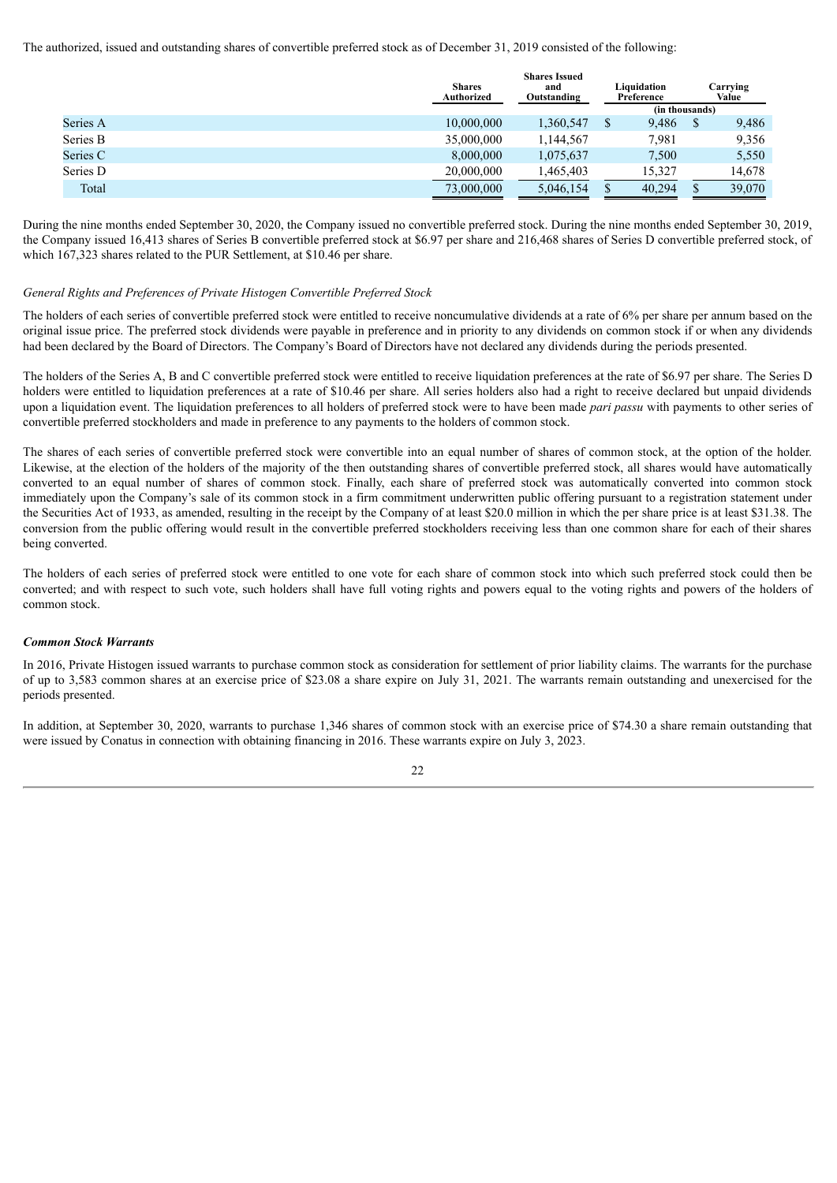The authorized, issued and outstanding shares of convertible preferred stock as of December 31, 2019 consisted of the following:

|          | <b>Shares</b><br><b>Authorized</b> | энагсэ 155иси<br>and<br>Outstanding |              | Liquidation<br>Preference<br>(in thousands) | Carrying<br>Value |
|----------|------------------------------------|-------------------------------------|--------------|---------------------------------------------|-------------------|
| Series A | 10,000,000                         | 1,360,547                           | <sup>S</sup> | 9,486                                       | 9,486             |
| Series B | 35,000,000                         | 1,144,567                           |              | 7.981                                       | 9,356             |
| Series C | 8.000.000                          | 1,075,637                           |              | 7,500                                       | 5,550             |
| Series D | 20,000,000                         | 1,465,403                           |              | 15.327                                      | 14,678            |
| Total    | 73,000,000                         | 5,046,154                           |              | 40,294                                      | 39,070            |

**Shares Issued**

During the nine months ended September 30, 2020, the Company issued no convertible preferred stock. During the nine months ended September 30, 2019, the Company issued 16,413 shares of Series B convertible preferred stock at \$6.97 per share and 216,468 shares of Series D convertible preferred stock, of which 167,323 shares related to the PUR Settlement, at \$10.46 per share.

#### *General Rights and Preferences of Private Histogen Convertible Preferred Stock*

The holders of each series of convertible preferred stock were entitled to receive noncumulative dividends at a rate of 6% per share per annum based on the original issue price. The preferred stock dividends were payable in preference and in priority to any dividends on common stock if or when any dividends had been declared by the Board of Directors. The Company's Board of Directors have not declared any dividends during the periods presented.

The holders of the Series A, B and C convertible preferred stock were entitled to receive liquidation preferences at the rate of \$6.97 per share. The Series D holders were entitled to liquidation preferences at a rate of \$10.46 per share. All series holders also had a right to receive declared but unpaid dividends upon a liquidation event. The liquidation preferences to all holders of preferred stock were to have been made *pari passu* with payments to other series of convertible preferred stockholders and made in preference to any payments to the holders of common stock.

The shares of each series of convertible preferred stock were convertible into an equal number of shares of common stock, at the option of the holder. Likewise, at the election of the holders of the majority of the then outstanding shares of convertible preferred stock, all shares would have automatically converted to an equal number of shares of common stock. Finally, each share of preferred stock was automatically converted into common stock immediately upon the Company's sale of its common stock in a firm commitment underwritten public offering pursuant to a registration statement under the Securities Act of 1933, as amended, resulting in the receipt by the Company of at least \$20.0 million in which the per share price is at least \$31.38. The conversion from the public offering would result in the convertible preferred stockholders receiving less than one common share for each of their shares being converted.

The holders of each series of preferred stock were entitled to one vote for each share of common stock into which such preferred stock could then be converted; and with respect to such vote, such holders shall have full voting rights and powers equal to the voting rights and powers of the holders of common stock.

#### *Common Stock Warrants*

In 2016, Private Histogen issued warrants to purchase common stock as consideration for settlement of prior liability claims. The warrants for the purchase of up to 3,583 common shares at an exercise price of \$23.08 a share expire on July 31, 2021. The warrants remain outstanding and unexercised for the periods presented.

In addition, at September 30, 2020, warrants to purchase 1,346 shares of common stock with an exercise price of \$74.30 a share remain outstanding that were issued by Conatus in connection with obtaining financing in 2016. These warrants expire on July 3, 2023.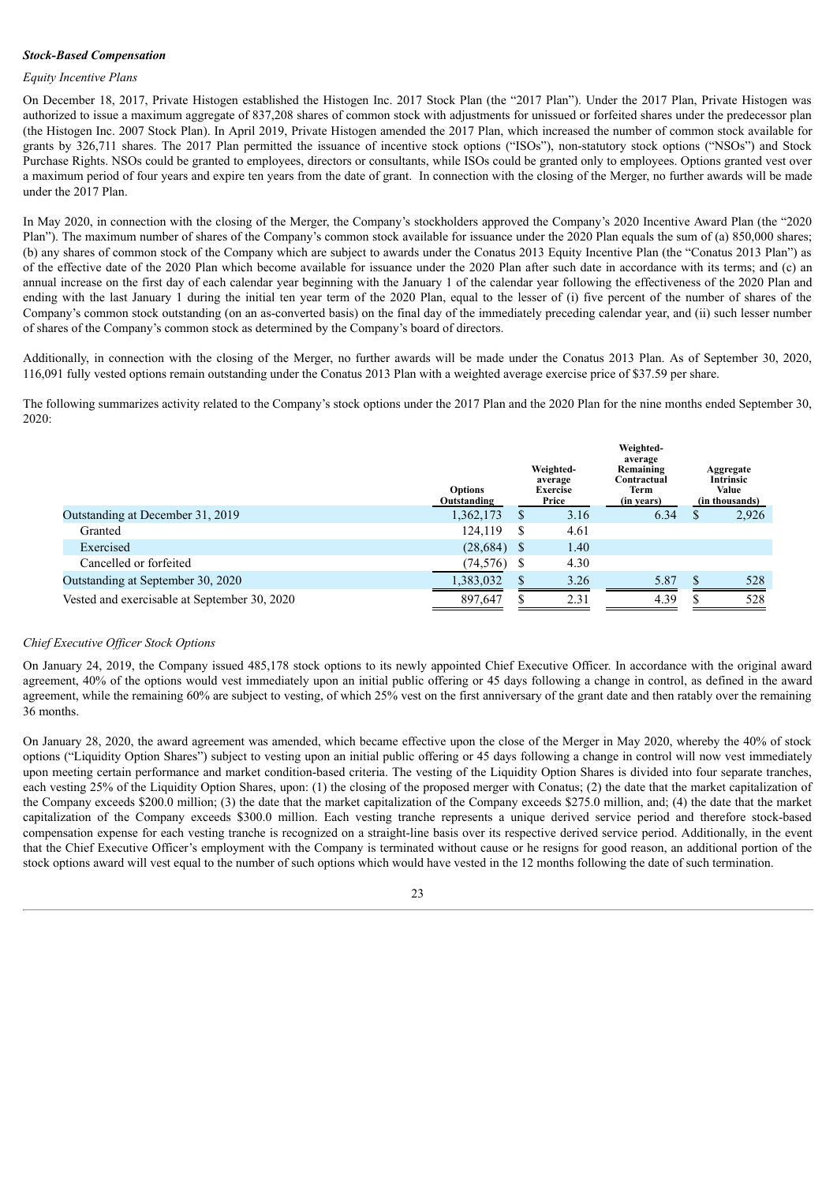#### *Stock-Based Compensation*

#### *Equity Incentive Plans*

On December 18, 2017, Private Histogen established the Histogen Inc. 2017 Stock Plan (the "2017 Plan"). Under the 2017 Plan, Private Histogen was authorized to issue a maximum aggregate of 837,208 shares of common stock with adjustments for unissued or forfeited shares under the predecessor plan (the Histogen Inc. 2007 Stock Plan). In April 2019, Private Histogen amended the 2017 Plan, which increased the number of common stock available for grants by 326,711 shares. The 2017 Plan permitted the issuance of incentive stock options ("ISOs"), non-statutory stock options ("NSOs") and Stock Purchase Rights. NSOs could be granted to employees, directors or consultants, while ISOs could be granted only to employees. Options granted vest over a maximum period of four years and expire ten years from the date of grant. In connection with the closing of the Merger, no further awards will be made under the 2017 Plan.

In May 2020, in connection with the closing of the Merger, the Company's stockholders approved the Company's 2020 Incentive Award Plan (the "2020 Plan"). The maximum number of shares of the Company's common stock available for issuance under the 2020 Plan equals the sum of (a) 850,000 shares; (b) any shares of common stock of the Company which are subject to awards under the Conatus 2013 Equity Incentive Plan (the "Conatus 2013 Plan") as of the effective date of the 2020 Plan which become available for issuance under the 2020 Plan after such date in accordance with its terms; and (c) an annual increase on the first day of each calendar year beginning with the January 1 of the calendar year following the effectiveness of the 2020 Plan and ending with the last January 1 during the initial ten year term of the 2020 Plan, equal to the lesser of (i) five percent of the number of shares of the Company's common stock outstanding (on an as-converted basis) on the final day of the immediately preceding calendar year, and (ii) such lesser number of shares of the Company's common stock as determined by the Company's board of directors.

Additionally, in connection with the closing of the Merger, no further awards will be made under the Conatus 2013 Plan. As of September 30, 2020, 116,091 fully vested options remain outstanding under the Conatus 2013 Plan with a weighted average exercise price of \$37.59 per share.

The following summarizes activity related to the Company's stock options under the 2017 Plan and the 2020 Plan for the nine months ended September 30, 2020:

|                                              | <b>Options</b><br>Outstanding |     | Weighted-<br>average<br><b>Exercise</b><br>Price | Weighted-<br>average<br>Remaining<br>Contractual<br>Term<br>(in years) |   | Aggregate<br><b>Intrinsic</b><br>Value<br>(in thousands) |
|----------------------------------------------|-------------------------------|-----|--------------------------------------------------|------------------------------------------------------------------------|---|----------------------------------------------------------|
| Outstanding at December 31, 2019             | 1,362,173                     | S   | 3.16                                             | 6.34                                                                   | S | 2,926                                                    |
| Granted                                      | 124,119                       | S   | 4.61                                             |                                                                        |   |                                                          |
| Exercised                                    | (28,684)                      | - S | 1.40                                             |                                                                        |   |                                                          |
| Cancelled or forfeited                       | (74, 576)                     |     | 4.30                                             |                                                                        |   |                                                          |
| Outstanding at September 30, 2020            | 1,383,032                     |     | 3.26                                             | 5.87                                                                   |   | 528                                                      |
| Vested and exercisable at September 30, 2020 | 897,647                       |     | 2.31                                             | 4.39                                                                   |   | 528                                                      |

#### *Chief Executive Of icer Stock Options*

On January 24, 2019, the Company issued 485,178 stock options to its newly appointed Chief Executive Officer. In accordance with the original award agreement, 40% of the options would vest immediately upon an initial public offering or 45 days following a change in control, as defined in the award agreement, while the remaining 60% are subject to vesting, of which 25% vest on the first anniversary of the grant date and then ratably over the remaining 36 months.

On January 28, 2020, the award agreement was amended, which became effective upon the close of the Merger in May 2020, whereby the 40% of stock options ("Liquidity Option Shares") subject to vesting upon an initial public offering or 45 days following a change in control will now vest immediately upon meeting certain performance and market condition-based criteria. The vesting of the Liquidity Option Shares is divided into four separate tranches, each vesting 25% of the Liquidity Option Shares, upon: (1) the closing of the proposed merger with Conatus; (2) the date that the market capitalization of the Company exceeds \$200.0 million; (3) the date that the market capitalization of the Company exceeds \$275.0 million, and; (4) the date that the market capitalization of the Company exceeds \$300.0 million. Each vesting tranche represents a unique derived service period and therefore stock-based compensation expense for each vesting tranche is recognized on a straight-line basis over its respective derived service period. Additionally, in the event that the Chief Executive Officer's employment with the Company is terminated without cause or he resigns for good reason, an additional portion of the stock options award will vest equal to the number of such options which would have vested in the 12 months following the date of such termination.

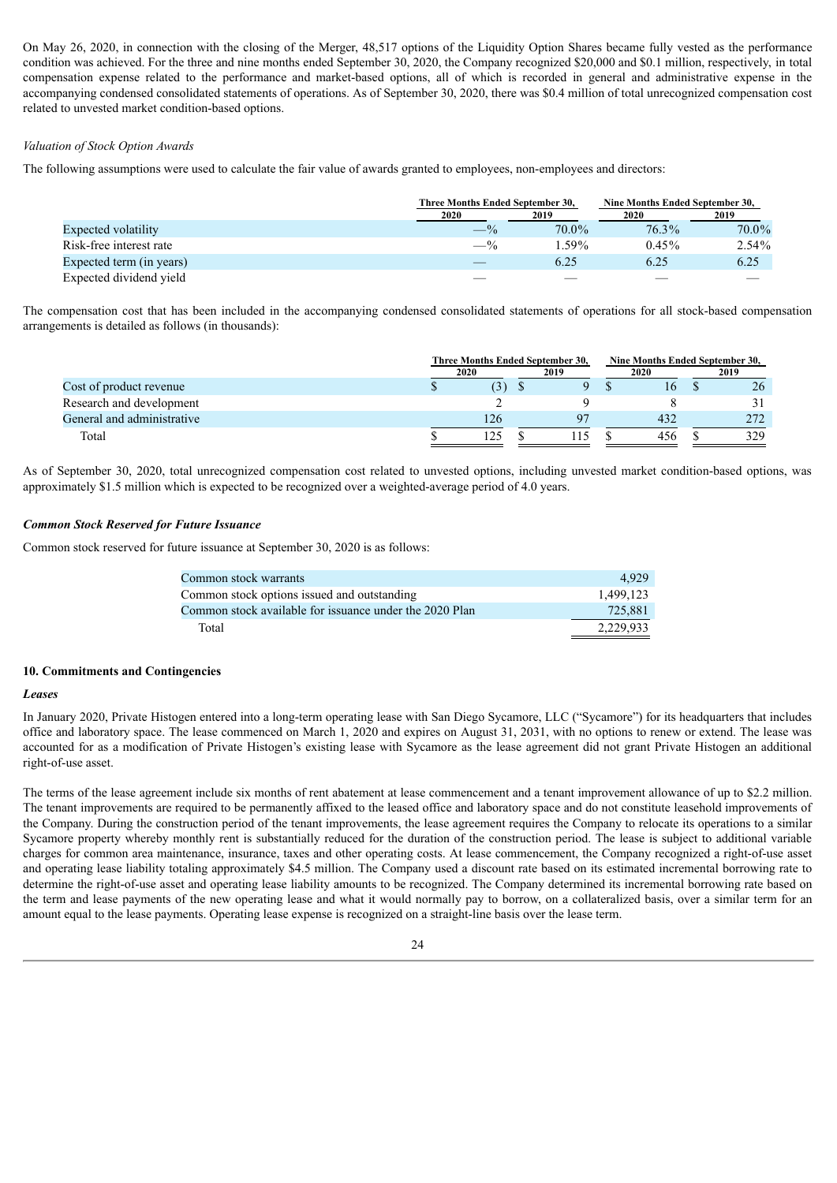On May 26, 2020, in connection with the closing of the Merger, 48,517 options of the Liquidity Option Shares became fully vested as the performance condition was achieved. For the three and nine months ended September 30, 2020, the Company recognized \$20,000 and \$0.1 million, respectively, in total compensation expense related to the performance and market-based options, all of which is recorded in general and administrative expense in the accompanying condensed consolidated statements of operations. As of September 30, 2020, there was \$0.4 million of total unrecognized compensation cost related to unvested market condition-based options.

#### *Valuation of Stock Option Awards*

The following assumptions were used to calculate the fair value of awards granted to employees, non-employees and directors:

|                          | <b>Three Months Ended September 30.</b> |          | Nine Months Ended September 30. |          |
|--------------------------|-----------------------------------------|----------|---------------------------------|----------|
|                          | 2020                                    | 2019     | 2020                            | 2019     |
| Expected volatility      | $-$ %                                   | 70.0%    | 76.3%                           | 70.0%    |
| Risk-free interest rate  | $-$ %                                   | $1.59\%$ | $0.45\%$                        | $2.54\%$ |
| Expected term (in years) |                                         | 6.25     | 6.25                            | 6.25     |
| Expected dividend yield  |                                         |          |                                 |          |

The compensation cost that has been included in the accompanying condensed consolidated statements of operations for all stock-based compensation arrangements is detailed as follows (in thousands):

|                            | <b>Three Months Ended September 30.</b> |      |  | Nine Months Ended September 30. |  |             |  |      |
|----------------------------|-----------------------------------------|------|--|---------------------------------|--|-------------|--|------|
|                            |                                         | 2020 |  | 2019                            |  | <b>2020</b> |  | 2019 |
| Cost of product revenue    |                                         |      |  |                                 |  | 16          |  | 26   |
| Research and development   |                                         |      |  |                                 |  |             |  | 31   |
| General and administrative |                                         | 126  |  |                                 |  | 432         |  | 272  |
| Total                      |                                         | 125  |  |                                 |  | 456         |  | 329  |

As of September 30, 2020, total unrecognized compensation cost related to unvested options, including unvested market condition-based options, was approximately \$1.5 million which is expected to be recognized over a weighted-average period of 4.0 years.

#### *Common Stock Reserved for Future Issuance*

Common stock reserved for future issuance at September 30, 2020 is as follows:

| Common stock warrants                                   | 4.929     |
|---------------------------------------------------------|-----------|
| Common stock options issued and outstanding             | 1.499.123 |
| Common stock available for issuance under the 2020 Plan | 725,881   |
| Total                                                   | 2.229.933 |

#### **10. Commitments and Contingencies**

#### *Leases*

In January 2020, Private Histogen entered into a long-term operating lease with San Diego Sycamore, LLC ("Sycamore") for its headquarters that includes office and laboratory space. The lease commenced on March 1, 2020 and expires on August 31, 2031, with no options to renew or extend. The lease was accounted for as a modification of Private Histogen's existing lease with Sycamore as the lease agreement did not grant Private Histogen an additional right-of-use asset.

The terms of the lease agreement include six months of rent abatement at lease commencement and a tenant improvement allowance of up to \$2.2 million. The tenant improvements are required to be permanently affixed to the leased office and laboratory space and do not constitute leasehold improvements of the Company. During the construction period of the tenant improvements, the lease agreement requires the Company to relocate its operations to a similar Sycamore property whereby monthly rent is substantially reduced for the duration of the construction period. The lease is subject to additional variable charges for common area maintenance, insurance, taxes and other operating costs. At lease commencement, the Company recognized a right-of-use asset and operating lease liability totaling approximately \$4.5 million. The Company used a discount rate based on its estimated incremental borrowing rate to determine the right-of-use asset and operating lease liability amounts to be recognized. The Company determined its incremental borrowing rate based on the term and lease payments of the new operating lease and what it would normally pay to borrow, on a collateralized basis, over a similar term for an amount equal to the lease payments. Operating lease expense is recognized on a straight-line basis over the lease term.

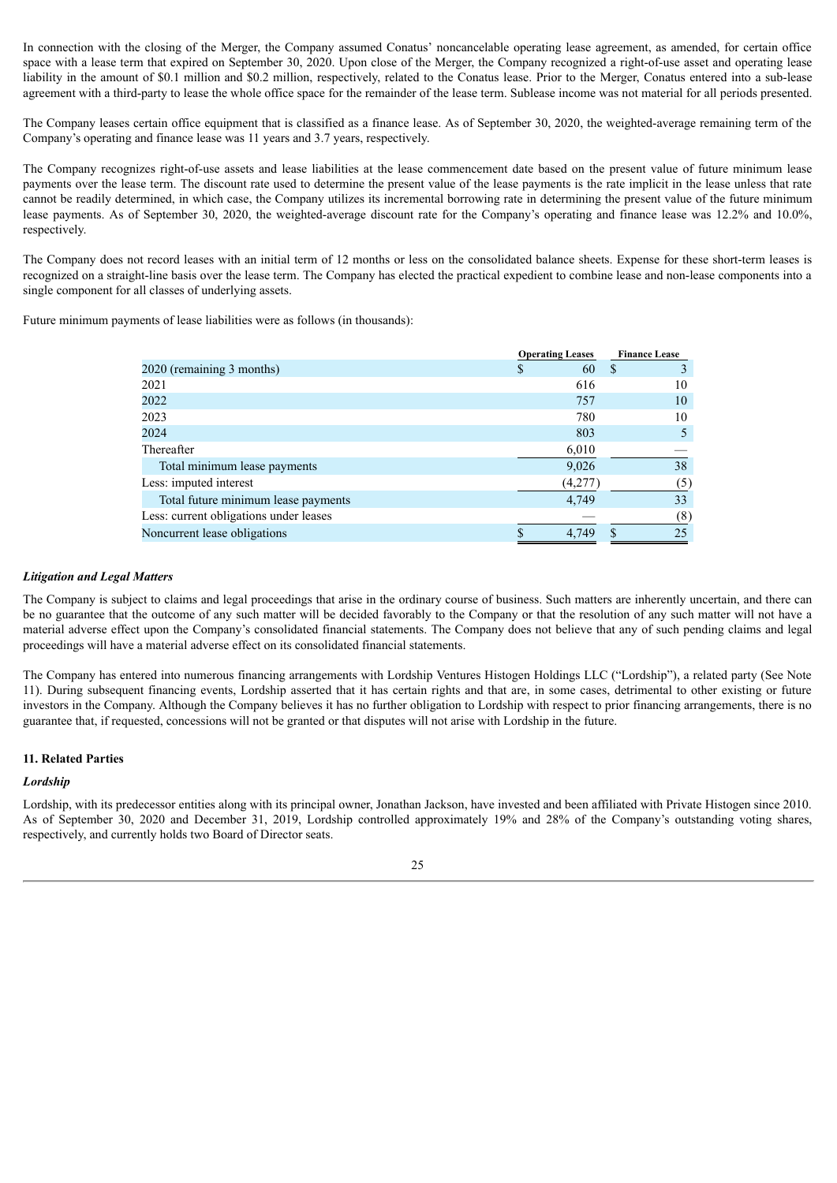In connection with the closing of the Merger, the Company assumed Conatus' noncancelable operating lease agreement, as amended, for certain office space with a lease term that expired on September 30, 2020. Upon close of the Merger, the Company recognized a right-of-use asset and operating lease liability in the amount of \$0.1 million and \$0.2 million, respectively, related to the Conatus lease. Prior to the Merger, Conatus entered into a sub-lease agreement with a third-party to lease the whole office space for the remainder of the lease term. Sublease income was not material for all periods presented.

The Company leases certain office equipment that is classified as a finance lease. As of September 30, 2020, the weighted-average remaining term of the Company's operating and finance lease was 11 years and 3.7 years, respectively.

The Company recognizes right-of-use assets and lease liabilities at the lease commencement date based on the present value of future minimum lease payments over the lease term. The discount rate used to determine the present value of the lease payments is the rate implicit in the lease unless that rate cannot be readily determined, in which case, the Company utilizes its incremental borrowing rate in determining the present value of the future minimum lease payments. As of September 30, 2020, the weighted-average discount rate for the Company's operating and finance lease was 12.2% and 10.0%, respectively.

The Company does not record leases with an initial term of 12 months or less on the consolidated balance sheets. Expense for these short-term leases is recognized on a straight-line basis over the lease term. The Company has elected the practical expedient to combine lease and non-lease components into a single component for all classes of underlying assets.

Future minimum payments of lease liabilities were as follows (in thousands):

|                                        | <b>Operating Leases</b> | <b>Finance Lease</b> |     |  |
|----------------------------------------|-------------------------|----------------------|-----|--|
| 2020 (remaining 3 months)              | 60                      | S                    |     |  |
| 2021                                   | 616                     |                      | 10  |  |
| 2022                                   | 757                     |                      | 10  |  |
| 2023                                   | 780                     |                      | 10  |  |
| 2024                                   | 803                     |                      |     |  |
| Thereafter                             | 6,010                   |                      |     |  |
| Total minimum lease payments           | 9,026                   |                      | 38  |  |
| Less: imputed interest                 | (4,277)                 |                      | (5) |  |
| Total future minimum lease payments    | 4,749                   |                      | 33  |  |
| Less: current obligations under leases |                         |                      | (8) |  |
| Noncurrent lease obligations           | 4.749                   | \$                   | 25  |  |

#### *Litigation and Legal Matters*

The Company is subject to claims and legal proceedings that arise in the ordinary course of business. Such matters are inherently uncertain, and there can be no guarantee that the outcome of any such matter will be decided favorably to the Company or that the resolution of any such matter will not have a material adverse effect upon the Company's consolidated financial statements. The Company does not believe that any of such pending claims and legal proceedings will have a material adverse effect on its consolidated financial statements.

The Company has entered into numerous financing arrangements with Lordship Ventures Histogen Holdings LLC ("Lordship"), a related party (See Note 11). During subsequent financing events, Lordship asserted that it has certain rights and that are, in some cases, detrimental to other existing or future investors in the Company. Although the Company believes it has no further obligation to Lordship with respect to prior financing arrangements, there is no guarantee that, if requested, concessions will not be granted or that disputes will not arise with Lordship in the future.

#### **11. Related Parties**

#### *Lordship*

Lordship, with its predecessor entities along with its principal owner, Jonathan Jackson, have invested and been affiliated with Private Histogen since 2010. As of September 30, 2020 and December 31, 2019, Lordship controlled approximately 19% and 28% of the Company's outstanding voting shares, respectively, and currently holds two Board of Director seats.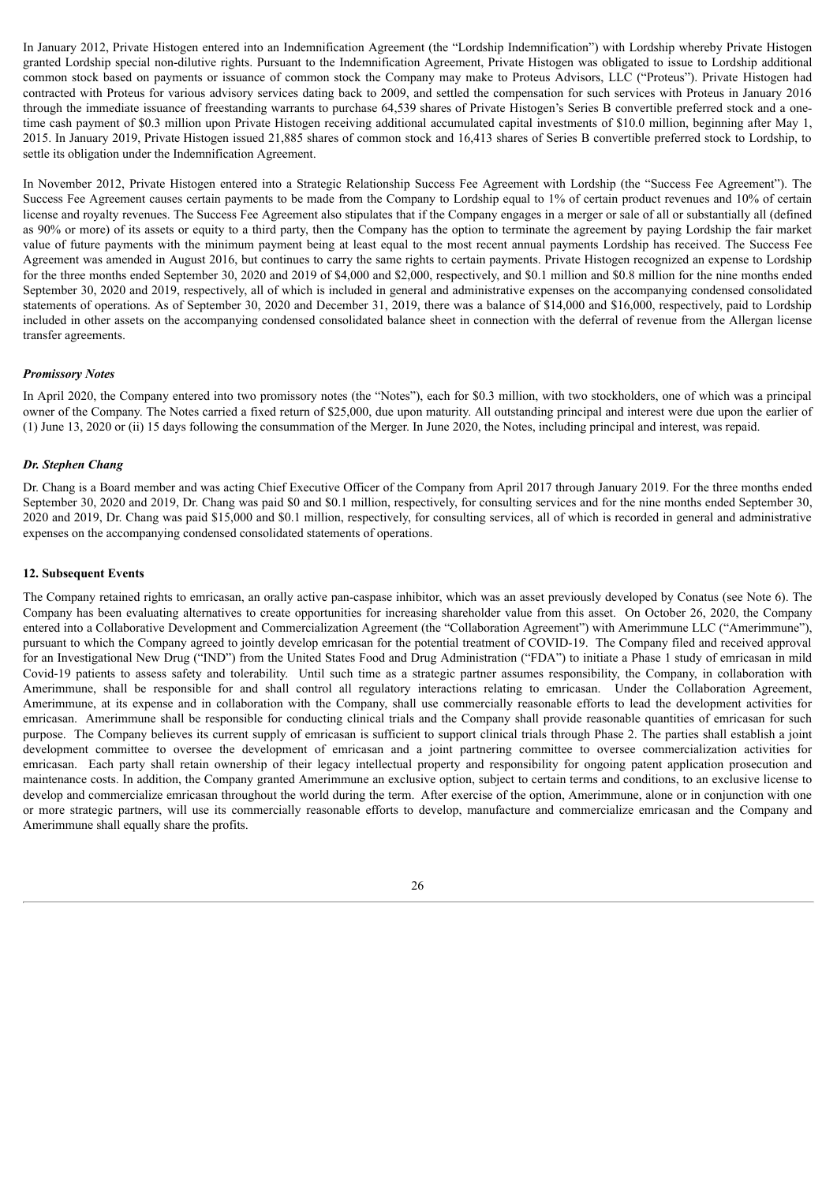In January 2012, Private Histogen entered into an Indemnification Agreement (the "Lordship Indemnification") with Lordship whereby Private Histogen granted Lordship special non-dilutive rights. Pursuant to the Indemnification Agreement, Private Histogen was obligated to issue to Lordship additional common stock based on payments or issuance of common stock the Company may make to Proteus Advisors, LLC ("Proteus"). Private Histogen had contracted with Proteus for various advisory services dating back to 2009, and settled the compensation for such services with Proteus in January 2016 through the immediate issuance of freestanding warrants to purchase 64,539 shares of Private Histogen's Series B convertible preferred stock and a onetime cash payment of \$0.3 million upon Private Histogen receiving additional accumulated capital investments of \$10.0 million, beginning after May 1, 2015. In January 2019, Private Histogen issued 21,885 shares of common stock and 16,413 shares of Series B convertible preferred stock to Lordship, to settle its obligation under the Indemnification Agreement.

In November 2012, Private Histogen entered into a Strategic Relationship Success Fee Agreement with Lordship (the "Success Fee Agreement"). The Success Fee Agreement causes certain payments to be made from the Company to Lordship equal to 1% of certain product revenues and 10% of certain license and royalty revenues. The Success Fee Agreement also stipulates that if the Company engages in a merger or sale of all or substantially all (defined as 90% or more) of its assets or equity to a third party, then the Company has the option to terminate the agreement by paying Lordship the fair market value of future payments with the minimum payment being at least equal to the most recent annual payments Lordship has received. The Success Fee Agreement was amended in August 2016, but continues to carry the same rights to certain payments. Private Histogen recognized an expense to Lordship for the three months ended September 30, 2020 and 2019 of \$4,000 and \$2,000, respectively, and \$0.1 million and \$0.8 million for the nine months ended September 30, 2020 and 2019, respectively, all of which is included in general and administrative expenses on the accompanying condensed consolidated statements of operations. As of September 30, 2020 and December 31, 2019, there was a balance of \$14,000 and \$16,000, respectively, paid to Lordship included in other assets on the accompanying condensed consolidated balance sheet in connection with the deferral of revenue from the Allergan license transfer agreements.

#### *Promissory Notes*

In April 2020, the Company entered into two promissory notes (the "Notes"), each for \$0.3 million, with two stockholders, one of which was a principal owner of the Company. The Notes carried a fixed return of \$25,000, due upon maturity. All outstanding principal and interest were due upon the earlier of (1) June 13, 2020 or (ii) 15 days following the consummation of the Merger. In June 2020, the Notes, including principal and interest, was repaid.

#### *Dr. Stephen Chang*

Dr. Chang is a Board member and was acting Chief Executive Officer of the Company from April 2017 through January 2019. For the three months ended September 30, 2020 and 2019, Dr. Chang was paid \$0 and \$0.1 million, respectively, for consulting services and for the nine months ended September 30, 2020 and 2019, Dr. Chang was paid \$15,000 and \$0.1 million, respectively, for consulting services, all of which is recorded in general and administrative expenses on the accompanying condensed consolidated statements of operations.

#### **12. Subsequent Events**

The Company retained rights to emricasan, an orally active pan-caspase inhibitor, which was an asset previously developed by Conatus (see Note 6). The Company has been evaluating alternatives to create opportunities for increasing shareholder value from this asset. On October 26, 2020, the Company entered into a Collaborative Development and Commercialization Agreement (the "Collaboration Agreement") with Amerimmune LLC ("Amerimmune"), pursuant to which the Company agreed to jointly develop emricasan for the potential treatment of COVID-19. The Company filed and received approval for an Investigational New Drug ("IND") from the United States Food and Drug Administration ("FDA") to initiate a Phase 1 study of emricasan in mild Covid-19 patients to assess safety and tolerability. Until such time as a strategic partner assumes responsibility, the Company, in collaboration with Amerimmune, shall be responsible for and shall control all regulatory interactions relating to emricasan. Under the Collaboration Agreement, Amerimmune, at its expense and in collaboration with the Company, shall use commercially reasonable efforts to lead the development activities for emricasan. Amerimmune shall be responsible for conducting clinical trials and the Company shall provide reasonable quantities of emricasan for such purpose. The Company believes its current supply of emricasan is sufficient to support clinical trials through Phase 2. The parties shall establish a joint development committee to oversee the development of emricasan and a joint partnering committee to oversee commercialization activities for emricasan. Each party shall retain ownership of their legacy intellectual property and responsibility for ongoing patent application prosecution and maintenance costs. In addition, the Company granted Amerimmune an exclusive option, subject to certain terms and conditions, to an exclusive license to develop and commercialize emricasan throughout the world during the term. After exercise of the option, Amerimmune, alone or in conjunction with one or more strategic partners, will use its commercially reasonable efforts to develop, manufacture and commercialize emricasan and the Company and Amerimmune shall equally share the profits.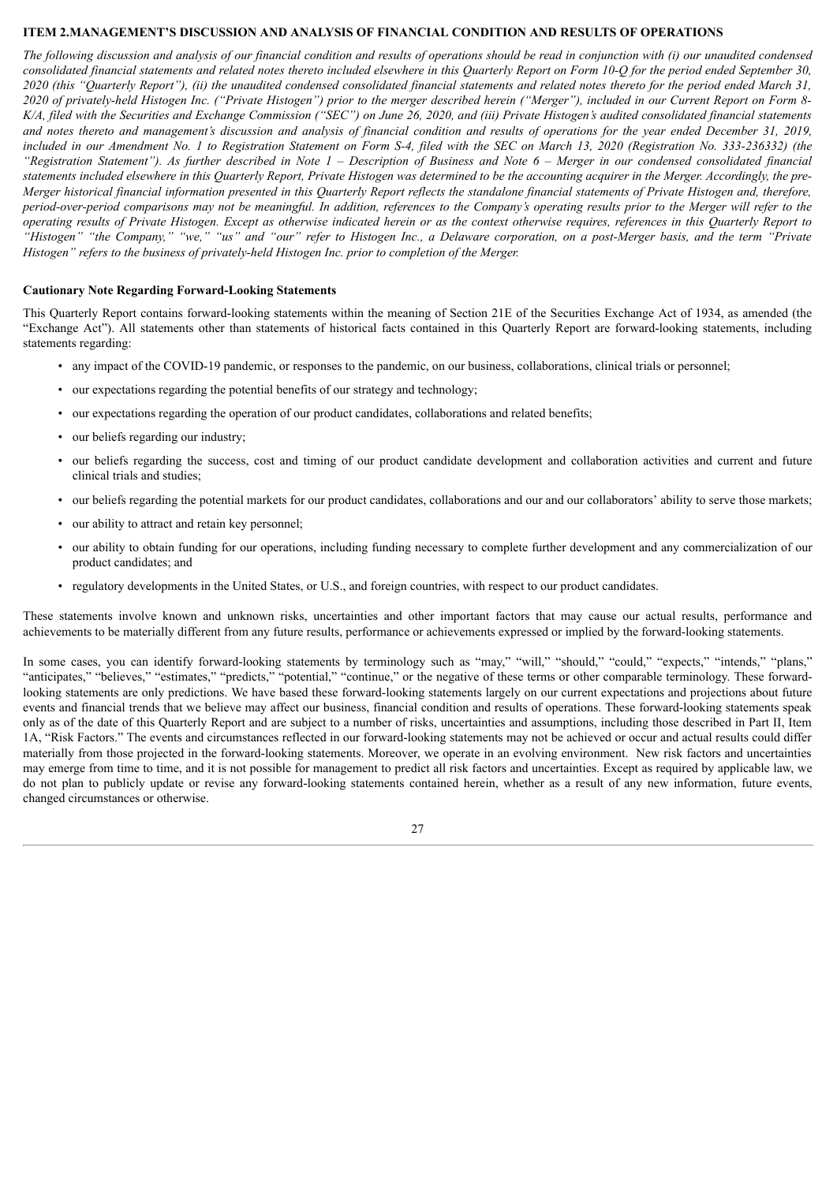#### <span id="page-26-0"></span>**ITEM 2.MANAGEMENT'S DISCUSSION AND ANALYSIS OF FINANCIAL CONDITION AND RESULTS OF OPERATIONS**

The following discussion and analysis of our financial condition and results of operations should be read in conjunction with (i) our unaudited condensed consolidated financial statements and related notes thereto included elsewhere in this Quarterly Report on Form 10-Q for the period ended September 30, 2020 (this "Quarterly Report"), (ii) the unaudited condensed consolidated financial statements and related notes thereto for the period ended March 31, 2020 of privately-held Histogen Inc. ("Private Histogen") prior to the merger described herein ("Merger"), included in our Current Report on Form 8-K/A, filed with the Securities and Exchange Commission ("SEC") on June 26, 2020, and (iii) Private Histogen's audited consolidated financial statements and notes thereto and management's discussion and analysis of financial condition and results of operations for the year ended December 31, 2019, included in our Amendment No. 1 to Registration Statement on Form S-4, filed with the SEC on March 13, 2020 (Registration No. 333-236332) (the "Registration Statement"). As further described in Note  $1$  – Description of Business and Note  $6$  – Merger in our condensed consolidated financial statements included elsewhere in this Quarterly Report, Private Histogen was determined to be the accounting acquirer in the Merger. Accordingly, the pre-Merger historical financial information presented in this Quarterly Report reflects the standalone financial statements of Private Histogen and, therefore, period-over-period comparisons may not be meaningful. In addition, references to the Company's operating results prior to the Merger will refer to the operating results of Private Histogen. Except as otherwise indicated herein or as the context otherwise requires, references in this Quarterly Report to "Histogen" "the Company," "we," "us" and "our" refer to Histogen Inc., a Delaware corporation, on a post-Merger basis, and the term "Private *Histogen" refers to the business of privately-held Histogen Inc. prior to completion of the Merger.*

#### **Cautionary Note Regarding Forward-Looking Statements**

This Quarterly Report contains forward-looking statements within the meaning of Section 21E of the Securities Exchange Act of 1934, as amended (the "Exchange Act"). All statements other than statements of historical facts contained in this Quarterly Report are forward-looking statements, including statements regarding:

- any impact of the COVID-19 pandemic, or responses to the pandemic, on our business, collaborations, clinical trials or personnel;
- our expectations regarding the potential benefits of our strategy and technology;
- our expectations regarding the operation of our product candidates, collaborations and related benefits;
- our beliefs regarding our industry;
- our beliefs regarding the success, cost and timing of our product candidate development and collaboration activities and current and future clinical trials and studies;
- our beliefs regarding the potential markets for our product candidates, collaborations and our and our collaborators' ability to serve those markets;
- our ability to attract and retain key personnel;
- our ability to obtain funding for our operations, including funding necessary to complete further development and any commercialization of our product candidates; and
- regulatory developments in the United States, or U.S., and foreign countries, with respect to our product candidates.

These statements involve known and unknown risks, uncertainties and other important factors that may cause our actual results, performance and achievements to be materially different from any future results, performance or achievements expressed or implied by the forward-looking statements.

In some cases, you can identify forward-looking statements by terminology such as "may," "will," "should," "could," "expects," "intends," "plans," "anticipates," "believes," "estimates," "predicts," "potential," "continue," or the negative of these terms or other comparable terminology. These forwardlooking statements are only predictions. We have based these forward-looking statements largely on our current expectations and projections about future events and financial trends that we believe may affect our business, financial condition and results of operations. These forward-looking statements speak only as of the date of this Quarterly Report and are subject to a number of risks, uncertainties and assumptions, including those described in Part II, Item 1A, "Risk Factors." The events and circumstances reflected in our forward-looking statements may not be achieved or occur and actual results could differ materially from those projected in the forward-looking statements. Moreover, we operate in an evolving environment. New risk factors and uncertainties may emerge from time to time, and it is not possible for management to predict all risk factors and uncertainties. Except as required by applicable law, we do not plan to publicly update or revise any forward-looking statements contained herein, whether as a result of any new information, future events, changed circumstances or otherwise.

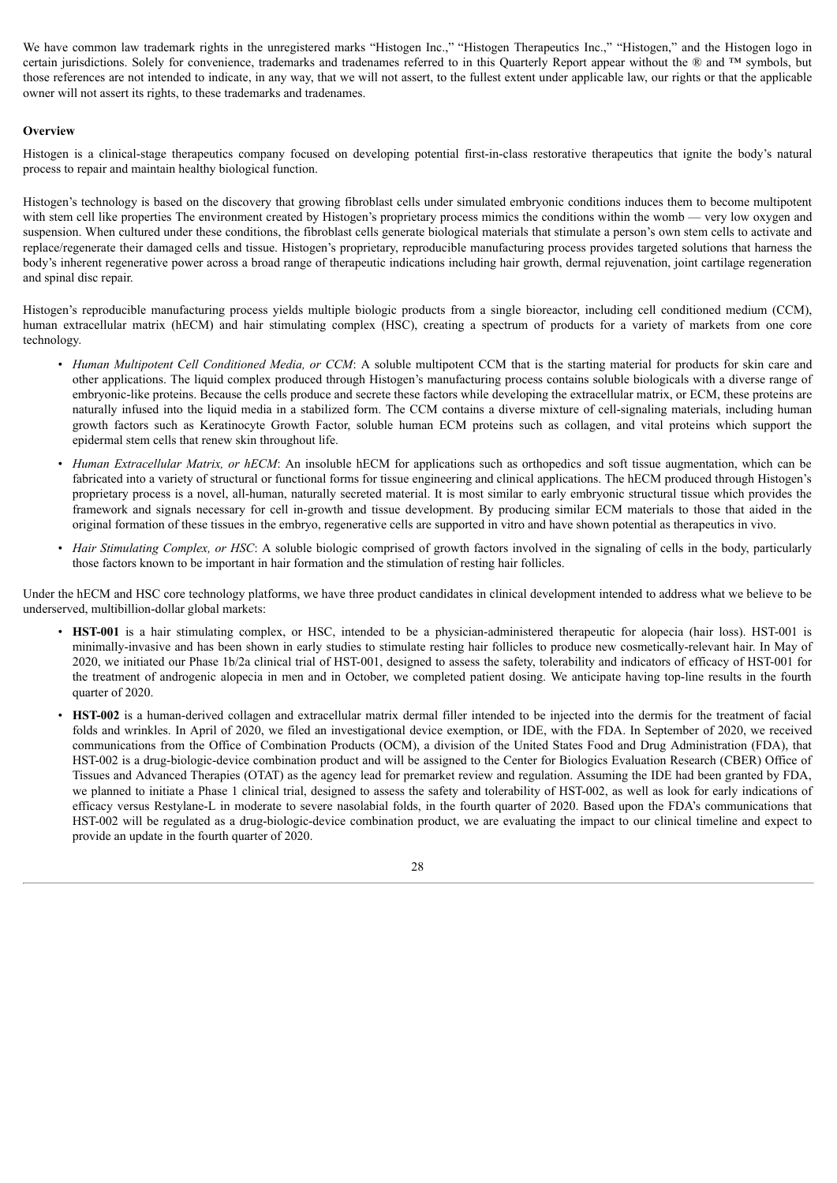We have common law trademark rights in the unregistered marks "Histogen Inc.," "Histogen Therapeutics Inc.," "Histogen," and the Histogen logo in certain jurisdictions. Solely for convenience, trademarks and tradenames referred to in this Quarterly Report appear without the ® and ™ symbols, but those references are not intended to indicate, in any way, that we will not assert, to the fullest extent under applicable law, our rights or that the applicable owner will not assert its rights, to these trademarks and tradenames.

#### **Overview**

Histogen is a clinical-stage therapeutics company focused on developing potential first-in-class restorative therapeutics that ignite the body's natural process to repair and maintain healthy biological function.

Histogen's technology is based on the discovery that growing fibroblast cells under simulated embryonic conditions induces them to become multipotent with stem cell like properties The environment created by Histogen's proprietary process mimics the conditions within the womb — very low oxygen and suspension. When cultured under these conditions, the fibroblast cells generate biological materials that stimulate a person's own stem cells to activate and replace/regenerate their damaged cells and tissue. Histogen's proprietary, reproducible manufacturing process provides targeted solutions that harness the body's inherent regenerative power across a broad range of therapeutic indications including hair growth, dermal rejuvenation, joint cartilage regeneration and spinal disc repair.

Histogen's reproducible manufacturing process yields multiple biologic products from a single bioreactor, including cell conditioned medium (CCM), human extracellular matrix (hECM) and hair stimulating complex (HSC), creating a spectrum of products for a variety of markets from one core technology.

- *Human Multipotent Cell Conditioned Media, or CCM*: A soluble multipotent CCM that is the starting material for products for skin care and other applications. The liquid complex produced through Histogen's manufacturing process contains soluble biologicals with a diverse range of embryonic-like proteins. Because the cells produce and secrete these factors while developing the extracellular matrix, or ECM, these proteins are naturally infused into the liquid media in a stabilized form. The CCM contains a diverse mixture of cell-signaling materials, including human growth factors such as Keratinocyte Growth Factor, soluble human ECM proteins such as collagen, and vital proteins which support the epidermal stem cells that renew skin throughout life.
- *Human Extracellular Matrix, or hECM*: An insoluble hECM for applications such as orthopedics and soft tissue augmentation, which can be fabricated into a variety of structural or functional forms for tissue engineering and clinical applications. The hECM produced through Histogen's proprietary process is a novel, all-human, naturally secreted material. It is most similar to early embryonic structural tissue which provides the framework and signals necessary for cell in-growth and tissue development. By producing similar ECM materials to those that aided in the original formation of these tissues in the embryo, regenerative cells are supported in vitro and have shown potential as therapeutics in vivo.
- *Hair Stimulating Complex, or HSC*: A soluble biologic comprised of growth factors involved in the signaling of cells in the body, particularly those factors known to be important in hair formation and the stimulation of resting hair follicles.

Under the hECM and HSC core technology platforms, we have three product candidates in clinical development intended to address what we believe to be underserved, multibillion-dollar global markets:

- **HST-001** is a hair stimulating complex, or HSC, intended to be a physician-administered therapeutic for alopecia (hair loss). HST-001 is minimally-invasive and has been shown in early studies to stimulate resting hair follicles to produce new cosmetically-relevant hair. In May of 2020, we initiated our Phase 1b/2a clinical trial of HST-001, designed to assess the safety, tolerability and indicators of efficacy of HST-001 for the treatment of androgenic alopecia in men and in October, we completed patient dosing. We anticipate having top-line results in the fourth quarter of 2020.
- **HST-002** is a human-derived collagen and extracellular matrix dermal filler intended to be injected into the dermis for the treatment of facial folds and wrinkles. In April of 2020, we filed an investigational device exemption, or IDE, with the FDA. In September of 2020, we received communications from the Office of Combination Products (OCM), a division of the United States Food and Drug Administration (FDA), that HST-002 is a drug-biologic-device combination product and will be assigned to the Center for Biologics Evaluation Research (CBER) Office of Tissues and Advanced Therapies (OTAT) as the agency lead for premarket review and regulation. Assuming the IDE had been granted by FDA, we planned to initiate a Phase 1 clinical trial, designed to assess the safety and tolerability of HST-002, as well as look for early indications of efficacy versus Restylane-L in moderate to severe nasolabial folds, in the fourth quarter of 2020. Based upon the FDA's communications that HST-002 will be regulated as a drug-biologic-device combination product, we are evaluating the impact to our clinical timeline and expect to provide an update in the fourth quarter of 2020.

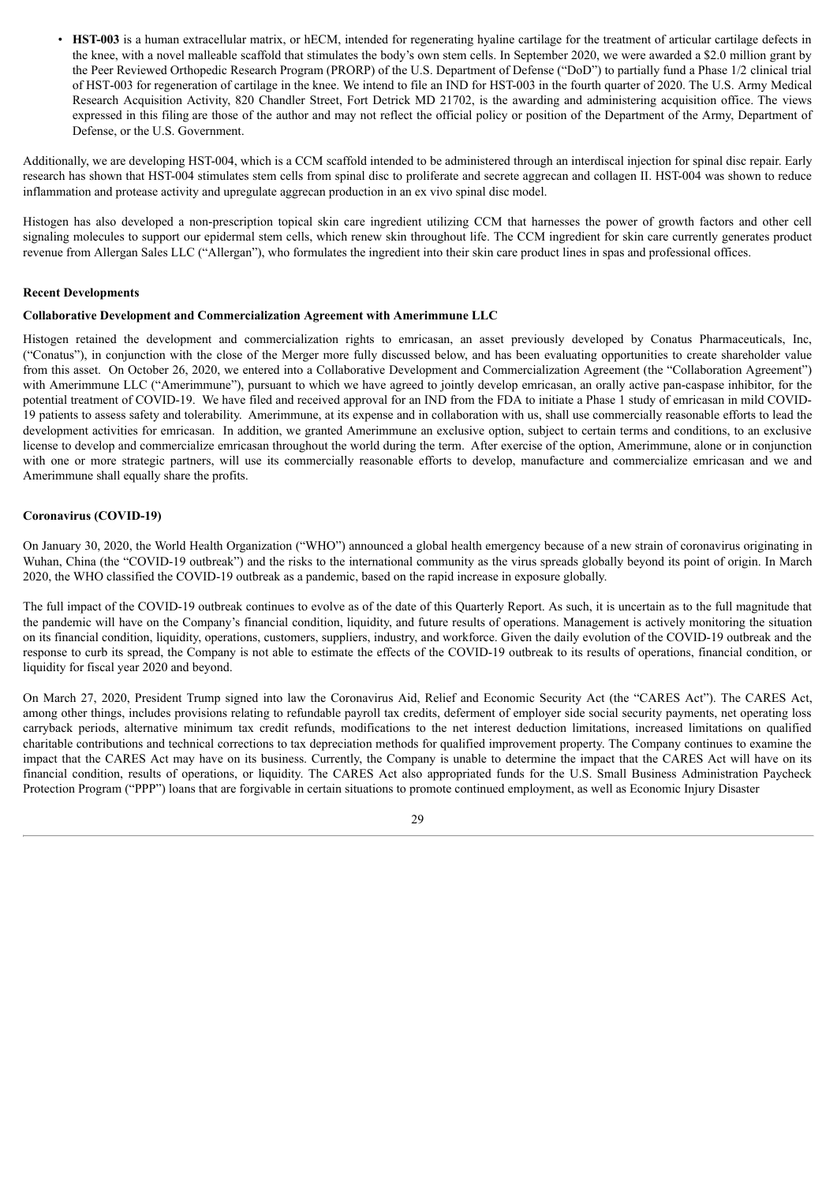• **HST-003** is a human extracellular matrix, or hECM, intended for regenerating hyaline cartilage for the treatment of articular cartilage defects in the knee, with a novel malleable scaffold that stimulates the body's own stem cells. In September 2020, we were awarded a \$2.0 million grant by the Peer Reviewed Orthopedic Research Program (PRORP) of the U.S. Department of Defense ("DoD") to partially fund a Phase 1/2 clinical trial of HST-003 for regeneration of cartilage in the knee. We intend to file an IND for HST-003 in the fourth quarter of 2020. The U.S. Army Medical Research Acquisition Activity, 820 Chandler Street, Fort Detrick MD 21702, is the awarding and administering acquisition office. The views expressed in this filing are those of the author and may not reflect the official policy or position of the Department of the Army, Department of Defense, or the U.S. Government.

Additionally, we are developing HST-004, which is a CCM scaffold intended to be administered through an interdiscal injection for spinal disc repair. Early research has shown that HST-004 stimulates stem cells from spinal disc to proliferate and secrete aggrecan and collagen II. HST-004 was shown to reduce inflammation and protease activity and upregulate aggrecan production in an ex vivo spinal disc model.

Histogen has also developed a non-prescription topical skin care ingredient utilizing CCM that harnesses the power of growth factors and other cell signaling molecules to support our epidermal stem cells, which renew skin throughout life. The CCM ingredient for skin care currently generates product revenue from Allergan Sales LLC ("Allergan"), who formulates the ingredient into their skin care product lines in spas and professional offices.

#### **Recent Developments**

#### **Collaborative Development and Commercialization Agreement with Amerimmune LLC**

Histogen retained the development and commercialization rights to emricasan, an asset previously developed by Conatus Pharmaceuticals, Inc, ("Conatus"), in conjunction with the close of the Merger more fully discussed below, and has been evaluating opportunities to create shareholder value from this asset. On October 26, 2020, we entered into a Collaborative Development and Commercialization Agreement (the "Collaboration Agreement") with Amerimmune LLC ("Amerimmune"), pursuant to which we have agreed to jointly develop emricasan, an orally active pan-caspase inhibitor, for the potential treatment of COVID-19. We have filed and received approval for an IND from the FDA to initiate a Phase 1 study of emricasan in mild COVID-19 patients to assess safety and tolerability. Amerimmune, at its expense and in collaboration with us, shall use commercially reasonable efforts to lead the development activities for emricasan. In addition, we granted Amerimmune an exclusive option, subject to certain terms and conditions, to an exclusive license to develop and commercialize emricasan throughout the world during the term. After exercise of the option, Amerimmune, alone or in conjunction with one or more strategic partners, will use its commercially reasonable efforts to develop, manufacture and commercialize emricasan and we and Amerimmune shall equally share the profits.

#### **Coronavirus (COVID-19)**

On January 30, 2020, the World Health Organization ("WHO") announced a global health emergency because of a new strain of coronavirus originating in Wuhan, China (the "COVID-19 outbreak") and the risks to the international community as the virus spreads globally beyond its point of origin. In March 2020, the WHO classified the COVID-19 outbreak as a pandemic, based on the rapid increase in exposure globally.

The full impact of the COVID-19 outbreak continues to evolve as of the date of this Quarterly Report. As such, it is uncertain as to the full magnitude that the pandemic will have on the Company's financial condition, liquidity, and future results of operations. Management is actively monitoring the situation on its financial condition, liquidity, operations, customers, suppliers, industry, and workforce. Given the daily evolution of the COVID-19 outbreak and the response to curb its spread, the Company is not able to estimate the effects of the COVID-19 outbreak to its results of operations, financial condition, or liquidity for fiscal year 2020 and beyond.

On March 27, 2020, President Trump signed into law the Coronavirus Aid, Relief and Economic Security Act (the "CARES Act"). The CARES Act, among other things, includes provisions relating to refundable payroll tax credits, deferment of employer side social security payments, net operating loss carryback periods, alternative minimum tax credit refunds, modifications to the net interest deduction limitations, increased limitations on qualified charitable contributions and technical corrections to tax depreciation methods for qualified improvement property. The Company continues to examine the impact that the CARES Act may have on its business. Currently, the Company is unable to determine the impact that the CARES Act will have on its financial condition, results of operations, or liquidity. The CARES Act also appropriated funds for the U.S. Small Business Administration Paycheck Protection Program ("PPP") loans that are forgivable in certain situations to promote continued employment, as well as Economic Injury Disaster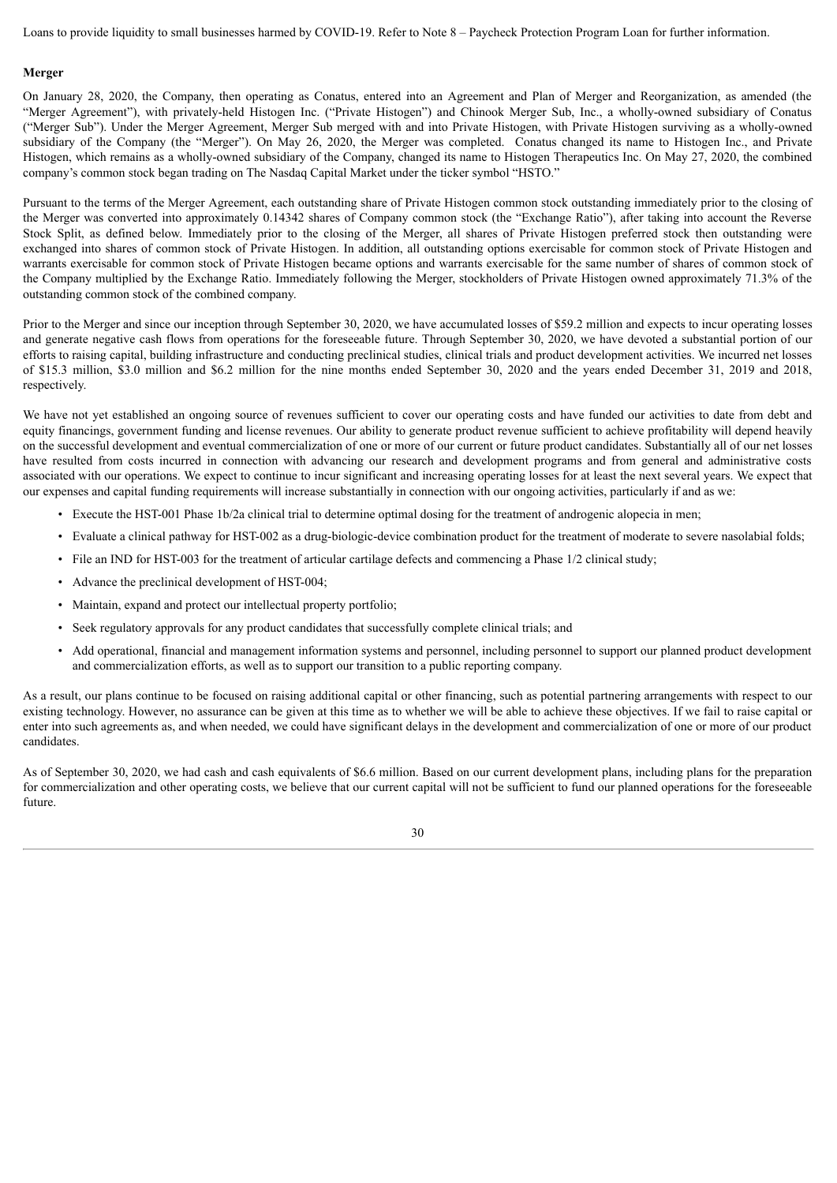Loans to provide liquidity to small businesses harmed by COVID-19. Refer to Note 8 – Paycheck Protection Program Loan for further information.

#### **Merger**

On January 28, 2020, the Company, then operating as Conatus, entered into an Agreement and Plan of Merger and Reorganization, as amended (the "Merger Agreement"), with privately-held Histogen Inc. ("Private Histogen") and Chinook Merger Sub, Inc., a wholly-owned subsidiary of Conatus ("Merger Sub"). Under the Merger Agreement, Merger Sub merged with and into Private Histogen, with Private Histogen surviving as a wholly-owned subsidiary of the Company (the "Merger"). On May 26, 2020, the Merger was completed. Conatus changed its name to Histogen Inc., and Private Histogen, which remains as a wholly-owned subsidiary of the Company, changed its name to Histogen Therapeutics Inc. On May 27, 2020, the combined company's common stock began trading on The Nasdaq Capital Market under the ticker symbol "HSTO."

Pursuant to the terms of the Merger Agreement, each outstanding share of Private Histogen common stock outstanding immediately prior to the closing of the Merger was converted into approximately 0.14342 shares of Company common stock (the "Exchange Ratio"), after taking into account the Reverse Stock Split, as defined below. Immediately prior to the closing of the Merger, all shares of Private Histogen preferred stock then outstanding were exchanged into shares of common stock of Private Histogen. In addition, all outstanding options exercisable for common stock of Private Histogen and warrants exercisable for common stock of Private Histogen became options and warrants exercisable for the same number of shares of common stock of the Company multiplied by the Exchange Ratio. Immediately following the Merger, stockholders of Private Histogen owned approximately 71.3% of the outstanding common stock of the combined company.

Prior to the Merger and since our inception through September 30, 2020, we have accumulated losses of \$59.2 million and expects to incur operating losses and generate negative cash flows from operations for the foreseeable future. Through September 30, 2020, we have devoted a substantial portion of our efforts to raising capital, building infrastructure and conducting preclinical studies, clinical trials and product development activities. We incurred net losses of \$15.3 million, \$3.0 million and \$6.2 million for the nine months ended September 30, 2020 and the years ended December 31, 2019 and 2018, respectively.

We have not yet established an ongoing source of revenues sufficient to cover our operating costs and have funded our activities to date from debt and equity financings, government funding and license revenues. Our ability to generate product revenue sufficient to achieve profitability will depend heavily on the successful development and eventual commercialization of one or more of our current or future product candidates. Substantially all of our net losses have resulted from costs incurred in connection with advancing our research and development programs and from general and administrative costs associated with our operations. We expect to continue to incur significant and increasing operating losses for at least the next several years. We expect that our expenses and capital funding requirements will increase substantially in connection with our ongoing activities, particularly if and as we:

- Execute the HST-001 Phase 1b/2a clinical trial to determine optimal dosing for the treatment of androgenic alopecia in men;
- Evaluate a clinical pathway for HST-002 as a drug-biologic-device combination product for the treatment of moderate to severe nasolabial folds;
- File an IND for HST-003 for the treatment of articular cartilage defects and commencing a Phase 1/2 clinical study;
- Advance the preclinical development of HST-004;
- Maintain, expand and protect our intellectual property portfolio;
- Seek regulatory approvals for any product candidates that successfully complete clinical trials; and
- Add operational, financial and management information systems and personnel, including personnel to support our planned product development and commercialization efforts, as well as to support our transition to a public reporting company.

As a result, our plans continue to be focused on raising additional capital or other financing, such as potential partnering arrangements with respect to our existing technology. However, no assurance can be given at this time as to whether we will be able to achieve these objectives. If we fail to raise capital or enter into such agreements as, and when needed, we could have significant delays in the development and commercialization of one or more of our product candidates.

As of September 30, 2020, we had cash and cash equivalents of \$6.6 million. Based on our current development plans, including plans for the preparation for commercialization and other operating costs, we believe that our current capital will not be sufficient to fund our planned operations for the foreseeable future.

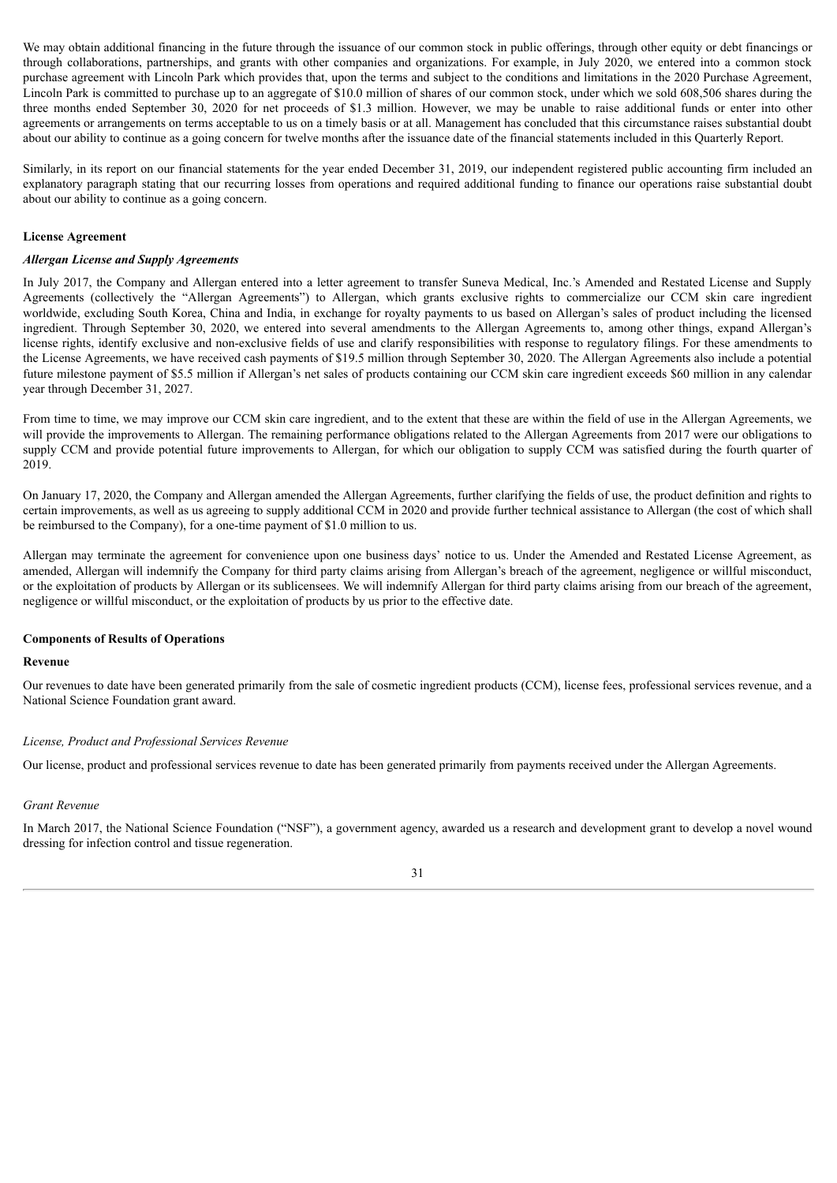We may obtain additional financing in the future through the issuance of our common stock in public offerings, through other equity or debt financings or through collaborations, partnerships, and grants with other companies and organizations. For example, in July 2020, we entered into a common stock purchase agreement with Lincoln Park which provides that, upon the terms and subject to the conditions and limitations in the 2020 Purchase Agreement, Lincoln Park is committed to purchase up to an aggregate of \$10.0 million of shares of our common stock, under which we sold 608,506 shares during the three months ended September 30, 2020 for net proceeds of \$1.3 million. However, we may be unable to raise additional funds or enter into other agreements or arrangements on terms acceptable to us on a timely basis or at all. Management has concluded that this circumstance raises substantial doubt about our ability to continue as a going concern for twelve months after the issuance date of the financial statements included in this Quarterly Report.

Similarly, in its report on our financial statements for the year ended December 31, 2019, our independent registered public accounting firm included an explanatory paragraph stating that our recurring losses from operations and required additional funding to finance our operations raise substantial doubt about our ability to continue as a going concern.

#### **License Agreement**

#### *Allergan License and Supply Agreements*

In July 2017, the Company and Allergan entered into a letter agreement to transfer Suneva Medical, Inc.'s Amended and Restated License and Supply Agreements (collectively the "Allergan Agreements") to Allergan, which grants exclusive rights to commercialize our CCM skin care ingredient worldwide, excluding South Korea, China and India, in exchange for royalty payments to us based on Allergan's sales of product including the licensed ingredient. Through September 30, 2020, we entered into several amendments to the Allergan Agreements to, among other things, expand Allergan's license rights, identify exclusive and non-exclusive fields of use and clarify responsibilities with response to regulatory filings. For these amendments to the License Agreements, we have received cash payments of \$19.5 million through September 30, 2020. The Allergan Agreements also include a potential future milestone payment of \$5.5 million if Allergan's net sales of products containing our CCM skin care ingredient exceeds \$60 million in any calendar year through December 31, 2027.

From time to time, we may improve our CCM skin care ingredient, and to the extent that these are within the field of use in the Allergan Agreements, we will provide the improvements to Allergan. The remaining performance obligations related to the Allergan Agreements from 2017 were our obligations to supply CCM and provide potential future improvements to Allergan, for which our obligation to supply CCM was satisfied during the fourth quarter of 2019.

On January 17, 2020, the Company and Allergan amended the Allergan Agreements, further clarifying the fields of use, the product definition and rights to certain improvements, as well as us agreeing to supply additional CCM in 2020 and provide further technical assistance to Allergan (the cost of which shall be reimbursed to the Company), for a one-time payment of \$1.0 million to us.

Allergan may terminate the agreement for convenience upon one business days' notice to us. Under the Amended and Restated License Agreement, as amended, Allergan will indemnify the Company for third party claims arising from Allergan's breach of the agreement, negligence or willful misconduct, or the exploitation of products by Allergan or its sublicensees. We will indemnify Allergan for third party claims arising from our breach of the agreement, negligence or willful misconduct, or the exploitation of products by us prior to the effective date.

#### **Components of Results of Operations**

#### **Revenue**

Our revenues to date have been generated primarily from the sale of cosmetic ingredient products (CCM), license fees, professional services revenue, and a National Science Foundation grant award.

#### *License, Product and Professional Services Revenue*

Our license, product and professional services revenue to date has been generated primarily from payments received under the Allergan Agreements.

#### *Grant Revenue*

In March 2017, the National Science Foundation ("NSF"), a government agency, awarded us a research and development grant to develop a novel wound dressing for infection control and tissue regeneration.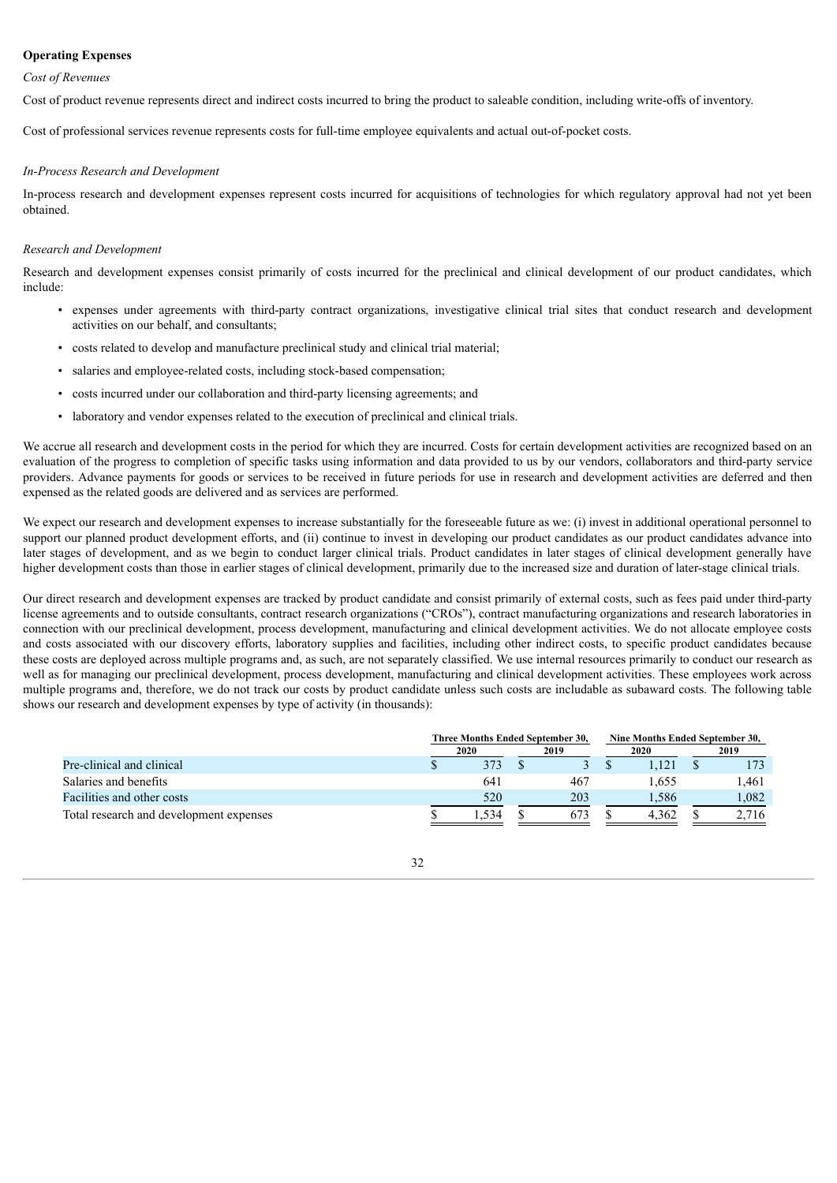#### **Operating Expenses**

#### *Cost of Revenues*

Cost of product revenue represents direct and indirect costs incurred to bring the product to saleable condition, including write-offs of inventory.

Cost of professional services revenue represents costs for full-time employee equivalents and actual out-of-pocket costs.

#### *In-Process Research and Development*

In-process research and development expenses represent costs incurred for acquisitions of technologies for which regulatory approval had not yet been obtained.

#### *Research and Development*

Research and development expenses consist primarily of costs incurred for the preclinical and clinical development of our product candidates, which include:

- expenses under agreements with third-party contract organizations, investigative clinical trial sites that conduct research and development activities on our behalf, and consultants;
- costs related to develop and manufacture preclinical study and clinical trial material;
- salaries and employee-related costs, including stock-based compensation;
- costs incurred under our collaboration and third-party licensing agreements; and
- laboratory and vendor expenses related to the execution of preclinical and clinical trials.

We accrue all research and development costs in the period for which they are incurred. Costs for certain development activities are recognized based on an evaluation of the progress to completion of specific tasks using information and data provided to us by our vendors, collaborators and third-party service providers. Advance payments for goods or services to be received in future periods for use in research and development activities are deferred and then expensed as the related goods are delivered and as services are performed.

We expect our research and development expenses to increase substantially for the foreseeable future as we: (i) invest in additional operational personnel to support our planned product development efforts, and (ii) continue to invest in developing our product candidates as our product candidates advance into later stages of development, and as we begin to conduct larger clinical trials. Product candidates in later stages of clinical development generally have higher development costs than those in earlier stages of clinical development, primarily due to the increased size and duration of later-stage clinical trials.

Our direct research and development expenses are tracked by product candidate and consist primarily of external costs, such as fees paid under third-party license agreements and to outside consultants, contract research organizations ("CROs"), contract manufacturing organizations and research laboratories in connection with our preclinical development, process development, manufacturing and clinical development activities. We do not allocate employee costs and costs associated with our discovery efforts, laboratory supplies and facilities, including other indirect costs, to specific product candidates because these costs are deployed across multiple programs and, as such, are not separately classified. We use internal resources primarily to conduct our research as well as for managing our preclinical development, process development, manufacturing and clinical development activities. These employees work across multiple programs and, therefore, we do not track our costs by product candidate unless such costs are includable as subaward costs. The following table shows our research and development expenses by type of activity (in thousands):

|                                         | Three Months Ended September 30, |      |  | Nine Months Ended September 30, |  |       |  |       |  |
|-----------------------------------------|----------------------------------|------|--|---------------------------------|--|-------|--|-------|--|
|                                         |                                  | 2020 |  | 2019                            |  | 2020  |  | 2019  |  |
| Pre-clinical and clinical               |                                  |      |  |                                 |  |       |  |       |  |
| Salaries and benefits                   |                                  | 641  |  | 467                             |  | .655  |  | 1.461 |  |
| Facilities and other costs              |                                  | 520  |  | 203                             |  | .586  |  | 1.082 |  |
| Total research and development expenses |                                  | .534 |  | 673                             |  | 4.362 |  | 2.716 |  |

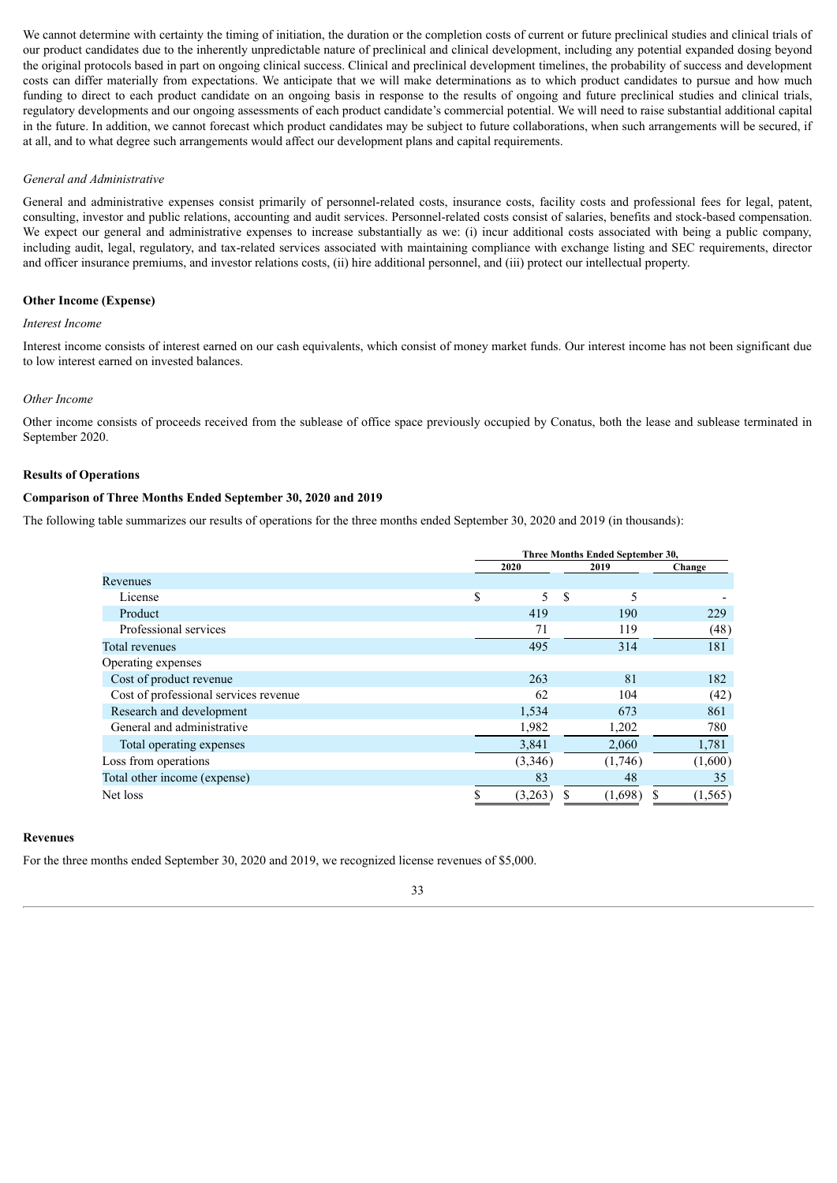We cannot determine with certainty the timing of initiation, the duration or the completion costs of current or future preclinical studies and clinical trials of our product candidates due to the inherently unpredictable nature of preclinical and clinical development, including any potential expanded dosing beyond the original protocols based in part on ongoing clinical success. Clinical and preclinical development timelines, the probability of success and development costs can differ materially from expectations. We anticipate that we will make determinations as to which product candidates to pursue and how much funding to direct to each product candidate on an ongoing basis in response to the results of ongoing and future preclinical studies and clinical trials, regulatory developments and our ongoing assessments of each product candidate's commercial potential. We will need to raise substantial additional capital in the future. In addition, we cannot forecast which product candidates may be subject to future collaborations, when such arrangements will be secured, if at all, and to what degree such arrangements would affect our development plans and capital requirements.

#### *General and Administrative*

General and administrative expenses consist primarily of personnel-related costs, insurance costs, facility costs and professional fees for legal, patent, consulting, investor and public relations, accounting and audit services. Personnel-related costs consist of salaries, benefits and stock-based compensation. We expect our general and administrative expenses to increase substantially as we: (i) incur additional costs associated with being a public company, including audit, legal, regulatory, and tax-related services associated with maintaining compliance with exchange listing and SEC requirements, director and officer insurance premiums, and investor relations costs, (ii) hire additional personnel, and (iii) protect our intellectual property.

#### **Other Income (Expense)**

#### *Interest Income*

Interest income consists of interest earned on our cash equivalents, which consist of money market funds. Our interest income has not been significant due to low interest earned on invested balances.

#### *Other Income*

Other income consists of proceeds received from the sublease of office space previously occupied by Conatus, both the lease and sublease terminated in September 2020.

#### **Results of Operations**

#### **Comparison of Three Months Ended September 30, 2020 and 2019**

The following table summarizes our results of operations for the three months ended September 30, 2020 and 2019 (in thousands):

|                                       |    | Three Months Ended September 30, |      |         |        |          |
|---------------------------------------|----|----------------------------------|------|---------|--------|----------|
|                                       |    | 2020                             | 2019 |         | Change |          |
| Revenues                              |    |                                  |      |         |        |          |
| License                               | \$ | 5                                | \$   | 5       |        |          |
| Product                               |    | 419                              |      | 190     |        | 229      |
| Professional services                 |    | 71                               |      | 119     |        | (48)     |
| Total revenues                        |    | 495                              |      | 314     |        | 181      |
| Operating expenses                    |    |                                  |      |         |        |          |
| Cost of product revenue               |    | 263                              |      | 81      |        | 182      |
| Cost of professional services revenue |    | 62                               |      | 104     |        | (42)     |
| Research and development              |    | 1,534                            |      | 673     |        | 861      |
| General and administrative            |    | 1,982                            |      | 1,202   |        | 780      |
| Total operating expenses              |    | 3,841                            |      | 2,060   |        | 1,781    |
| Loss from operations                  |    | (3,346)                          |      | (1,746) |        | (1,600)  |
| Total other income (expense)          |    | 83                               |      | 48      |        | 35       |
| Net loss                              | \$ | (3,263)                          |      | (1,698) |        | (1, 565) |

#### **Revenues**

For the three months ended September 30, 2020 and 2019, we recognized license revenues of \$5,000.

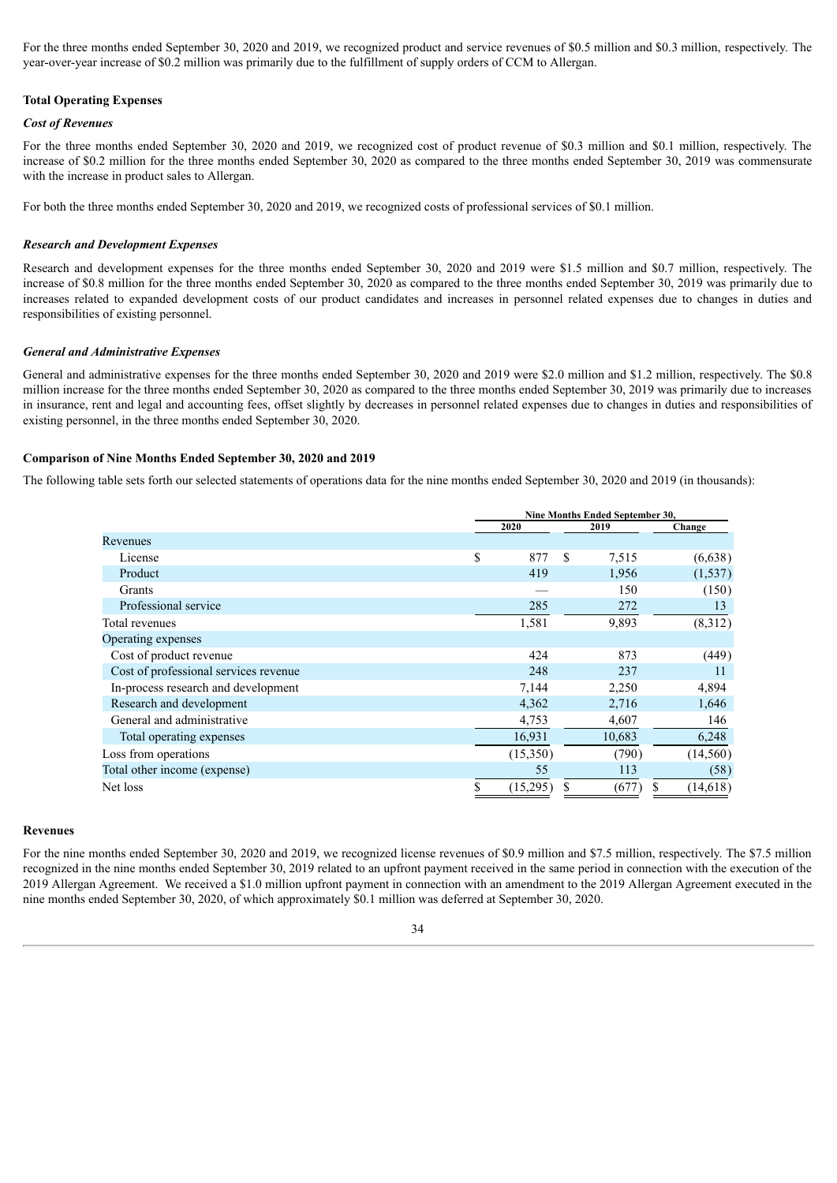For the three months ended September 30, 2020 and 2019, we recognized product and service revenues of \$0.5 million and \$0.3 million, respectively. The year-over-year increase of \$0.2 million was primarily due to the fulfillment of supply orders of CCM to Allergan.

#### **Total Operating Expenses**

#### *Cost of Revenues*

For the three months ended September 30, 2020 and 2019, we recognized cost of product revenue of \$0.3 million and \$0.1 million, respectively. The increase of \$0.2 million for the three months ended September 30, 2020 as compared to the three months ended September 30, 2019 was commensurate with the increase in product sales to Allergan.

For both the three months ended September 30, 2020 and 2019, we recognized costs of professional services of \$0.1 million.

#### *Research and Development Expenses*

Research and development expenses for the three months ended September 30, 2020 and 2019 were \$1.5 million and \$0.7 million, respectively. The increase of \$0.8 million for the three months ended September 30, 2020 as compared to the three months ended September 30, 2019 was primarily due to increases related to expanded development costs of our product candidates and increases in personnel related expenses due to changes in duties and responsibilities of existing personnel.

#### *General and Administrative Expenses*

General and administrative expenses for the three months ended September 30, 2020 and 2019 were \$2.0 million and \$1.2 million, respectively. The \$0.8 million increase for the three months ended September 30, 2020 as compared to the three months ended September 30, 2019 was primarily due to increases in insurance, rent and legal and accounting fees, offset slightly by decreases in personnel related expenses due to changes in duties and responsibilities of existing personnel, in the three months ended September 30, 2020.

#### **Comparison of Nine Months Ended September 30, 2020 and 2019**

The following table sets forth our selected statements of operations data for the nine months ended September 30, 2020 and 2019 (in thousands):

|                                       | Nine Months Ended September 30, |             |           |  |  |
|---------------------------------------|---------------------------------|-------------|-----------|--|--|
|                                       | 2020                            | 2019        | Change    |  |  |
| Revenues                              |                                 |             |           |  |  |
| License                               | \$<br>877                       | \$<br>7,515 | (6, 638)  |  |  |
| Product                               | 419                             | 1,956       | (1, 537)  |  |  |
| Grants                                |                                 | 150         | (150)     |  |  |
| Professional service                  | 285                             | 272         | 13        |  |  |
| Total revenues                        | 1,581                           | 9,893       | (8,312)   |  |  |
| Operating expenses                    |                                 |             |           |  |  |
| Cost of product revenue               | 424                             | 873         | (449)     |  |  |
| Cost of professional services revenue | 248                             | 237         | 11        |  |  |
| In-process research and development   | 7,144                           | 2,250       | 4,894     |  |  |
| Research and development              | 4,362                           | 2,716       | 1,646     |  |  |
| General and administrative            | 4,753                           | 4,607       | 146       |  |  |
| Total operating expenses              | 16,931                          | 10,683      | 6,248     |  |  |
| Loss from operations                  | (15,350)                        | (790)       | (14, 560) |  |  |
| Total other income (expense)          | 55                              | 113         | (58)      |  |  |
| Net loss                              | \$<br>(15,295)                  | (677)       | (14, 618) |  |  |

#### **Revenues**

For the nine months ended September 30, 2020 and 2019, we recognized license revenues of \$0.9 million and \$7.5 million, respectively. The \$7.5 million recognized in the nine months ended September 30, 2019 related to an upfront payment received in the same period in connection with the execution of the 2019 Allergan Agreement. We received a \$1.0 million upfront payment in connection with an amendment to the 2019 Allergan Agreement executed in the nine months ended September 30, 2020, of which approximately \$0.1 million was deferred at September 30, 2020.

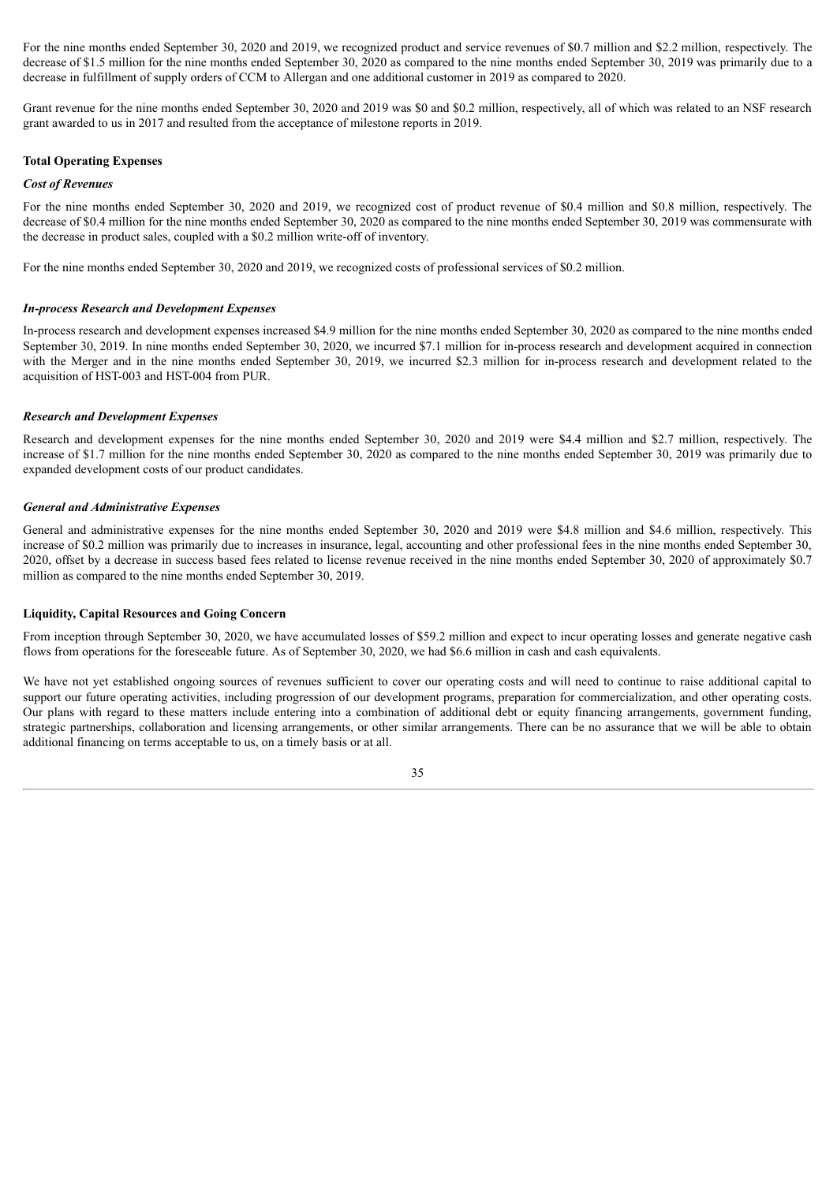For the nine months ended September 30, 2020 and 2019, we recognized product and service revenues of \$0.7 million and \$2.2 million, respectively. The decrease of \$1.5 million for the nine months ended September 30, 2020 as compared to the nine months ended September 30, 2019 was primarily due to a decrease in fulfillment of supply orders of CCM to Allergan and one additional customer in 2019 as compared to 2020.

Grant revenue for the nine months ended September 30, 2020 and 2019 was \$0 and \$0.2 million, respectively, all of which was related to an NSF research grant awarded to us in 2017 and resulted from the acceptance of milestone reports in 2019.

#### **Total Operating Expenses**

#### *Cost of Revenues*

For the nine months ended September 30, 2020 and 2019, we recognized cost of product revenue of \$0.4 million and \$0.8 million, respectively. The decrease of \$0.4 million for the nine months ended September 30, 2020 as compared to the nine months ended September 30, 2019 was commensurate with the decrease in product sales, coupled with a \$0.2 million write-off of inventory.

For the nine months ended September 30, 2020 and 2019, we recognized costs of professional services of \$0.2 million.

#### *In-process Research and Development Expenses*

In-process research and development expenses increased \$4.9 million for the nine months ended September 30, 2020 as compared to the nine months ended September 30, 2019. In nine months ended September 30, 2020, we incurred \$7.1 million for in-process research and development acquired in connection with the Merger and in the nine months ended September 30, 2019, we incurred \$2.3 million for in-process research and development related to the acquisition of HST-003 and HST-004 from PUR.

#### *Research and Development Expenses*

Research and development expenses for the nine months ended September 30, 2020 and 2019 were \$4.4 million and \$2.7 million, respectively. The increase of \$1.7 million for the nine months ended September 30, 2020 as compared to the nine months ended September 30, 2019 was primarily due to expanded development costs of our product candidates.

#### *General and Administrative Expenses*

General and administrative expenses for the nine months ended September 30, 2020 and 2019 were \$4.8 million and \$4.6 million, respectively. This increase of \$0.2 million was primarily due to increases in insurance, legal, accounting and other professional fees in the nine months ended September 30, 2020, offset by a decrease in success based fees related to license revenue received in the nine months ended September 30, 2020 of approximately \$0.7 million as compared to the nine months ended September 30, 2019.

#### **Liquidity, Capital Resources and Going Concern**

From inception through September 30, 2020, we have accumulated losses of \$59.2 million and expect to incur operating losses and generate negative cash flows from operations for the foreseeable future. As of September 30, 2020, we had \$6.6 million in cash and cash equivalents.

We have not yet established ongoing sources of revenues sufficient to cover our operating costs and will need to continue to raise additional capital to support our future operating activities, including progression of our development programs, preparation for commercialization, and other operating costs. Our plans with regard to these matters include entering into a combination of additional debt or equity financing arrangements, government funding, strategic partnerships, collaboration and licensing arrangements, or other similar arrangements. There can be no assurance that we will be able to obtain additional financing on terms acceptable to us, on a timely basis or at all.

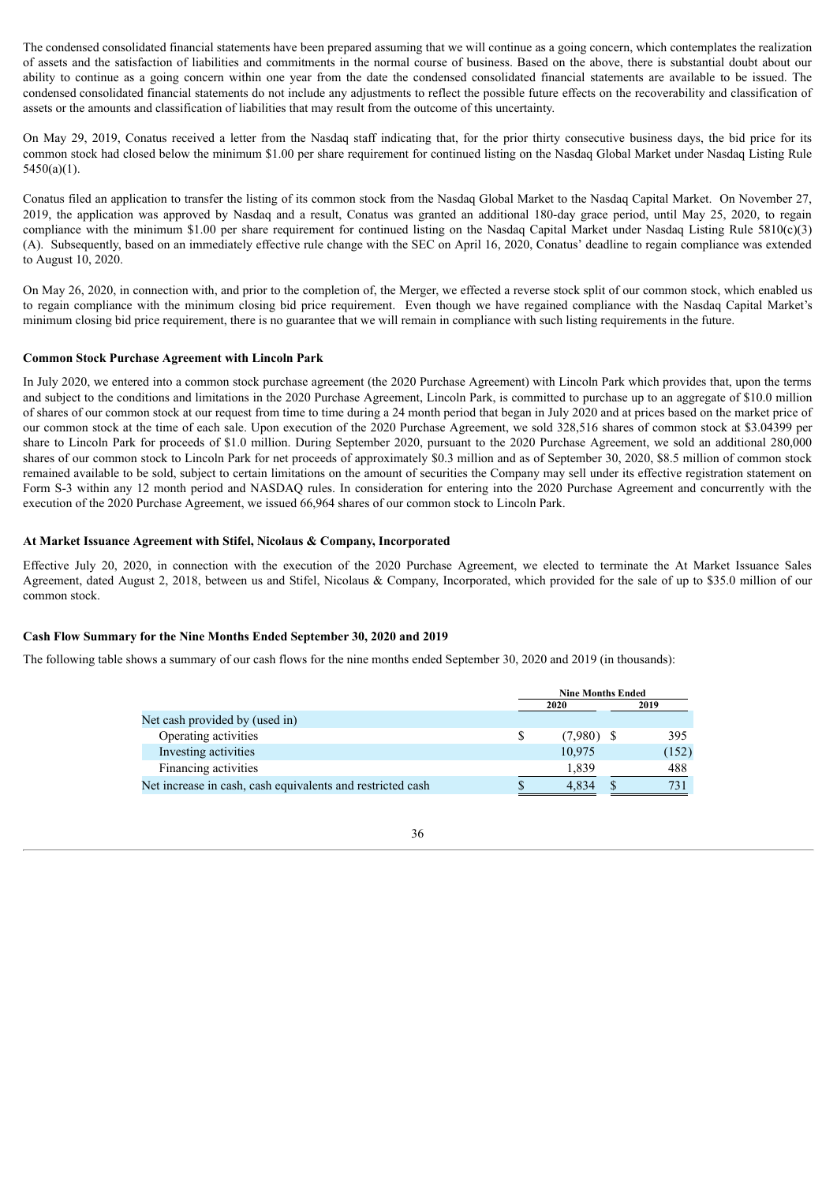The condensed consolidated financial statements have been prepared assuming that we will continue as a going concern, which contemplates the realization of assets and the satisfaction of liabilities and commitments in the normal course of business. Based on the above, there is substantial doubt about our ability to continue as a going concern within one year from the date the condensed consolidated financial statements are available to be issued. The condensed consolidated financial statements do not include any adjustments to reflect the possible future effects on the recoverability and classification of assets or the amounts and classification of liabilities that may result from the outcome of this uncertainty.

On May 29, 2019, Conatus received a letter from the Nasdaq staff indicating that, for the prior thirty consecutive business days, the bid price for its common stock had closed below the minimum \$1.00 per share requirement for continued listing on the Nasdaq Global Market under Nasdaq Listing Rule  $5450(a)(1)$ .

Conatus filed an application to transfer the listing of its common stock from the Nasdaq Global Market to the Nasdaq Capital Market. On November 27, 2019, the application was approved by Nasdaq and a result, Conatus was granted an additional 180-day grace period, until May 25, 2020, to regain compliance with the minimum \$1.00 per share requirement for continued listing on the Nasdaq Capital Market under Nasdaq Listing Rule 5810(c)(3) (A). Subsequently, based on an immediately effective rule change with the SEC on April 16, 2020, Conatus' deadline to regain compliance was extended to August 10, 2020.

On May 26, 2020, in connection with, and prior to the completion of, the Merger, we effected a reverse stock split of our common stock, which enabled us to regain compliance with the minimum closing bid price requirement. Even though we have regained compliance with the Nasdaq Capital Market's minimum closing bid price requirement, there is no guarantee that we will remain in compliance with such listing requirements in the future.

#### **Common Stock Purchase Agreement with Lincoln Park**

In July 2020, we entered into a common stock purchase agreement (the 2020 Purchase Agreement) with Lincoln Park which provides that, upon the terms and subject to the conditions and limitations in the 2020 Purchase Agreement, Lincoln Park, is committed to purchase up to an aggregate of \$10.0 million of shares of our common stock at our request from time to time during a 24 month period that began in July 2020 and at prices based on the market price of our common stock at the time of each sale. Upon execution of the 2020 Purchase Agreement, we sold 328,516 shares of common stock at \$3.04399 per share to Lincoln Park for proceeds of \$1.0 million. During September 2020, pursuant to the 2020 Purchase Agreement, we sold an additional 280,000 shares of our common stock to Lincoln Park for net proceeds of approximately \$0.3 million and as of September 30, 2020, \$8.5 million of common stock remained available to be sold, subject to certain limitations on the amount of securities the Company may sell under its effective registration statement on Form S-3 within any 12 month period and NASDAQ rules. In consideration for entering into the 2020 Purchase Agreement and concurrently with the execution of the 2020 Purchase Agreement, we issued 66,964 shares of our common stock to Lincoln Park.

#### **At Market Issuance Agreement with Stifel, Nicolaus & Company, Incorporated**

Effective July 20, 2020, in connection with the execution of the 2020 Purchase Agreement, we elected to terminate the At Market Issuance Sales Agreement, dated August 2, 2018, between us and Stifel, Nicolaus & Company, Incorporated, which provided for the sale of up to \$35.0 million of our common stock.

#### **Cash Flow Summary for the Nine Months Ended September 30, 2020 and 2019**

The following table shows a summary of our cash flows for the nine months ended September 30, 2020 and 2019 (in thousands):

|                                                            | <b>Nine Months Ended</b> |              |  |       |  |
|------------------------------------------------------------|--------------------------|--------------|--|-------|--|
|                                                            | 2020                     |              |  | 2019  |  |
| Net cash provided by (used in)                             |                          |              |  |       |  |
| Operating activities                                       | S                        | $(7.980)$ \$ |  | 395   |  |
| Investing activities                                       |                          | 10,975       |  | (152) |  |
| Financing activities                                       |                          | 1,839        |  | 488   |  |
| Net increase in cash, cash equivalents and restricted cash |                          | 4.834        |  | 731   |  |

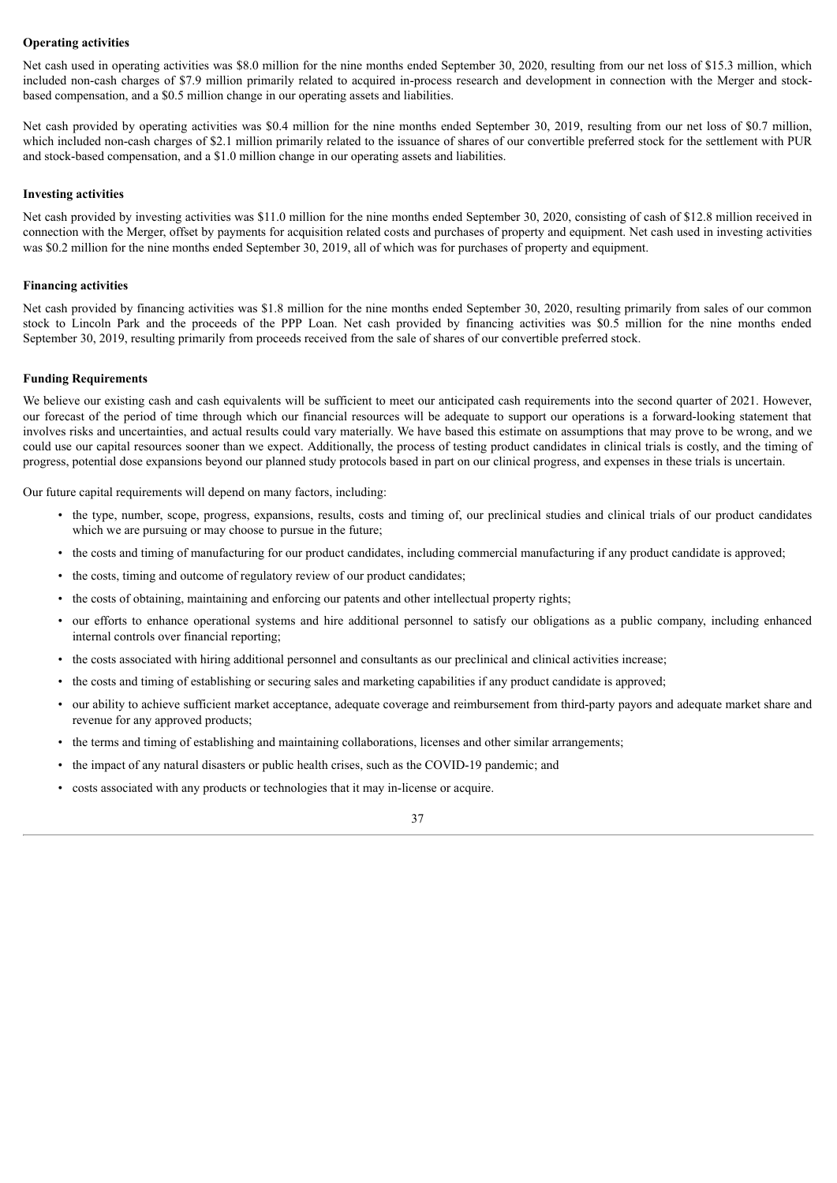## **Operating activities**

Net cash used in operating activities was \$8.0 million for the nine months ended September 30, 2020, resulting from our net loss of \$15.3 million, which included non-cash charges of \$7.9 million primarily related to acquired in-process research and development in connection with the Merger and stockbased compensation, and a \$0.5 million change in our operating assets and liabilities.

Net cash provided by operating activities was \$0.4 million for the nine months ended September 30, 2019, resulting from our net loss of \$0.7 million, which included non-cash charges of \$2.1 million primarily related to the issuance of shares of our convertible preferred stock for the settlement with PUR and stock-based compensation, and a \$1.0 million change in our operating assets and liabilities.

#### **Investing activities**

Net cash provided by investing activities was \$11.0 million for the nine months ended September 30, 2020, consisting of cash of \$12.8 million received in connection with the Merger, offset by payments for acquisition related costs and purchases of property and equipment. Net cash used in investing activities was \$0.2 million for the nine months ended September 30, 2019, all of which was for purchases of property and equipment.

#### **Financing activities**

Net cash provided by financing activities was \$1.8 million for the nine months ended September 30, 2020, resulting primarily from sales of our common stock to Lincoln Park and the proceeds of the PPP Loan. Net cash provided by financing activities was \$0.5 million for the nine months ended September 30, 2019, resulting primarily from proceeds received from the sale of shares of our convertible preferred stock.

#### **Funding Requirements**

We believe our existing cash and cash equivalents will be sufficient to meet our anticipated cash requirements into the second quarter of 2021. However, our forecast of the period of time through which our financial resources will be adequate to support our operations is a forward-looking statement that involves risks and uncertainties, and actual results could vary materially. We have based this estimate on assumptions that may prove to be wrong, and we could use our capital resources sooner than we expect. Additionally, the process of testing product candidates in clinical trials is costly, and the timing of progress, potential dose expansions beyond our planned study protocols based in part on our clinical progress, and expenses in these trials is uncertain.

Our future capital requirements will depend on many factors, including:

- the type, number, scope, progress, expansions, results, costs and timing of, our preclinical studies and clinical trials of our product candidates which we are pursuing or may choose to pursue in the future;
- the costs and timing of manufacturing for our product candidates, including commercial manufacturing if any product candidate is approved;
- the costs, timing and outcome of regulatory review of our product candidates;
- the costs of obtaining, maintaining and enforcing our patents and other intellectual property rights;
- our efforts to enhance operational systems and hire additional personnel to satisfy our obligations as a public company, including enhanced internal controls over financial reporting;
- the costs associated with hiring additional personnel and consultants as our preclinical and clinical activities increase;
- the costs and timing of establishing or securing sales and marketing capabilities if any product candidate is approved;
- our ability to achieve sufficient market acceptance, adequate coverage and reimbursement from third-party payors and adequate market share and revenue for any approved products;
- the terms and timing of establishing and maintaining collaborations, licenses and other similar arrangements;
- the impact of any natural disasters or public health crises, such as the COVID-19 pandemic; and
- costs associated with any products or technologies that it may in-license or acquire.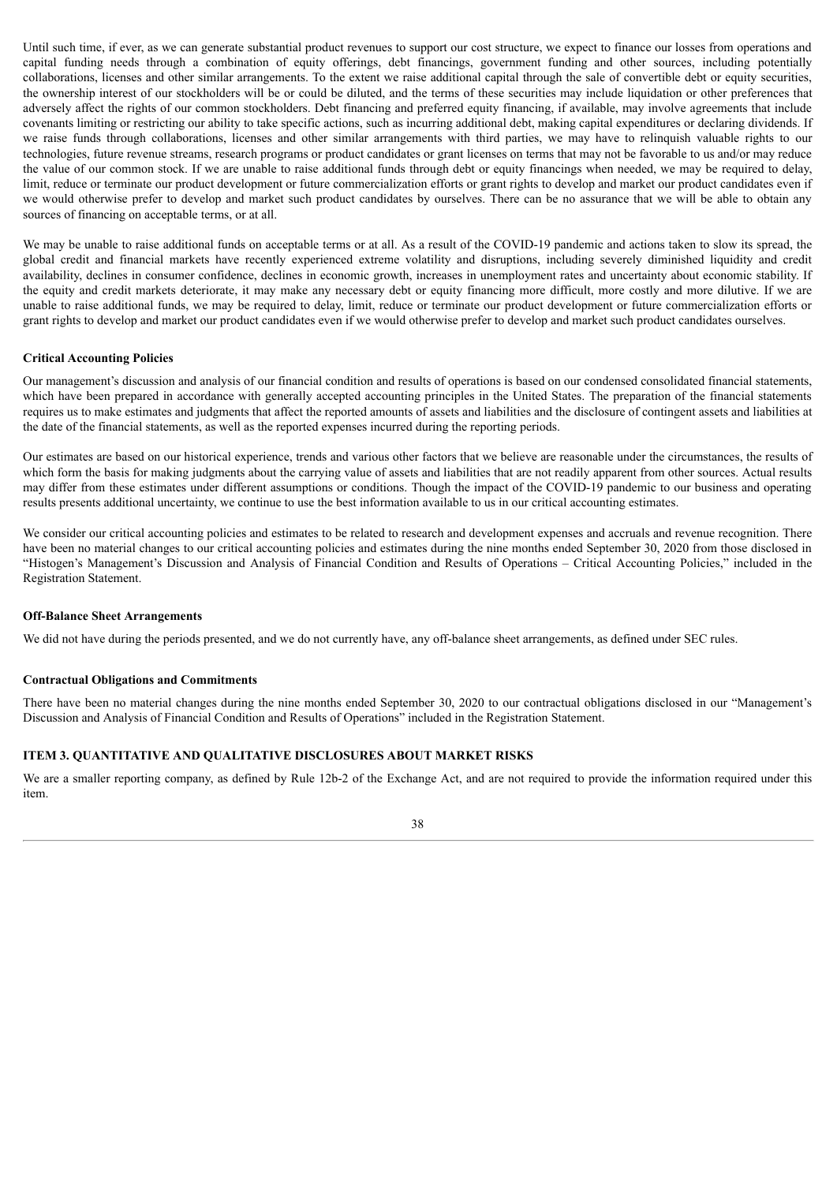Until such time, if ever, as we can generate substantial product revenues to support our cost structure, we expect to finance our losses from operations and capital funding needs through a combination of equity offerings, debt financings, government funding and other sources, including potentially collaborations, licenses and other similar arrangements. To the extent we raise additional capital through the sale of convertible debt or equity securities, the ownership interest of our stockholders will be or could be diluted, and the terms of these securities may include liquidation or other preferences that adversely affect the rights of our common stockholders. Debt financing and preferred equity financing, if available, may involve agreements that include covenants limiting or restricting our ability to take specific actions, such as incurring additional debt, making capital expenditures or declaring dividends. If we raise funds through collaborations, licenses and other similar arrangements with third parties, we may have to relinquish valuable rights to our technologies, future revenue streams, research programs or product candidates or grant licenses on terms that may not be favorable to us and/or may reduce the value of our common stock. If we are unable to raise additional funds through debt or equity financings when needed, we may be required to delay, limit, reduce or terminate our product development or future commercialization efforts or grant rights to develop and market our product candidates even if we would otherwise prefer to develop and market such product candidates by ourselves. There can be no assurance that we will be able to obtain any sources of financing on acceptable terms, or at all.

We may be unable to raise additional funds on acceptable terms or at all. As a result of the COVID-19 pandemic and actions taken to slow its spread, the global credit and financial markets have recently experienced extreme volatility and disruptions, including severely diminished liquidity and credit availability, declines in consumer confidence, declines in economic growth, increases in unemployment rates and uncertainty about economic stability. If the equity and credit markets deteriorate, it may make any necessary debt or equity financing more difficult, more costly and more dilutive. If we are unable to raise additional funds, we may be required to delay, limit, reduce or terminate our product development or future commercialization efforts or grant rights to develop and market our product candidates even if we would otherwise prefer to develop and market such product candidates ourselves.

## **Critical Accounting Policies**

Our management's discussion and analysis of our financial condition and results of operations is based on our condensed consolidated financial statements, which have been prepared in accordance with generally accepted accounting principles in the United States. The preparation of the financial statements requires us to make estimates and judgments that affect the reported amounts of assets and liabilities and the disclosure of contingent assets and liabilities at the date of the financial statements, as well as the reported expenses incurred during the reporting periods.

Our estimates are based on our historical experience, trends and various other factors that we believe are reasonable under the circumstances, the results of which form the basis for making judgments about the carrying value of assets and liabilities that are not readily apparent from other sources. Actual results may differ from these estimates under different assumptions or conditions. Though the impact of the COVID-19 pandemic to our business and operating results presents additional uncertainty, we continue to use the best information available to us in our critical accounting estimates.

We consider our critical accounting policies and estimates to be related to research and development expenses and accruals and revenue recognition. There have been no material changes to our critical accounting policies and estimates during the nine months ended September 30, 2020 from those disclosed in "Histogen's Management's Discussion and Analysis of Financial Condition and Results of Operations – Critical Accounting Policies," included in the Registration Statement.

## **Off-Balance Sheet Arrangements**

We did not have during the periods presented, and we do not currently have, any off-balance sheet arrangements, as defined under SEC rules.

#### **Contractual Obligations and Commitments**

There have been no material changes during the nine months ended September 30, 2020 to our contractual obligations disclosed in our "Management's Discussion and Analysis of Financial Condition and Results of Operations" included in the Registration Statement.

# **ITEM 3. QUANTITATIVE AND QUALITATIVE DISCLOSURES ABOUT MARKET RISKS**

We are a smaller reporting company, as defined by Rule 12b-2 of the Exchange Act, and are not required to provide the information required under this item.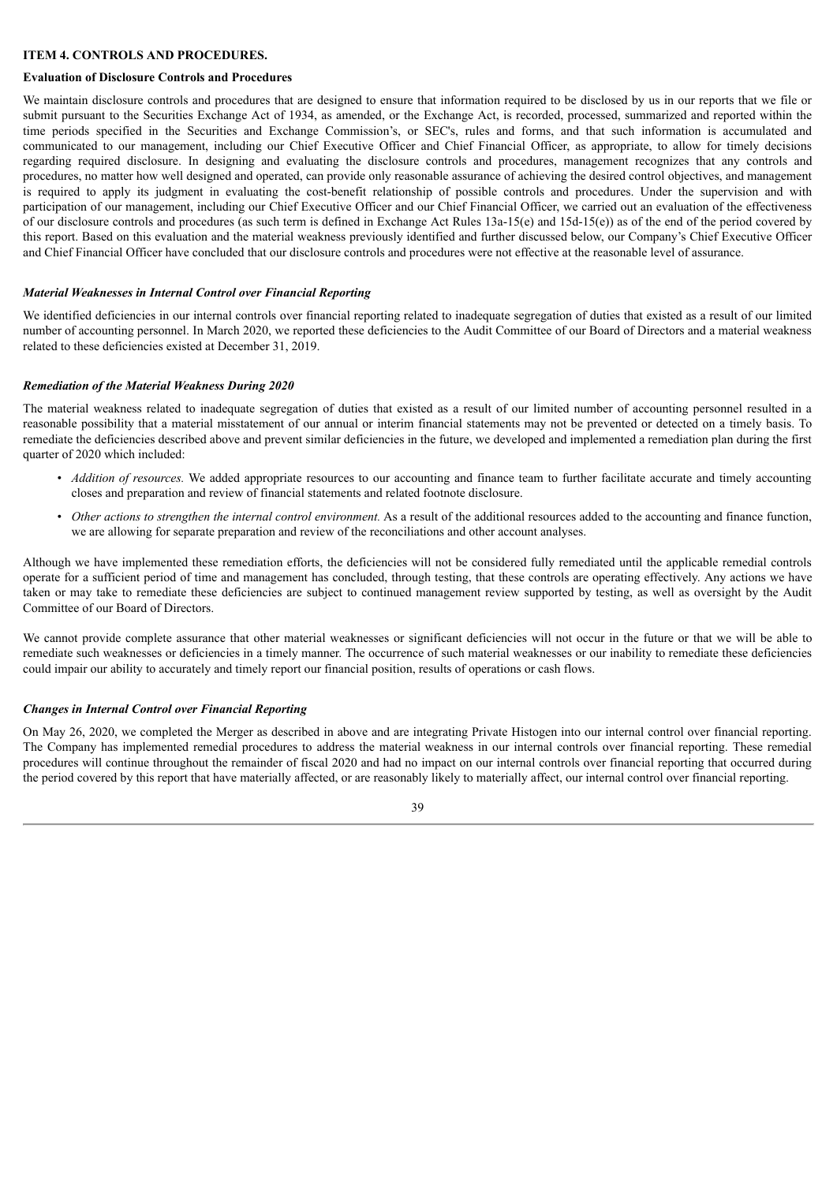#### **ITEM 4. CONTROLS AND PROCEDURES.**

#### **Evaluation of Disclosure Controls and Procedures**

We maintain disclosure controls and procedures that are designed to ensure that information required to be disclosed by us in our reports that we file or submit pursuant to the Securities Exchange Act of 1934, as amended, or the Exchange Act, is recorded, processed, summarized and reported within the time periods specified in the Securities and Exchange Commission's, or SEC's, rules and forms, and that such information is accumulated and communicated to our management, including our Chief Executive Officer and Chief Financial Officer, as appropriate, to allow for timely decisions regarding required disclosure. In designing and evaluating the disclosure controls and procedures, management recognizes that any controls and procedures, no matter how well designed and operated, can provide only reasonable assurance of achieving the desired control objectives, and management is required to apply its judgment in evaluating the cost-benefit relationship of possible controls and procedures. Under the supervision and with participation of our management, including our Chief Executive Officer and our Chief Financial Officer, we carried out an evaluation of the effectiveness of our disclosure controls and procedures (as such term is defined in Exchange Act Rules  $13a-15(e)$  and  $15d-15(e)$ ) as of the end of the period covered by this report. Based on this evaluation and the material weakness previously identified and further discussed below, our Company's Chief Executive Officer and Chief Financial Officer have concluded that our disclosure controls and procedures were not effective at the reasonable level of assurance.

#### *Material Weaknesses in Internal Control over Financial Reporting*

We identified deficiencies in our internal controls over financial reporting related to inadequate segregation of duties that existed as a result of our limited number of accounting personnel. In March 2020, we reported these deficiencies to the Audit Committee of our Board of Directors and a material weakness related to these deficiencies existed at December 31, 2019.

#### *Remediation of the Material Weakness During 2020*

The material weakness related to inadequate segregation of duties that existed as a result of our limited number of accounting personnel resulted in a reasonable possibility that a material misstatement of our annual or interim financial statements may not be prevented or detected on a timely basis. To remediate the deficiencies described above and prevent similar deficiencies in the future, we developed and implemented a remediation plan during the first quarter of 2020 which included:

- *Addition of resources*. We added appropriate resources to our accounting and finance team to further facilitate accurate and timely accounting closes and preparation and review of financial statements and related footnote disclosure.
- *Other actions to strengthen the internal control environment.* As a result of the additional resources added to the accounting and finance function, we are allowing for separate preparation and review of the reconciliations and other account analyses.

Although we have implemented these remediation efforts, the deficiencies will not be considered fully remediated until the applicable remedial controls operate for a sufficient period of time and management has concluded, through testing, that these controls are operating effectively. Any actions we have taken or may take to remediate these deficiencies are subject to continued management review supported by testing, as well as oversight by the Audit Committee of our Board of Directors.

We cannot provide complete assurance that other material weaknesses or significant deficiencies will not occur in the future or that we will be able to remediate such weaknesses or deficiencies in a timely manner. The occurrence of such material weaknesses or our inability to remediate these deficiencies could impair our ability to accurately and timely report our financial position, results of operations or cash flows.

#### *Changes in Internal Control over Financial Reporting*

On May 26, 2020, we completed the Merger as described in above and are integrating Private Histogen into our internal control over financial reporting. The Company has implemented remedial procedures to address the material weakness in our internal controls over financial reporting. These remedial procedures will continue throughout the remainder of fiscal 2020 and had no impact on our internal controls over financial reporting that occurred during the period covered by this report that have materially affected, or are reasonably likely to materially affect, our internal control over financial reporting.

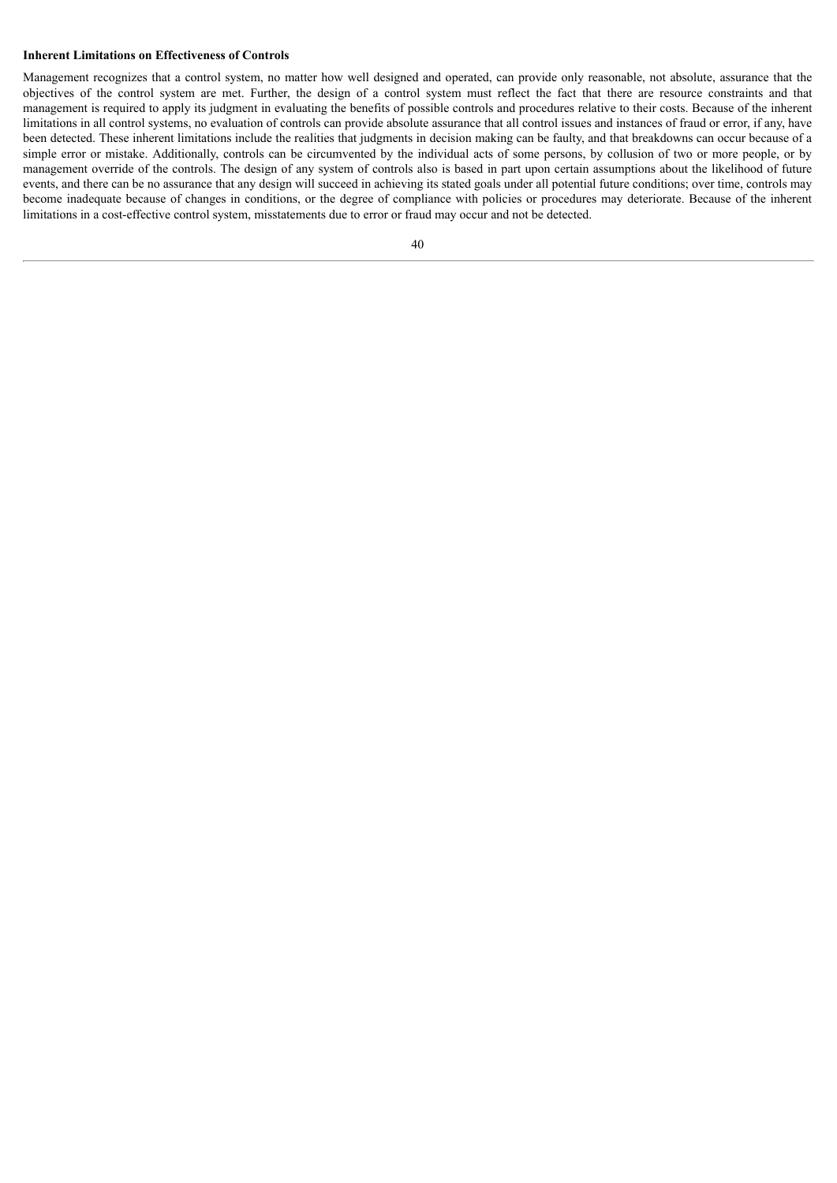#### **Inherent Limitations on Effectiveness of Controls**

Management recognizes that a control system, no matter how well designed and operated, can provide only reasonable, not absolute, assurance that the objectives of the control system are met. Further, the design of a control system must reflect the fact that there are resource constraints and that management is required to apply its judgment in evaluating the benefits of possible controls and procedures relative to their costs. Because of the inherent limitations in all control systems, no evaluation of controls can provide absolute assurance that all control issues and instances of fraud or error, if any, have been detected. These inherent limitations include the realities that judgments in decision making can be faulty, and that breakdowns can occur because of a simple error or mistake. Additionally, controls can be circumvented by the individual acts of some persons, by collusion of two or more people, or by management override of the controls. The design of any system of controls also is based in part upon certain assumptions about the likelihood of future events, and there can be no assurance that any design will succeed in achieving its stated goals under all potential future conditions; over time, controls may become inadequate because of changes in conditions, or the degree of compliance with policies or procedures may deteriorate. Because of the inherent limitations in a cost-effective control system, misstatements due to error or fraud may occur and not be detected.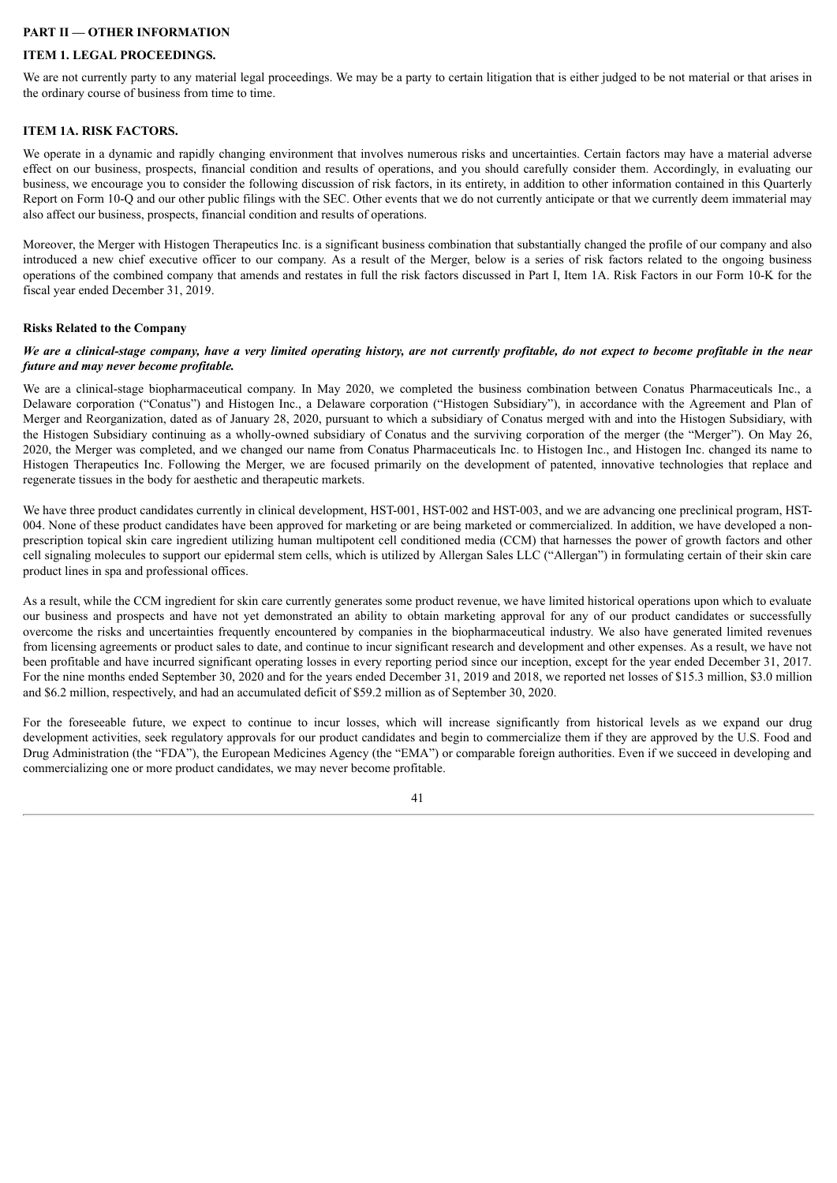## **PART II — OTHER INFORMATION**

# **ITEM 1. LEGAL PROCEEDINGS.**

We are not currently party to any material legal proceedings. We may be a party to certain litigation that is either judged to be not material or that arises in the ordinary course of business from time to time.

# **ITEM 1A. RISK FACTORS.**

We operate in a dynamic and rapidly changing environment that involves numerous risks and uncertainties. Certain factors may have a material adverse effect on our business, prospects, financial condition and results of operations, and you should carefully consider them. Accordingly, in evaluating our business, we encourage you to consider the following discussion of risk factors, in its entirety, in addition to other information contained in this Quarterly Report on Form 10-Q and our other public filings with the SEC. Other events that we do not currently anticipate or that we currently deem immaterial may also affect our business, prospects, financial condition and results of operations.

Moreover, the Merger with Histogen Therapeutics Inc. is a significant business combination that substantially changed the profile of our company and also introduced a new chief executive officer to our company. As a result of the Merger, below is a series of risk factors related to the ongoing business operations of the combined company that amends and restates in full the risk factors discussed in Part I, Item 1A. Risk Factors in our Form 10-K for the fiscal year ended December 31, 2019.

# **Risks Related to the Company**

# We are a clinical-stage company, have a very limited operating history, are not currently profitable, do not expect to become profitable in the near *future and may never become profitable.*

We are a clinical-stage biopharmaceutical company. In May 2020, we completed the business combination between Conatus Pharmaceuticals Inc., a Delaware corporation ("Conatus") and Histogen Inc., a Delaware corporation ("Histogen Subsidiary"), in accordance with the Agreement and Plan of Merger and Reorganization, dated as of January 28, 2020, pursuant to which a subsidiary of Conatus merged with and into the Histogen Subsidiary, with the Histogen Subsidiary continuing as a wholly-owned subsidiary of Conatus and the surviving corporation of the merger (the "Merger"). On May 26, 2020, the Merger was completed, and we changed our name from Conatus Pharmaceuticals Inc. to Histogen Inc., and Histogen Inc. changed its name to Histogen Therapeutics Inc. Following the Merger, we are focused primarily on the development of patented, innovative technologies that replace and regenerate tissues in the body for aesthetic and therapeutic markets.

We have three product candidates currently in clinical development, HST-001, HST-002 and HST-003, and we are advancing one preclinical program, HST-004. None of these product candidates have been approved for marketing or are being marketed or commercialized. In addition, we have developed a nonprescription topical skin care ingredient utilizing human multipotent cell conditioned media (CCM) that harnesses the power of growth factors and other cell signaling molecules to support our epidermal stem cells, which is utilized by Allergan Sales LLC ("Allergan") in formulating certain of their skin care product lines in spa and professional offices.

As a result, while the CCM ingredient for skin care currently generates some product revenue, we have limited historical operations upon which to evaluate our business and prospects and have not yet demonstrated an ability to obtain marketing approval for any of our product candidates or successfully overcome the risks and uncertainties frequently encountered by companies in the biopharmaceutical industry. We also have generated limited revenues from licensing agreements or product sales to date, and continue to incur significant research and development and other expenses. As a result, we have not been profitable and have incurred significant operating losses in every reporting period since our inception, except for the year ended December 31, 2017. For the nine months ended September 30, 2020 and for the years ended December 31, 2019 and 2018, we reported net losses of \$15.3 million, \$3.0 million and \$6.2 million, respectively, and had an accumulated deficit of \$59.2 million as of September 30, 2020.

For the foreseeable future, we expect to continue to incur losses, which will increase significantly from historical levels as we expand our drug development activities, seek regulatory approvals for our product candidates and begin to commercialize them if they are approved by the U.S. Food and Drug Administration (the "FDA"), the European Medicines Agency (the "EMA") or comparable foreign authorities. Even if we succeed in developing and commercializing one or more product candidates, we may never become profitable.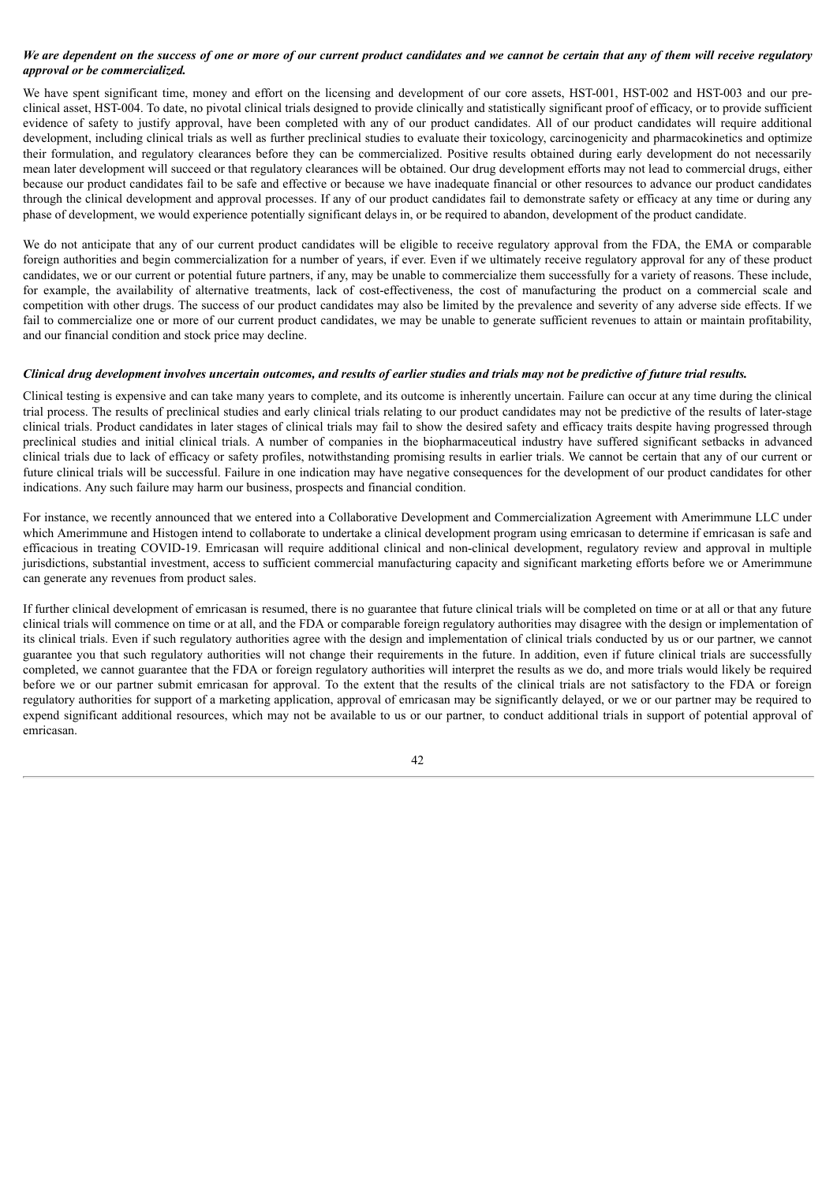## We are dependent on the success of one or more of our current product candidates and we cannot be certain that any of them will receive regulatory *approval or be commercialized.*

We have spent significant time, money and effort on the licensing and development of our core assets, HST-001, HST-002 and HST-003 and our preclinical asset, HST-004. To date, no pivotal clinical trials designed to provide clinically and statistically significant proof of efficacy, or to provide sufficient evidence of safety to justify approval, have been completed with any of our product candidates. All of our product candidates will require additional development, including clinical trials as well as further preclinical studies to evaluate their toxicology, carcinogenicity and pharmacokinetics and optimize their formulation, and regulatory clearances before they can be commercialized. Positive results obtained during early development do not necessarily mean later development will succeed or that regulatory clearances will be obtained. Our drug development efforts may not lead to commercial drugs, either because our product candidates fail to be safe and effective or because we have inadequate financial or other resources to advance our product candidates through the clinical development and approval processes. If any of our product candidates fail to demonstrate safety or efficacy at any time or during any phase of development, we would experience potentially significant delays in, or be required to abandon, development of the product candidate.

We do not anticipate that any of our current product candidates will be eligible to receive regulatory approval from the FDA, the EMA or comparable foreign authorities and begin commercialization for a number of years, if ever. Even if we ultimately receive regulatory approval for any of these product candidates, we or our current or potential future partners, if any, may be unable to commercialize them successfully for a variety of reasons. These include, for example, the availability of alternative treatments, lack of cost-effectiveness, the cost of manufacturing the product on a commercial scale and competition with other drugs. The success of our product candidates may also be limited by the prevalence and severity of any adverse side effects. If we fail to commercialize one or more of our current product candidates, we may be unable to generate sufficient revenues to attain or maintain profitability, and our financial condition and stock price may decline.

#### Clinical drug development involves uncertain outcomes, and results of earlier studies and trials may not be predictive of future trial results.

Clinical testing is expensive and can take many years to complete, and its outcome is inherently uncertain. Failure can occur at any time during the clinical trial process. The results of preclinical studies and early clinical trials relating to our product candidates may not be predictive of the results of later-stage clinical trials. Product candidates in later stages of clinical trials may fail to show the desired safety and efficacy traits despite having progressed through preclinical studies and initial clinical trials. A number of companies in the biopharmaceutical industry have suffered significant setbacks in advanced clinical trials due to lack of efficacy or safety profiles, notwithstanding promising results in earlier trials. We cannot be certain that any of our current or future clinical trials will be successful. Failure in one indication may have negative consequences for the development of our product candidates for other indications. Any such failure may harm our business, prospects and financial condition.

For instance, we recently announced that we entered into a Collaborative Development and Commercialization Agreement with Amerimmune LLC under which Amerimmune and Histogen intend to collaborate to undertake a clinical development program using emricasan to determine if emricasan is safe and efficacious in treating COVID-19. Emricasan will require additional clinical and non-clinical development, regulatory review and approval in multiple jurisdictions, substantial investment, access to sufficient commercial manufacturing capacity and significant marketing efforts before we or Amerimmune can generate any revenues from product sales.

If further clinical development of emricasan is resumed, there is no guarantee that future clinical trials will be completed on time or at all or that any future clinical trials will commence on time or at all, and the FDA or comparable foreign regulatory authorities may disagree with the design or implementation of its clinical trials. Even if such regulatory authorities agree with the design and implementation of clinical trials conducted by us or our partner, we cannot guarantee you that such regulatory authorities will not change their requirements in the future. In addition, even if future clinical trials are successfully completed, we cannot guarantee that the FDA or foreign regulatory authorities will interpret the results as we do, and more trials would likely be required before we or our partner submit emricasan for approval. To the extent that the results of the clinical trials are not satisfactory to the FDA or foreign regulatory authorities for support of a marketing application, approval of emricasan may be significantly delayed, or we or our partner may be required to expend significant additional resources, which may not be available to us or our partner, to conduct additional trials in support of potential approval of emricasan.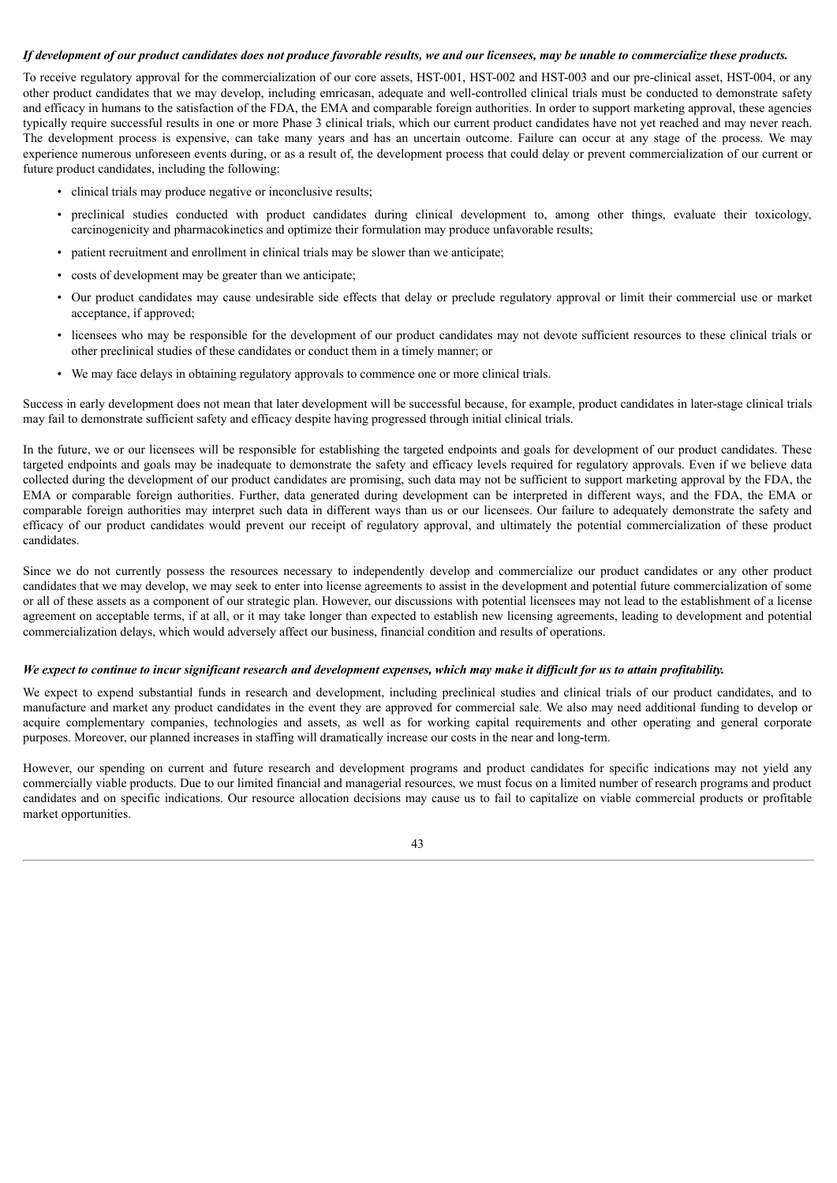#### If development of our product candidates does not produce favorable results, we and our licensees, may be unable to commercialize these products.

To receive regulatory approval for the commercialization of our core assets, HST-001, HST-002 and HST-003 and our pre-clinical asset, HST-004, or any other product candidates that we may develop, including emricasan, adequate and well-controlled clinical trials must be conducted to demonstrate safety and efficacy in humans to the satisfaction of the FDA, the EMA and comparable foreign authorities. In order to support marketing approval, these agencies typically require successful results in one or more Phase 3 clinical trials, which our current product candidates have not yet reached and may never reach. The development process is expensive, can take many years and has an uncertain outcome. Failure can occur at any stage of the process. We may experience numerous unforeseen events during, or as a result of, the development process that could delay or prevent commercialization of our current or future product candidates, including the following:

- clinical trials may produce negative or inconclusive results;
- preclinical studies conducted with product candidates during clinical development to, among other things, evaluate their toxicology, carcinogenicity and pharmacokinetics and optimize their formulation may produce unfavorable results;
- patient recruitment and enrollment in clinical trials may be slower than we anticipate;
- costs of development may be greater than we anticipate;
- Our product candidates may cause undesirable side effects that delay or preclude regulatory approval or limit their commercial use or market acceptance, if approved;
- licensees who may be responsible for the development of our product candidates may not devote sufficient resources to these clinical trials or other preclinical studies of these candidates or conduct them in a timely manner; or
- We may face delays in obtaining regulatory approvals to commence one or more clinical trials.

Success in early development does not mean that later development will be successful because, for example, product candidates in later-stage clinical trials may fail to demonstrate sufficient safety and efficacy despite having progressed through initial clinical trials.

In the future, we or our licensees will be responsible for establishing the targeted endpoints and goals for development of our product candidates. These targeted endpoints and goals may be inadequate to demonstrate the safety and efficacy levels required for regulatory approvals. Even if we believe data collected during the development of our product candidates are promising, such data may not be sufficient to support marketing approval by the FDA, the EMA or comparable foreign authorities. Further, data generated during development can be interpreted in different ways, and the FDA, the EMA or comparable foreign authorities may interpret such data in different ways than us or our licensees. Our failure to adequately demonstrate the safety and efficacy of our product candidates would prevent our receipt of regulatory approval, and ultimately the potential commercialization of these product candidates.

Since we do not currently possess the resources necessary to independently develop and commercialize our product candidates or any other product candidates that we may develop, we may seek to enter into license agreements to assist in the development and potential future commercialization of some or all of these assets as a component of our strategic plan. However, our discussions with potential licensees may not lead to the establishment of a license agreement on acceptable terms, if at all, or it may take longer than expected to establish new licensing agreements, leading to development and potential commercialization delays, which would adversely affect our business, financial condition and results of operations.

#### We expect to continue to incur significant research and development expenses, which may make it difficult for us to attain profitability.

We expect to expend substantial funds in research and development, including preclinical studies and clinical trials of our product candidates, and to manufacture and market any product candidates in the event they are approved for commercial sale. We also may need additional funding to develop or acquire complementary companies, technologies and assets, as well as for working capital requirements and other operating and general corporate purposes. Moreover, our planned increases in staffing will dramatically increase our costs in the near and long-term.

However, our spending on current and future research and development programs and product candidates for specific indications may not yield any commercially viable products. Due to our limited financial and managerial resources, we must focus on a limited number of research programs and product candidates and on specific indications. Our resource allocation decisions may cause us to fail to capitalize on viable commercial products or profitable market opportunities.

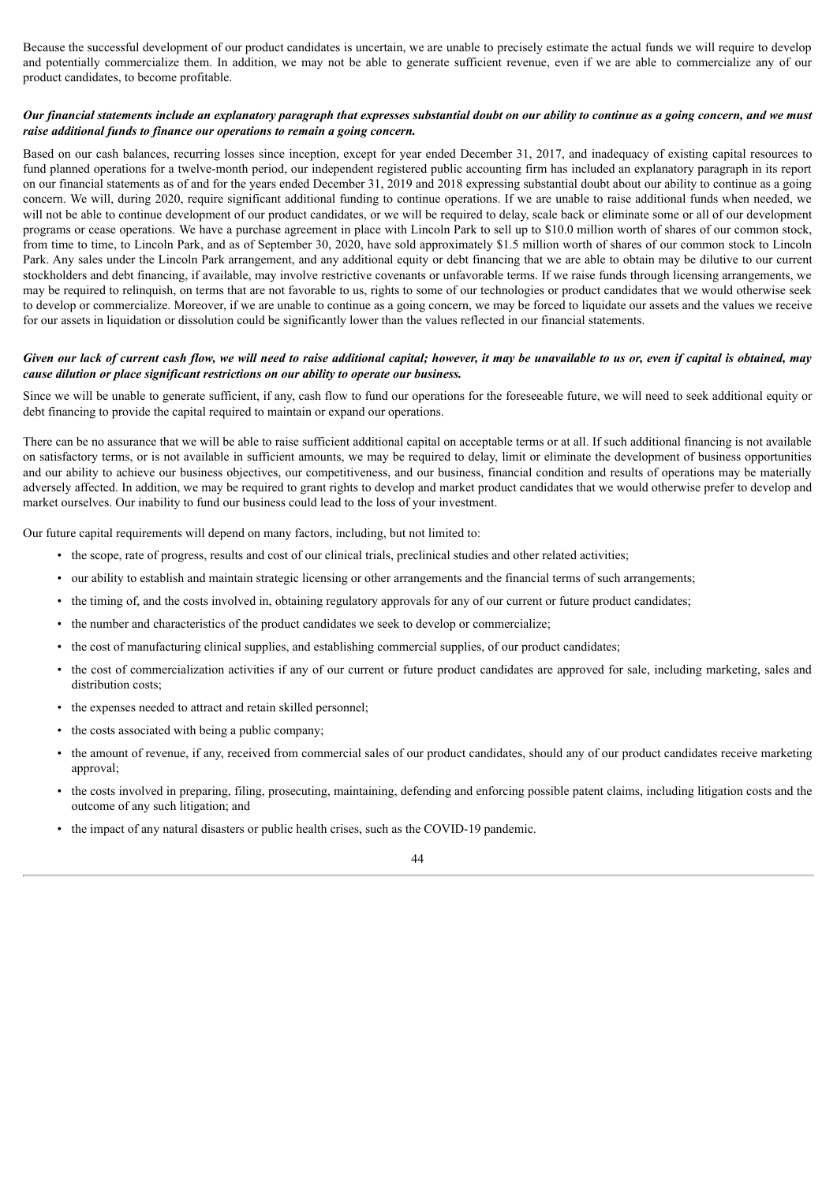Because the successful development of our product candidates is uncertain, we are unable to precisely estimate the actual funds we will require to develop and potentially commercialize them. In addition, we may not be able to generate sufficient revenue, even if we are able to commercialize any of our product candidates, to become profitable.

#### Our financial statements include an explanatory paragraph that expresses substantial doubt on our ability to continue as a going concern, and we must *raise additional funds to finance our operations to remain a going concern.*

Based on our cash balances, recurring losses since inception, except for year ended December 31, 2017, and inadequacy of existing capital resources to fund planned operations for a twelve-month period, our independent registered public accounting firm has included an explanatory paragraph in its report on our financial statements as of and for the years ended December 31, 2019 and 2018 expressing substantial doubt about our ability to continue as a going concern. We will, during 2020, require significant additional funding to continue operations. If we are unable to raise additional funds when needed, we will not be able to continue development of our product candidates, or we will be required to delay, scale back or eliminate some or all of our development programs or cease operations. We have a purchase agreement in place with Lincoln Park to sell up to \$10.0 million worth of shares of our common stock, from time to time, to Lincoln Park, and as of September 30, 2020, have sold approximately \$1.5 million worth of shares of our common stock to Lincoln Park. Any sales under the Lincoln Park arrangement, and any additional equity or debt financing that we are able to obtain may be dilutive to our current stockholders and debt financing, if available, may involve restrictive covenants or unfavorable terms. If we raise funds through licensing arrangements, we may be required to relinquish, on terms that are not favorable to us, rights to some of our technologies or product candidates that we would otherwise seek to develop or commercialize. Moreover, if we are unable to continue as a going concern, we may be forced to liquidate our assets and the values we receive for our assets in liquidation or dissolution could be significantly lower than the values reflected in our financial statements.

## Given our lack of current cash flow, we will need to raise additional capital; however, it may be unavailable to us or, even if capital is obtained, may *cause dilution or place significant restrictions on our ability to operate our business.*

Since we will be unable to generate sufficient, if any, cash flow to fund our operations for the foreseeable future, we will need to seek additional equity or debt financing to provide the capital required to maintain or expand our operations.

There can be no assurance that we will be able to raise sufficient additional capital on acceptable terms or at all. If such additional financing is not available on satisfactory terms, or is not available in sufficient amounts, we may be required to delay, limit or eliminate the development of business opportunities and our ability to achieve our business objectives, our competitiveness, and our business, financial condition and results of operations may be materially adversely affected. In addition, we may be required to grant rights to develop and market product candidates that we would otherwise prefer to develop and market ourselves. Our inability to fund our business could lead to the loss of your investment.

Our future capital requirements will depend on many factors, including, but not limited to:

- the scope, rate of progress, results and cost of our clinical trials, preclinical studies and other related activities;
- our ability to establish and maintain strategic licensing or other arrangements and the financial terms of such arrangements;
- the timing of, and the costs involved in, obtaining regulatory approvals for any of our current or future product candidates;
- the number and characteristics of the product candidates we seek to develop or commercialize;
- the cost of manufacturing clinical supplies, and establishing commercial supplies, of our product candidates;
- the cost of commercialization activities if any of our current or future product candidates are approved for sale, including marketing, sales and distribution costs;
- the expenses needed to attract and retain skilled personnel;
- the costs associated with being a public company;
- the amount of revenue, if any, received from commercial sales of our product candidates, should any of our product candidates receive marketing approval;
- the costs involved in preparing, filing, prosecuting, maintaining, defending and enforcing possible patent claims, including litigation costs and the outcome of any such litigation; and
- the impact of any natural disasters or public health crises, such as the COVID-19 pandemic.

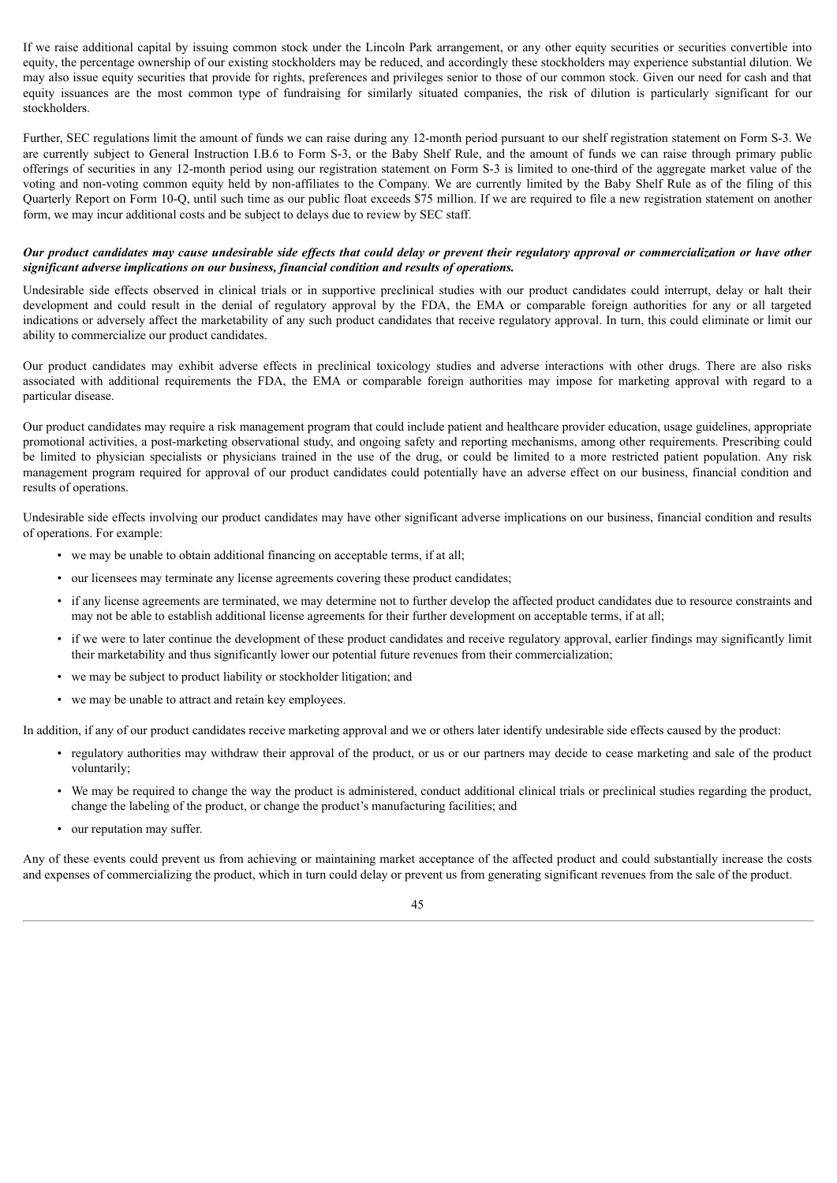If we raise additional capital by issuing common stock under the Lincoln Park arrangement, or any other equity securities or securities convertible into equity, the percentage ownership of our existing stockholders may be reduced, and accordingly these stockholders may experience substantial dilution. We may also issue equity securities that provide for rights, preferences and privileges senior to those of our common stock. Given our need for cash and that equity issuances are the most common type of fundraising for similarly situated companies, the risk of dilution is particularly significant for our stockholders.

Further, SEC regulations limit the amount of funds we can raise during any 12-month period pursuant to our shelf registration statement on Form S-3. We are currently subject to General Instruction I.B.6 to Form S-3, or the Baby Shelf Rule, and the amount of funds we can raise through primary public offerings of securities in any 12-month period using our registration statement on Form S-3 is limited to one-third of the aggregate market value of the voting and non-voting common equity held by non-affiliates to the Company. We are currently limited by the Baby Shelf Rule as of the filing of this Quarterly Report on Form 10-Q, until such time as our public float exceeds \$75 million. If we are required to file a new registration statement on another form, we may incur additional costs and be subject to delays due to review by SEC staff.

## Our product candidates may cause undesirable side effects that could delay or prevent their regulatory approval or commercialization or have other *significant adverse implications on our business, financial condition and results of operations.*

Undesirable side effects observed in clinical trials or in supportive preclinical studies with our product candidates could interrupt, delay or halt their development and could result in the denial of regulatory approval by the FDA, the EMA or comparable foreign authorities for any or all targeted indications or adversely affect the marketability of any such product candidates that receive regulatory approval. In turn, this could eliminate or limit our ability to commercialize our product candidates.

Our product candidates may exhibit adverse effects in preclinical toxicology studies and adverse interactions with other drugs. There are also risks associated with additional requirements the FDA, the EMA or comparable foreign authorities may impose for marketing approval with regard to a particular disease.

Our product candidates may require a risk management program that could include patient and healthcare provider education, usage guidelines, appropriate promotional activities, a post-marketing observational study, and ongoing safety and reporting mechanisms, among other requirements. Prescribing could be limited to physician specialists or physicians trained in the use of the drug, or could be limited to a more restricted patient population. Any risk management program required for approval of our product candidates could potentially have an adverse effect on our business, financial condition and results of operations.

Undesirable side effects involving our product candidates may have other significant adverse implications on our business, financial condition and results of operations. For example:

- we may be unable to obtain additional financing on acceptable terms, if at all;
- our licensees may terminate any license agreements covering these product candidates;
- if any license agreements are terminated, we may determine not to further develop the affected product candidates due to resource constraints and may not be able to establish additional license agreements for their further development on acceptable terms, if at all;
- if we were to later continue the development of these product candidates and receive regulatory approval, earlier findings may significantly limit their marketability and thus significantly lower our potential future revenues from their commercialization;
- we may be subject to product liability or stockholder litigation; and
- we may be unable to attract and retain key employees.

In addition, if any of our product candidates receive marketing approval and we or others later identify undesirable side effects caused by the product:

- regulatory authorities may withdraw their approval of the product, or us or our partners may decide to cease marketing and sale of the product voluntarily;
- We may be required to change the way the product is administered, conduct additional clinical trials or preclinical studies regarding the product, change the labeling of the product, or change the product's manufacturing facilities; and
- our reputation may suffer.

Any of these events could prevent us from achieving or maintaining market acceptance of the affected product and could substantially increase the costs and expenses of commercializing the product, which in turn could delay or prevent us from generating significant revenues from the sale of the product.

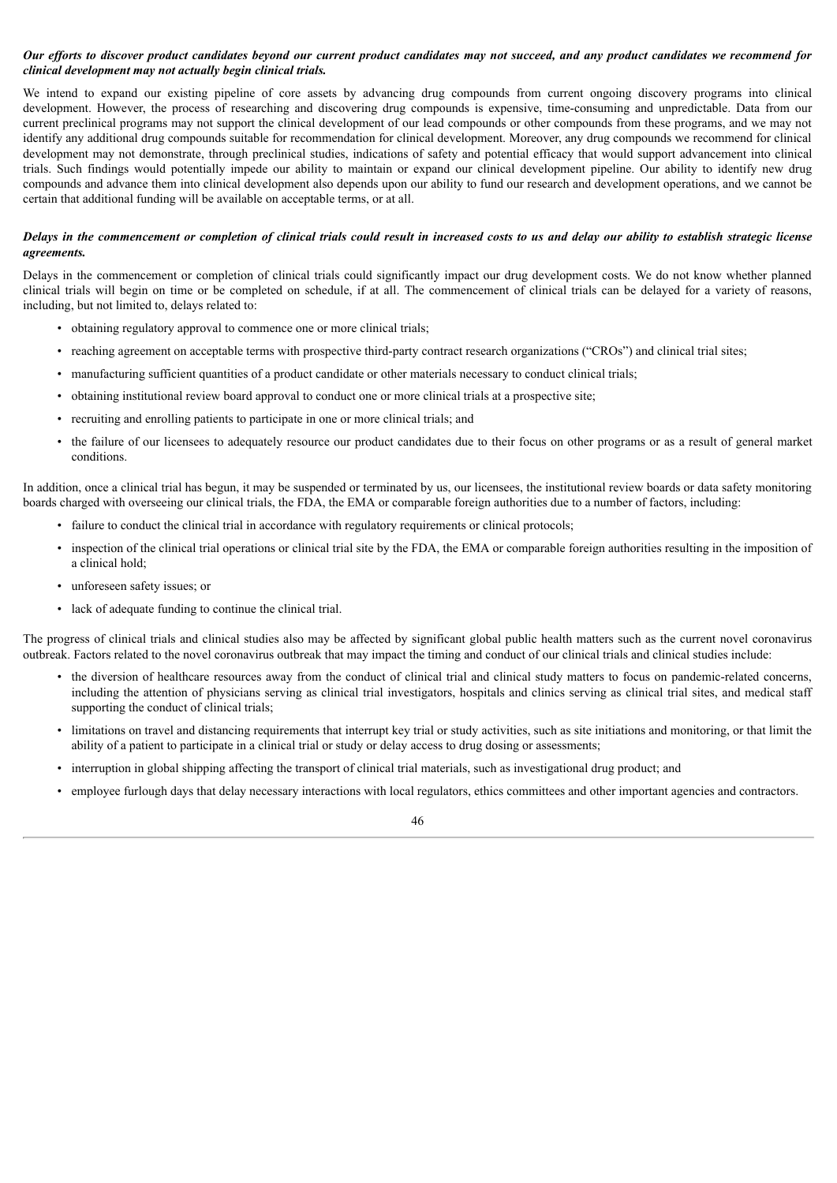# Our efforts to discover product candidates beyond our current product candidates may not succeed, and any product candidates we recommend for *clinical development may not actually begin clinical trials.*

We intend to expand our existing pipeline of core assets by advancing drug compounds from current ongoing discovery programs into clinical development. However, the process of researching and discovering drug compounds is expensive, time-consuming and unpredictable. Data from our current preclinical programs may not support the clinical development of our lead compounds or other compounds from these programs, and we may not identify any additional drug compounds suitable for recommendation for clinical development. Moreover, any drug compounds we recommend for clinical development may not demonstrate, through preclinical studies, indications of safety and potential efficacy that would support advancement into clinical trials. Such findings would potentially impede our ability to maintain or expand our clinical development pipeline. Our ability to identify new drug compounds and advance them into clinical development also depends upon our ability to fund our research and development operations, and we cannot be certain that additional funding will be available on acceptable terms, or at all.

# Delays in the commencement or completion of clinical trials could result in increased costs to us and delay our ability to establish strategic license *agreements.*

Delays in the commencement or completion of clinical trials could significantly impact our drug development costs. We do not know whether planned clinical trials will begin on time or be completed on schedule, if at all. The commencement of clinical trials can be delayed for a variety of reasons, including, but not limited to, delays related to:

- obtaining regulatory approval to commence one or more clinical trials;
- reaching agreement on acceptable terms with prospective third-party contract research organizations ("CROs") and clinical trial sites;
- manufacturing sufficient quantities of a product candidate or other materials necessary to conduct clinical trials;
- obtaining institutional review board approval to conduct one or more clinical trials at a prospective site;
- recruiting and enrolling patients to participate in one or more clinical trials; and
- the failure of our licensees to adequately resource our product candidates due to their focus on other programs or as a result of general market conditions.

In addition, once a clinical trial has begun, it may be suspended or terminated by us, our licensees, the institutional review boards or data safety monitoring boards charged with overseeing our clinical trials, the FDA, the EMA or comparable foreign authorities due to a number of factors, including:

- failure to conduct the clinical trial in accordance with regulatory requirements or clinical protocols;
- inspection of the clinical trial operations or clinical trial site by the FDA, the EMA or comparable foreign authorities resulting in the imposition of a clinical hold;
- unforeseen safety issues; or
- lack of adequate funding to continue the clinical trial.

The progress of clinical trials and clinical studies also may be affected by significant global public health matters such as the current novel coronavirus outbreak. Factors related to the novel coronavirus outbreak that may impact the timing and conduct of our clinical trials and clinical studies include:

- the diversion of healthcare resources away from the conduct of clinical trial and clinical study matters to focus on pandemic-related concerns, including the attention of physicians serving as clinical trial investigators, hospitals and clinics serving as clinical trial sites, and medical staff supporting the conduct of clinical trials;
- limitations on travel and distancing requirements that interrupt key trial or study activities, such as site initiations and monitoring, or that limit the ability of a patient to participate in a clinical trial or study or delay access to drug dosing or assessments;
- interruption in global shipping affecting the transport of clinical trial materials, such as investigational drug product; and
- employee furlough days that delay necessary interactions with local regulators, ethics committees and other important agencies and contractors.

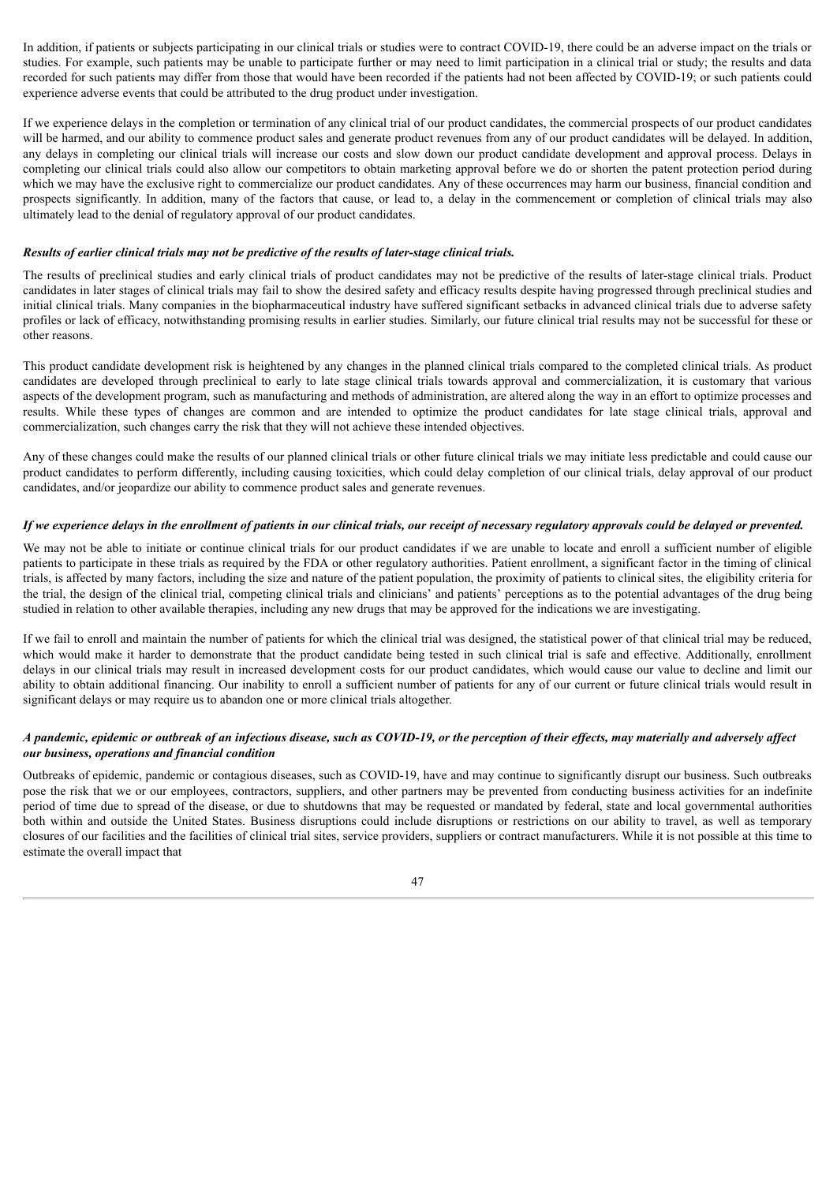In addition, if patients or subjects participating in our clinical trials or studies were to contract COVID-19, there could be an adverse impact on the trials or studies. For example, such patients may be unable to participate further or may need to limit participation in a clinical trial or study; the results and data recorded for such patients may differ from those that would have been recorded if the patients had not been affected by COVID-19; or such patients could experience adverse events that could be attributed to the drug product under investigation.

If we experience delays in the completion or termination of any clinical trial of our product candidates, the commercial prospects of our product candidates will be harmed, and our ability to commence product sales and generate product revenues from any of our product candidates will be delayed. In addition, any delays in completing our clinical trials will increase our costs and slow down our product candidate development and approval process. Delays in completing our clinical trials could also allow our competitors to obtain marketing approval before we do or shorten the patent protection period during which we may have the exclusive right to commercialize our product candidates. Any of these occurrences may harm our business, financial condition and prospects significantly. In addition, many of the factors that cause, or lead to, a delay in the commencement or completion of clinical trials may also ultimately lead to the denial of regulatory approval of our product candidates.

#### *Results of earlier clinical trials may not be predictive of the results of later-stage clinical trials.*

The results of preclinical studies and early clinical trials of product candidates may not be predictive of the results of later-stage clinical trials. Product candidates in later stages of clinical trials may fail to show the desired safety and efficacy results despite having progressed through preclinical studies and initial clinical trials. Many companies in the biopharmaceutical industry have suffered significant setbacks in advanced clinical trials due to adverse safety profiles or lack of efficacy, notwithstanding promising results in earlier studies. Similarly, our future clinical trial results may not be successful for these or other reasons.

This product candidate development risk is heightened by any changes in the planned clinical trials compared to the completed clinical trials. As product candidates are developed through preclinical to early to late stage clinical trials towards approval and commercialization, it is customary that various aspects of the development program, such as manufacturing and methods of administration, are altered along the way in an effort to optimize processes and results. While these types of changes are common and are intended to optimize the product candidates for late stage clinical trials, approval and commercialization, such changes carry the risk that they will not achieve these intended objectives.

Any of these changes could make the results of our planned clinical trials or other future clinical trials we may initiate less predictable and could cause our product candidates to perform differently, including causing toxicities, which could delay completion of our clinical trials, delay approval of our product candidates, and/or jeopardize our ability to commence product sales and generate revenues.

#### If we experience delays in the enrollment of patients in our clinical trials, our receipt of necessary regulatory approvals could be delayed or prevented.

We may not be able to initiate or continue clinical trials for our product candidates if we are unable to locate and enroll a sufficient number of eligible patients to participate in these trials as required by the FDA or other regulatory authorities. Patient enrollment, a significant factor in the timing of clinical trials, is affected by many factors, including the size and nature of the patient population, the proximity of patients to clinical sites, the eligibility criteria for the trial, the design of the clinical trial, competing clinical trials and clinicians' and patients' perceptions as to the potential advantages of the drug being studied in relation to other available therapies, including any new drugs that may be approved for the indications we are investigating.

If we fail to enroll and maintain the number of patients for which the clinical trial was designed, the statistical power of that clinical trial may be reduced, which would make it harder to demonstrate that the product candidate being tested in such clinical trial is safe and effective. Additionally, enrollment delays in our clinical trials may result in increased development costs for our product candidates, which would cause our value to decline and limit our ability to obtain additional financing. Our inability to enroll a sufficient number of patients for any of our current or future clinical trials would result in significant delays or may require us to abandon one or more clinical trials altogether.

## A pandemic, epidemic or outbreak of an infectious disease, such as COVID-19, or the perception of their effects, may materially and adversely affect *our business, operations and financial condition*

Outbreaks of epidemic, pandemic or contagious diseases, such as COVID-19, have and may continue to significantly disrupt our business. Such outbreaks pose the risk that we or our employees, contractors, suppliers, and other partners may be prevented from conducting business activities for an indefinite period of time due to spread of the disease, or due to shutdowns that may be requested or mandated by federal, state and local governmental authorities both within and outside the United States. Business disruptions could include disruptions or restrictions on our ability to travel, as well as temporary closures of our facilities and the facilities of clinical trial sites, service providers, suppliers or contract manufacturers. While it is not possible at this time to estimate the overall impact that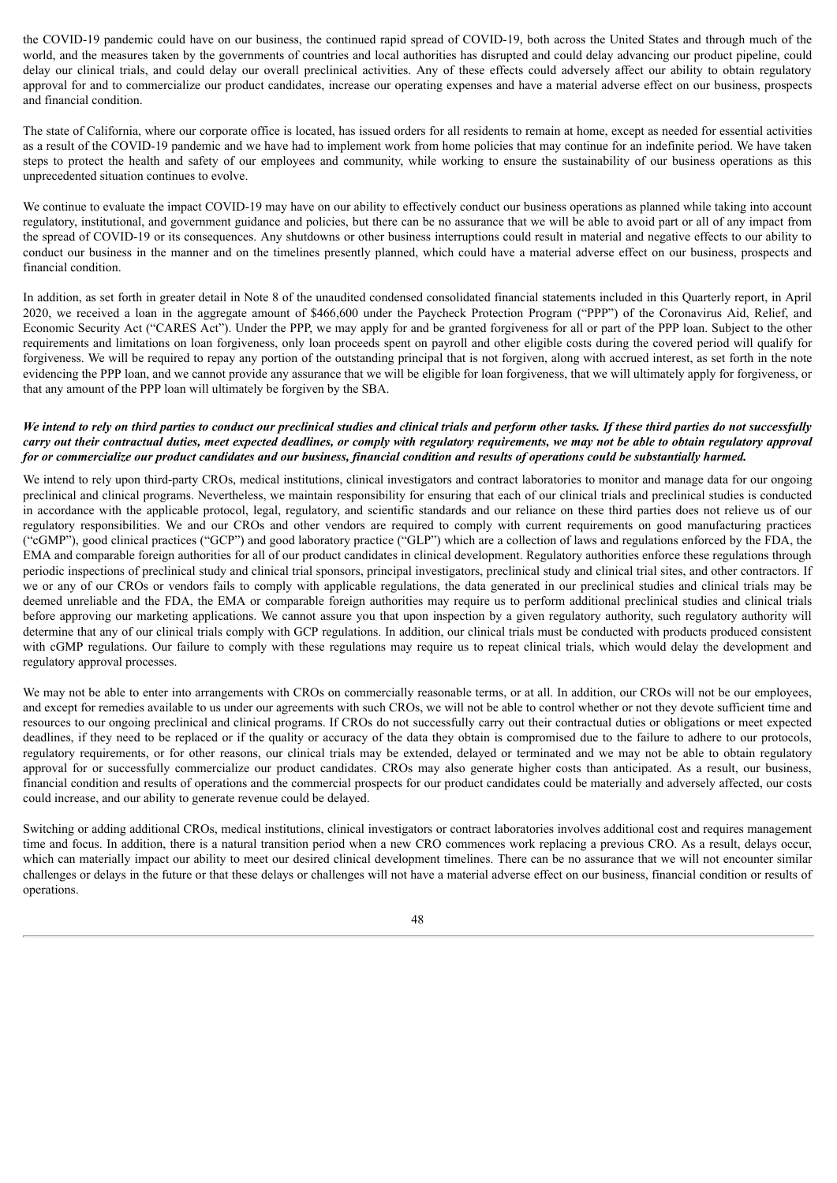the COVID-19 pandemic could have on our business, the continued rapid spread of COVID-19, both across the United States and through much of the world, and the measures taken by the governments of countries and local authorities has disrupted and could delay advancing our product pipeline, could delay our clinical trials, and could delay our overall preclinical activities. Any of these effects could adversely affect our ability to obtain regulatory approval for and to commercialize our product candidates, increase our operating expenses and have a material adverse effect on our business, prospects and financial condition.

The state of California, where our corporate office is located, has issued orders for all residents to remain at home, except as needed for essential activities as a result of the COVID-19 pandemic and we have had to implement work from home policies that may continue for an indefinite period. We have taken steps to protect the health and safety of our employees and community, while working to ensure the sustainability of our business operations as this unprecedented situation continues to evolve.

We continue to evaluate the impact COVID-19 may have on our ability to effectively conduct our business operations as planned while taking into account regulatory, institutional, and government guidance and policies, but there can be no assurance that we will be able to avoid part or all of any impact from the spread of COVID-19 or its consequences. Any shutdowns or other business interruptions could result in material and negative effects to our ability to conduct our business in the manner and on the timelines presently planned, which could have a material adverse effect on our business, prospects and financial condition.

In addition, as set forth in greater detail in Note 8 of the unaudited condensed consolidated financial statements included in this Quarterly report, in April 2020, we received a loan in the aggregate amount of \$466,600 under the Paycheck Protection Program ("PPP") of the Coronavirus Aid, Relief, and Economic Security Act ("CARES Act"). Under the PPP, we may apply for and be granted forgiveness for all or part of the PPP loan. Subject to the other requirements and limitations on loan forgiveness, only loan proceeds spent on payroll and other eligible costs during the covered period will qualify for forgiveness. We will be required to repay any portion of the outstanding principal that is not forgiven, along with accrued interest, as set forth in the note evidencing the PPP loan, and we cannot provide any assurance that we will be eligible for loan forgiveness, that we will ultimately apply for forgiveness, or that any amount of the PPP loan will ultimately be forgiven by the SBA.

## We intend to rely on third parties to conduct our preclinical studies and clinical trials and perform other tasks. If these third parties do not successfully carry out their contractual duties, meet expected deadlines, or comply with regulatory requirements, we may not be able to obtain regulatory approval for or commercialize our product candidates and our business, financial condition and results of operations could be substantially harmed.

We intend to rely upon third-party CROs, medical institutions, clinical investigators and contract laboratories to monitor and manage data for our ongoing preclinical and clinical programs. Nevertheless, we maintain responsibility for ensuring that each of our clinical trials and preclinical studies is conducted in accordance with the applicable protocol, legal, regulatory, and scientific standards and our reliance on these third parties does not relieve us of our regulatory responsibilities. We and our CROs and other vendors are required to comply with current requirements on good manufacturing practices ("cGMP"), good clinical practices ("GCP") and good laboratory practice ("GLP") which are a collection of laws and regulations enforced by the FDA, the EMA and comparable foreign authorities for all of our product candidates in clinical development. Regulatory authorities enforce these regulations through periodic inspections of preclinical study and clinical trial sponsors, principal investigators, preclinical study and clinical trial sites, and other contractors. If we or any of our CROs or vendors fails to comply with applicable regulations, the data generated in our preclinical studies and clinical trials may be deemed unreliable and the FDA, the EMA or comparable foreign authorities may require us to perform additional preclinical studies and clinical trials before approving our marketing applications. We cannot assure you that upon inspection by a given regulatory authority, such regulatory authority will determine that any of our clinical trials comply with GCP regulations. In addition, our clinical trials must be conducted with products produced consistent with cGMP regulations. Our failure to comply with these regulations may require us to repeat clinical trials, which would delay the development and regulatory approval processes.

We may not be able to enter into arrangements with CROs on commercially reasonable terms, or at all. In addition, our CROs will not be our employees, and except for remedies available to us under our agreements with such CROs, we will not be able to control whether or not they devote sufficient time and resources to our ongoing preclinical and clinical programs. If CROs do not successfully carry out their contractual duties or obligations or meet expected deadlines, if they need to be replaced or if the quality or accuracy of the data they obtain is compromised due to the failure to adhere to our protocols, regulatory requirements, or for other reasons, our clinical trials may be extended, delayed or terminated and we may not be able to obtain regulatory approval for or successfully commercialize our product candidates. CROs may also generate higher costs than anticipated. As a result, our business, financial condition and results of operations and the commercial prospects for our product candidates could be materially and adversely affected, our costs could increase, and our ability to generate revenue could be delayed.

Switching or adding additional CROs, medical institutions, clinical investigators or contract laboratories involves additional cost and requires management time and focus. In addition, there is a natural transition period when a new CRO commences work replacing a previous CRO. As a result, delays occur, which can materially impact our ability to meet our desired clinical development timelines. There can be no assurance that we will not encounter similar challenges or delays in the future or that these delays or challenges will not have a material adverse effect on our business, financial condition or results of operations.

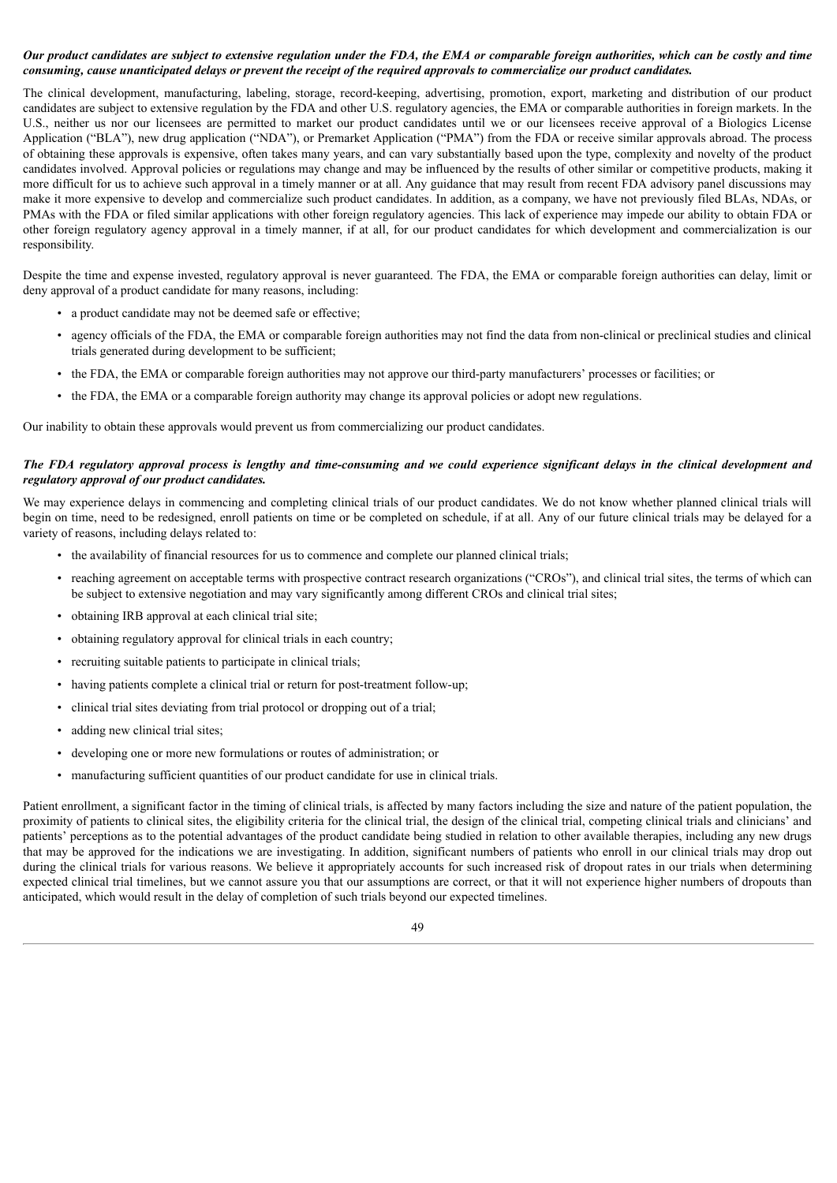## Our product candidates are subject to extensive regulation under the FDA, the EMA or comparable foreign authorities, which can be costly and time consuming, cause unanticipated delays or prevent the receipt of the required approvals to commercialize our product candidates.

The clinical development, manufacturing, labeling, storage, record-keeping, advertising, promotion, export, marketing and distribution of our product candidates are subject to extensive regulation by the FDA and other U.S. regulatory agencies, the EMA or comparable authorities in foreign markets. In the U.S., neither us nor our licensees are permitted to market our product candidates until we or our licensees receive approval of a Biologics License Application ("BLA"), new drug application ("NDA"), or Premarket Application ("PMA") from the FDA or receive similar approvals abroad. The process of obtaining these approvals is expensive, often takes many years, and can vary substantially based upon the type, complexity and novelty of the product candidates involved. Approval policies or regulations may change and may be influenced by the results of other similar or competitive products, making it more difficult for us to achieve such approval in a timely manner or at all. Any guidance that may result from recent FDA advisory panel discussions may make it more expensive to develop and commercialize such product candidates. In addition, as a company, we have not previously filed BLAs, NDAs, or PMAs with the FDA or filed similar applications with other foreign regulatory agencies. This lack of experience may impede our ability to obtain FDA or other foreign regulatory agency approval in a timely manner, if at all, for our product candidates for which development and commercialization is our responsibility.

Despite the time and expense invested, regulatory approval is never guaranteed. The FDA, the EMA or comparable foreign authorities can delay, limit or deny approval of a product candidate for many reasons, including:

- a product candidate may not be deemed safe or effective;
- agency officials of the FDA, the EMA or comparable foreign authorities may not find the data from non-clinical or preclinical studies and clinical trials generated during development to be sufficient;
- the FDA, the EMA or comparable foreign authorities may not approve our third-party manufacturers' processes or facilities; or
- the FDA, the EMA or a comparable foreign authority may change its approval policies or adopt new regulations.

Our inability to obtain these approvals would prevent us from commercializing our product candidates.

## The FDA regulatory approval process is lengthy and time-consuming and we could experience significant delays in the clinical development and *regulatory approval of our product candidates.*

We may experience delays in commencing and completing clinical trials of our product candidates. We do not know whether planned clinical trials will begin on time, need to be redesigned, enroll patients on time or be completed on schedule, if at all. Any of our future clinical trials may be delayed for a variety of reasons, including delays related to:

- the availability of financial resources for us to commence and complete our planned clinical trials;
- reaching agreement on acceptable terms with prospective contract research organizations ("CROs"), and clinical trial sites, the terms of which can be subject to extensive negotiation and may vary significantly among different CROs and clinical trial sites;
- obtaining IRB approval at each clinical trial site;
- obtaining regulatory approval for clinical trials in each country;
- recruiting suitable patients to participate in clinical trials;
- having patients complete a clinical trial or return for post-treatment follow-up;
- clinical trial sites deviating from trial protocol or dropping out of a trial;
- adding new clinical trial sites;
- developing one or more new formulations or routes of administration; or
- manufacturing sufficient quantities of our product candidate for use in clinical trials.

Patient enrollment, a significant factor in the timing of clinical trials, is affected by many factors including the size and nature of the patient population, the proximity of patients to clinical sites, the eligibility criteria for the clinical trial, the design of the clinical trial, competing clinical trials and clinicians' and patients' perceptions as to the potential advantages of the product candidate being studied in relation to other available therapies, including any new drugs that may be approved for the indications we are investigating. In addition, significant numbers of patients who enroll in our clinical trials may drop out during the clinical trials for various reasons. We believe it appropriately accounts for such increased risk of dropout rates in our trials when determining expected clinical trial timelines, but we cannot assure you that our assumptions are correct, or that it will not experience higher numbers of dropouts than anticipated, which would result in the delay of completion of such trials beyond our expected timelines.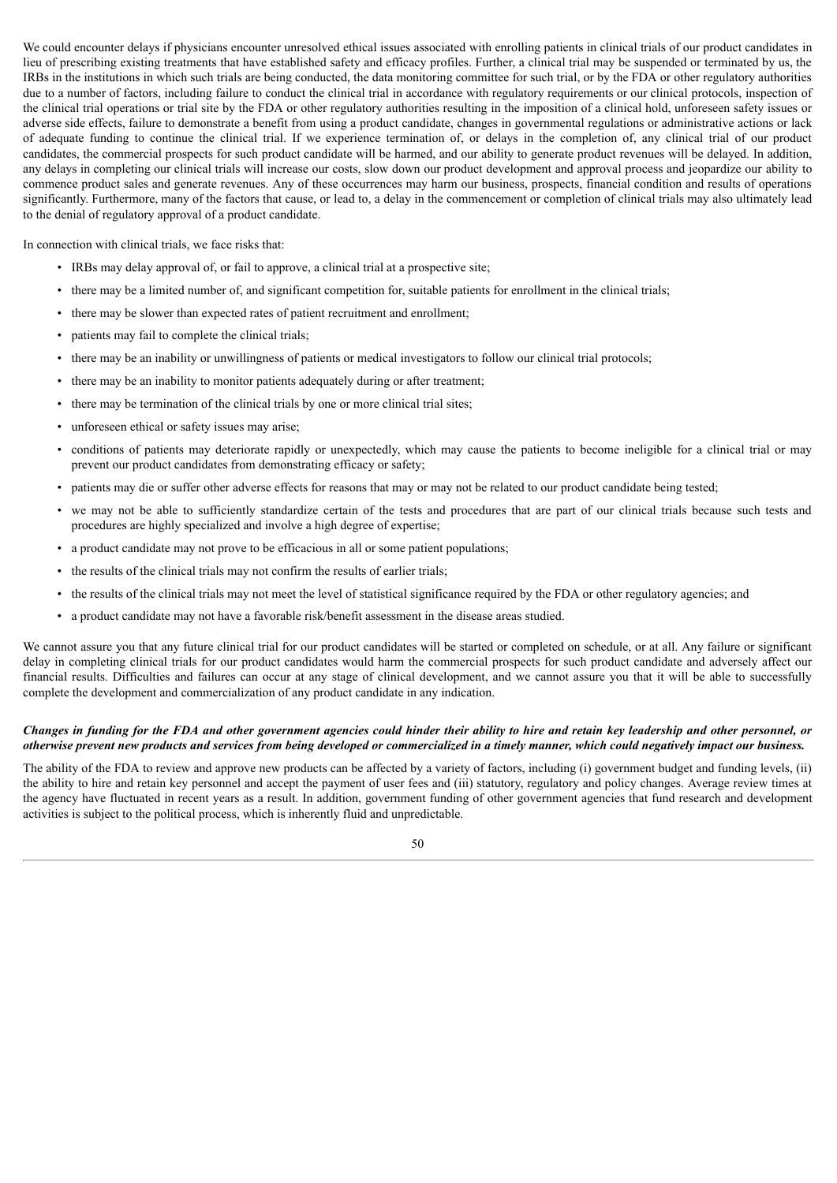We could encounter delays if physicians encounter unresolved ethical issues associated with enrolling patients in clinical trials of our product candidates in lieu of prescribing existing treatments that have established safety and efficacy profiles. Further, a clinical trial may be suspended or terminated by us, the IRBs in the institutions in which such trials are being conducted, the data monitoring committee for such trial, or by the FDA or other regulatory authorities due to a number of factors, including failure to conduct the clinical trial in accordance with regulatory requirements or our clinical protocols, inspection of the clinical trial operations or trial site by the FDA or other regulatory authorities resulting in the imposition of a clinical hold, unforeseen safety issues or adverse side effects, failure to demonstrate a benefit from using a product candidate, changes in governmental regulations or administrative actions or lack of adequate funding to continue the clinical trial. If we experience termination of, or delays in the completion of, any clinical trial of our product candidates, the commercial prospects for such product candidate will be harmed, and our ability to generate product revenues will be delayed. In addition, any delays in completing our clinical trials will increase our costs, slow down our product development and approval process and jeopardize our ability to commence product sales and generate revenues. Any of these occurrences may harm our business, prospects, financial condition and results of operations significantly. Furthermore, many of the factors that cause, or lead to, a delay in the commencement or completion of clinical trials may also ultimately lead to the denial of regulatory approval of a product candidate.

In connection with clinical trials, we face risks that:

- IRBs may delay approval of, or fail to approve, a clinical trial at a prospective site;
- there may be a limited number of, and significant competition for, suitable patients for enrollment in the clinical trials;
- there may be slower than expected rates of patient recruitment and enrollment;
- patients may fail to complete the clinical trials;
- there may be an inability or unwillingness of patients or medical investigators to follow our clinical trial protocols;
- there may be an inability to monitor patients adequately during or after treatment;
- there may be termination of the clinical trials by one or more clinical trial sites;
- unforeseen ethical or safety issues may arise;
- conditions of patients may deteriorate rapidly or unexpectedly, which may cause the patients to become ineligible for a clinical trial or may prevent our product candidates from demonstrating efficacy or safety;
- patients may die or suffer other adverse effects for reasons that may or may not be related to our product candidate being tested;
- we may not be able to sufficiently standardize certain of the tests and procedures that are part of our clinical trials because such tests and procedures are highly specialized and involve a high degree of expertise;
- a product candidate may not prove to be efficacious in all or some patient populations;
- the results of the clinical trials may not confirm the results of earlier trials;
- the results of the clinical trials may not meet the level of statistical significance required by the FDA or other regulatory agencies; and
- a product candidate may not have a favorable risk/benefit assessment in the disease areas studied.

We cannot assure you that any future clinical trial for our product candidates will be started or completed on schedule, or at all. Any failure or significant delay in completing clinical trials for our product candidates would harm the commercial prospects for such product candidate and adversely affect our financial results. Difficulties and failures can occur at any stage of clinical development, and we cannot assure you that it will be able to successfully complete the development and commercialization of any product candidate in any indication.

## Changes in funding for the FDA and other government agencies could hinder their ability to hire and retain key leadership and other personnel, or otherwise prevent new products and services from being developed or commercialized in a timely manner, which could negatively impact our business.

The ability of the FDA to review and approve new products can be affected by a variety of factors, including (i) government budget and funding levels, (ii) the ability to hire and retain key personnel and accept the payment of user fees and (iii) statutory, regulatory and policy changes. Average review times at the agency have fluctuated in recent years as a result. In addition, government funding of other government agencies that fund research and development activities is subject to the political process, which is inherently fluid and unpredictable.

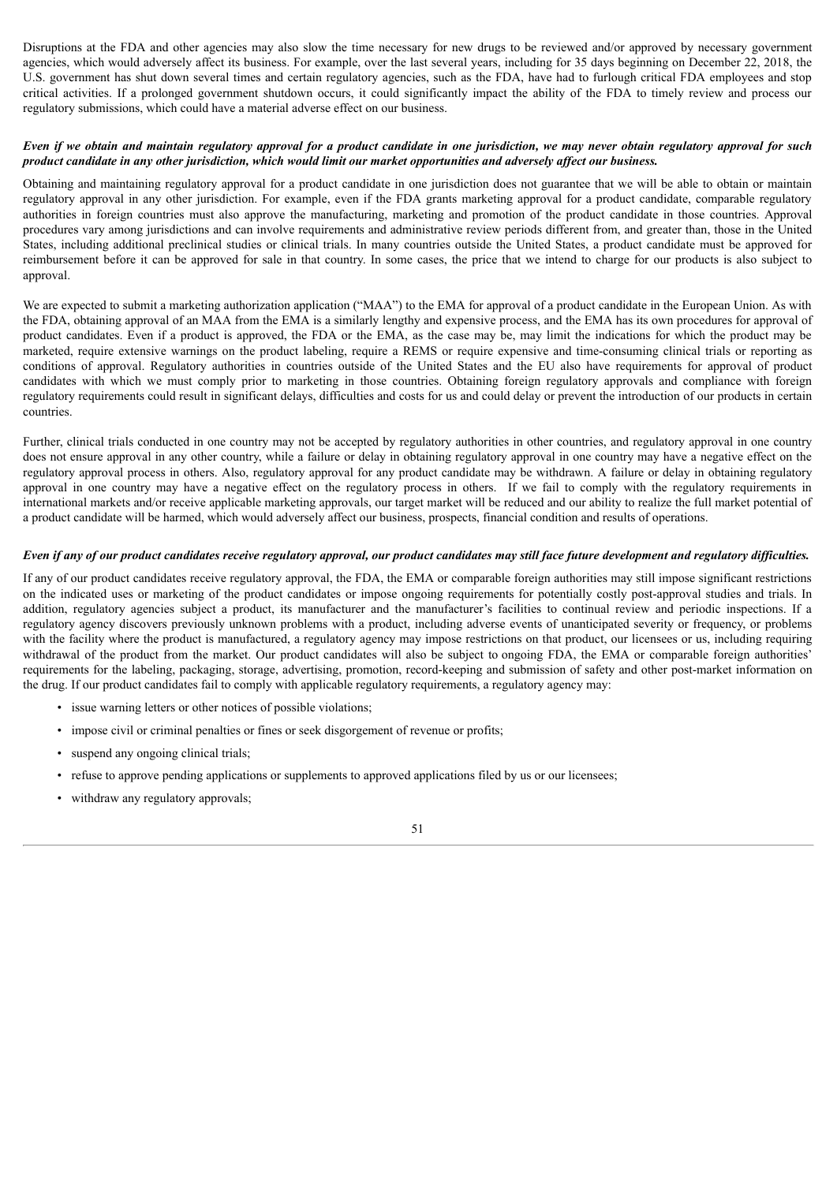Disruptions at the FDA and other agencies may also slow the time necessary for new drugs to be reviewed and/or approved by necessary government agencies, which would adversely affect its business. For example, over the last several years, including for 35 days beginning on December 22, 2018, the U.S. government has shut down several times and certain regulatory agencies, such as the FDA, have had to furlough critical FDA employees and stop critical activities. If a prolonged government shutdown occurs, it could significantly impact the ability of the FDA to timely review and process our regulatory submissions, which could have a material adverse effect on our business.

#### Even if we obtain and maintain regulatory approval for a product candidate in one jurisdiction, we may never obtain regulatory approval for such product candidate in any other jurisdiction, which would limit our market opportunities and adversely affect our business.

Obtaining and maintaining regulatory approval for a product candidate in one jurisdiction does not guarantee that we will be able to obtain or maintain regulatory approval in any other jurisdiction. For example, even if the FDA grants marketing approval for a product candidate, comparable regulatory authorities in foreign countries must also approve the manufacturing, marketing and promotion of the product candidate in those countries. Approval procedures vary among jurisdictions and can involve requirements and administrative review periods different from, and greater than, those in the United States, including additional preclinical studies or clinical trials. In many countries outside the United States, a product candidate must be approved for reimbursement before it can be approved for sale in that country. In some cases, the price that we intend to charge for our products is also subject to approval.

We are expected to submit a marketing authorization application ("MAA") to the EMA for approval of a product candidate in the European Union. As with the FDA, obtaining approval of an MAA from the EMA is a similarly lengthy and expensive process, and the EMA has its own procedures for approval of product candidates. Even if a product is approved, the FDA or the EMA, as the case may be, may limit the indications for which the product may be marketed, require extensive warnings on the product labeling, require a REMS or require expensive and time-consuming clinical trials or reporting as conditions of approval. Regulatory authorities in countries outside of the United States and the EU also have requirements for approval of product candidates with which we must comply prior to marketing in those countries. Obtaining foreign regulatory approvals and compliance with foreign regulatory requirements could result in significant delays, difficulties and costs for us and could delay or prevent the introduction of our products in certain countries.

Further, clinical trials conducted in one country may not be accepted by regulatory authorities in other countries, and regulatory approval in one country does not ensure approval in any other country, while a failure or delay in obtaining regulatory approval in one country may have a negative effect on the regulatory approval process in others. Also, regulatory approval for any product candidate may be withdrawn. A failure or delay in obtaining regulatory approval in one country may have a negative effect on the regulatory process in others. If we fail to comply with the regulatory requirements in international markets and/or receive applicable marketing approvals, our target market will be reduced and our ability to realize the full market potential of a product candidate will be harmed, which would adversely affect our business, prospects, financial condition and results of operations.

# Even if any of our product candidates receive regulatory approval, our product candidates may still face future development and regulatory difficulties.

If any of our product candidates receive regulatory approval, the FDA, the EMA or comparable foreign authorities may still impose significant restrictions on the indicated uses or marketing of the product candidates or impose ongoing requirements for potentially costly post-approval studies and trials. In addition, regulatory agencies subject a product, its manufacturer and the manufacturer's facilities to continual review and periodic inspections. If a regulatory agency discovers previously unknown problems with a product, including adverse events of unanticipated severity or frequency, or problems with the facility where the product is manufactured, a regulatory agency may impose restrictions on that product, our licensees or us, including requiring withdrawal of the product from the market. Our product candidates will also be subject to ongoing FDA, the EMA or comparable foreign authorities' requirements for the labeling, packaging, storage, advertising, promotion, record-keeping and submission of safety and other post-market information on the drug. If our product candidates fail to comply with applicable regulatory requirements, a regulatory agency may:

- issue warning letters or other notices of possible violations;
- impose civil or criminal penalties or fines or seek disgorgement of revenue or profits;
- suspend any ongoing clinical trials;
- refuse to approve pending applications or supplements to approved applications filed by us or our licensees;
- withdraw any regulatory approvals;

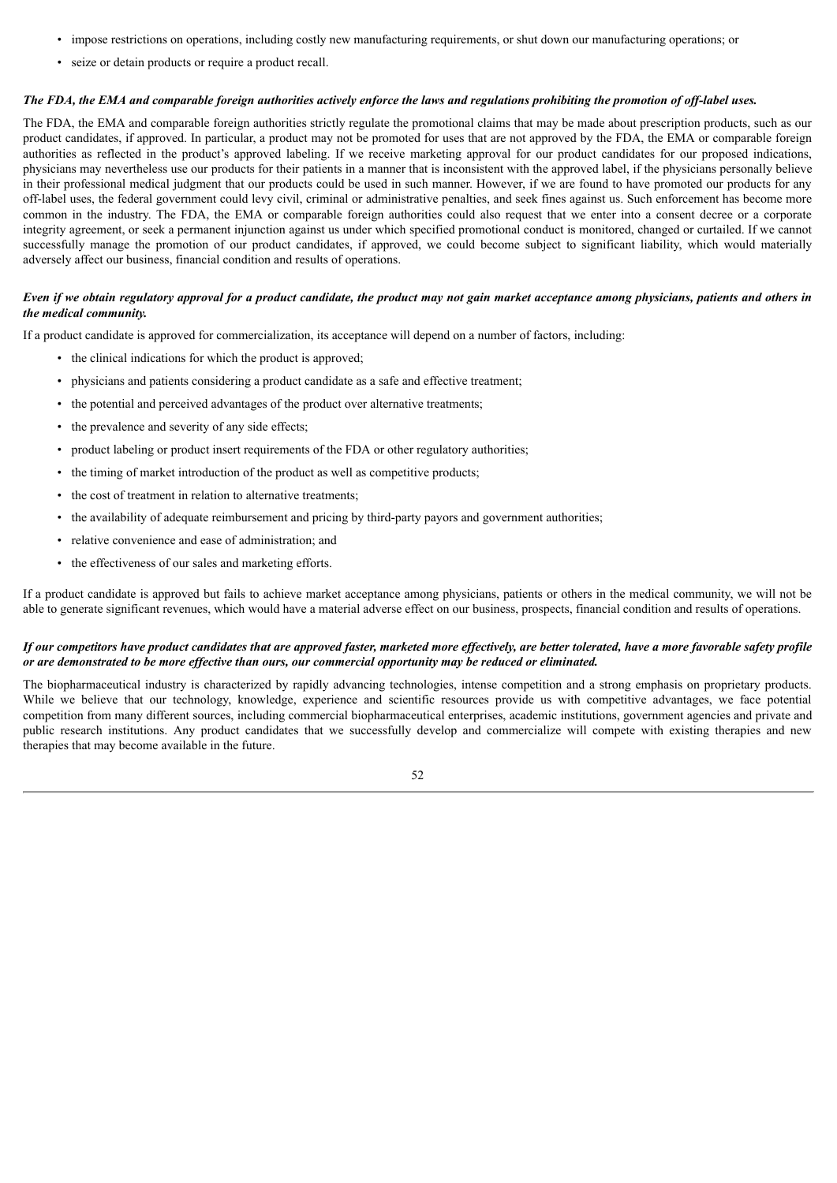- impose restrictions on operations, including costly new manufacturing requirements, or shut down our manufacturing operations; or
- seize or detain products or require a product recall.

#### The FDA, the EMA and comparable foreign authorities actively enforce the laws and regulations prohibiting the promotion of off-label uses.

The FDA, the EMA and comparable foreign authorities strictly regulate the promotional claims that may be made about prescription products, such as our product candidates, if approved. In particular, a product may not be promoted for uses that are not approved by the FDA, the EMA or comparable foreign authorities as reflected in the product's approved labeling. If we receive marketing approval for our product candidates for our proposed indications, physicians may nevertheless use our products for their patients in a manner that is inconsistent with the approved label, if the physicians personally believe in their professional medical judgment that our products could be used in such manner. However, if we are found to have promoted our products for any off-label uses, the federal government could levy civil, criminal or administrative penalties, and seek fines against us. Such enforcement has become more common in the industry. The FDA, the EMA or comparable foreign authorities could also request that we enter into a consent decree or a corporate integrity agreement, or seek a permanent injunction against us under which specified promotional conduct is monitored, changed or curtailed. If we cannot successfully manage the promotion of our product candidates, if approved, we could become subject to significant liability, which would materially adversely affect our business, financial condition and results of operations.

## Even if we obtain regulatory approval for a product candidate, the product may not gain market acceptance among physicians, patients and others in *the medical community.*

If a product candidate is approved for commercialization, its acceptance will depend on a number of factors, including:

- the clinical indications for which the product is approved;
- physicians and patients considering a product candidate as a safe and effective treatment;
- the potential and perceived advantages of the product over alternative treatments;
- the prevalence and severity of any side effects;
- product labeling or product insert requirements of the FDA or other regulatory authorities;
- the timing of market introduction of the product as well as competitive products;
- the cost of treatment in relation to alternative treatments;
- the availability of adequate reimbursement and pricing by third-party payors and government authorities;
- relative convenience and ease of administration; and
- the effectiveness of our sales and marketing efforts.

If a product candidate is approved but fails to achieve market acceptance among physicians, patients or others in the medical community, we will not be able to generate significant revenues, which would have a material adverse effect on our business, prospects, financial condition and results of operations.

## If our competitors have product candidates that are approved faster, marketed more effectively, are better tolerated, have a more favorable safety profile or are demonstrated to be more effective than ours, our commercial opportunity may be reduced or eliminated.

The biopharmaceutical industry is characterized by rapidly advancing technologies, intense competition and a strong emphasis on proprietary products. While we believe that our technology, knowledge, experience and scientific resources provide us with competitive advantages, we face potential competition from many different sources, including commercial biopharmaceutical enterprises, academic institutions, government agencies and private and public research institutions. Any product candidates that we successfully develop and commercialize will compete with existing therapies and new therapies that may become available in the future.

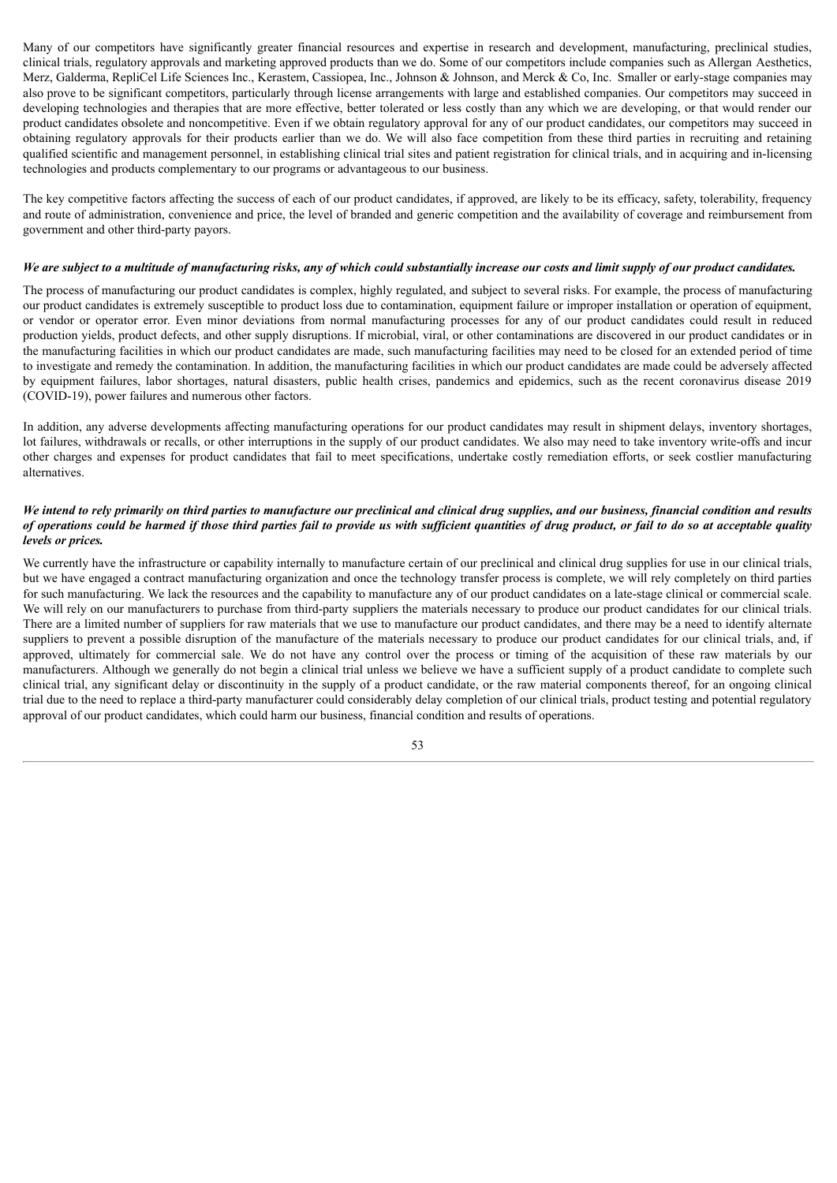Many of our competitors have significantly greater financial resources and expertise in research and development, manufacturing, preclinical studies, clinical trials, regulatory approvals and marketing approved products than we do. Some of our competitors include companies such as Allergan Aesthetics, Merz, Galderma, RepliCel Life Sciences Inc., Kerastem, Cassiopea, Inc., Johnson & Johnson, and Merck & Co, Inc. Smaller or early-stage companies may also prove to be significant competitors, particularly through license arrangements with large and established companies. Our competitors may succeed in developing technologies and therapies that are more effective, better tolerated or less costly than any which we are developing, or that would render our product candidates obsolete and noncompetitive. Even if we obtain regulatory approval for any of our product candidates, our competitors may succeed in obtaining regulatory approvals for their products earlier than we do. We will also face competition from these third parties in recruiting and retaining qualified scientific and management personnel, in establishing clinical trial sites and patient registration for clinical trials, and in acquiring and in-licensing technologies and products complementary to our programs or advantageous to our business.

The key competitive factors affecting the success of each of our product candidates, if approved, are likely to be its efficacy, safety, tolerability, frequency and route of administration, convenience and price, the level of branded and generic competition and the availability of coverage and reimbursement from government and other third-party payors.

#### We are subject to a multitude of manufacturing risks, any of which could substantially increase our costs and limit supply of our product candidates.

The process of manufacturing our product candidates is complex, highly regulated, and subject to several risks. For example, the process of manufacturing our product candidates is extremely susceptible to product loss due to contamination, equipment failure or improper installation or operation of equipment, or vendor or operator error. Even minor deviations from normal manufacturing processes for any of our product candidates could result in reduced production yields, product defects, and other supply disruptions. If microbial, viral, or other contaminations are discovered in our product candidates or in the manufacturing facilities in which our product candidates are made, such manufacturing facilities may need to be closed for an extended period of time to investigate and remedy the contamination. In addition, the manufacturing facilities in which our product candidates are made could be adversely affected by equipment failures, labor shortages, natural disasters, public health crises, pandemics and epidemics, such as the recent coronavirus disease 2019 (COVID-19), power failures and numerous other factors.

In addition, any adverse developments affecting manufacturing operations for our product candidates may result in shipment delays, inventory shortages, lot failures, withdrawals or recalls, or other interruptions in the supply of our product candidates. We also may need to take inventory write-offs and incur other charges and expenses for product candidates that fail to meet specifications, undertake costly remediation efforts, or seek costlier manufacturing alternatives.

## We intend to rely primarily on third parties to manufacture our preclinical and clinical drug supplies, and our business, financial condition and results of operations could be harmed if those third parties fail to provide us with sufficient quantities of drug product, or fail to do so at acceptable quality *levels or prices.*

We currently have the infrastructure or capability internally to manufacture certain of our preclinical and clinical drug supplies for use in our clinical trials, but we have engaged a contract manufacturing organization and once the technology transfer process is complete, we will rely completely on third parties for such manufacturing. We lack the resources and the capability to manufacture any of our product candidates on a late-stage clinical or commercial scale. We will rely on our manufacturers to purchase from third-party suppliers the materials necessary to produce our product candidates for our clinical trials. There are a limited number of suppliers for raw materials that we use to manufacture our product candidates, and there may be a need to identify alternate suppliers to prevent a possible disruption of the manufacture of the materials necessary to produce our product candidates for our clinical trials, and, if approved, ultimately for commercial sale. We do not have any control over the process or timing of the acquisition of these raw materials by our manufacturers. Although we generally do not begin a clinical trial unless we believe we have a sufficient supply of a product candidate to complete such clinical trial, any significant delay or discontinuity in the supply of a product candidate, or the raw material components thereof, for an ongoing clinical trial due to the need to replace a third-party manufacturer could considerably delay completion of our clinical trials, product testing and potential regulatory approval of our product candidates, which could harm our business, financial condition and results of operations.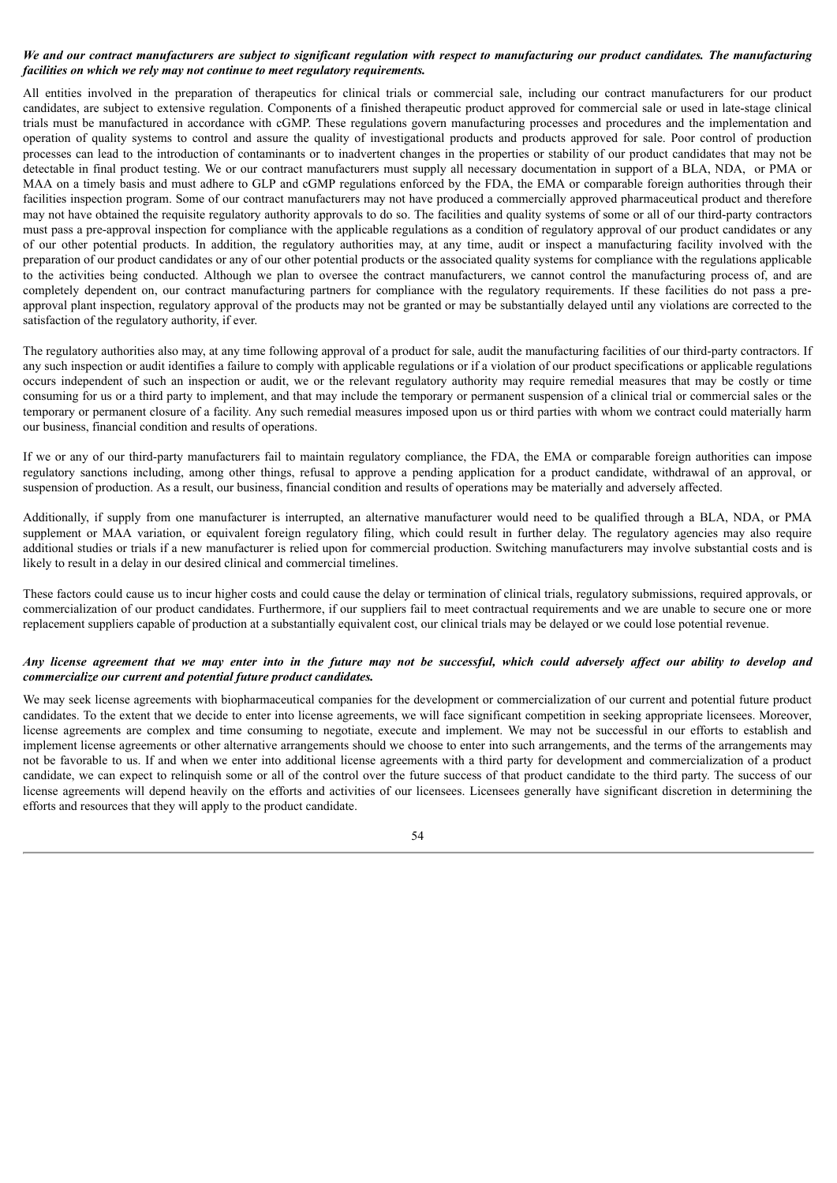## We and our contract manufacturers are subject to significant regulation with respect to manufacturing our product candidates. The manufacturing *facilities on which we rely may not continue to meet regulatory requirements.*

All entities involved in the preparation of therapeutics for clinical trials or commercial sale, including our contract manufacturers for our product candidates, are subject to extensive regulation. Components of a finished therapeutic product approved for commercial sale or used in late-stage clinical trials must be manufactured in accordance with cGMP. These regulations govern manufacturing processes and procedures and the implementation and operation of quality systems to control and assure the quality of investigational products and products approved for sale. Poor control of production processes can lead to the introduction of contaminants or to inadvertent changes in the properties or stability of our product candidates that may not be detectable in final product testing. We or our contract manufacturers must supply all necessary documentation in support of a BLA, NDA, or PMA or MAA on a timely basis and must adhere to GLP and cGMP regulations enforced by the FDA, the EMA or comparable foreign authorities through their facilities inspection program. Some of our contract manufacturers may not have produced a commercially approved pharmaceutical product and therefore may not have obtained the requisite regulatory authority approvals to do so. The facilities and quality systems of some or all of our third-party contractors must pass a pre-approval inspection for compliance with the applicable regulations as a condition of regulatory approval of our product candidates or any of our other potential products. In addition, the regulatory authorities may, at any time, audit or inspect a manufacturing facility involved with the preparation of our product candidates or any of our other potential products or the associated quality systems for compliance with the regulations applicable to the activities being conducted. Although we plan to oversee the contract manufacturers, we cannot control the manufacturing process of, and are completely dependent on, our contract manufacturing partners for compliance with the regulatory requirements. If these facilities do not pass a preapproval plant inspection, regulatory approval of the products may not be granted or may be substantially delayed until any violations are corrected to the satisfaction of the regulatory authority, if ever.

The regulatory authorities also may, at any time following approval of a product for sale, audit the manufacturing facilities of our third-party contractors. If any such inspection or audit identifies a failure to comply with applicable regulations or if a violation of our product specifications or applicable regulations occurs independent of such an inspection or audit, we or the relevant regulatory authority may require remedial measures that may be costly or time consuming for us or a third party to implement, and that may include the temporary or permanent suspension of a clinical trial or commercial sales or the temporary or permanent closure of a facility. Any such remedial measures imposed upon us or third parties with whom we contract could materially harm our business, financial condition and results of operations.

If we or any of our third-party manufacturers fail to maintain regulatory compliance, the FDA, the EMA or comparable foreign authorities can impose regulatory sanctions including, among other things, refusal to approve a pending application for a product candidate, withdrawal of an approval, or suspension of production. As a result, our business, financial condition and results of operations may be materially and adversely affected.

Additionally, if supply from one manufacturer is interrupted, an alternative manufacturer would need to be qualified through a BLA, NDA, or PMA supplement or MAA variation, or equivalent foreign regulatory filing, which could result in further delay. The regulatory agencies may also require additional studies or trials if a new manufacturer is relied upon for commercial production. Switching manufacturers may involve substantial costs and is likely to result in a delay in our desired clinical and commercial timelines.

These factors could cause us to incur higher costs and could cause the delay or termination of clinical trials, regulatory submissions, required approvals, or commercialization of our product candidates. Furthermore, if our suppliers fail to meet contractual requirements and we are unable to secure one or more replacement suppliers capable of production at a substantially equivalent cost, our clinical trials may be delayed or we could lose potential revenue.

# Any license agreement that we may enter into in the future may not be successful, which could adversely affect our ability to develop and *commercialize our current and potential future product candidates.*

We may seek license agreements with biopharmaceutical companies for the development or commercialization of our current and potential future product candidates. To the extent that we decide to enter into license agreements, we will face significant competition in seeking appropriate licensees. Moreover, license agreements are complex and time consuming to negotiate, execute and implement. We may not be successful in our efforts to establish and implement license agreements or other alternative arrangements should we choose to enter into such arrangements, and the terms of the arrangements may not be favorable to us. If and when we enter into additional license agreements with a third party for development and commercialization of a product candidate, we can expect to relinquish some or all of the control over the future success of that product candidate to the third party. The success of our license agreements will depend heavily on the efforts and activities of our licensees. Licensees generally have significant discretion in determining the efforts and resources that they will apply to the product candidate.

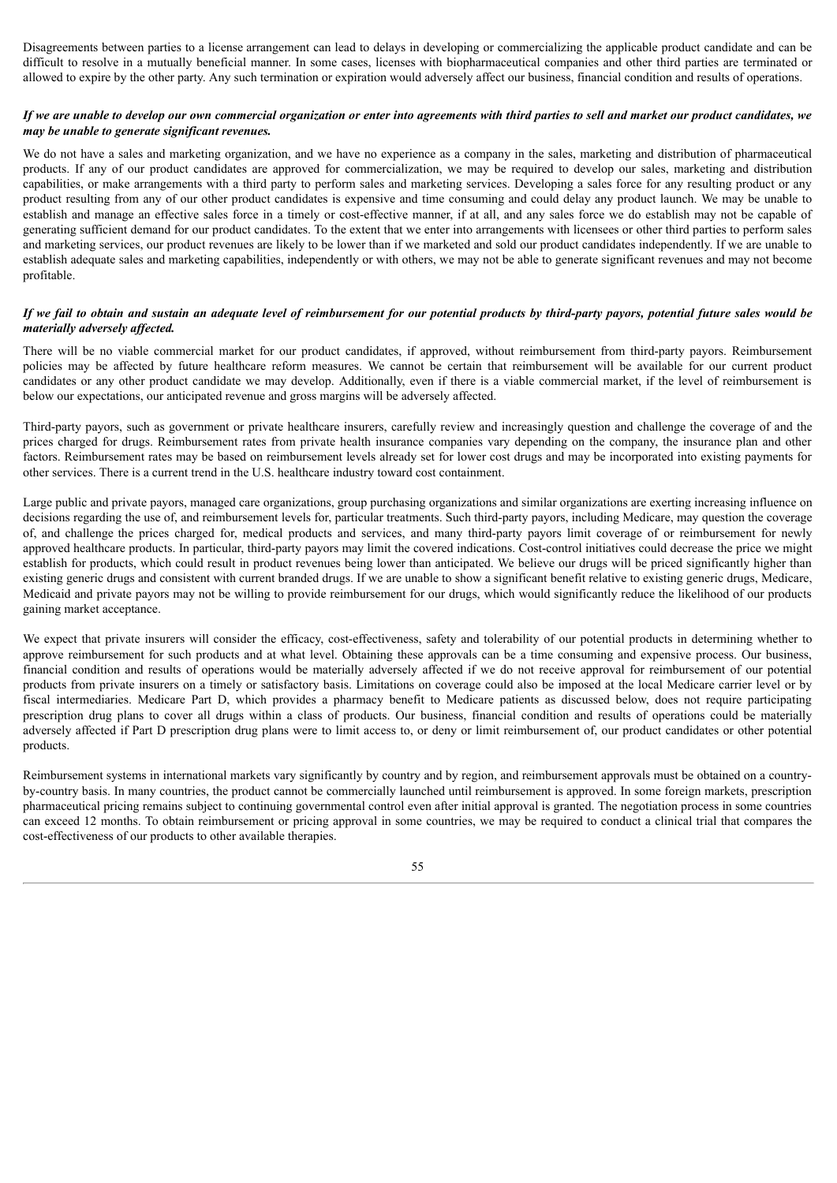Disagreements between parties to a license arrangement can lead to delays in developing or commercializing the applicable product candidate and can be difficult to resolve in a mutually beneficial manner. In some cases, licenses with biopharmaceutical companies and other third parties are terminated or allowed to expire by the other party. Any such termination or expiration would adversely affect our business, financial condition and results of operations.

## If we are unable to develop our own commercial organization or enter into agreements with third parties to sell and market our product candidates, we *may be unable to generate significant revenues.*

We do not have a sales and marketing organization, and we have no experience as a company in the sales, marketing and distribution of pharmaceutical products. If any of our product candidates are approved for commercialization, we may be required to develop our sales, marketing and distribution capabilities, or make arrangements with a third party to perform sales and marketing services. Developing a sales force for any resulting product or any product resulting from any of our other product candidates is expensive and time consuming and could delay any product launch. We may be unable to establish and manage an effective sales force in a timely or cost-effective manner, if at all, and any sales force we do establish may not be capable of generating sufficient demand for our product candidates. To the extent that we enter into arrangements with licensees or other third parties to perform sales and marketing services, our product revenues are likely to be lower than if we marketed and sold our product candidates independently. If we are unable to establish adequate sales and marketing capabilities, independently or with others, we may not be able to generate significant revenues and may not become profitable.

## If we fail to obtain and sustain an adequate level of reimbursement for our potential products by third-party payors, potential future sales would be *materially adversely af ected.*

There will be no viable commercial market for our product candidates, if approved, without reimbursement from third-party payors. Reimbursement policies may be affected by future healthcare reform measures. We cannot be certain that reimbursement will be available for our current product candidates or any other product candidate we may develop. Additionally, even if there is a viable commercial market, if the level of reimbursement is below our expectations, our anticipated revenue and gross margins will be adversely affected.

Third-party payors, such as government or private healthcare insurers, carefully review and increasingly question and challenge the coverage of and the prices charged for drugs. Reimbursement rates from private health insurance companies vary depending on the company, the insurance plan and other factors. Reimbursement rates may be based on reimbursement levels already set for lower cost drugs and may be incorporated into existing payments for other services. There is a current trend in the U.S. healthcare industry toward cost containment.

Large public and private payors, managed care organizations, group purchasing organizations and similar organizations are exerting increasing influence on decisions regarding the use of, and reimbursement levels for, particular treatments. Such third-party payors, including Medicare, may question the coverage of, and challenge the prices charged for, medical products and services, and many third-party payors limit coverage of or reimbursement for newly approved healthcare products. In particular, third-party payors may limit the covered indications. Cost-control initiatives could decrease the price we might establish for products, which could result in product revenues being lower than anticipated. We believe our drugs will be priced significantly higher than existing generic drugs and consistent with current branded drugs. If we are unable to show a significant benefit relative to existing generic drugs, Medicare, Medicaid and private payors may not be willing to provide reimbursement for our drugs, which would significantly reduce the likelihood of our products gaining market acceptance.

We expect that private insurers will consider the efficacy, cost-effectiveness, safety and tolerability of our potential products in determining whether to approve reimbursement for such products and at what level. Obtaining these approvals can be a time consuming and expensive process. Our business, financial condition and results of operations would be materially adversely affected if we do not receive approval for reimbursement of our potential products from private insurers on a timely or satisfactory basis. Limitations on coverage could also be imposed at the local Medicare carrier level or by fiscal intermediaries. Medicare Part D, which provides a pharmacy benefit to Medicare patients as discussed below, does not require participating prescription drug plans to cover all drugs within a class of products. Our business, financial condition and results of operations could be materially adversely affected if Part D prescription drug plans were to limit access to, or deny or limit reimbursement of, our product candidates or other potential products.

Reimbursement systems in international markets vary significantly by country and by region, and reimbursement approvals must be obtained on a countryby-country basis. In many countries, the product cannot be commercially launched until reimbursement is approved. In some foreign markets, prescription pharmaceutical pricing remains subject to continuing governmental control even after initial approval is granted. The negotiation process in some countries can exceed 12 months. To obtain reimbursement or pricing approval in some countries, we may be required to conduct a clinical trial that compares the cost-effectiveness of our products to other available therapies.

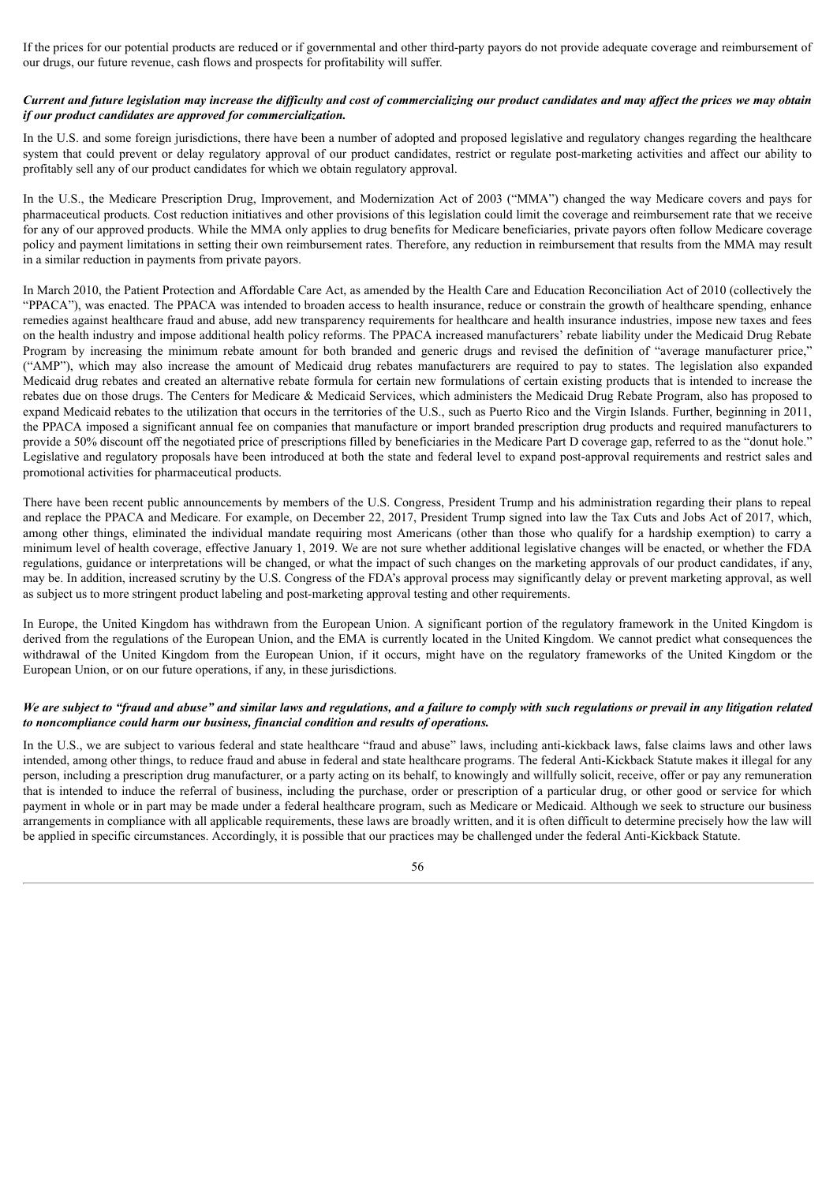If the prices for our potential products are reduced or if governmental and other third-party payors do not provide adequate coverage and reimbursement of our drugs, our future revenue, cash flows and prospects for profitability will suffer.

## Current and future legislation may increase the difficulty and cost of commercializing our product candidates and may affect the prices we may obtain *if our product candidates are approved for commercialization.*

In the U.S. and some foreign jurisdictions, there have been a number of adopted and proposed legislative and regulatory changes regarding the healthcare system that could prevent or delay regulatory approval of our product candidates, restrict or regulate post-marketing activities and affect our ability to profitably sell any of our product candidates for which we obtain regulatory approval.

In the U.S., the Medicare Prescription Drug, Improvement, and Modernization Act of 2003 ("MMA") changed the way Medicare covers and pays for pharmaceutical products. Cost reduction initiatives and other provisions of this legislation could limit the coverage and reimbursement rate that we receive for any of our approved products. While the MMA only applies to drug benefits for Medicare beneficiaries, private payors often follow Medicare coverage policy and payment limitations in setting their own reimbursement rates. Therefore, any reduction in reimbursement that results from the MMA may result in a similar reduction in payments from private payors.

In March 2010, the Patient Protection and Affordable Care Act, as amended by the Health Care and Education Reconciliation Act of 2010 (collectively the "PPACA"), was enacted. The PPACA was intended to broaden access to health insurance, reduce or constrain the growth of healthcare spending, enhance remedies against healthcare fraud and abuse, add new transparency requirements for healthcare and health insurance industries, impose new taxes and fees on the health industry and impose additional health policy reforms. The PPACA increased manufacturers' rebate liability under the Medicaid Drug Rebate Program by increasing the minimum rebate amount for both branded and generic drugs and revised the definition of "average manufacturer price," ("AMP"), which may also increase the amount of Medicaid drug rebates manufacturers are required to pay to states. The legislation also expanded Medicaid drug rebates and created an alternative rebate formula for certain new formulations of certain existing products that is intended to increase the rebates due on those drugs. The Centers for Medicare & Medicaid Services, which administers the Medicaid Drug Rebate Program, also has proposed to expand Medicaid rebates to the utilization that occurs in the territories of the U.S., such as Puerto Rico and the Virgin Islands. Further, beginning in 2011, the PPACA imposed a significant annual fee on companies that manufacture or import branded prescription drug products and required manufacturers to provide a 50% discount off the negotiated price of prescriptions filled by beneficiaries in the Medicare Part D coverage gap, referred to as the "donut hole." Legislative and regulatory proposals have been introduced at both the state and federal level to expand post-approval requirements and restrict sales and promotional activities for pharmaceutical products.

There have been recent public announcements by members of the U.S. Congress, President Trump and his administration regarding their plans to repeal and replace the PPACA and Medicare. For example, on December 22, 2017, President Trump signed into law the Tax Cuts and Jobs Act of 2017, which, among other things, eliminated the individual mandate requiring most Americans (other than those who qualify for a hardship exemption) to carry a minimum level of health coverage, effective January 1, 2019. We are not sure whether additional legislative changes will be enacted, or whether the FDA regulations, guidance or interpretations will be changed, or what the impact of such changes on the marketing approvals of our product candidates, if any, may be. In addition, increased scrutiny by the U.S. Congress of the FDA's approval process may significantly delay or prevent marketing approval, as well as subject us to more stringent product labeling and post-marketing approval testing and other requirements.

In Europe, the United Kingdom has withdrawn from the European Union. A significant portion of the regulatory framework in the United Kingdom is derived from the regulations of the European Union, and the EMA is currently located in the United Kingdom. We cannot predict what consequences the withdrawal of the United Kingdom from the European Union, if it occurs, might have on the regulatory frameworks of the United Kingdom or the European Union, or on our future operations, if any, in these jurisdictions.

#### We are subject to "fraud and abuse" and similar laws and regulations, and a failure to comply with such regulations or prevail in any litigation related *to noncompliance could harm our business, financial condition and results of operations.*

In the U.S., we are subject to various federal and state healthcare "fraud and abuse" laws, including anti-kickback laws, false claims laws and other laws intended, among other things, to reduce fraud and abuse in federal and state healthcare programs. The federal Anti-Kickback Statute makes it illegal for any person, including a prescription drug manufacturer, or a party acting on its behalf, to knowingly and willfully solicit, receive, offer or pay any remuneration that is intended to induce the referral of business, including the purchase, order or prescription of a particular drug, or other good or service for which payment in whole or in part may be made under a federal healthcare program, such as Medicare or Medicaid. Although we seek to structure our business arrangements in compliance with all applicable requirements, these laws are broadly written, and it is often difficult to determine precisely how the law will be applied in specific circumstances. Accordingly, it is possible that our practices may be challenged under the federal Anti-Kickback Statute.

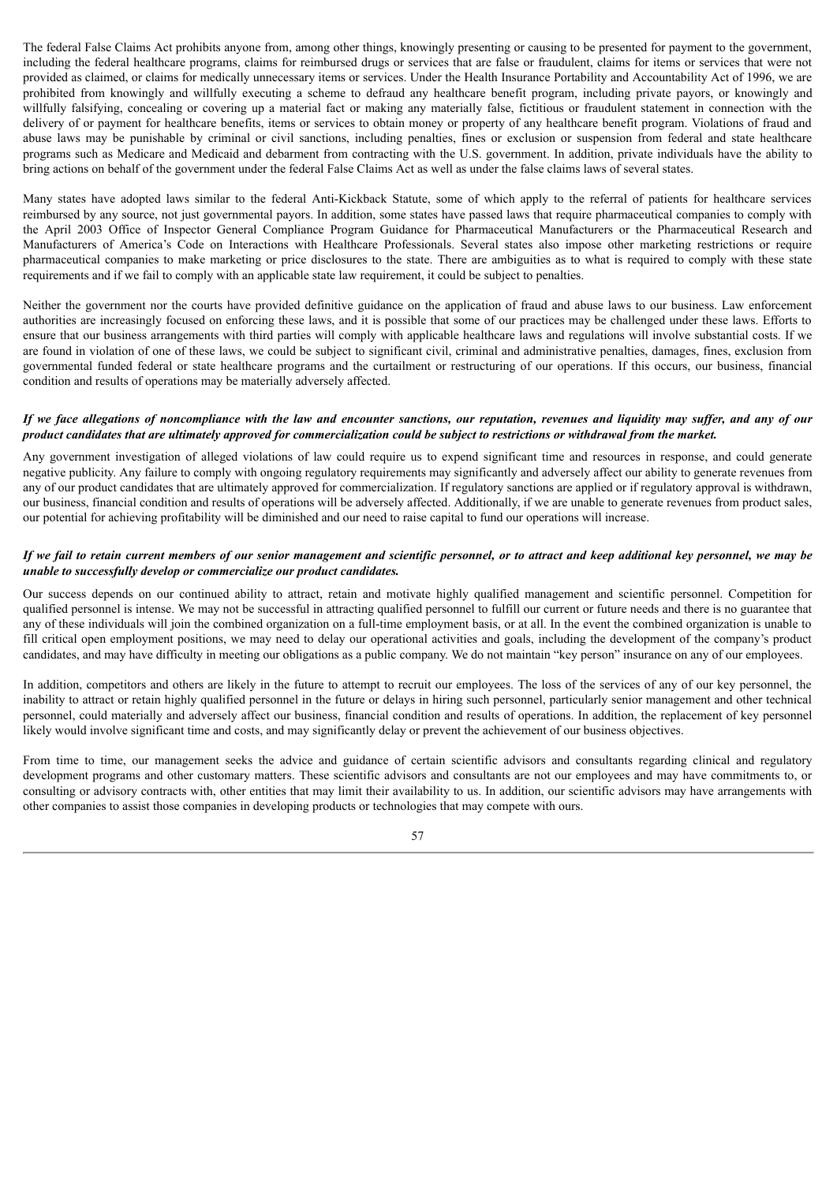The federal False Claims Act prohibits anyone from, among other things, knowingly presenting or causing to be presented for payment to the government, including the federal healthcare programs, claims for reimbursed drugs or services that are false or fraudulent, claims for items or services that were not provided as claimed, or claims for medically unnecessary items or services. Under the Health Insurance Portability and Accountability Act of 1996, we are prohibited from knowingly and willfully executing a scheme to defraud any healthcare benefit program, including private payors, or knowingly and willfully falsifying, concealing or covering up a material fact or making any materially false, fictitious or fraudulent statement in connection with the delivery of or payment for healthcare benefits, items or services to obtain money or property of any healthcare benefit program. Violations of fraud and abuse laws may be punishable by criminal or civil sanctions, including penalties, fines or exclusion or suspension from federal and state healthcare programs such as Medicare and Medicaid and debarment from contracting with the U.S. government. In addition, private individuals have the ability to bring actions on behalf of the government under the federal False Claims Act as well as under the false claims laws of several states.

Many states have adopted laws similar to the federal Anti-Kickback Statute, some of which apply to the referral of patients for healthcare services reimbursed by any source, not just governmental payors. In addition, some states have passed laws that require pharmaceutical companies to comply with the April 2003 Office of Inspector General Compliance Program Guidance for Pharmaceutical Manufacturers or the Pharmaceutical Research and Manufacturers of America's Code on Interactions with Healthcare Professionals. Several states also impose other marketing restrictions or require pharmaceutical companies to make marketing or price disclosures to the state. There are ambiguities as to what is required to comply with these state requirements and if we fail to comply with an applicable state law requirement, it could be subject to penalties.

Neither the government nor the courts have provided definitive guidance on the application of fraud and abuse laws to our business. Law enforcement authorities are increasingly focused on enforcing these laws, and it is possible that some of our practices may be challenged under these laws. Efforts to ensure that our business arrangements with third parties will comply with applicable healthcare laws and regulations will involve substantial costs. If we are found in violation of one of these laws, we could be subject to significant civil, criminal and administrative penalties, damages, fines, exclusion from governmental funded federal or state healthcare programs and the curtailment or restructuring of our operations. If this occurs, our business, financial condition and results of operations may be materially adversely affected.

#### If we face allegations of noncompliance with the law and encounter sanctions, our reputation, revenues and liquidity may suffer, and any of our product candidates that are ultimately approved for commercialization could be subject to restrictions or withdrawal from the market.

Any government investigation of alleged violations of law could require us to expend significant time and resources in response, and could generate negative publicity. Any failure to comply with ongoing regulatory requirements may significantly and adversely affect our ability to generate revenues from any of our product candidates that are ultimately approved for commercialization. If regulatory sanctions are applied or if regulatory approval is withdrawn, our business, financial condition and results of operations will be adversely affected. Additionally, if we are unable to generate revenues from product sales, our potential for achieving profitability will be diminished and our need to raise capital to fund our operations will increase.

## If we fail to retain current members of our senior management and scientific personnel, or to attract and keep additional key personnel, we may be *unable to successfully develop or commercialize our product candidates.*

Our success depends on our continued ability to attract, retain and motivate highly qualified management and scientific personnel. Competition for qualified personnel is intense. We may not be successful in attracting qualified personnel to fulfill our current or future needs and there is no guarantee that any of these individuals will join the combined organization on a full-time employment basis, or at all. In the event the combined organization is unable to fill critical open employment positions, we may need to delay our operational activities and goals, including the development of the company's product candidates, and may have difficulty in meeting our obligations as a public company. We do not maintain "key person" insurance on any of our employees.

In addition, competitors and others are likely in the future to attempt to recruit our employees. The loss of the services of any of our key personnel, the inability to attract or retain highly qualified personnel in the future or delays in hiring such personnel, particularly senior management and other technical personnel, could materially and adversely affect our business, financial condition and results of operations. In addition, the replacement of key personnel likely would involve significant time and costs, and may significantly delay or prevent the achievement of our business objectives.

From time to time, our management seeks the advice and guidance of certain scientific advisors and consultants regarding clinical and regulatory development programs and other customary matters. These scientific advisors and consultants are not our employees and may have commitments to, or consulting or advisory contracts with, other entities that may limit their availability to us. In addition, our scientific advisors may have arrangements with other companies to assist those companies in developing products or technologies that may compete with ours.

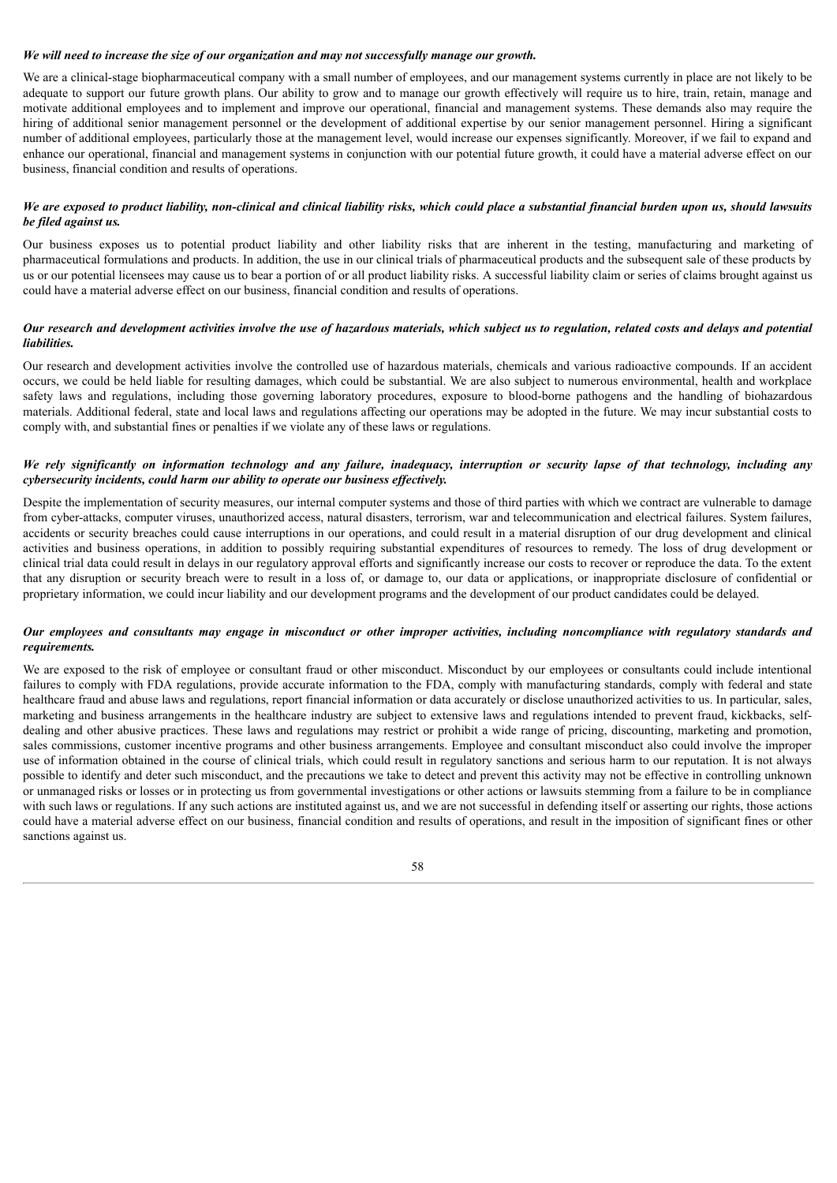#### *We will need to increase the size of our organization and may not successfully manage our growth.*

We are a clinical-stage biopharmaceutical company with a small number of employees, and our management systems currently in place are not likely to be adequate to support our future growth plans. Our ability to grow and to manage our growth effectively will require us to hire, train, retain, manage and motivate additional employees and to implement and improve our operational, financial and management systems. These demands also may require the hiring of additional senior management personnel or the development of additional expertise by our senior management personnel. Hiring a significant number of additional employees, particularly those at the management level, would increase our expenses significantly. Moreover, if we fail to expand and enhance our operational, financial and management systems in conjunction with our potential future growth, it could have a material adverse effect on our business, financial condition and results of operations.

## We are exposed to product liability, non-clinical and clinical liability risks, which could place a substantial financial burden upon us, should lawsuits *be filed against us.*

Our business exposes us to potential product liability and other liability risks that are inherent in the testing, manufacturing and marketing of pharmaceutical formulations and products. In addition, the use in our clinical trials of pharmaceutical products and the subsequent sale of these products by us or our potential licensees may cause us to bear a portion of or all product liability risks. A successful liability claim or series of claims brought against us could have a material adverse effect on our business, financial condition and results of operations.

#### Our research and development activities involve the use of hazardous materials, which subject us to regulation, related costs and delays and potential *liabilities.*

Our research and development activities involve the controlled use of hazardous materials, chemicals and various radioactive compounds. If an accident occurs, we could be held liable for resulting damages, which could be substantial. We are also subject to numerous environmental, health and workplace safety laws and regulations, including those governing laboratory procedures, exposure to blood-borne pathogens and the handling of biohazardous materials. Additional federal, state and local laws and regulations affecting our operations may be adopted in the future. We may incur substantial costs to comply with, and substantial fines or penalties if we violate any of these laws or regulations.

#### We rely significantly on information technology and any failure, inadequacy, interruption or security lapse of that technology, including any *cybersecurity incidents, could harm our ability to operate our business ef ectively.*

Despite the implementation of security measures, our internal computer systems and those of third parties with which we contract are vulnerable to damage from cyber-attacks, computer viruses, unauthorized access, natural disasters, terrorism, war and telecommunication and electrical failures. System failures, accidents or security breaches could cause interruptions in our operations, and could result in a material disruption of our drug development and clinical activities and business operations, in addition to possibly requiring substantial expenditures of resources to remedy. The loss of drug development or clinical trial data could result in delays in our regulatory approval efforts and significantly increase our costs to recover or reproduce the data. To the extent that any disruption or security breach were to result in a loss of, or damage to, our data or applications, or inappropriate disclosure of confidential or proprietary information, we could incur liability and our development programs and the development of our product candidates could be delayed.

#### Our employees and consultants may engage in misconduct or other improper activities, including noncompliance with regulatory standards and *requirements.*

We are exposed to the risk of employee or consultant fraud or other misconduct. Misconduct by our employees or consultants could include intentional failures to comply with FDA regulations, provide accurate information to the FDA, comply with manufacturing standards, comply with federal and state healthcare fraud and abuse laws and regulations, report financial information or data accurately or disclose unauthorized activities to us. In particular, sales, marketing and business arrangements in the healthcare industry are subject to extensive laws and regulations intended to prevent fraud, kickbacks, selfdealing and other abusive practices. These laws and regulations may restrict or prohibit a wide range of pricing, discounting, marketing and promotion, sales commissions, customer incentive programs and other business arrangements. Employee and consultant misconduct also could involve the improper use of information obtained in the course of clinical trials, which could result in regulatory sanctions and serious harm to our reputation. It is not always possible to identify and deter such misconduct, and the precautions we take to detect and prevent this activity may not be effective in controlling unknown or unmanaged risks or losses or in protecting us from governmental investigations or other actions or lawsuits stemming from a failure to be in compliance with such laws or regulations. If any such actions are instituted against us, and we are not successful in defending itself or asserting our rights, those actions could have a material adverse effect on our business, financial condition and results of operations, and result in the imposition of significant fines or other sanctions against us.

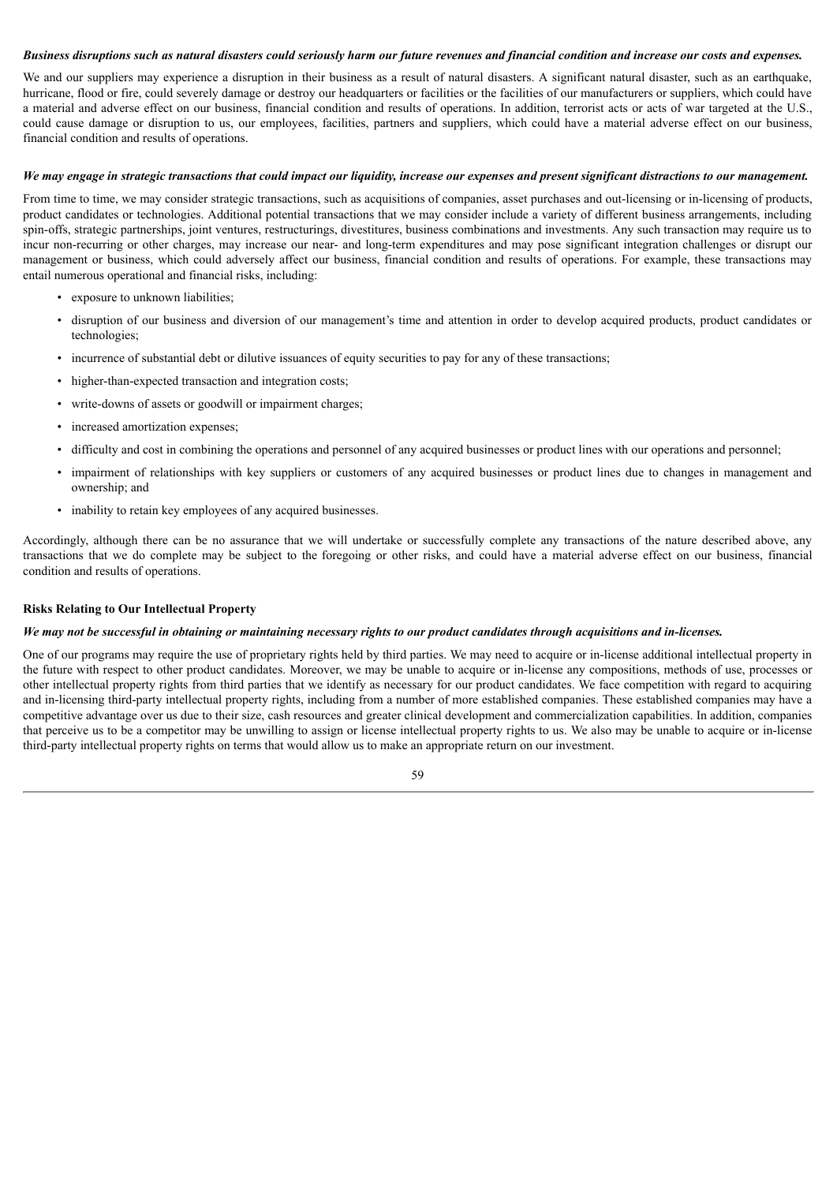#### Business disruptions such as natural disasters could seriously harm our future revenues and financial condition and increase our costs and expenses.

We and our suppliers may experience a disruption in their business as a result of natural disasters. A significant natural disaster, such as an earthquake, hurricane, flood or fire, could severely damage or destroy our headquarters or facilities or the facilities of our manufacturers or suppliers, which could have a material and adverse effect on our business, financial condition and results of operations. In addition, terrorist acts or acts of war targeted at the U.S., could cause damage or disruption to us, our employees, facilities, partners and suppliers, which could have a material adverse effect on our business, financial condition and results of operations.

#### We may engage in strategic transactions that could impact our liquidity, increase our expenses and present significant distractions to our management.

From time to time, we may consider strategic transactions, such as acquisitions of companies, asset purchases and out-licensing or in-licensing of products, product candidates or technologies. Additional potential transactions that we may consider include a variety of different business arrangements, including spin-offs, strategic partnerships, joint ventures, restructurings, divestitures, business combinations and investments. Any such transaction may require us to incur non-recurring or other charges, may increase our near- and long-term expenditures and may pose significant integration challenges or disrupt our management or business, which could adversely affect our business, financial condition and results of operations. For example, these transactions may entail numerous operational and financial risks, including:

- exposure to unknown liabilities;
- disruption of our business and diversion of our management's time and attention in order to develop acquired products, product candidates or technologies;
- incurrence of substantial debt or dilutive issuances of equity securities to pay for any of these transactions;
- higher-than-expected transaction and integration costs;
- write-downs of assets or goodwill or impairment charges;
- increased amortization expenses:
- difficulty and cost in combining the operations and personnel of any acquired businesses or product lines with our operations and personnel;
- impairment of relationships with key suppliers or customers of any acquired businesses or product lines due to changes in management and ownership; and
- inability to retain key employees of any acquired businesses.

Accordingly, although there can be no assurance that we will undertake or successfully complete any transactions of the nature described above, any transactions that we do complete may be subject to the foregoing or other risks, and could have a material adverse effect on our business, financial condition and results of operations.

## **Risks Relating to Our Intellectual Property**

#### We may not be successful in obtaining or maintaining necessary rights to our product candidates through acquisitions and in-licenses.

One of our programs may require the use of proprietary rights held by third parties. We may need to acquire or in-license additional intellectual property in the future with respect to other product candidates. Moreover, we may be unable to acquire or in-license any compositions, methods of use, processes or other intellectual property rights from third parties that we identify as necessary for our product candidates. We face competition with regard to acquiring and in-licensing third-party intellectual property rights, including from a number of more established companies. These established companies may have a competitive advantage over us due to their size, cash resources and greater clinical development and commercialization capabilities. In addition, companies that perceive us to be a competitor may be unwilling to assign or license intellectual property rights to us. We also may be unable to acquire or in-license third-party intellectual property rights on terms that would allow us to make an appropriate return on our investment.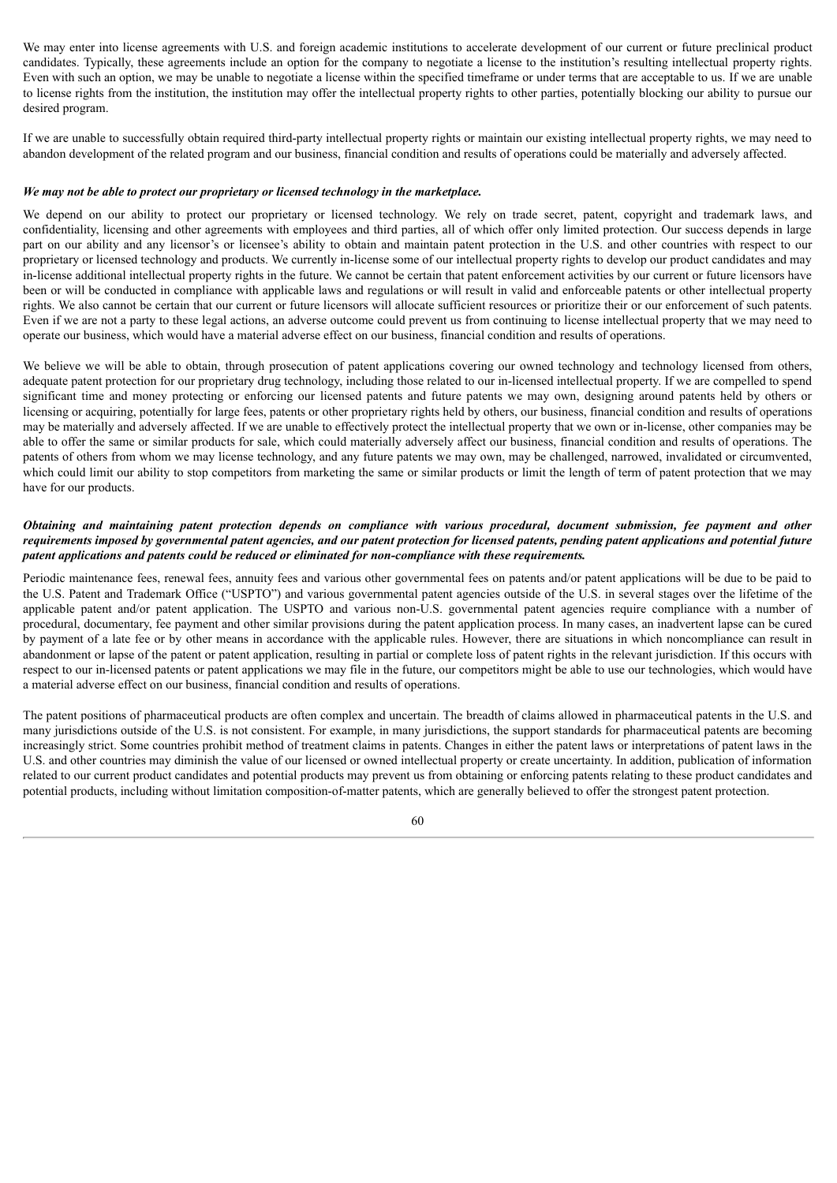We may enter into license agreements with U.S. and foreign academic institutions to accelerate development of our current or future preclinical product candidates. Typically, these agreements include an option for the company to negotiate a license to the institution's resulting intellectual property rights. Even with such an option, we may be unable to negotiate a license within the specified timeframe or under terms that are acceptable to us. If we are unable to license rights from the institution, the institution may offer the intellectual property rights to other parties, potentially blocking our ability to pursue our desired program.

If we are unable to successfully obtain required third-party intellectual property rights or maintain our existing intellectual property rights, we may need to abandon development of the related program and our business, financial condition and results of operations could be materially and adversely affected.

#### *We may not be able to protect our proprietary or licensed technology in the marketplace.*

We depend on our ability to protect our proprietary or licensed technology. We rely on trade secret, patent, copyright and trademark laws, and confidentiality, licensing and other agreements with employees and third parties, all of which offer only limited protection. Our success depends in large part on our ability and any licensor's or licensee's ability to obtain and maintain patent protection in the U.S. and other countries with respect to our proprietary or licensed technology and products. We currently in-license some of our intellectual property rights to develop our product candidates and may in-license additional intellectual property rights in the future. We cannot be certain that patent enforcement activities by our current or future licensors have been or will be conducted in compliance with applicable laws and regulations or will result in valid and enforceable patents or other intellectual property rights. We also cannot be certain that our current or future licensors will allocate sufficient resources or prioritize their or our enforcement of such patents. Even if we are not a party to these legal actions, an adverse outcome could prevent us from continuing to license intellectual property that we may need to operate our business, which would have a material adverse effect on our business, financial condition and results of operations.

We believe we will be able to obtain, through prosecution of patent applications covering our owned technology and technology licensed from others, adequate patent protection for our proprietary drug technology, including those related to our in-licensed intellectual property. If we are compelled to spend significant time and money protecting or enforcing our licensed patents and future patents we may own, designing around patents held by others or licensing or acquiring, potentially for large fees, patents or other proprietary rights held by others, our business, financial condition and results of operations may be materially and adversely affected. If we are unable to effectively protect the intellectual property that we own or in-license, other companies may be able to offer the same or similar products for sale, which could materially adversely affect our business, financial condition and results of operations. The patents of others from whom we may license technology, and any future patents we may own, may be challenged, narrowed, invalidated or circumvented, which could limit our ability to stop competitors from marketing the same or similar products or limit the length of term of patent protection that we may have for our products.

#### Obtaining and maintaining patent protection depends on compliance with various procedural, document submission, fee payment and other requirements imposed by governmental patent agencies, and our patent protection for licensed patents, pending patent applications and potential future *patent applications and patents could be reduced or eliminated for non-compliance with these requirements.*

Periodic maintenance fees, renewal fees, annuity fees and various other governmental fees on patents and/or patent applications will be due to be paid to the U.S. Patent and Trademark Office ("USPTO") and various governmental patent agencies outside of the U.S. in several stages over the lifetime of the applicable patent and/or patent application. The USPTO and various non-U.S. governmental patent agencies require compliance with a number of procedural, documentary, fee payment and other similar provisions during the patent application process. In many cases, an inadvertent lapse can be cured by payment of a late fee or by other means in accordance with the applicable rules. However, there are situations in which noncompliance can result in abandonment or lapse of the patent or patent application, resulting in partial or complete loss of patent rights in the relevant jurisdiction. If this occurs with respect to our in-licensed patents or patent applications we may file in the future, our competitors might be able to use our technologies, which would have a material adverse effect on our business, financial condition and results of operations.

The patent positions of pharmaceutical products are often complex and uncertain. The breadth of claims allowed in pharmaceutical patents in the U.S. and many jurisdictions outside of the U.S. is not consistent. For example, in many jurisdictions, the support standards for pharmaceutical patents are becoming increasingly strict. Some countries prohibit method of treatment claims in patents. Changes in either the patent laws or interpretations of patent laws in the U.S. and other countries may diminish the value of our licensed or owned intellectual property or create uncertainty. In addition, publication of information related to our current product candidates and potential products may prevent us from obtaining or enforcing patents relating to these product candidates and potential products, including without limitation composition-of-matter patents, which are generally believed to offer the strongest patent protection.

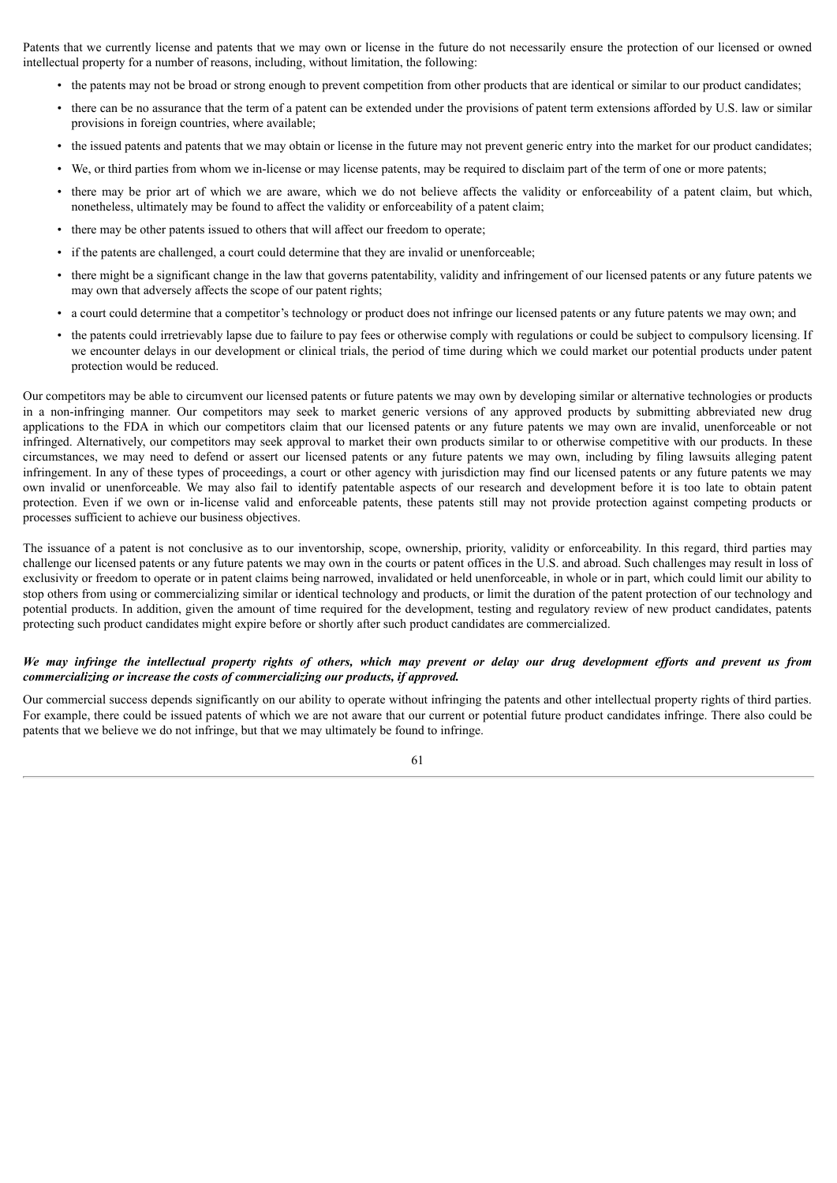Patents that we currently license and patents that we may own or license in the future do not necessarily ensure the protection of our licensed or owned intellectual property for a number of reasons, including, without limitation, the following:

- the patents may not be broad or strong enough to prevent competition from other products that are identical or similar to our product candidates;
- there can be no assurance that the term of a patent can be extended under the provisions of patent term extensions afforded by U.S. law or similar provisions in foreign countries, where available;
- the issued patents and patents that we may obtain or license in the future may not prevent generic entry into the market for our product candidates;
- We, or third parties from whom we in-license or may license patents, may be required to disclaim part of the term of one or more patents;
- there may be prior art of which we are aware, which we do not believe affects the validity or enforceability of a patent claim, but which, nonetheless, ultimately may be found to affect the validity or enforceability of a patent claim;
- there may be other patents issued to others that will affect our freedom to operate;
- if the patents are challenged, a court could determine that they are invalid or unenforceable;
- there might be a significant change in the law that governs patentability, validity and infringement of our licensed patents or any future patents we may own that adversely affects the scope of our patent rights;
- a court could determine that a competitor's technology or product does not infringe our licensed patents or any future patents we may own; and
- the patents could irretrievably lapse due to failure to pay fees or otherwise comply with regulations or could be subject to compulsory licensing. If we encounter delays in our development or clinical trials, the period of time during which we could market our potential products under patent protection would be reduced.

Our competitors may be able to circumvent our licensed patents or future patents we may own by developing similar or alternative technologies or products in a non-infringing manner. Our competitors may seek to market generic versions of any approved products by submitting abbreviated new drug applications to the FDA in which our competitors claim that our licensed patents or any future patents we may own are invalid, unenforceable or not infringed. Alternatively, our competitors may seek approval to market their own products similar to or otherwise competitive with our products. In these circumstances, we may need to defend or assert our licensed patents or any future patents we may own, including by filing lawsuits alleging patent infringement. In any of these types of proceedings, a court or other agency with jurisdiction may find our licensed patents or any future patents we may own invalid or unenforceable. We may also fail to identify patentable aspects of our research and development before it is too late to obtain patent protection. Even if we own or in-license valid and enforceable patents, these patents still may not provide protection against competing products or processes sufficient to achieve our business objectives.

The issuance of a patent is not conclusive as to our inventorship, scope, ownership, priority, validity or enforceability. In this regard, third parties may challenge our licensed patents or any future patents we may own in the courts or patent offices in the U.S. and abroad. Such challenges may result in loss of exclusivity or freedom to operate or in patent claims being narrowed, invalidated or held unenforceable, in whole or in part, which could limit our ability to stop others from using or commercializing similar or identical technology and products, or limit the duration of the patent protection of our technology and potential products. In addition, given the amount of time required for the development, testing and regulatory review of new product candidates, patents protecting such product candidates might expire before or shortly after such product candidates are commercialized.

## We may infringe the intellectual property rights of others, which may prevent or delay our drug development efforts and prevent us from *commercializing or increase the costs of commercializing our products, if approved.*

Our commercial success depends significantly on our ability to operate without infringing the patents and other intellectual property rights of third parties. For example, there could be issued patents of which we are not aware that our current or potential future product candidates infringe. There also could be patents that we believe we do not infringe, but that we may ultimately be found to infringe.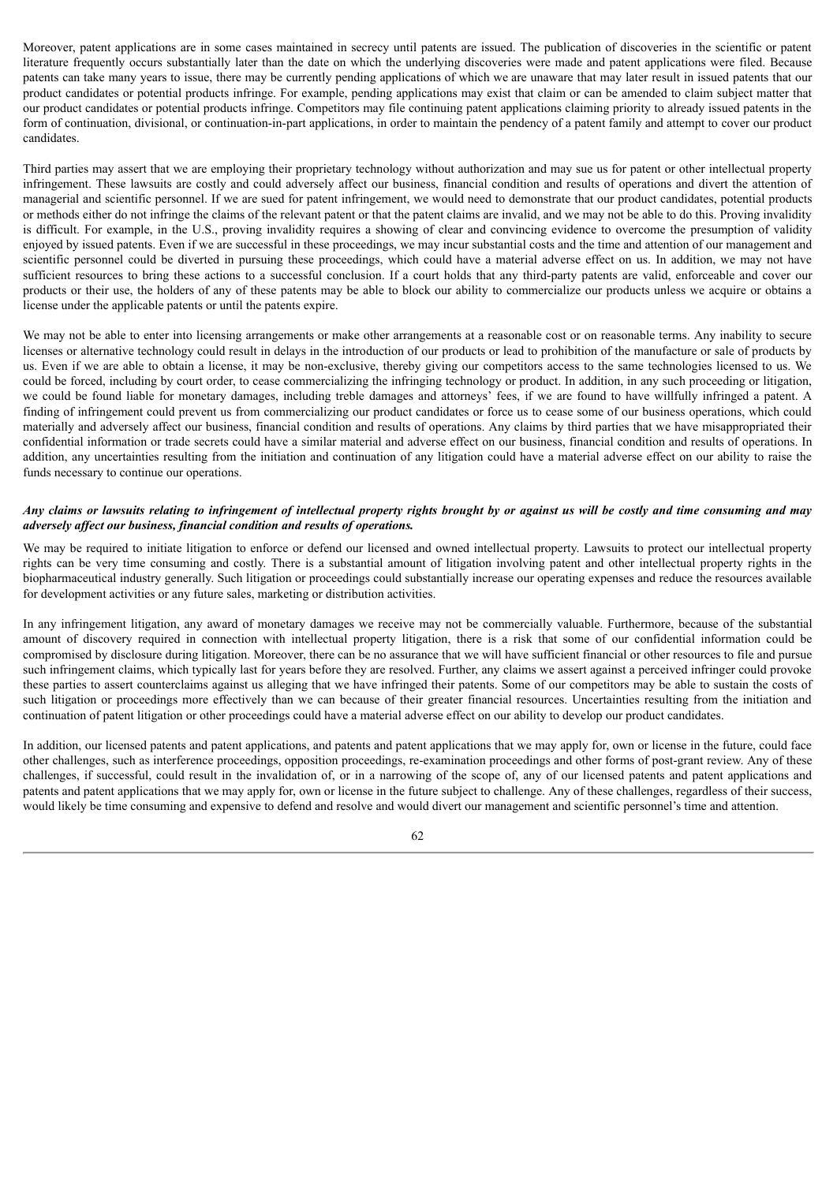Moreover, patent applications are in some cases maintained in secrecy until patents are issued. The publication of discoveries in the scientific or patent literature frequently occurs substantially later than the date on which the underlying discoveries were made and patent applications were filed. Because patents can take many years to issue, there may be currently pending applications of which we are unaware that may later result in issued patents that our product candidates or potential products infringe. For example, pending applications may exist that claim or can be amended to claim subject matter that our product candidates or potential products infringe. Competitors may file continuing patent applications claiming priority to already issued patents in the form of continuation, divisional, or continuation-in-part applications, in order to maintain the pendency of a patent family and attempt to cover our product candidates.

Third parties may assert that we are employing their proprietary technology without authorization and may sue us for patent or other intellectual property infringement. These lawsuits are costly and could adversely affect our business, financial condition and results of operations and divert the attention of managerial and scientific personnel. If we are sued for patent infringement, we would need to demonstrate that our product candidates, potential products or methods either do not infringe the claims of the relevant patent or that the patent claims are invalid, and we may not be able to do this. Proving invalidity is difficult. For example, in the U.S., proving invalidity requires a showing of clear and convincing evidence to overcome the presumption of validity enjoyed by issued patents. Even if we are successful in these proceedings, we may incur substantial costs and the time and attention of our management and scientific personnel could be diverted in pursuing these proceedings, which could have a material adverse effect on us. In addition, we may not have sufficient resources to bring these actions to a successful conclusion. If a court holds that any third-party patents are valid, enforceable and cover our products or their use, the holders of any of these patents may be able to block our ability to commercialize our products unless we acquire or obtains a license under the applicable patents or until the patents expire.

We may not be able to enter into licensing arrangements or make other arrangements at a reasonable cost or on reasonable terms. Any inability to secure licenses or alternative technology could result in delays in the introduction of our products or lead to prohibition of the manufacture or sale of products by us. Even if we are able to obtain a license, it may be non-exclusive, thereby giving our competitors access to the same technologies licensed to us. We could be forced, including by court order, to cease commercializing the infringing technology or product. In addition, in any such proceeding or litigation, we could be found liable for monetary damages, including treble damages and attorneys' fees, if we are found to have willfully infringed a patent. A finding of infringement could prevent us from commercializing our product candidates or force us to cease some of our business operations, which could materially and adversely affect our business, financial condition and results of operations. Any claims by third parties that we have misappropriated their confidential information or trade secrets could have a similar material and adverse effect on our business, financial condition and results of operations. In addition, any uncertainties resulting from the initiation and continuation of any litigation could have a material adverse effect on our ability to raise the funds necessary to continue our operations.

#### Any claims or lawsuits relating to infringement of intellectual property rights brought by or against us will be costly and time consuming and may *adversely af ect our business, financial condition and results of operations.*

We may be required to initiate litigation to enforce or defend our licensed and owned intellectual property. Lawsuits to protect our intellectual property rights can be very time consuming and costly. There is a substantial amount of litigation involving patent and other intellectual property rights in the biopharmaceutical industry generally. Such litigation or proceedings could substantially increase our operating expenses and reduce the resources available for development activities or any future sales, marketing or distribution activities.

In any infringement litigation, any award of monetary damages we receive may not be commercially valuable. Furthermore, because of the substantial amount of discovery required in connection with intellectual property litigation, there is a risk that some of our confidential information could be compromised by disclosure during litigation. Moreover, there can be no assurance that we will have sufficient financial or other resources to file and pursue such infringement claims, which typically last for years before they are resolved. Further, any claims we assert against a perceived infringer could provoke these parties to assert counterclaims against us alleging that we have infringed their patents. Some of our competitors may be able to sustain the costs of such litigation or proceedings more effectively than we can because of their greater financial resources. Uncertainties resulting from the initiation and continuation of patent litigation or other proceedings could have a material adverse effect on our ability to develop our product candidates.

In addition, our licensed patents and patent applications, and patents and patent applications that we may apply for, own or license in the future, could face other challenges, such as interference proceedings, opposition proceedings, re-examination proceedings and other forms of post-grant review. Any of these challenges, if successful, could result in the invalidation of, or in a narrowing of the scope of, any of our licensed patents and patent applications and patents and patent applications that we may apply for, own or license in the future subject to challenge. Any of these challenges, regardless of their success, would likely be time consuming and expensive to defend and resolve and would divert our management and scientific personnel's time and attention.

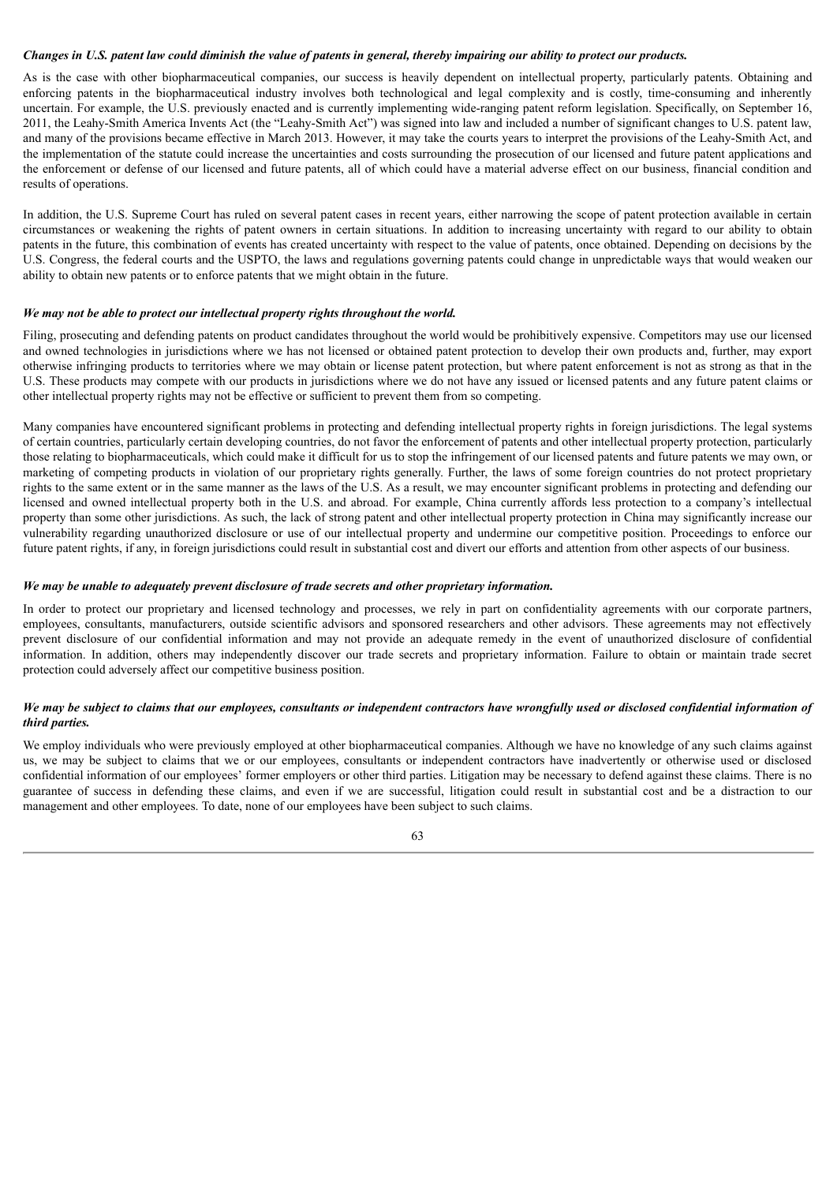#### Changes in U.S. patent law could diminish the value of patents in general, thereby impairing our ability to protect our products.

As is the case with other biopharmaceutical companies, our success is heavily dependent on intellectual property, particularly patents. Obtaining and enforcing patents in the biopharmaceutical industry involves both technological and legal complexity and is costly, time-consuming and inherently uncertain. For example, the U.S. previously enacted and is currently implementing wide-ranging patent reform legislation. Specifically, on September 16, 2011, the Leahy-Smith America Invents Act (the "Leahy-Smith Act") was signed into law and included a number of significant changes to U.S. patent law, and many of the provisions became effective in March 2013. However, it may take the courts years to interpret the provisions of the Leahy-Smith Act, and the implementation of the statute could increase the uncertainties and costs surrounding the prosecution of our licensed and future patent applications and the enforcement or defense of our licensed and future patents, all of which could have a material adverse effect on our business, financial condition and results of operations.

In addition, the U.S. Supreme Court has ruled on several patent cases in recent years, either narrowing the scope of patent protection available in certain circumstances or weakening the rights of patent owners in certain situations. In addition to increasing uncertainty with regard to our ability to obtain patents in the future, this combination of events has created uncertainty with respect to the value of patents, once obtained. Depending on decisions by the U.S. Congress, the federal courts and the USPTO, the laws and regulations governing patents could change in unpredictable ways that would weaken our ability to obtain new patents or to enforce patents that we might obtain in the future.

#### *We may not be able to protect our intellectual property rights throughout the world.*

Filing, prosecuting and defending patents on product candidates throughout the world would be prohibitively expensive. Competitors may use our licensed and owned technologies in jurisdictions where we has not licensed or obtained patent protection to develop their own products and, further, may export otherwise infringing products to territories where we may obtain or license patent protection, but where patent enforcement is not as strong as that in the U.S. These products may compete with our products in jurisdictions where we do not have any issued or licensed patents and any future patent claims or other intellectual property rights may not be effective or sufficient to prevent them from so competing.

Many companies have encountered significant problems in protecting and defending intellectual property rights in foreign jurisdictions. The legal systems of certain countries, particularly certain developing countries, do not favor the enforcement of patents and other intellectual property protection, particularly those relating to biopharmaceuticals, which could make it difficult for us to stop the infringement of our licensed patents and future patents we may own, or marketing of competing products in violation of our proprietary rights generally. Further, the laws of some foreign countries do not protect proprietary rights to the same extent or in the same manner as the laws of the U.S. As a result, we may encounter significant problems in protecting and defending our licensed and owned intellectual property both in the U.S. and abroad. For example, China currently affords less protection to a company's intellectual property than some other jurisdictions. As such, the lack of strong patent and other intellectual property protection in China may significantly increase our vulnerability regarding unauthorized disclosure or use of our intellectual property and undermine our competitive position. Proceedings to enforce our future patent rights, if any, in foreign jurisdictions could result in substantial cost and divert our efforts and attention from other aspects of our business.

#### *We may be unable to adequately prevent disclosure of trade secrets and other proprietary information.*

In order to protect our proprietary and licensed technology and processes, we rely in part on confidentiality agreements with our corporate partners, employees, consultants, manufacturers, outside scientific advisors and sponsored researchers and other advisors. These agreements may not effectively prevent disclosure of our confidential information and may not provide an adequate remedy in the event of unauthorized disclosure of confidential information. In addition, others may independently discover our trade secrets and proprietary information. Failure to obtain or maintain trade secret protection could adversely affect our competitive business position.

#### We may be subject to claims that our employees, consultants or independent contractors have wrongfully used or disclosed confidential information of *third parties.*

We employ individuals who were previously employed at other biopharmaceutical companies. Although we have no knowledge of any such claims against us, we may be subject to claims that we or our employees, consultants or independent contractors have inadvertently or otherwise used or disclosed confidential information of our employees' former employers or other third parties. Litigation may be necessary to defend against these claims. There is no guarantee of success in defending these claims, and even if we are successful, litigation could result in substantial cost and be a distraction to our management and other employees. To date, none of our employees have been subject to such claims.

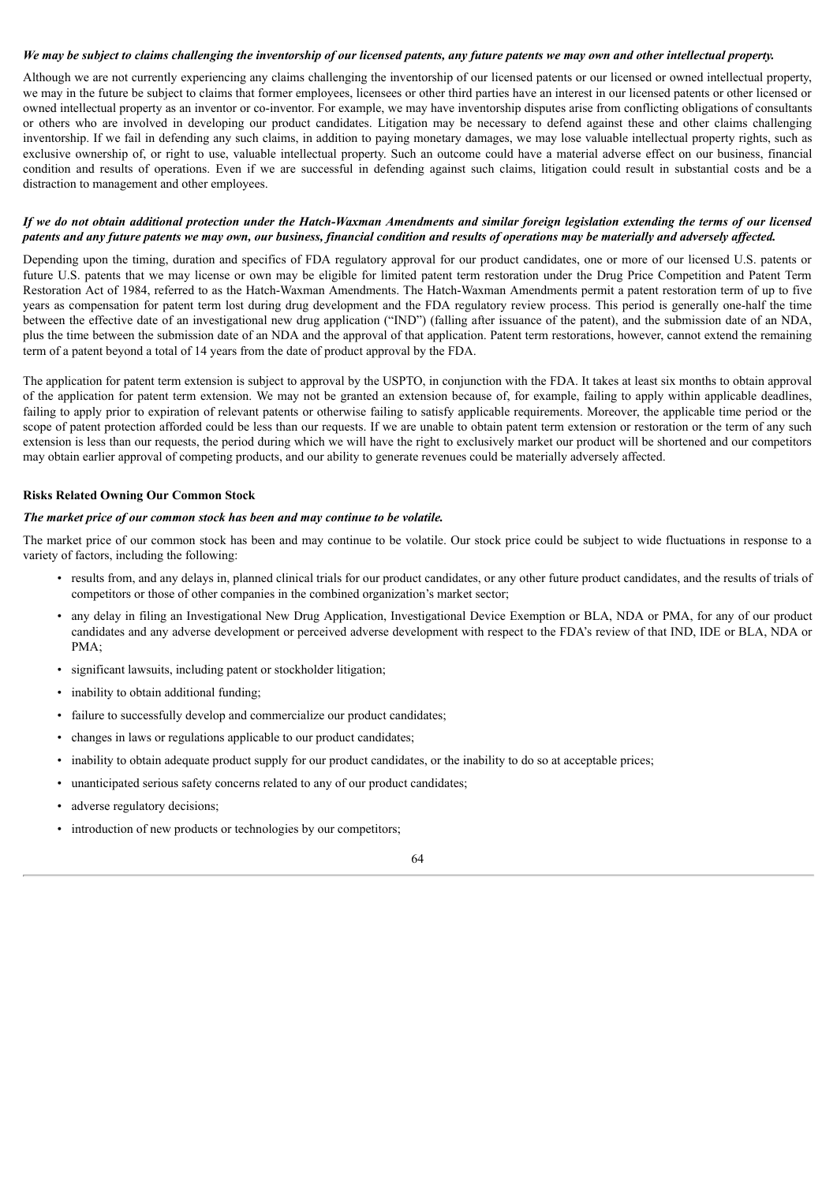#### We may be subject to claims challenging the inventorship of our licensed patents, any future patents we may own and other intellectual property.

Although we are not currently experiencing any claims challenging the inventorship of our licensed patents or our licensed or owned intellectual property, we may in the future be subject to claims that former employees, licensees or other third parties have an interest in our licensed patents or other licensed or owned intellectual property as an inventor or co-inventor. For example, we may have inventorship disputes arise from conflicting obligations of consultants or others who are involved in developing our product candidates. Litigation may be necessary to defend against these and other claims challenging inventorship. If we fail in defending any such claims, in addition to paying monetary damages, we may lose valuable intellectual property rights, such as exclusive ownership of, or right to use, valuable intellectual property. Such an outcome could have a material adverse effect on our business, financial condition and results of operations. Even if we are successful in defending against such claims, litigation could result in substantial costs and be a distraction to management and other employees.

#### If we do not obtain additional protection under the Hatch-Waxman Amendments and similar foreign legislation extending the terms of our licensed patents and any future patents we may own, our business, financial condition and results of operations may be materially and adversely affected.

Depending upon the timing, duration and specifics of FDA regulatory approval for our product candidates, one or more of our licensed U.S. patents or future U.S. patents that we may license or own may be eligible for limited patent term restoration under the Drug Price Competition and Patent Term Restoration Act of 1984, referred to as the Hatch-Waxman Amendments. The Hatch-Waxman Amendments permit a patent restoration term of up to five years as compensation for patent term lost during drug development and the FDA regulatory review process. This period is generally one-half the time between the effective date of an investigational new drug application ("IND") (falling after issuance of the patent), and the submission date of an NDA, plus the time between the submission date of an NDA and the approval of that application. Patent term restorations, however, cannot extend the remaining term of a patent beyond a total of 14 years from the date of product approval by the FDA.

The application for patent term extension is subject to approval by the USPTO, in conjunction with the FDA. It takes at least six months to obtain approval of the application for patent term extension. We may not be granted an extension because of, for example, failing to apply within applicable deadlines, failing to apply prior to expiration of relevant patents or otherwise failing to satisfy applicable requirements. Moreover, the applicable time period or the scope of patent protection afforded could be less than our requests. If we are unable to obtain patent term extension or restoration or the term of any such extension is less than our requests, the period during which we will have the right to exclusively market our product will be shortened and our competitors may obtain earlier approval of competing products, and our ability to generate revenues could be materially adversely affected.

#### **Risks Related Owning Our Common Stock**

#### *The market price of our common stock has been and may continue to be volatile.*

The market price of our common stock has been and may continue to be volatile. Our stock price could be subject to wide fluctuations in response to a variety of factors, including the following:

- results from, and any delays in, planned clinical trials for our product candidates, or any other future product candidates, and the results of trials of competitors or those of other companies in the combined organization's market sector;
- any delay in filing an Investigational New Drug Application, Investigational Device Exemption or BLA, NDA or PMA, for any of our product candidates and any adverse development or perceived adverse development with respect to the FDA's review of that IND, IDE or BLA, NDA or PMA;
- significant lawsuits, including patent or stockholder litigation;
- inability to obtain additional funding;
- failure to successfully develop and commercialize our product candidates;
- changes in laws or regulations applicable to our product candidates;
- inability to obtain adequate product supply for our product candidates, or the inability to do so at acceptable prices;
- unanticipated serious safety concerns related to any of our product candidates;
- adverse regulatory decisions;
- introduction of new products or technologies by our competitors;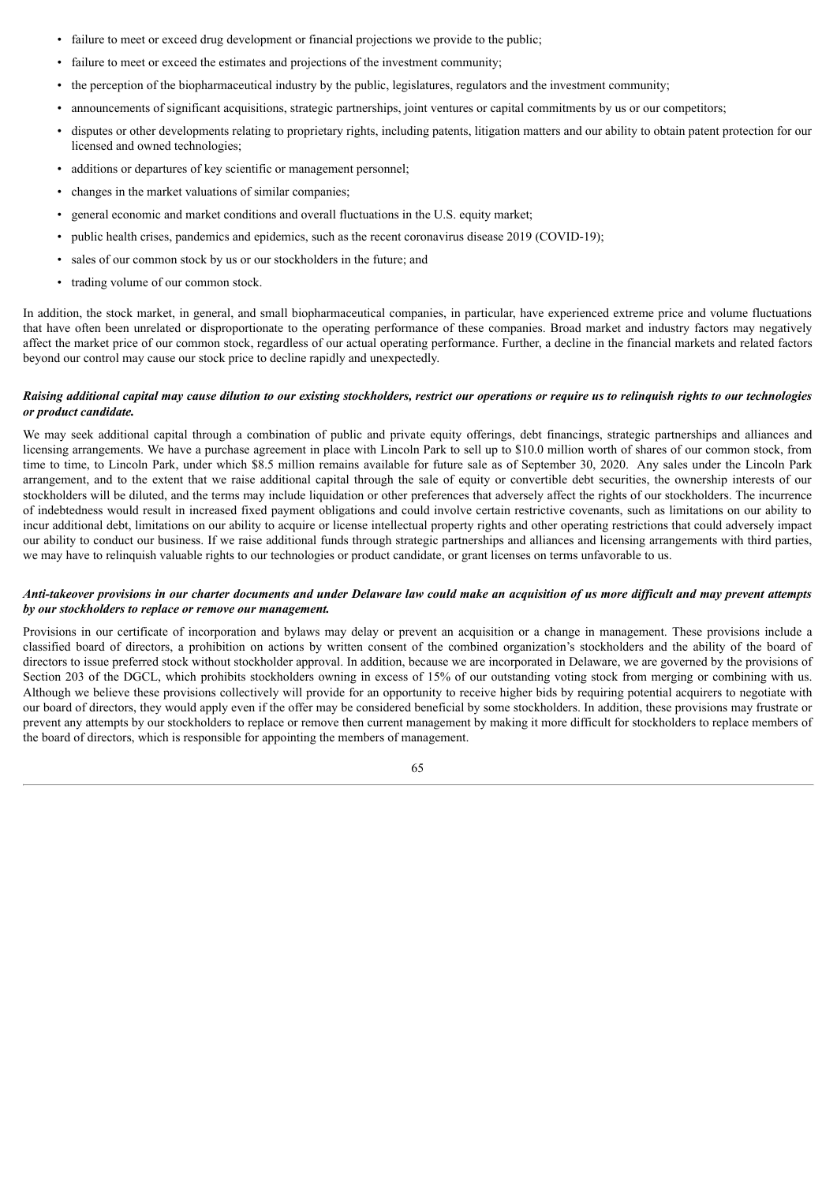- failure to meet or exceed drug development or financial projections we provide to the public;
- failure to meet or exceed the estimates and projections of the investment community;
- the perception of the biopharmaceutical industry by the public, legislatures, regulators and the investment community;
- announcements of significant acquisitions, strategic partnerships, joint ventures or capital commitments by us or our competitors;
- disputes or other developments relating to proprietary rights, including patents, litigation matters and our ability to obtain patent protection for our licensed and owned technologies;
- additions or departures of key scientific or management personnel;
- changes in the market valuations of similar companies;
- general economic and market conditions and overall fluctuations in the U.S. equity market;
- public health crises, pandemics and epidemics, such as the recent coronavirus disease 2019 (COVID-19);
- sales of our common stock by us or our stockholders in the future; and
- trading volume of our common stock.

In addition, the stock market, in general, and small biopharmaceutical companies, in particular, have experienced extreme price and volume fluctuations that have often been unrelated or disproportionate to the operating performance of these companies. Broad market and industry factors may negatively affect the market price of our common stock, regardless of our actual operating performance. Further, a decline in the financial markets and related factors beyond our control may cause our stock price to decline rapidly and unexpectedly.

#### Raising additional capital may cause dilution to our existing stockholders, restrict our operations or require us to relinguish rights to our technologies *or product candidate.*

We may seek additional capital through a combination of public and private equity offerings, debt financings, strategic partnerships and alliances and licensing arrangements. We have a purchase agreement in place with Lincoln Park to sell up to \$10.0 million worth of shares of our common stock, from time to time, to Lincoln Park, under which \$8.5 million remains available for future sale as of September 30, 2020. Any sales under the Lincoln Park arrangement, and to the extent that we raise additional capital through the sale of equity or convertible debt securities, the ownership interests of our stockholders will be diluted, and the terms may include liquidation or other preferences that adversely affect the rights of our stockholders. The incurrence of indebtedness would result in increased fixed payment obligations and could involve certain restrictive covenants, such as limitations on our ability to incur additional debt, limitations on our ability to acquire or license intellectual property rights and other operating restrictions that could adversely impact our ability to conduct our business. If we raise additional funds through strategic partnerships and alliances and licensing arrangements with third parties, we may have to relinquish valuable rights to our technologies or product candidate, or grant licenses on terms unfavorable to us.

#### Anti-takeover provisions in our charter documents and under Delaware law could make an acquisition of us more difficult and may prevent attempts *by our stockholders to replace or remove our management.*

Provisions in our certificate of incorporation and bylaws may delay or prevent an acquisition or a change in management. These provisions include a classified board of directors, a prohibition on actions by written consent of the combined organization's stockholders and the ability of the board of directors to issue preferred stock without stockholder approval. In addition, because we are incorporated in Delaware, we are governed by the provisions of Section 203 of the DGCL, which prohibits stockholders owning in excess of 15% of our outstanding voting stock from merging or combining with us. Although we believe these provisions collectively will provide for an opportunity to receive higher bids by requiring potential acquirers to negotiate with our board of directors, they would apply even if the offer may be considered beneficial by some stockholders. In addition, these provisions may frustrate or prevent any attempts by our stockholders to replace or remove then current management by making it more difficult for stockholders to replace members of the board of directors, which is responsible for appointing the members of management.

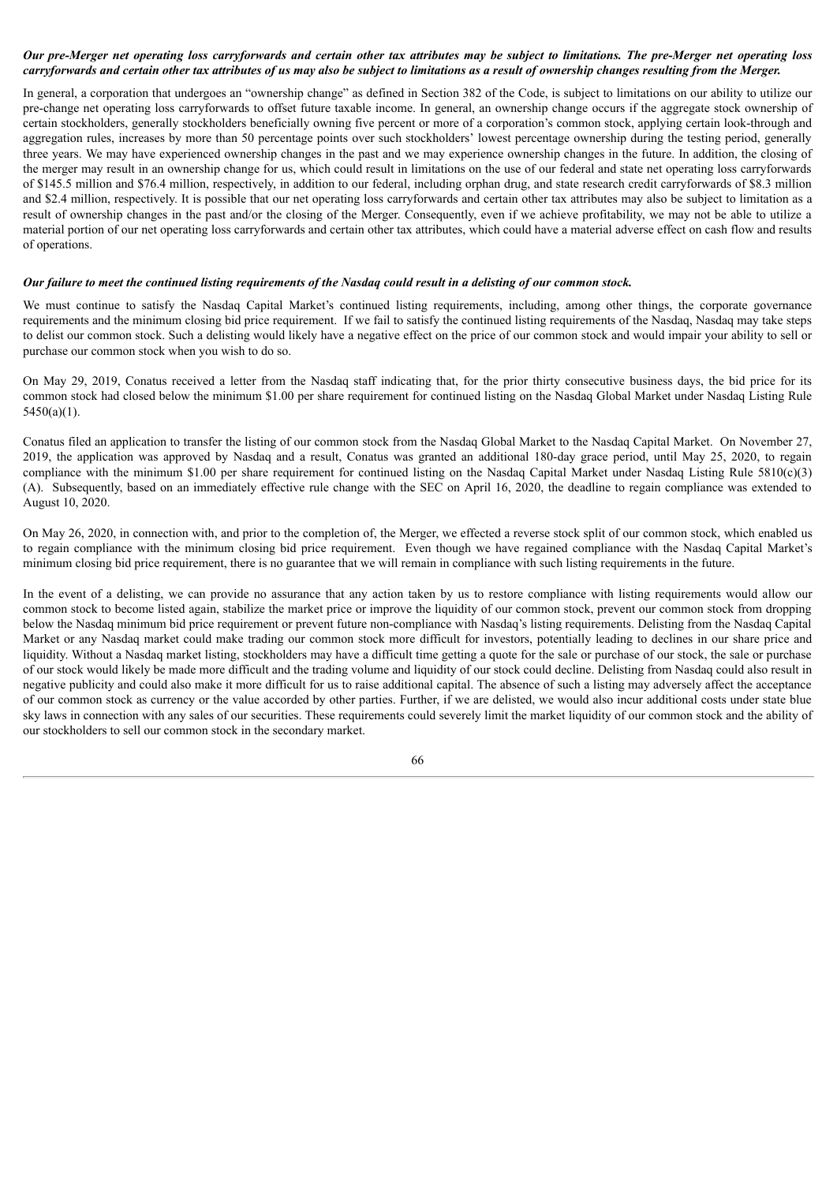## Our pre-Merger net operating loss carryforwards and certain other tax attributes may be subject to limitations. The pre-Merger net operating loss carryforwards and certain other tax attributes of us may also be subject to limitations as a result of ownership changes resulting from the Merger.

In general, a corporation that undergoes an "ownership change" as defined in Section 382 of the Code, is subject to limitations on our ability to utilize our pre-change net operating loss carryforwards to offset future taxable income. In general, an ownership change occurs if the aggregate stock ownership of certain stockholders, generally stockholders beneficially owning five percent or more of a corporation's common stock, applying certain look-through and aggregation rules, increases by more than 50 percentage points over such stockholders' lowest percentage ownership during the testing period, generally three years. We may have experienced ownership changes in the past and we may experience ownership changes in the future. In addition, the closing of the merger may result in an ownership change for us, which could result in limitations on the use of our federal and state net operating loss carryforwards of \$145.5 million and \$76.4 million, respectively, in addition to our federal, including orphan drug, and state research credit carryforwards of \$8.3 million and \$2.4 million, respectively. It is possible that our net operating loss carryforwards and certain other tax attributes may also be subject to limitation as a result of ownership changes in the past and/or the closing of the Merger. Consequently, even if we achieve profitability, we may not be able to utilize a material portion of our net operating loss carryforwards and certain other tax attributes, which could have a material adverse effect on cash flow and results of operations.

#### Our failure to meet the continued listing requirements of the Nasdaq could result in a delisting of our common stock.

We must continue to satisfy the Nasdaq Capital Market's continued listing requirements, including, among other things, the corporate governance requirements and the minimum closing bid price requirement. If we fail to satisfy the continued listing requirements of the Nasdaq, Nasdaq may take steps to delist our common stock. Such a delisting would likely have a negative effect on the price of our common stock and would impair your ability to sell or purchase our common stock when you wish to do so.

On May 29, 2019, Conatus received a letter from the Nasdaq staff indicating that, for the prior thirty consecutive business days, the bid price for its common stock had closed below the minimum \$1.00 per share requirement for continued listing on the Nasdaq Global Market under Nasdaq Listing Rule  $5450(a)(1)$ .

Conatus filed an application to transfer the listing of our common stock from the Nasdaq Global Market to the Nasdaq Capital Market. On November 27, 2019, the application was approved by Nasdaq and a result, Conatus was granted an additional 180-day grace period, until May 25, 2020, to regain compliance with the minimum \$1.00 per share requirement for continued listing on the Nasdaq Capital Market under Nasdaq Listing Rule  $5810(c)(3)$ (A). Subsequently, based on an immediately effective rule change with the SEC on April 16, 2020, the deadline to regain compliance was extended to August 10, 2020.

On May 26, 2020, in connection with, and prior to the completion of, the Merger, we effected a reverse stock split of our common stock, which enabled us to regain compliance with the minimum closing bid price requirement. Even though we have regained compliance with the Nasdaq Capital Market's minimum closing bid price requirement, there is no guarantee that we will remain in compliance with such listing requirements in the future.

In the event of a delisting, we can provide no assurance that any action taken by us to restore compliance with listing requirements would allow our common stock to become listed again, stabilize the market price or improve the liquidity of our common stock, prevent our common stock from dropping below the Nasdaq minimum bid price requirement or prevent future non-compliance with Nasdaq's listing requirements. Delisting from the Nasdaq Capital Market or any Nasdaq market could make trading our common stock more difficult for investors, potentially leading to declines in our share price and liquidity. Without a Nasdaq market listing, stockholders may have a difficult time getting a quote for the sale or purchase of our stock, the sale or purchase of our stock would likely be made more difficult and the trading volume and liquidity of our stock could decline. Delisting from Nasdaq could also result in negative publicity and could also make it more difficult for us to raise additional capital. The absence of such a listing may adversely affect the acceptance of our common stock as currency or the value accorded by other parties. Further, if we are delisted, we would also incur additional costs under state blue sky laws in connection with any sales of our securities. These requirements could severely limit the market liquidity of our common stock and the ability of our stockholders to sell our common stock in the secondary market.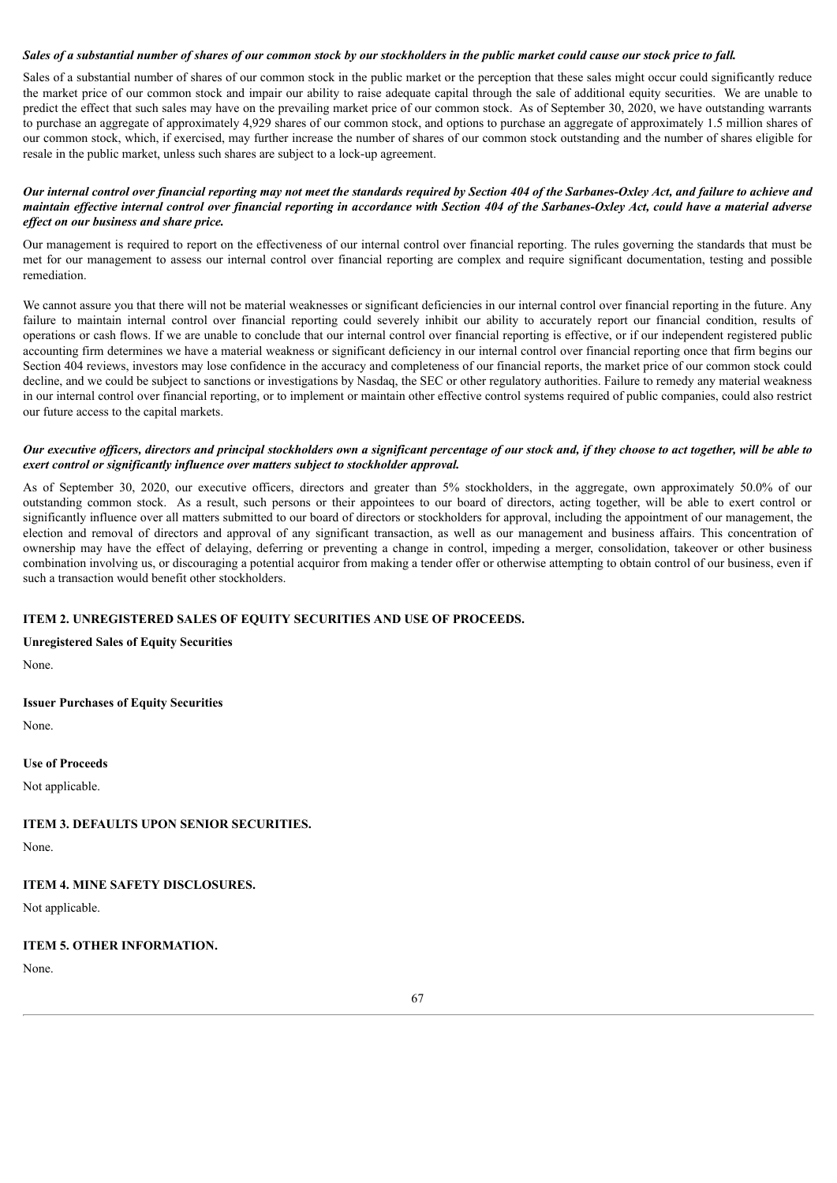#### Sales of a substantial number of shares of our common stock by our stockholders in the public market could cause our stock price to fall.

Sales of a substantial number of shares of our common stock in the public market or the perception that these sales might occur could significantly reduce the market price of our common stock and impair our ability to raise adequate capital through the sale of additional equity securities. We are unable to predict the effect that such sales may have on the prevailing market price of our common stock. As of September 30, 2020, we have outstanding warrants to purchase an aggregate of approximately 4,929 shares of our common stock, and options to purchase an aggregate of approximately 1.5 million shares of our common stock, which, if exercised, may further increase the number of shares of our common stock outstanding and the number of shares eligible for resale in the public market, unless such shares are subject to a lock-up agreement.

## Our internal control over financial reporting may not meet the standards required by Section 404 of the Sarbanes-Oxley Act, and failure to achieve and maintain effective internal control over financial reporting in accordance with Section 404 of the Sarbanes-Oxley Act, could have a material adverse *ef ect on our business and share price.*

Our management is required to report on the effectiveness of our internal control over financial reporting. The rules governing the standards that must be met for our management to assess our internal control over financial reporting are complex and require significant documentation, testing and possible remediation.

We cannot assure you that there will not be material weaknesses or significant deficiencies in our internal control over financial reporting in the future. Any failure to maintain internal control over financial reporting could severely inhibit our ability to accurately report our financial condition, results of operations or cash flows. If we are unable to conclude that our internal control over financial reporting is effective, or if our independent registered public accounting firm determines we have a material weakness or significant deficiency in our internal control over financial reporting once that firm begins our Section 404 reviews, investors may lose confidence in the accuracy and completeness of our financial reports, the market price of our common stock could decline, and we could be subject to sanctions or investigations by Nasdaq, the SEC or other regulatory authorities. Failure to remedy any material weakness in our internal control over financial reporting, or to implement or maintain other effective control systems required of public companies, could also restrict our future access to the capital markets.

#### Our executive officers, directors and principal stockholders own a significant percentage of our stock and, if they choose to act together, will be able to *exert control or significantly influence over matters subject to stockholder approval.*

As of September 30, 2020, our executive officers, directors and greater than 5% stockholders, in the aggregate, own approximately 50.0% of our outstanding common stock. As a result, such persons or their appointees to our board of directors, acting together, will be able to exert control or significantly influence over all matters submitted to our board of directors or stockholders for approval, including the appointment of our management, the election and removal of directors and approval of any significant transaction, as well as our management and business affairs. This concentration of ownership may have the effect of delaying, deferring or preventing a change in control, impeding a merger, consolidation, takeover or other business combination involving us, or discouraging a potential acquiror from making a tender offer or otherwise attempting to obtain control of our business, even if such a transaction would benefit other stockholders.

## **ITEM 2. UNREGISTERED SALES OF EQUITY SECURITIES AND USE OF PROCEEDS.**

#### **Unregistered Sales of Equity Securities**

None.

## **Issuer Purchases of Equity Securities**

None.

## **Use of Proceeds**

Not applicable.

## **ITEM 3. DEFAULTS UPON SENIOR SECURITIES.**

None.

# **ITEM 4. MINE SAFETY DISCLOSURES.**

Not applicable.

## **ITEM 5. OTHER INFORMATION.**

None.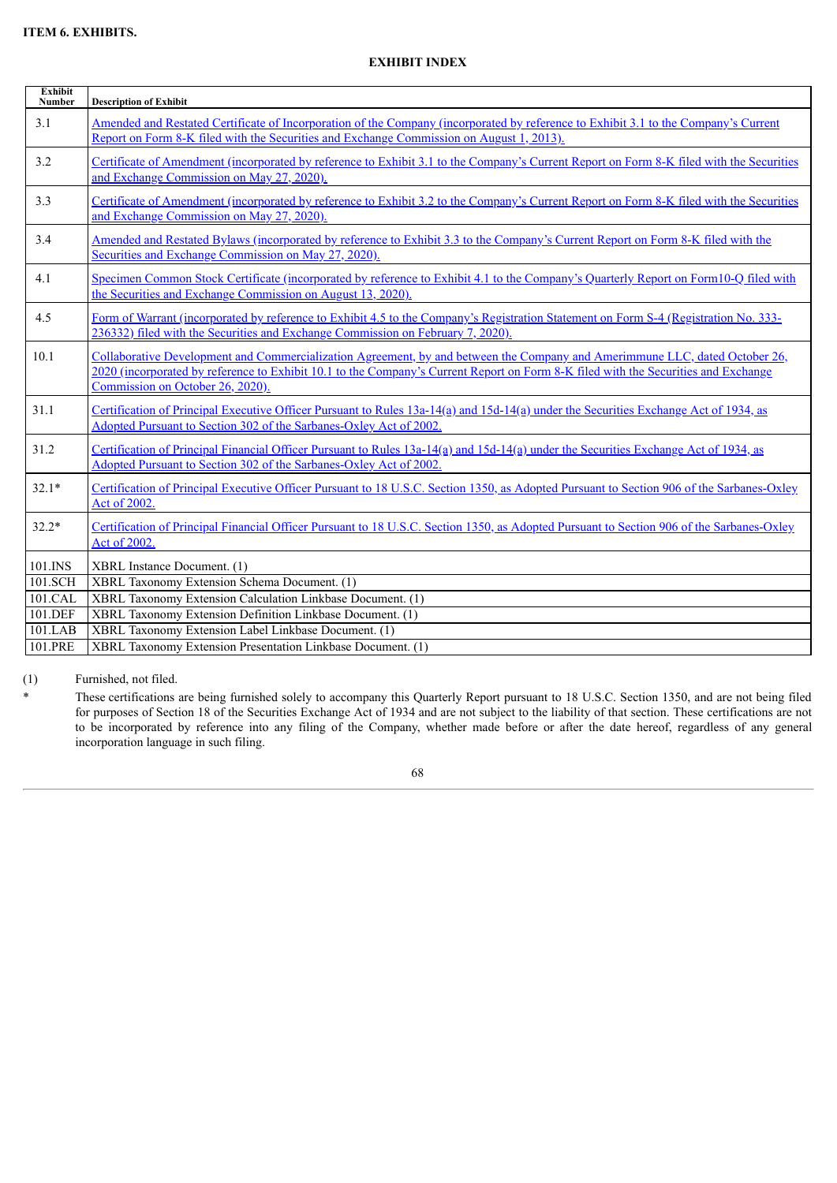# **EXHIBIT INDEX**

| <b>Exhibit</b><br>Number | <b>Description of Exhibit</b>                                                                                                                                                                                                                                                                         |
|--------------------------|-------------------------------------------------------------------------------------------------------------------------------------------------------------------------------------------------------------------------------------------------------------------------------------------------------|
| 3.1                      | Amended and Restated Certificate of Incorporation of the Company (incorporated by reference to Exhibit 3.1 to the Company's Current<br>Report on Form 8-K filed with the Securities and Exchange Commission on August 1, 2013).                                                                       |
| 3.2                      | Certificate of Amendment (incorporated by reference to Exhibit 3.1 to the Company's Current Report on Form 8-K filed with the Securities<br>and Exchange Commission on May 27, 2020).                                                                                                                 |
| 3.3                      | Certificate of Amendment (incorporated by reference to Exhibit 3.2 to the Company's Current Report on Form 8-K filed with the Securities<br>and Exchange Commission on May 27, 2020).                                                                                                                 |
| 3.4                      | Amended and Restated Bylaws (incorporated by reference to Exhibit 3.3 to the Company's Current Report on Form 8-K filed with the<br>Securities and Exchange Commission on May 27, 2020).                                                                                                              |
| 4.1                      | Specimen Common Stock Certificate (incorporated by reference to Exhibit 4.1 to the Company's Quarterly Report on Form10-Q filed with<br>the Securities and Exchange Commission on August 13, 2020).                                                                                                   |
| 4.5                      | Form of Warrant (incorporated by reference to Exhibit 4.5 to the Company's Registration Statement on Form S-4 (Registration No. 333-<br>236332) filed with the Securities and Exchange Commission on February 7, 2020).                                                                               |
| 10.1                     | Collaborative Development and Commercialization Agreement, by and between the Company and Amerimmune LLC, dated October 26,<br>2020 (incorporated by reference to Exhibit 10.1 to the Company's Current Report on Form 8-K filed with the Securities and Exchange<br>Commission on October 26, 2020). |
| 31.1                     | Certification of Principal Executive Officer Pursuant to Rules 13a-14(a) and 15d-14(a) under the Securities Exchange Act of 1934, as<br>Adopted Pursuant to Section 302 of the Sarbanes-Oxley Act of 2002.                                                                                            |
| 31.2                     | Certification of Principal Financial Officer Pursuant to Rules 13a-14(a) and 15d-14(a) under the Securities Exchange Act of 1934, as<br>Adopted Pursuant to Section 302 of the Sarbanes-Oxley Act of 2002.                                                                                            |
| $32.1*$                  | Certification of Principal Executive Officer Pursuant to 18 U.S.C. Section 1350, as Adopted Pursuant to Section 906 of the Sarbanes-Oxley<br><b>Act of 2002</b>                                                                                                                                       |
| $32.2*$                  | Certification of Principal Financial Officer Pursuant to 18 U.S.C. Section 1350, as Adopted Pursuant to Section 906 of the Sarbanes-Oxley<br>Act of 2002.                                                                                                                                             |
| 101.INS                  | XBRL Instance Document. (1)                                                                                                                                                                                                                                                                           |
| 101.SCH                  | XBRL Taxonomy Extension Schema Document. (1)                                                                                                                                                                                                                                                          |
| 101.CAL                  | XBRL Taxonomy Extension Calculation Linkbase Document. (1)                                                                                                                                                                                                                                            |
| 101.DEF                  | XBRL Taxonomy Extension Definition Linkbase Document. (1)                                                                                                                                                                                                                                             |
| 101.LAB                  | XBRL Taxonomy Extension Label Linkbase Document. (1)                                                                                                                                                                                                                                                  |
| 101.PRE                  | XBRL Taxonomy Extension Presentation Linkbase Document. (1)                                                                                                                                                                                                                                           |

(1) Furnished, not filed.

These certifications are being furnished solely to accompany this Quarterly Report pursuant to 18 U.S.C. Section 1350, and are not being filed for purposes of Section 18 of the Securities Exchange Act of 1934 and are not subject to the liability of that section. These certifications are not to be incorporated by reference into any filing of the Company, whether made before or after the date hereof, regardless of any general incorporation language in such filing.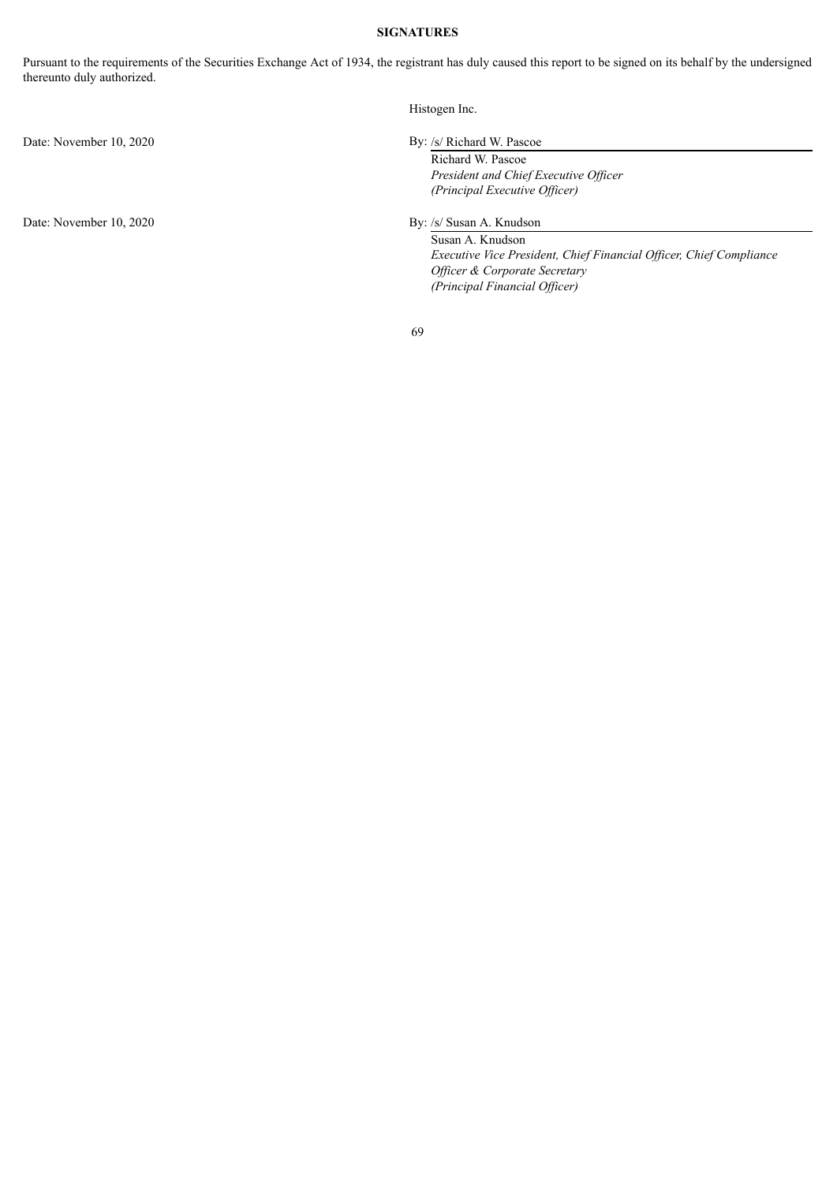## **SIGNATURES**

Pursuant to the requirements of the Securities Exchange Act of 1934, the registrant has duly caused this report to be signed on its behalf by the undersigned thereunto duly authorized.

Date: November 10, 2020 By: /s/ Richard W. Pascoe

Date: November 10, 2020 By: /s/ Susan A. Knudson

# Histogen Inc.

Richard W. Pascoe *President and Chief Executive Of icer (Principal Executive Of icer)*

Susan A. Knudson *Executive Vice President, Chief Financial Of icer, Chief Compliance Of icer & Corporate Secretary (Principal Financial Of icer)*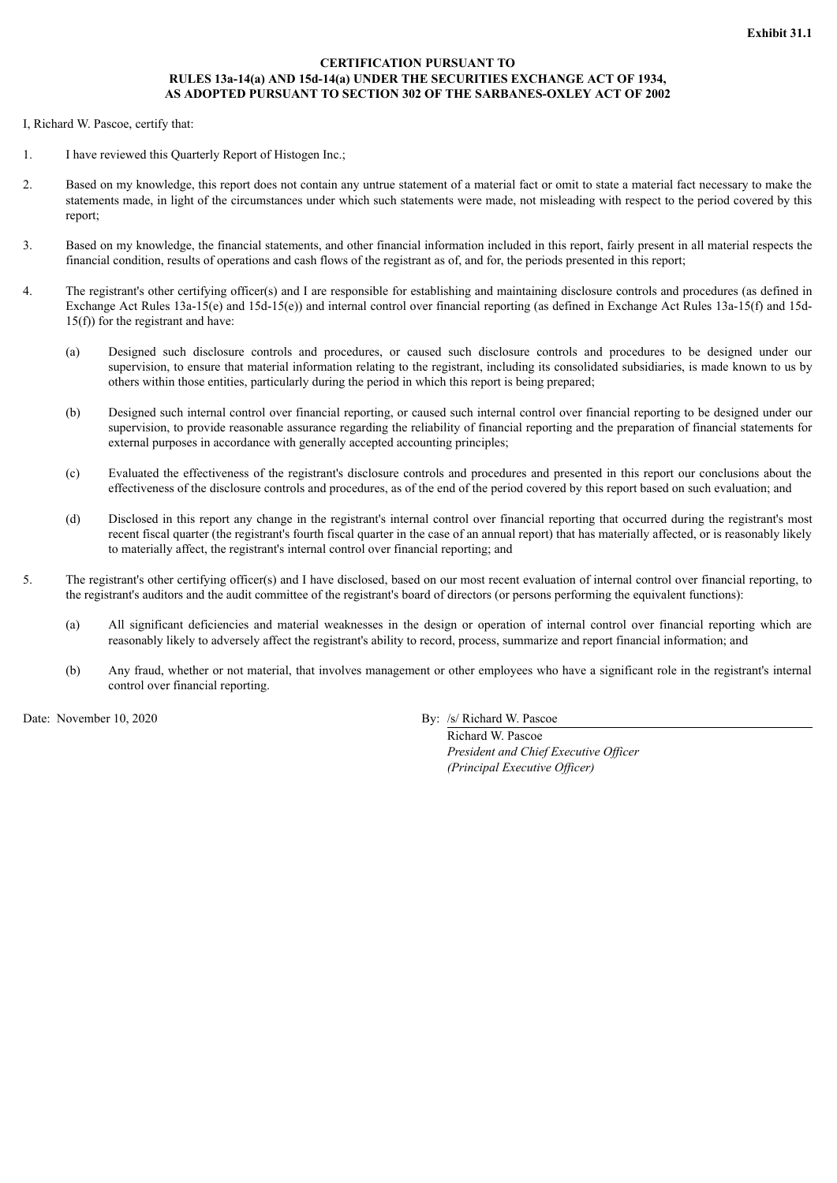# **CERTIFICATION PURSUANT TO RULES 13a-14(a) AND 15d-14(a) UNDER THE SECURITIES EXCHANGE ACT OF 1934, AS ADOPTED PURSUANT TO SECTION 302 OF THE SARBANES-OXLEY ACT OF 2002**

<span id="page-69-0"></span>I, Richard W. Pascoe, certify that:

- 1. I have reviewed this Quarterly Report of Histogen Inc.;
- 2. Based on my knowledge, this report does not contain any untrue statement of a material fact or omit to state a material fact necessary to make the statements made, in light of the circumstances under which such statements were made, not misleading with respect to the period covered by this report;
- 3. Based on my knowledge, the financial statements, and other financial information included in this report, fairly present in all material respects the financial condition, results of operations and cash flows of the registrant as of, and for, the periods presented in this report;
- 4. The registrant's other certifying officer(s) and I are responsible for establishing and maintaining disclosure controls and procedures (as defined in Exchange Act Rules 13a-15(e) and 15d-15(e)) and internal control over financial reporting (as defined in Exchange Act Rules 13a-15(f) and 15d-15(f)) for the registrant and have:
	- (a) Designed such disclosure controls and procedures, or caused such disclosure controls and procedures to be designed under our supervision, to ensure that material information relating to the registrant, including its consolidated subsidiaries, is made known to us by others within those entities, particularly during the period in which this report is being prepared;
	- (b) Designed such internal control over financial reporting, or caused such internal control over financial reporting to be designed under our supervision, to provide reasonable assurance regarding the reliability of financial reporting and the preparation of financial statements for external purposes in accordance with generally accepted accounting principles:
	- (c) Evaluated the effectiveness of the registrant's disclosure controls and procedures and presented in this report our conclusions about the effectiveness of the disclosure controls and procedures, as of the end of the period covered by this report based on such evaluation; and
	- (d) Disclosed in this report any change in the registrant's internal control over financial reporting that occurred during the registrant's most recent fiscal quarter (the registrant's fourth fiscal quarter in the case of an annual report) that has materially affected, or is reasonably likely to materially affect, the registrant's internal control over financial reporting; and
- 5. The registrant's other certifying officer(s) and I have disclosed, based on our most recent evaluation of internal control over financial reporting, to the registrant's auditors and the audit committee of the registrant's board of directors (or persons performing the equivalent functions):
	- (a) All significant deficiencies and material weaknesses in the design or operation of internal control over financial reporting which are reasonably likely to adversely affect the registrant's ability to record, process, summarize and report financial information; and
	- (b) Any fraud, whether or not material, that involves management or other employees who have a significant role in the registrant's internal control over financial reporting.

Date: November 10, 2020 By: /s/ Richard W. Pascoe

Richard W. Pascoe *President and Chief Executive Of icer (Principal Executive Of icer)*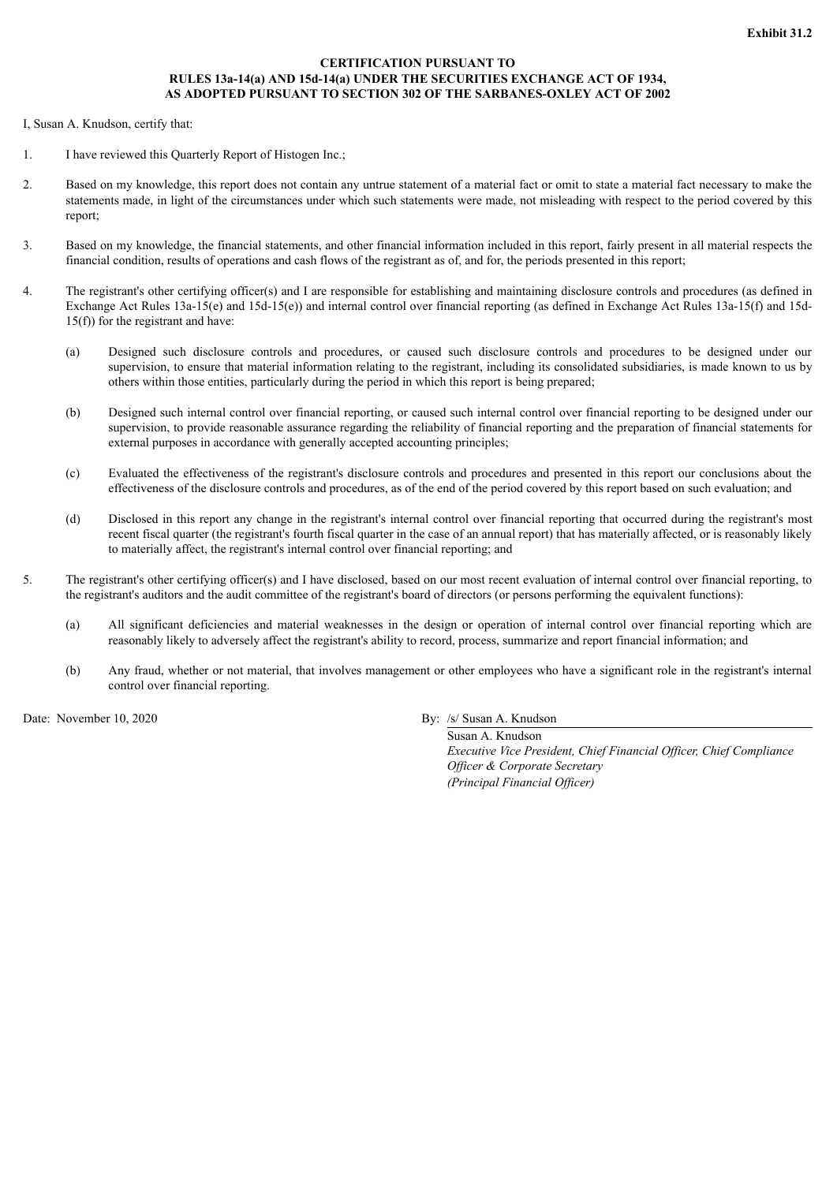# **CERTIFICATION PURSUANT TO RULES 13a-14(a) AND 15d-14(a) UNDER THE SECURITIES EXCHANGE ACT OF 1934, AS ADOPTED PURSUANT TO SECTION 302 OF THE SARBANES-OXLEY ACT OF 2002**

<span id="page-70-0"></span>I, Susan A. Knudson, certify that:

- 1. I have reviewed this Quarterly Report of Histogen Inc.;
- 2. Based on my knowledge, this report does not contain any untrue statement of a material fact or omit to state a material fact necessary to make the statements made, in light of the circumstances under which such statements were made, not misleading with respect to the period covered by this report;
- 3. Based on my knowledge, the financial statements, and other financial information included in this report, fairly present in all material respects the financial condition, results of operations and cash flows of the registrant as of, and for, the periods presented in this report;
- 4. The registrant's other certifying officer(s) and I are responsible for establishing and maintaining disclosure controls and procedures (as defined in Exchange Act Rules 13a-15(e) and 15d-15(e)) and internal control over financial reporting (as defined in Exchange Act Rules 13a-15(f) and 15d-15(f)) for the registrant and have:
	- (a) Designed such disclosure controls and procedures, or caused such disclosure controls and procedures to be designed under our supervision, to ensure that material information relating to the registrant, including its consolidated subsidiaries, is made known to us by others within those entities, particularly during the period in which this report is being prepared;
	- (b) Designed such internal control over financial reporting, or caused such internal control over financial reporting to be designed under our supervision, to provide reasonable assurance regarding the reliability of financial reporting and the preparation of financial statements for external purposes in accordance with generally accepted accounting principles;
	- (c) Evaluated the effectiveness of the registrant's disclosure controls and procedures and presented in this report our conclusions about the effectiveness of the disclosure controls and procedures, as of the end of the period covered by this report based on such evaluation; and
	- (d) Disclosed in this report any change in the registrant's internal control over financial reporting that occurred during the registrant's most recent fiscal quarter (the registrant's fourth fiscal quarter in the case of an annual report) that has materially affected, or is reasonably likely to materially affect, the registrant's internal control over financial reporting; and
- 5. The registrant's other certifying officer(s) and I have disclosed, based on our most recent evaluation of internal control over financial reporting, to the registrant's auditors and the audit committee of the registrant's board of directors (or persons performing the equivalent functions):
	- (a) All significant deficiencies and material weaknesses in the design or operation of internal control over financial reporting which are reasonably likely to adversely affect the registrant's ability to record, process, summarize and report financial information; and
	- (b) Any fraud, whether or not material, that involves management or other employees who have a significant role in the registrant's internal control over financial reporting.

Date: November 10, 2020 By: /s/ Susan A. Knudson

Susan A. Knudson *Executive Vice President, Chief Financial Of icer, Chief Compliance Of icer & Corporate Secretary (Principal Financial Of icer)*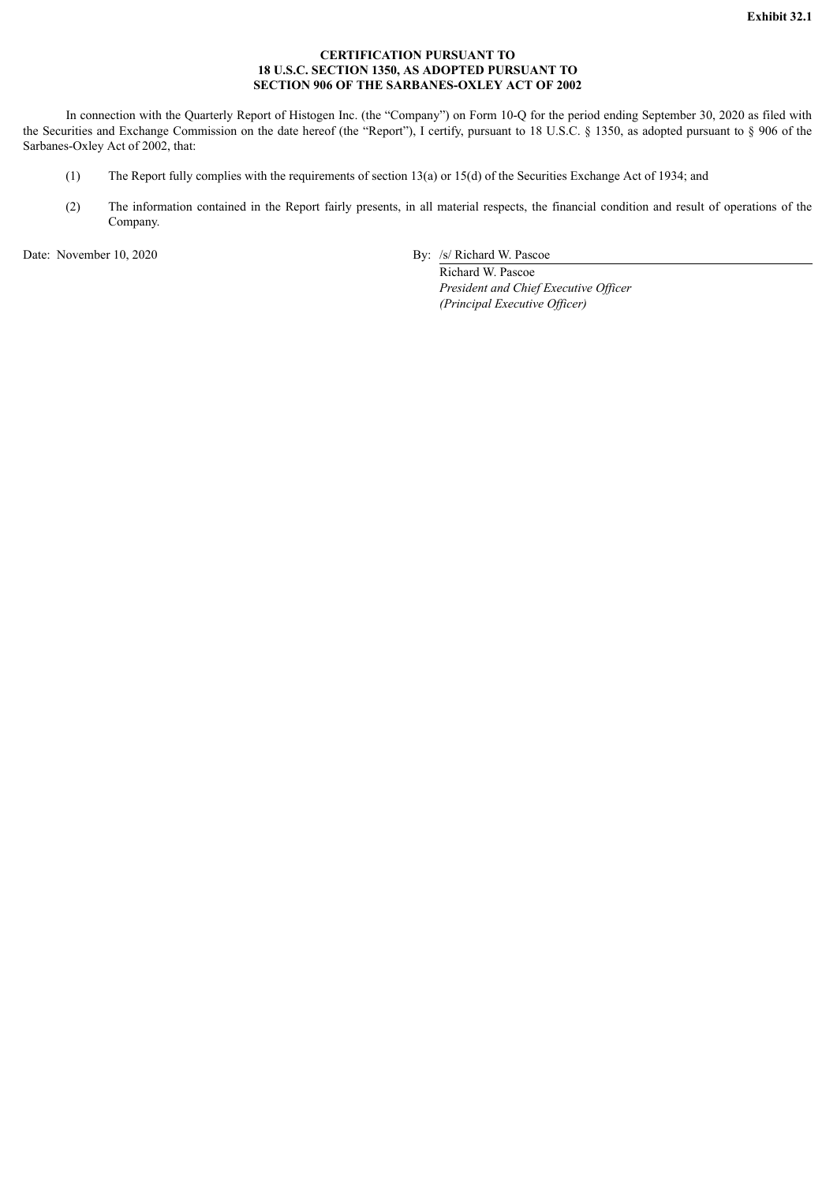## **CERTIFICATION PURSUANT TO 18 U.S.C. SECTION 1350, AS ADOPTED PURSUANT TO SECTION 906 OF THE SARBANES-OXLEY ACT OF 2002**

<span id="page-71-0"></span>In connection with the Quarterly Report of Histogen Inc. (the "Company") on Form 10-Q for the period ending September 30, 2020 as filed with the Securities and Exchange Commission on the date hereof (the "Report"), I certify, pursuant to 18 U.S.C. § 1350, as adopted pursuant to § 906 of the Sarbanes-Oxley Act of 2002, that:

- (1) The Report fully complies with the requirements of section 13(a) or 15(d) of the Securities Exchange Act of 1934; and
- (2) The information contained in the Report fairly presents, in all material respects, the financial condition and result of operations of the Company.

Date: November 10, 2020 By: /s/ Richard W. Pascoe

Richard W. Pascoe *President and Chief Executive Of icer (Principal Executive Of icer)*